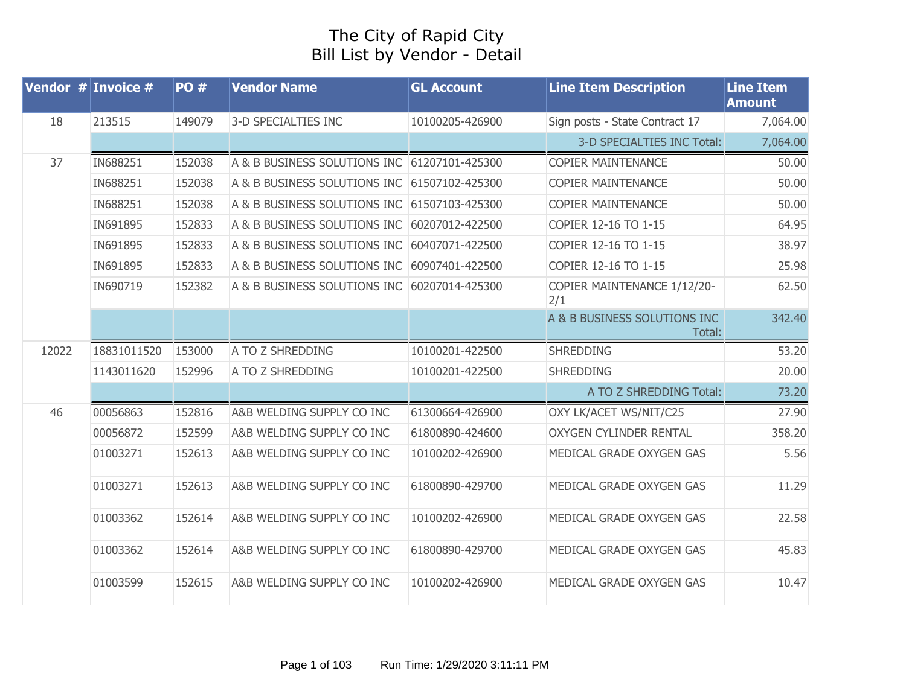## The City of Rapid City Bill List by Vendor - Detail

|       | Vendor $#$ Invoice $#$ | <b>PO#</b> | <b>Vendor Name</b>                           | <b>GL Account</b> | <b>Line Item Description</b>           | <b>Line Item</b><br><b>Amount</b> |
|-------|------------------------|------------|----------------------------------------------|-------------------|----------------------------------------|-----------------------------------|
| 18    | 213515                 | 149079     | 3-D SPECIALTIES INC                          | 10100205-426900   | Sign posts - State Contract 17         | 7,064.00                          |
|       |                        |            |                                              |                   | 3-D SPECIALTIES INC Total:             | 7,064.00                          |
| 37    | IN688251               | 152038     | A & B BUSINESS SOLUTIONS INC 61207101-425300 |                   | <b>COPIER MAINTENANCE</b>              | 50.00                             |
|       | IN688251               | 152038     | A & B BUSINESS SOLUTIONS INC                 | 61507102-425300   | <b>COPIER MAINTENANCE</b>              | 50.00                             |
|       | IN688251               | 152038     | A & B BUSINESS SOLUTIONS INC                 | 61507103-425300   | <b>COPIER MAINTENANCE</b>              | 50.00                             |
|       | IN691895               | 152833     | A & B BUSINESS SOLUTIONS INC                 | 60207012-422500   | COPIER 12-16 TO 1-15                   | 64.95                             |
|       | IN691895               | 152833     | A & B BUSINESS SOLUTIONS INC                 | 60407071-422500   | COPIER 12-16 TO 1-15                   | 38.97                             |
|       | IN691895               | 152833     | A & B BUSINESS SOLUTIONS INC                 | 60907401-422500   | COPIER 12-16 TO 1-15                   | 25.98                             |
|       | IN690719               | 152382     | A & B BUSINESS SOLUTIONS INC                 | 60207014-425300   | COPIER MAINTENANCE 1/12/20-<br>2/1     | 62.50                             |
|       |                        |            |                                              |                   | A & B BUSINESS SOLUTIONS INC<br>Total: | 342.40                            |
| 12022 | 18831011520            | 153000     | A TO Z SHREDDING                             | 10100201-422500   | <b>SHREDDING</b>                       | 53.20                             |
|       | 1143011620             | 152996     | A TO Z SHREDDING                             | 10100201-422500   | <b>SHREDDING</b>                       | 20.00                             |
|       |                        |            |                                              |                   | A TO Z SHREDDING Total:                | 73.20                             |
| 46    | 00056863               | 152816     | A&B WELDING SUPPLY CO INC                    | 61300664-426900   | OXY LK/ACET WS/NIT/C25                 | 27.90                             |
|       | 00056872               | 152599     | A&B WELDING SUPPLY CO INC                    | 61800890-424600   | <b>OXYGEN CYLINDER RENTAL</b>          | 358.20                            |
|       | 01003271               | 152613     | A&B WELDING SUPPLY CO INC                    | 10100202-426900   | MEDICAL GRADE OXYGEN GAS               | 5.56                              |
|       | 01003271               | 152613     | A&B WELDING SUPPLY CO INC                    | 61800890-429700   | MEDICAL GRADE OXYGEN GAS               | 11.29                             |
|       | 01003362               | 152614     | A&B WELDING SUPPLY CO INC                    | 10100202-426900   | MEDICAL GRADE OXYGEN GAS               | 22.58                             |
|       | 01003362               | 152614     | A&B WELDING SUPPLY CO INC                    | 61800890-429700   | MEDICAL GRADE OXYGEN GAS               | 45.83                             |
|       | 01003599               | 152615     | A&B WELDING SUPPLY CO INC                    | 10100202-426900   | MEDICAL GRADE OXYGEN GAS               | 10.47                             |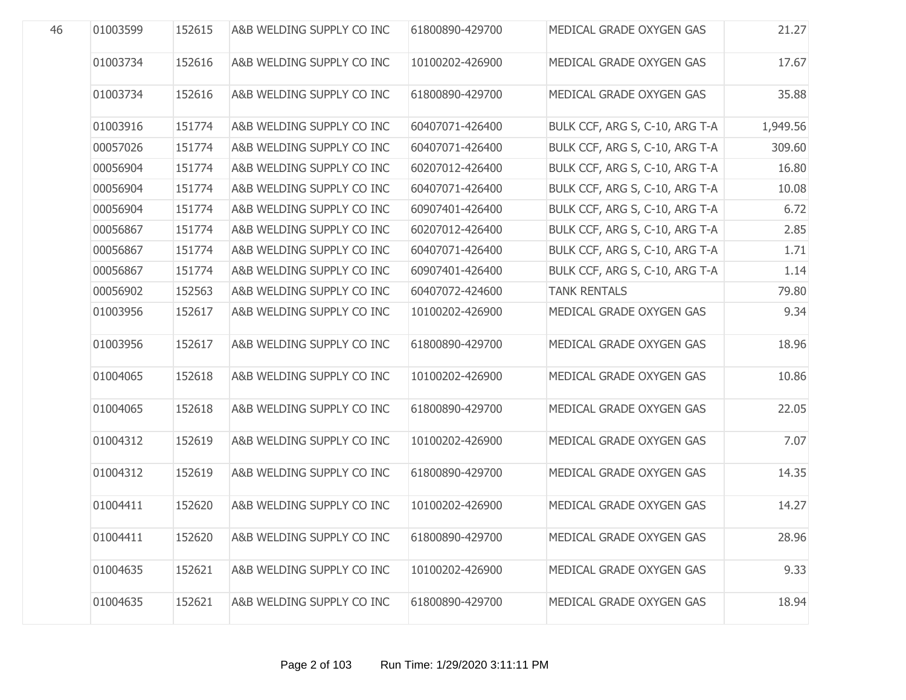| 46 | 01003599 | 152615 | A&B WELDING SUPPLY CO INC | 61800890-429700 | MEDICAL GRADE OXYGEN GAS       | 21.27    |
|----|----------|--------|---------------------------|-----------------|--------------------------------|----------|
|    | 01003734 | 152616 | A&B WELDING SUPPLY CO INC | 10100202-426900 | MEDICAL GRADE OXYGEN GAS       | 17.67    |
|    | 01003734 | 152616 | A&B WELDING SUPPLY CO INC | 61800890-429700 | MEDICAL GRADE OXYGEN GAS       | 35.88    |
|    | 01003916 | 151774 | A&B WELDING SUPPLY CO INC | 60407071-426400 | BULK CCF, ARG S, C-10, ARG T-A | 1,949.56 |
|    | 00057026 | 151774 | A&B WELDING SUPPLY CO INC | 60407071-426400 | BULK CCF, ARG S, C-10, ARG T-A | 309.60   |
|    | 00056904 | 151774 | A&B WELDING SUPPLY CO INC | 60207012-426400 | BULK CCF, ARG S, C-10, ARG T-A | 16.80    |
|    | 00056904 | 151774 | A&B WELDING SUPPLY CO INC | 60407071-426400 | BULK CCF, ARG S, C-10, ARG T-A | 10.08    |
|    | 00056904 | 151774 | A&B WELDING SUPPLY CO INC | 60907401-426400 | BULK CCF, ARG S, C-10, ARG T-A | 6.72     |
|    | 00056867 | 151774 | A&B WELDING SUPPLY CO INC | 60207012-426400 | BULK CCF, ARG S, C-10, ARG T-A | 2.85     |
|    | 00056867 | 151774 | A&B WELDING SUPPLY CO INC | 60407071-426400 | BULK CCF, ARG S, C-10, ARG T-A | 1.71     |
|    | 00056867 | 151774 | A&B WELDING SUPPLY CO INC | 60907401-426400 | BULK CCF, ARG S, C-10, ARG T-A | 1.14     |
|    | 00056902 | 152563 | A&B WELDING SUPPLY CO INC | 60407072-424600 | <b>TANK RENTALS</b>            | 79.80    |
|    | 01003956 | 152617 | A&B WELDING SUPPLY CO INC | 10100202-426900 | MEDICAL GRADE OXYGEN GAS       | 9.34     |
|    | 01003956 | 152617 | A&B WELDING SUPPLY CO INC | 61800890-429700 | MEDICAL GRADE OXYGEN GAS       | 18.96    |
|    | 01004065 | 152618 | A&B WELDING SUPPLY CO INC | 10100202-426900 | MEDICAL GRADE OXYGEN GAS       | 10.86    |
|    | 01004065 | 152618 | A&B WELDING SUPPLY CO INC | 61800890-429700 | MEDICAL GRADE OXYGEN GAS       | 22.05    |
|    | 01004312 | 152619 | A&B WELDING SUPPLY CO INC | 10100202-426900 | MEDICAL GRADE OXYGEN GAS       | 7.07     |
|    | 01004312 | 152619 | A&B WELDING SUPPLY CO INC | 61800890-429700 | MEDICAL GRADE OXYGEN GAS       | 14.35    |
|    | 01004411 | 152620 | A&B WELDING SUPPLY CO INC | 10100202-426900 | MEDICAL GRADE OXYGEN GAS       | 14.27    |
|    | 01004411 | 152620 | A&B WELDING SUPPLY CO INC | 61800890-429700 | MEDICAL GRADE OXYGEN GAS       | 28.96    |
|    | 01004635 | 152621 | A&B WELDING SUPPLY CO INC | 10100202-426900 | MEDICAL GRADE OXYGEN GAS       | 9.33     |
|    | 01004635 | 152621 | A&B WELDING SUPPLY CO INC | 61800890-429700 | MEDICAL GRADE OXYGEN GAS       | 18.94    |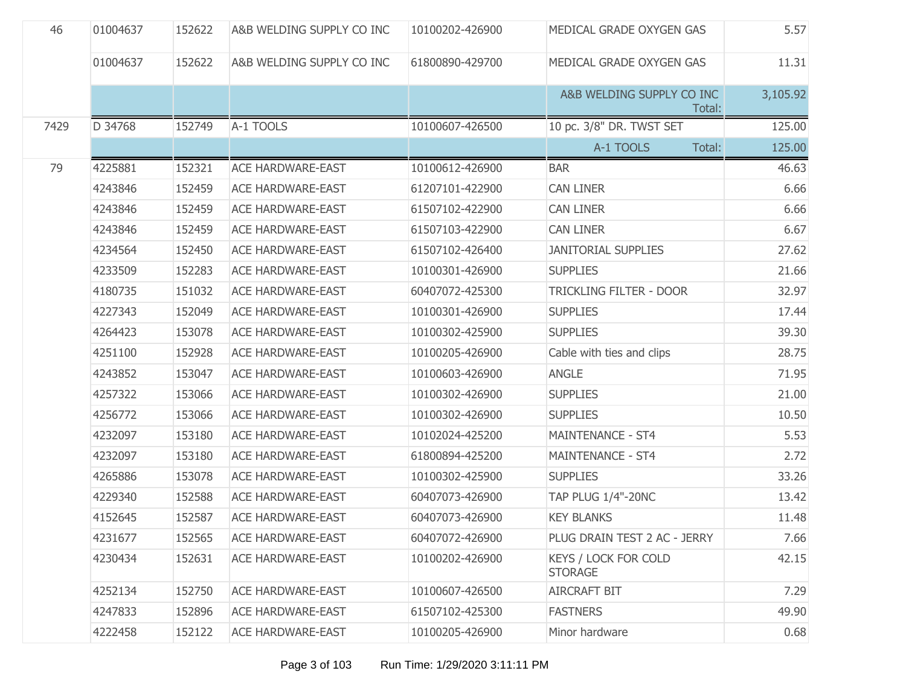| 46   | 01004637 | 152622 | A&B WELDING SUPPLY CO INC | 10100202-426900 | MEDICAL GRADE OXYGEN GAS                      | 5.57     |
|------|----------|--------|---------------------------|-----------------|-----------------------------------------------|----------|
|      | 01004637 | 152622 | A&B WELDING SUPPLY CO INC | 61800890-429700 | MEDICAL GRADE OXYGEN GAS                      | 11.31    |
|      |          |        |                           |                 | A&B WELDING SUPPLY CO INC<br>Total:           | 3,105.92 |
| 7429 | D 34768  | 152749 | A-1 TOOLS                 | 10100607-426500 | 10 pc. 3/8" DR. TWST SET                      | 125.00   |
|      |          |        |                           |                 | A-1 TOOLS<br>Total:                           | 125.00   |
| 79   | 4225881  | 152321 | <b>ACE HARDWARE-EAST</b>  | 10100612-426900 | <b>BAR</b>                                    | 46.63    |
|      | 4243846  | 152459 | <b>ACE HARDWARE-EAST</b>  | 61207101-422900 | <b>CAN LINER</b>                              | 6.66     |
|      | 4243846  | 152459 | <b>ACE HARDWARE-EAST</b>  | 61507102-422900 | <b>CAN LINER</b>                              | 6.66     |
|      | 4243846  | 152459 | <b>ACE HARDWARE-EAST</b>  | 61507103-422900 | <b>CAN LINER</b>                              | 6.67     |
|      | 4234564  | 152450 | <b>ACE HARDWARE-EAST</b>  | 61507102-426400 | <b>JANITORIAL SUPPLIES</b>                    | 27.62    |
|      | 4233509  | 152283 | <b>ACE HARDWARE-EAST</b>  | 10100301-426900 | <b>SUPPLIES</b>                               | 21.66    |
|      | 4180735  | 151032 | <b>ACE HARDWARE-EAST</b>  | 60407072-425300 | TRICKLING FILTER - DOOR                       | 32.97    |
|      | 4227343  | 152049 | <b>ACE HARDWARE-EAST</b>  | 10100301-426900 | <b>SUPPLIES</b>                               | 17.44    |
|      | 4264423  | 153078 | <b>ACE HARDWARE-EAST</b>  | 10100302-425900 | <b>SUPPLIES</b>                               | 39.30    |
|      | 4251100  | 152928 | <b>ACE HARDWARE-EAST</b>  | 10100205-426900 | Cable with ties and clips                     | 28.75    |
|      | 4243852  | 153047 | <b>ACE HARDWARE-EAST</b>  | 10100603-426900 | <b>ANGLE</b>                                  | 71.95    |
|      | 4257322  | 153066 | <b>ACE HARDWARE-EAST</b>  | 10100302-426900 | <b>SUPPLIES</b>                               | 21.00    |
|      | 4256772  | 153066 | <b>ACE HARDWARE-EAST</b>  | 10100302-426900 | <b>SUPPLIES</b>                               | 10.50    |
|      | 4232097  | 153180 | <b>ACE HARDWARE-EAST</b>  | 10102024-425200 | MAINTENANCE - ST4                             | 5.53     |
|      | 4232097  | 153180 | <b>ACE HARDWARE-EAST</b>  | 61800894-425200 | MAINTENANCE - ST4                             | 2.72     |
|      | 4265886  | 153078 | <b>ACE HARDWARE-EAST</b>  | 10100302-425900 | <b>SUPPLIES</b>                               | 33.26    |
|      | 4229340  | 152588 | <b>ACE HARDWARE-EAST</b>  | 60407073-426900 | <b>TAP PLUG 1/4"-20NC</b>                     | 13.42    |
|      | 4152645  | 152587 | ACE HARDWARE-EAST         | 60407073-426900 | <b>KEY BLANKS</b>                             | 11.48    |
|      | 4231677  | 152565 | <b>ACE HARDWARE-EAST</b>  | 60407072-426900 | PLUG DRAIN TEST 2 AC - JERRY                  | 7.66     |
|      | 4230434  | 152631 | <b>ACE HARDWARE-EAST</b>  | 10100202-426900 | <b>KEYS / LOCK FOR COLD</b><br><b>STORAGE</b> | 42.15    |
|      | 4252134  | 152750 | <b>ACE HARDWARE-EAST</b>  | 10100607-426500 | <b>AIRCRAFT BIT</b>                           | 7.29     |
|      | 4247833  | 152896 | <b>ACE HARDWARE-EAST</b>  | 61507102-425300 | <b>FASTNERS</b>                               | 49.90    |
|      | 4222458  | 152122 | <b>ACE HARDWARE-EAST</b>  | 10100205-426900 | Minor hardware                                | 0.68     |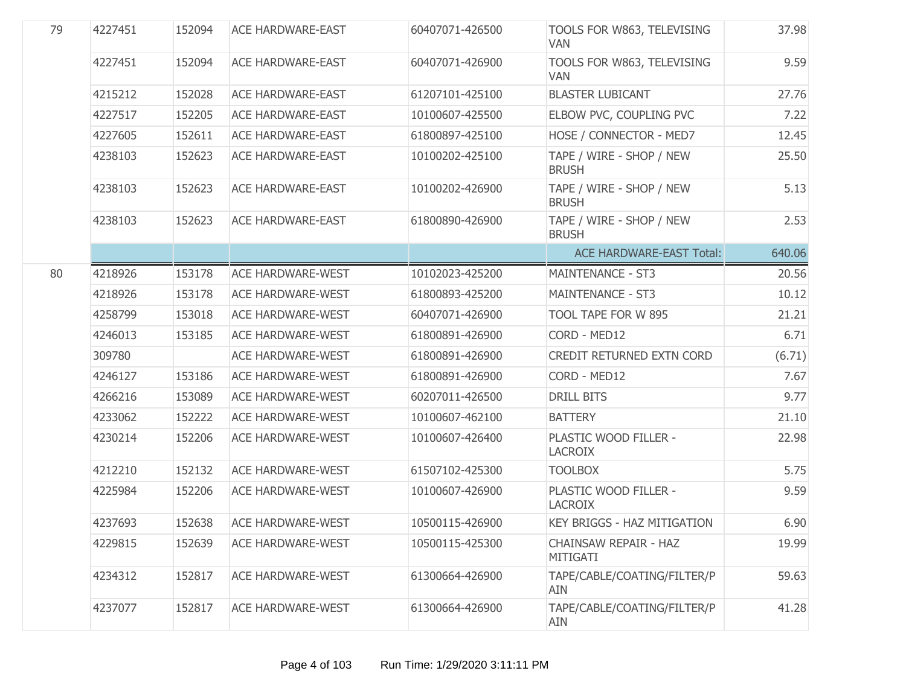| 79 | 4227451 | 152094 | <b>ACE HARDWARE-EAST</b> | 60407071-426500 | TOOLS FOR W863, TELEVISING<br><b>VAN</b>  | 37.98  |
|----|---------|--------|--------------------------|-----------------|-------------------------------------------|--------|
|    | 4227451 | 152094 | <b>ACE HARDWARE-EAST</b> | 60407071-426900 | TOOLS FOR W863, TELEVISING<br><b>VAN</b>  | 9.59   |
|    | 4215212 | 152028 | <b>ACE HARDWARE-EAST</b> | 61207101-425100 | <b>BLASTER LUBICANT</b>                   | 27.76  |
|    | 4227517 | 152205 | <b>ACE HARDWARE-EAST</b> | 10100607-425500 | ELBOW PVC, COUPLING PVC                   | 7.22   |
|    | 4227605 | 152611 | <b>ACE HARDWARE-EAST</b> | 61800897-425100 | HOSE / CONNECTOR - MED7                   | 12.45  |
|    | 4238103 | 152623 | <b>ACE HARDWARE-EAST</b> | 10100202-425100 | TAPE / WIRE - SHOP / NEW<br><b>BRUSH</b>  | 25.50  |
|    | 4238103 | 152623 | <b>ACE HARDWARE-EAST</b> | 10100202-426900 | TAPE / WIRE - SHOP / NEW<br><b>BRUSH</b>  | 5.13   |
|    | 4238103 | 152623 | <b>ACE HARDWARE-EAST</b> | 61800890-426900 | TAPE / WIRE - SHOP / NEW<br><b>BRUSH</b>  | 2.53   |
|    |         |        |                          |                 | <b>ACE HARDWARE-EAST Total:</b>           | 640.06 |
| 80 | 4218926 | 153178 | <b>ACE HARDWARE-WEST</b> | 10102023-425200 | <b>MAINTENANCE - ST3</b>                  | 20.56  |
|    | 4218926 | 153178 | <b>ACE HARDWARE-WEST</b> | 61800893-425200 | <b>MAINTENANCE - ST3</b>                  | 10.12  |
|    | 4258799 | 153018 | <b>ACE HARDWARE-WEST</b> | 60407071-426900 | TOOL TAPE FOR W 895                       | 21.21  |
|    | 4246013 | 153185 | <b>ACE HARDWARE-WEST</b> | 61800891-426900 | CORD - MED12                              | 6.71   |
|    | 309780  |        | <b>ACE HARDWARE-WEST</b> | 61800891-426900 | CREDIT RETURNED EXTN CORD                 | (6.71) |
|    | 4246127 | 153186 | <b>ACE HARDWARE-WEST</b> | 61800891-426900 | CORD - MED12                              | 7.67   |
|    | 4266216 | 153089 | <b>ACE HARDWARE-WEST</b> | 60207011-426500 | <b>DRILL BITS</b>                         | 9.77   |
|    | 4233062 | 152222 | <b>ACE HARDWARE-WEST</b> | 10100607-462100 | <b>BATTERY</b>                            | 21.10  |
|    | 4230214 | 152206 | <b>ACE HARDWARE-WEST</b> | 10100607-426400 | PLASTIC WOOD FILLER -<br><b>LACROIX</b>   | 22.98  |
|    | 4212210 | 152132 | <b>ACE HARDWARE-WEST</b> | 61507102-425300 | <b>TOOLBOX</b>                            | 5.75   |
|    | 4225984 | 152206 | <b>ACE HARDWARE-WEST</b> | 10100607-426900 | PLASTIC WOOD FILLER -<br><b>LACROIX</b>   | 9.59   |
|    | 4237693 | 152638 | <b>ACE HARDWARE-WEST</b> | 10500115-426900 | <b>KEY BRIGGS - HAZ MITIGATION</b>        | 6.90   |
|    | 4229815 | 152639 | <b>ACE HARDWARE-WEST</b> | 10500115-425300 | CHAINSAW REPAIR - HAZ<br>MITIGATI         | 19.99  |
|    | 4234312 | 152817 | <b>ACE HARDWARE-WEST</b> | 61300664-426900 | TAPE/CABLE/COATING/FILTER/P<br><b>AIN</b> | 59.63  |
|    | 4237077 | 152817 | <b>ACE HARDWARE-WEST</b> | 61300664-426900 | TAPE/CABLE/COATING/FILTER/P<br>AIN        | 41.28  |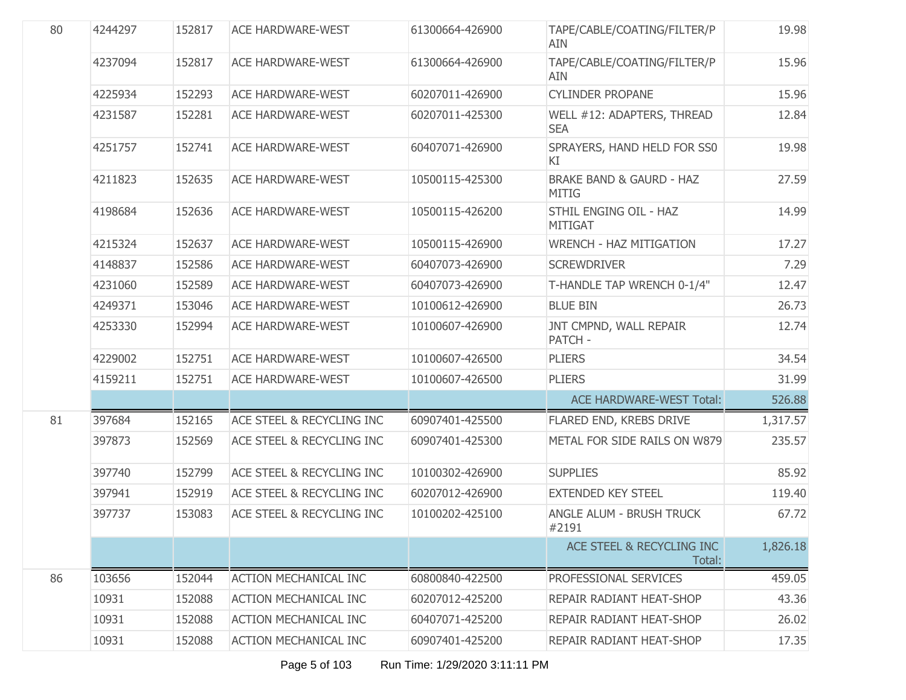| 80 | 4244297 | 152817 | <b>ACE HARDWARE-WEST</b>     | 61300664-426900 | TAPE/CABLE/COATING/FILTER/P<br><b>AIN</b>           | 19.98    |
|----|---------|--------|------------------------------|-----------------|-----------------------------------------------------|----------|
|    | 4237094 | 152817 | <b>ACE HARDWARE-WEST</b>     | 61300664-426900 | TAPE/CABLE/COATING/FILTER/P<br>AIN                  | 15.96    |
|    | 4225934 | 152293 | <b>ACE HARDWARE-WEST</b>     | 60207011-426900 | <b>CYLINDER PROPANE</b>                             | 15.96    |
|    | 4231587 | 152281 | <b>ACE HARDWARE-WEST</b>     | 60207011-425300 | WELL #12: ADAPTERS, THREAD<br><b>SEA</b>            | 12.84    |
|    | 4251757 | 152741 | <b>ACE HARDWARE-WEST</b>     | 60407071-426900 | SPRAYERS, HAND HELD FOR SS0<br>KI                   | 19.98    |
|    | 4211823 | 152635 | <b>ACE HARDWARE-WEST</b>     | 10500115-425300 | <b>BRAKE BAND &amp; GAURD - HAZ</b><br><b>MITIG</b> | 27.59    |
|    | 4198684 | 152636 | <b>ACE HARDWARE-WEST</b>     | 10500115-426200 | STHIL ENGING OIL - HAZ<br><b>MITIGAT</b>            | 14.99    |
|    | 4215324 | 152637 | <b>ACE HARDWARE-WEST</b>     | 10500115-426900 | <b>WRENCH - HAZ MITIGATION</b>                      | 17.27    |
|    | 4148837 | 152586 | <b>ACE HARDWARE-WEST</b>     | 60407073-426900 | <b>SCREWDRIVER</b>                                  | 7.29     |
|    | 4231060 | 152589 | <b>ACE HARDWARE-WEST</b>     | 60407073-426900 | T-HANDLE TAP WRENCH 0-1/4"                          | 12.47    |
|    | 4249371 | 153046 | <b>ACE HARDWARE-WEST</b>     | 10100612-426900 | <b>BLUE BIN</b>                                     | 26.73    |
|    | 4253330 | 152994 | <b>ACE HARDWARE-WEST</b>     | 10100607-426900 | JNT CMPND, WALL REPAIR<br>PATCH -                   | 12.74    |
|    | 4229002 | 152751 | <b>ACE HARDWARE-WEST</b>     | 10100607-426500 | <b>PLIERS</b>                                       | 34.54    |
|    | 4159211 | 152751 | <b>ACE HARDWARE-WEST</b>     | 10100607-426500 | <b>PLIERS</b>                                       | 31.99    |
|    |         |        |                              |                 | <b>ACE HARDWARE-WEST Total:</b>                     | 526.88   |
| 81 | 397684  | 152165 | ACE STEEL & RECYCLING INC    | 60907401-425500 | FLARED END, KREBS DRIVE                             | 1,317.57 |
|    | 397873  | 152569 | ACE STEEL & RECYCLING INC    | 60907401-425300 | METAL FOR SIDE RAILS ON W879                        | 235.57   |
|    | 397740  | 152799 | ACE STEEL & RECYCLING INC    | 10100302-426900 | <b>SUPPLIES</b>                                     | 85.92    |
|    | 397941  | 152919 | ACE STEEL & RECYCLING INC    | 60207012-426900 | <b>EXTENDED KEY STEEL</b>                           | 119.40   |
|    | 397737  | 153083 | ACE STEEL & RECYCLING INC    | 10100202-425100 | <b>ANGLE ALUM - BRUSH TRUCK</b><br>#2191            | 67.72    |
|    |         |        |                              |                 | ACE STEEL & RECYCLING INC<br>Total:                 | 1,826.18 |
| 86 | 103656  | 152044 | <b>ACTION MECHANICAL INC</b> | 60800840-422500 | PROFESSIONAL SERVICES                               | 459.05   |
|    | 10931   | 152088 | <b>ACTION MECHANICAL INC</b> | 60207012-425200 | REPAIR RADIANT HEAT-SHOP                            | 43.36    |
|    | 10931   | 152088 | <b>ACTION MECHANICAL INC</b> | 60407071-425200 | REPAIR RADIANT HEAT-SHOP                            | 26.02    |
|    | 10931   | 152088 | <b>ACTION MECHANICAL INC</b> | 60907401-425200 | REPAIR RADIANT HEAT-SHOP                            | 17.35    |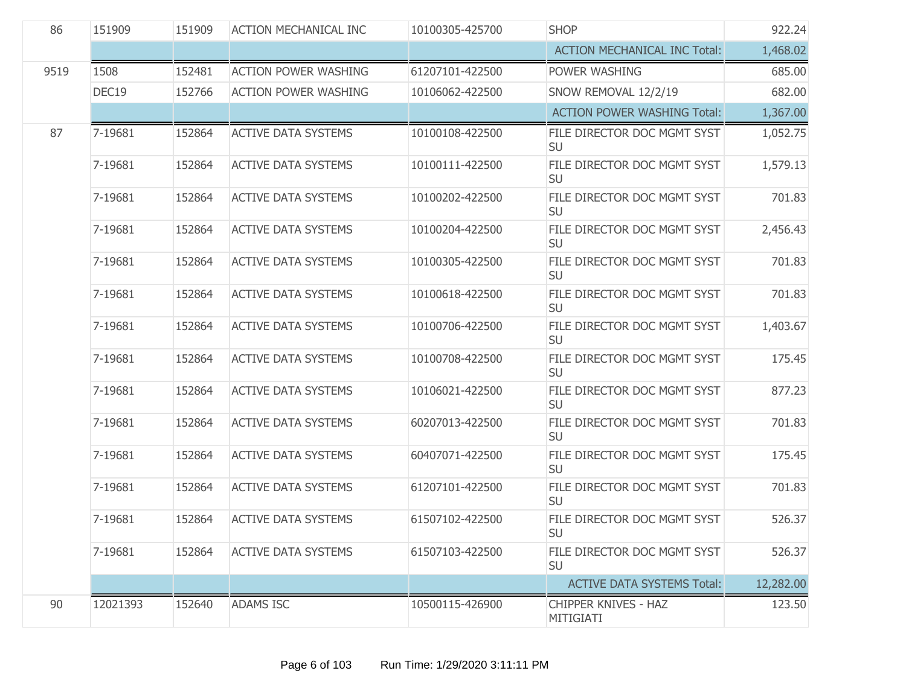| 86   | 151909<br><b>SHOP</b><br>151909<br><b>ACTION MECHANICAL INC</b><br>10100305-425700 |        |                             | 922.24          |                                          |           |
|------|------------------------------------------------------------------------------------|--------|-----------------------------|-----------------|------------------------------------------|-----------|
|      |                                                                                    |        |                             |                 | <b>ACTION MECHANICAL INC Total:</b>      | 1,468.02  |
| 9519 | 1508                                                                               | 152481 | <b>ACTION POWER WASHING</b> | 61207101-422500 | POWER WASHING                            | 685.00    |
|      | DEC19                                                                              | 152766 | <b>ACTION POWER WASHING</b> | 10106062-422500 | SNOW REMOVAL 12/2/19                     | 682.00    |
|      |                                                                                    |        |                             |                 | <b>ACTION POWER WASHING Total:</b>       | 1,367.00  |
| 87   | 7-19681                                                                            | 152864 | <b>ACTIVE DATA SYSTEMS</b>  | 10100108-422500 | FILE DIRECTOR DOC MGMT SYST<br><b>SU</b> | 1,052.75  |
|      | 7-19681                                                                            | 152864 | <b>ACTIVE DATA SYSTEMS</b>  | 10100111-422500 | FILE DIRECTOR DOC MGMT SYST<br><b>SU</b> | 1,579.13  |
|      | 7-19681                                                                            | 152864 | <b>ACTIVE DATA SYSTEMS</b>  | 10100202-422500 | FILE DIRECTOR DOC MGMT SYST<br>SU        | 701.83    |
|      | 7-19681                                                                            | 152864 | <b>ACTIVE DATA SYSTEMS</b>  | 10100204-422500 | FILE DIRECTOR DOC MGMT SYST<br><b>SU</b> | 2,456.43  |
|      | 7-19681                                                                            | 152864 | <b>ACTIVE DATA SYSTEMS</b>  | 10100305-422500 | FILE DIRECTOR DOC MGMT SYST<br><b>SU</b> | 701.83    |
|      | 7-19681                                                                            | 152864 | <b>ACTIVE DATA SYSTEMS</b>  | 10100618-422500 | FILE DIRECTOR DOC MGMT SYST<br><b>SU</b> | 701.83    |
|      | 7-19681                                                                            | 152864 | <b>ACTIVE DATA SYSTEMS</b>  | 10100706-422500 | FILE DIRECTOR DOC MGMT SYST<br><b>SU</b> | 1,403.67  |
|      | 7-19681                                                                            | 152864 | <b>ACTIVE DATA SYSTEMS</b>  | 10100708-422500 | FILE DIRECTOR DOC MGMT SYST<br><b>SU</b> | 175.45    |
|      | 7-19681                                                                            | 152864 | <b>ACTIVE DATA SYSTEMS</b>  | 10106021-422500 | FILE DIRECTOR DOC MGMT SYST<br><b>SU</b> | 877.23    |
|      | 7-19681                                                                            | 152864 | <b>ACTIVE DATA SYSTEMS</b>  | 60207013-422500 | FILE DIRECTOR DOC MGMT SYST<br><b>SU</b> | 701.83    |
|      | 7-19681                                                                            | 152864 | <b>ACTIVE DATA SYSTEMS</b>  | 60407071-422500 | FILE DIRECTOR DOC MGMT SYST<br><b>SU</b> | 175.45    |
|      | 7-19681                                                                            | 152864 | <b>ACTIVE DATA SYSTEMS</b>  | 61207101-422500 | FILE DIRECTOR DOC MGMT SYST<br><b>SU</b> | 701.83    |
|      | 7-19681                                                                            | 152864 | <b>ACTIVE DATA SYSTEMS</b>  | 61507102-422500 | FILE DIRECTOR DOC MGMT SYST<br>SU        | 526.37    |
|      | 7-19681                                                                            | 152864 | <b>ACTIVE DATA SYSTEMS</b>  | 61507103-422500 | FILE DIRECTOR DOC MGMT SYST<br><b>SU</b> | 526.37    |
|      |                                                                                    |        |                             |                 | <b>ACTIVE DATA SYSTEMS Total:</b>        | 12,282.00 |
| 90   | 12021393                                                                           | 152640 | <b>ADAMS ISC</b>            | 10500115-426900 | <b>CHIPPER KNIVES - HAZ</b><br>MITIGIATI | 123.50    |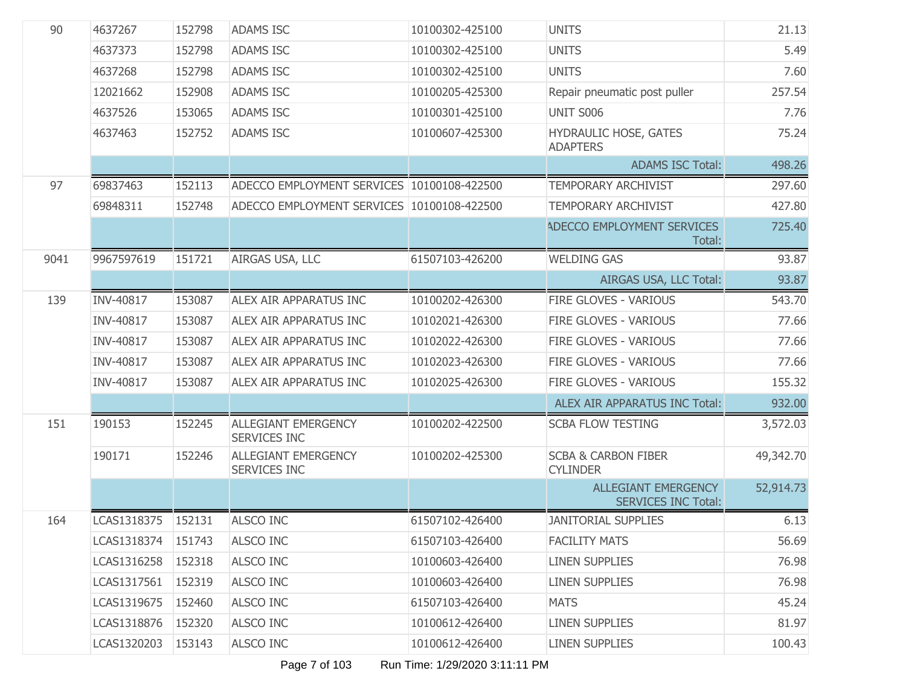| 4637373<br>152798<br><b>ADAMS ISC</b><br>10100302-425100<br><b>UNITS</b><br>152798<br><b>UNITS</b><br>4637268<br><b>ADAMS ISC</b><br>10100302-425100<br>152908<br><b>ADAMS ISC</b><br>10100205-425300<br>12021662<br>Repair pneumatic post puller<br>153065<br><b>UNIT S006</b><br>4637526<br><b>ADAMS ISC</b><br>10100301-425100<br>4637463<br><b>ADAMS ISC</b><br>10100607-425300<br>HYDRAULIC HOSE, GATES<br>152752<br><b>ADAPTERS</b><br><b>ADAMS ISC Total:</b><br>97<br>69837463<br>152113<br>ADECCO EMPLOYMENT SERVICES 10100108-422500<br><b>TEMPORARY ARCHIVIST</b><br>297.60<br>427.80<br>69848311<br>152748<br>ADECCO EMPLOYMENT SERVICES 10100108-422500<br>TEMPORARY ARCHIVIST<br><b>ADECCO EMPLOYMENT SERVICES</b><br>Total:<br>9041<br>9967597619<br>151721<br>AIRGAS USA, LLC<br>61507103-426200<br><b>WELDING GAS</b><br>AIRGAS USA, LLC Total:<br>139<br>INV-40817<br><b>ALEX AIR APPARATUS INC</b><br>10100202-426300<br>FIRE GLOVES - VARIOUS<br>153087<br><b>INV-40817</b><br>153087<br>FIRE GLOVES - VARIOUS<br>ALEX AIR APPARATUS INC<br>10102021-426300<br><b>INV-40817</b><br>153087<br>FIRE GLOVES - VARIOUS<br>ALEX AIR APPARATUS INC<br>10102022-426300<br><b>INV-40817</b><br>153087<br>10102023-426300<br>FIRE GLOVES - VARIOUS<br>ALEX AIR APPARATUS INC<br>INV-40817<br>153087<br>10102025-426300<br>FIRE GLOVES - VARIOUS<br>ALEX AIR APPARATUS INC<br>ALEX AIR APPARATUS INC Total:<br>151<br><b>ALLEGIANT EMERGENCY</b><br>190153<br>10100202-422500<br><b>SCBA FLOW TESTING</b><br>152245<br><b>SERVICES INC</b><br><b>ALLEGIANT EMERGENCY</b><br>190171<br>10100202-425300<br><b>SCBA &amp; CARBON FIBER</b><br>49,342.70<br>152246<br><b>SERVICES INC</b><br><b>CYLINDER</b><br><b>ALLEGIANT EMERGENCY</b><br><b>SERVICES INC Total:</b><br>ALSCO INC<br>164<br>LCAS1318375<br>152131<br>61507102-426400<br><b>JANITORIAL SUPPLIES</b><br>LCAS1318374<br>151743<br><b>ALSCO INC</b><br>61507103-426400<br><b>FACILITY MATS</b><br>LCAS1316258<br>152318<br>ALSCO INC<br>10100603-426400<br><b>LINEN SUPPLIES</b><br>LCAS1317561<br>152319<br>ALSCO INC<br>10100603-426400<br><b>LINEN SUPPLIES</b><br>LCAS1319675<br>152460<br><b>ALSCO INC</b><br>61507103-426400<br><b>MATS</b><br>LCAS1318876<br>152320<br>ALSCO INC<br>10100612-426400<br><b>LINEN SUPPLIES</b><br>LCAS1320203<br>153143<br>ALSCO INC<br>10100612-426400<br><b>LINEN SUPPLIES</b> | 90 | 4637267 | 152798 | <b>ADAMS ISC</b> | 10100302-425100 | <b>UNITS</b> | 21.13     |
|---------------------------------------------------------------------------------------------------------------------------------------------------------------------------------------------------------------------------------------------------------------------------------------------------------------------------------------------------------------------------------------------------------------------------------------------------------------------------------------------------------------------------------------------------------------------------------------------------------------------------------------------------------------------------------------------------------------------------------------------------------------------------------------------------------------------------------------------------------------------------------------------------------------------------------------------------------------------------------------------------------------------------------------------------------------------------------------------------------------------------------------------------------------------------------------------------------------------------------------------------------------------------------------------------------------------------------------------------------------------------------------------------------------------------------------------------------------------------------------------------------------------------------------------------------------------------------------------------------------------------------------------------------------------------------------------------------------------------------------------------------------------------------------------------------------------------------------------------------------------------------------------------------------------------------------------------------------------------------------------------------------------------------------------------------------------------------------------------------------------------------------------------------------------------------------------------------------------------------------------------------------------------------------------------------------------------------------------------------------------------------------------|----|---------|--------|------------------|-----------------|--------------|-----------|
|                                                                                                                                                                                                                                                                                                                                                                                                                                                                                                                                                                                                                                                                                                                                                                                                                                                                                                                                                                                                                                                                                                                                                                                                                                                                                                                                                                                                                                                                                                                                                                                                                                                                                                                                                                                                                                                                                                                                                                                                                                                                                                                                                                                                                                                                                                                                                                                             |    |         |        |                  |                 |              | 5.49      |
|                                                                                                                                                                                                                                                                                                                                                                                                                                                                                                                                                                                                                                                                                                                                                                                                                                                                                                                                                                                                                                                                                                                                                                                                                                                                                                                                                                                                                                                                                                                                                                                                                                                                                                                                                                                                                                                                                                                                                                                                                                                                                                                                                                                                                                                                                                                                                                                             |    |         |        |                  |                 |              | 7.60      |
|                                                                                                                                                                                                                                                                                                                                                                                                                                                                                                                                                                                                                                                                                                                                                                                                                                                                                                                                                                                                                                                                                                                                                                                                                                                                                                                                                                                                                                                                                                                                                                                                                                                                                                                                                                                                                                                                                                                                                                                                                                                                                                                                                                                                                                                                                                                                                                                             |    |         |        |                  |                 |              | 257.54    |
|                                                                                                                                                                                                                                                                                                                                                                                                                                                                                                                                                                                                                                                                                                                                                                                                                                                                                                                                                                                                                                                                                                                                                                                                                                                                                                                                                                                                                                                                                                                                                                                                                                                                                                                                                                                                                                                                                                                                                                                                                                                                                                                                                                                                                                                                                                                                                                                             |    |         |        |                  |                 |              | 7.76      |
|                                                                                                                                                                                                                                                                                                                                                                                                                                                                                                                                                                                                                                                                                                                                                                                                                                                                                                                                                                                                                                                                                                                                                                                                                                                                                                                                                                                                                                                                                                                                                                                                                                                                                                                                                                                                                                                                                                                                                                                                                                                                                                                                                                                                                                                                                                                                                                                             |    |         |        |                  |                 |              | 75.24     |
|                                                                                                                                                                                                                                                                                                                                                                                                                                                                                                                                                                                                                                                                                                                                                                                                                                                                                                                                                                                                                                                                                                                                                                                                                                                                                                                                                                                                                                                                                                                                                                                                                                                                                                                                                                                                                                                                                                                                                                                                                                                                                                                                                                                                                                                                                                                                                                                             |    |         |        |                  |                 |              | 498.26    |
|                                                                                                                                                                                                                                                                                                                                                                                                                                                                                                                                                                                                                                                                                                                                                                                                                                                                                                                                                                                                                                                                                                                                                                                                                                                                                                                                                                                                                                                                                                                                                                                                                                                                                                                                                                                                                                                                                                                                                                                                                                                                                                                                                                                                                                                                                                                                                                                             |    |         |        |                  |                 |              |           |
|                                                                                                                                                                                                                                                                                                                                                                                                                                                                                                                                                                                                                                                                                                                                                                                                                                                                                                                                                                                                                                                                                                                                                                                                                                                                                                                                                                                                                                                                                                                                                                                                                                                                                                                                                                                                                                                                                                                                                                                                                                                                                                                                                                                                                                                                                                                                                                                             |    |         |        |                  |                 |              |           |
|                                                                                                                                                                                                                                                                                                                                                                                                                                                                                                                                                                                                                                                                                                                                                                                                                                                                                                                                                                                                                                                                                                                                                                                                                                                                                                                                                                                                                                                                                                                                                                                                                                                                                                                                                                                                                                                                                                                                                                                                                                                                                                                                                                                                                                                                                                                                                                                             |    |         |        |                  |                 |              | 725.40    |
|                                                                                                                                                                                                                                                                                                                                                                                                                                                                                                                                                                                                                                                                                                                                                                                                                                                                                                                                                                                                                                                                                                                                                                                                                                                                                                                                                                                                                                                                                                                                                                                                                                                                                                                                                                                                                                                                                                                                                                                                                                                                                                                                                                                                                                                                                                                                                                                             |    |         |        |                  |                 |              | 93.87     |
|                                                                                                                                                                                                                                                                                                                                                                                                                                                                                                                                                                                                                                                                                                                                                                                                                                                                                                                                                                                                                                                                                                                                                                                                                                                                                                                                                                                                                                                                                                                                                                                                                                                                                                                                                                                                                                                                                                                                                                                                                                                                                                                                                                                                                                                                                                                                                                                             |    |         |        |                  |                 |              | 93.87     |
|                                                                                                                                                                                                                                                                                                                                                                                                                                                                                                                                                                                                                                                                                                                                                                                                                                                                                                                                                                                                                                                                                                                                                                                                                                                                                                                                                                                                                                                                                                                                                                                                                                                                                                                                                                                                                                                                                                                                                                                                                                                                                                                                                                                                                                                                                                                                                                                             |    |         |        |                  |                 |              | 543.70    |
|                                                                                                                                                                                                                                                                                                                                                                                                                                                                                                                                                                                                                                                                                                                                                                                                                                                                                                                                                                                                                                                                                                                                                                                                                                                                                                                                                                                                                                                                                                                                                                                                                                                                                                                                                                                                                                                                                                                                                                                                                                                                                                                                                                                                                                                                                                                                                                                             |    |         |        |                  |                 |              | 77.66     |
|                                                                                                                                                                                                                                                                                                                                                                                                                                                                                                                                                                                                                                                                                                                                                                                                                                                                                                                                                                                                                                                                                                                                                                                                                                                                                                                                                                                                                                                                                                                                                                                                                                                                                                                                                                                                                                                                                                                                                                                                                                                                                                                                                                                                                                                                                                                                                                                             |    |         |        |                  |                 |              | 77.66     |
|                                                                                                                                                                                                                                                                                                                                                                                                                                                                                                                                                                                                                                                                                                                                                                                                                                                                                                                                                                                                                                                                                                                                                                                                                                                                                                                                                                                                                                                                                                                                                                                                                                                                                                                                                                                                                                                                                                                                                                                                                                                                                                                                                                                                                                                                                                                                                                                             |    |         |        |                  |                 |              | 77.66     |
|                                                                                                                                                                                                                                                                                                                                                                                                                                                                                                                                                                                                                                                                                                                                                                                                                                                                                                                                                                                                                                                                                                                                                                                                                                                                                                                                                                                                                                                                                                                                                                                                                                                                                                                                                                                                                                                                                                                                                                                                                                                                                                                                                                                                                                                                                                                                                                                             |    |         |        |                  |                 |              | 155.32    |
|                                                                                                                                                                                                                                                                                                                                                                                                                                                                                                                                                                                                                                                                                                                                                                                                                                                                                                                                                                                                                                                                                                                                                                                                                                                                                                                                                                                                                                                                                                                                                                                                                                                                                                                                                                                                                                                                                                                                                                                                                                                                                                                                                                                                                                                                                                                                                                                             |    |         |        |                  |                 |              | 932.00    |
|                                                                                                                                                                                                                                                                                                                                                                                                                                                                                                                                                                                                                                                                                                                                                                                                                                                                                                                                                                                                                                                                                                                                                                                                                                                                                                                                                                                                                                                                                                                                                                                                                                                                                                                                                                                                                                                                                                                                                                                                                                                                                                                                                                                                                                                                                                                                                                                             |    |         |        |                  |                 |              | 3,572.03  |
|                                                                                                                                                                                                                                                                                                                                                                                                                                                                                                                                                                                                                                                                                                                                                                                                                                                                                                                                                                                                                                                                                                                                                                                                                                                                                                                                                                                                                                                                                                                                                                                                                                                                                                                                                                                                                                                                                                                                                                                                                                                                                                                                                                                                                                                                                                                                                                                             |    |         |        |                  |                 |              |           |
|                                                                                                                                                                                                                                                                                                                                                                                                                                                                                                                                                                                                                                                                                                                                                                                                                                                                                                                                                                                                                                                                                                                                                                                                                                                                                                                                                                                                                                                                                                                                                                                                                                                                                                                                                                                                                                                                                                                                                                                                                                                                                                                                                                                                                                                                                                                                                                                             |    |         |        |                  |                 |              | 52,914.73 |
|                                                                                                                                                                                                                                                                                                                                                                                                                                                                                                                                                                                                                                                                                                                                                                                                                                                                                                                                                                                                                                                                                                                                                                                                                                                                                                                                                                                                                                                                                                                                                                                                                                                                                                                                                                                                                                                                                                                                                                                                                                                                                                                                                                                                                                                                                                                                                                                             |    |         |        |                  |                 |              | 6.13      |
|                                                                                                                                                                                                                                                                                                                                                                                                                                                                                                                                                                                                                                                                                                                                                                                                                                                                                                                                                                                                                                                                                                                                                                                                                                                                                                                                                                                                                                                                                                                                                                                                                                                                                                                                                                                                                                                                                                                                                                                                                                                                                                                                                                                                                                                                                                                                                                                             |    |         |        |                  |                 |              | 56.69     |
|                                                                                                                                                                                                                                                                                                                                                                                                                                                                                                                                                                                                                                                                                                                                                                                                                                                                                                                                                                                                                                                                                                                                                                                                                                                                                                                                                                                                                                                                                                                                                                                                                                                                                                                                                                                                                                                                                                                                                                                                                                                                                                                                                                                                                                                                                                                                                                                             |    |         |        |                  |                 |              | 76.98     |
|                                                                                                                                                                                                                                                                                                                                                                                                                                                                                                                                                                                                                                                                                                                                                                                                                                                                                                                                                                                                                                                                                                                                                                                                                                                                                                                                                                                                                                                                                                                                                                                                                                                                                                                                                                                                                                                                                                                                                                                                                                                                                                                                                                                                                                                                                                                                                                                             |    |         |        |                  |                 |              | 76.98     |
|                                                                                                                                                                                                                                                                                                                                                                                                                                                                                                                                                                                                                                                                                                                                                                                                                                                                                                                                                                                                                                                                                                                                                                                                                                                                                                                                                                                                                                                                                                                                                                                                                                                                                                                                                                                                                                                                                                                                                                                                                                                                                                                                                                                                                                                                                                                                                                                             |    |         |        |                  |                 |              | 45.24     |
|                                                                                                                                                                                                                                                                                                                                                                                                                                                                                                                                                                                                                                                                                                                                                                                                                                                                                                                                                                                                                                                                                                                                                                                                                                                                                                                                                                                                                                                                                                                                                                                                                                                                                                                                                                                                                                                                                                                                                                                                                                                                                                                                                                                                                                                                                                                                                                                             |    |         |        |                  |                 |              | 81.97     |
|                                                                                                                                                                                                                                                                                                                                                                                                                                                                                                                                                                                                                                                                                                                                                                                                                                                                                                                                                                                                                                                                                                                                                                                                                                                                                                                                                                                                                                                                                                                                                                                                                                                                                                                                                                                                                                                                                                                                                                                                                                                                                                                                                                                                                                                                                                                                                                                             |    |         |        |                  |                 |              | 100.43    |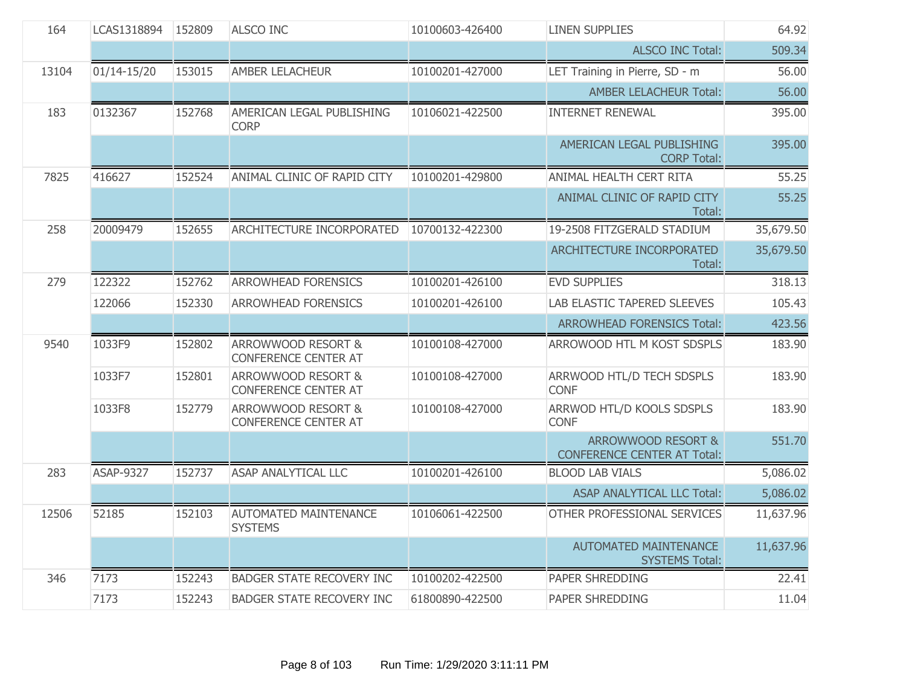| 164   | LCAS1318894      | 152809 | <b>ALSCO INC</b>                                             | 10100603-426400 | <b>LINEN SUPPLIES</b>                                    | 64.92     |
|-------|------------------|--------|--------------------------------------------------------------|-----------------|----------------------------------------------------------|-----------|
|       |                  |        |                                                              |                 | <b>ALSCO INC Total:</b>                                  | 509.34    |
| 13104 | 01/14-15/20      | 153015 | <b>AMBER LELACHEUR</b>                                       | 10100201-427000 | LET Training in Pierre, SD - m                           | 56.00     |
|       |                  |        |                                                              |                 | <b>AMBER LELACHEUR Total:</b>                            | 56.00     |
| 183   | 0132367          | 152768 | AMERICAN LEGAL PUBLISHING<br><b>CORP</b>                     | 10106021-422500 | <b>INTERNET RENEWAL</b>                                  | 395.00    |
|       |                  |        |                                                              |                 | AMERICAN LEGAL PUBLISHING<br><b>CORP Total:</b>          | 395.00    |
| 7825  | 416627           | 152524 | ANIMAL CLINIC OF RAPID CITY                                  | 10100201-429800 | ANIMAL HEALTH CERT RITA                                  | 55.25     |
|       |                  |        |                                                              |                 | ANIMAL CLINIC OF RAPID CITY<br>Total:                    | 55.25     |
| 258   | 20009479         | 152655 | ARCHITECTURE INCORPORATED                                    | 10700132-422300 | 19-2508 FITZGERALD STADIUM                               | 35,679.50 |
|       |                  |        |                                                              |                 | ARCHITECTURE INCORPORATED<br>Total:                      | 35,679.50 |
| 279   | 122322           | 152762 | <b>ARROWHEAD FORENSICS</b>                                   | 10100201-426100 | <b>EVD SUPPLIES</b>                                      | 318.13    |
|       | 122066           | 152330 | <b>ARROWHEAD FORENSICS</b>                                   | 10100201-426100 | <b>LAB ELASTIC TAPERED SLEEVES</b>                       | 105.43    |
|       |                  |        |                                                              |                 | <b>ARROWHEAD FORENSICS Total:</b>                        | 423.56    |
| 9540  | 1033F9           | 152802 | ARROWWOOD RESORT &<br><b>CONFERENCE CENTER AT</b>            | 10100108-427000 | ARROWOOD HTL M KOST SDSPLS                               | 183.90    |
|       | 1033F7           | 152801 | <b>ARROWWOOD RESORT &amp;</b><br><b>CONFERENCE CENTER AT</b> | 10100108-427000 | ARRWOOD HTL/D TECH SDSPLS<br><b>CONF</b>                 | 183.90    |
|       | 1033F8           | 152779 | ARROWWOOD RESORT &<br><b>CONFERENCE CENTER AT</b>            | 10100108-427000 | ARRWOD HTL/D KOOLS SDSPLS<br><b>CONF</b>                 | 183.90    |
|       |                  |        |                                                              |                 | ARROWWOOD RESORT &<br><b>CONFERENCE CENTER AT Total:</b> | 551.70    |
| 283   | <b>ASAP-9327</b> | 152737 | <b>ASAP ANALYTICAL LLC</b>                                   | 10100201-426100 | <b>BLOOD LAB VIALS</b>                                   | 5,086.02  |
|       |                  |        |                                                              |                 | ASAP ANALYTICAL LLC Total:                               | 5,086.02  |
| 12506 | 52185            | 152103 | <b>AUTOMATED MAINTENANCE</b><br><b>SYSTEMS</b>               | 10106061-422500 | OTHER PROFESSIONAL SERVICES                              | 11,637.96 |
|       |                  |        |                                                              |                 | <b>AUTOMATED MAINTENANCE</b><br><b>SYSTEMS Total:</b>    | 11,637.96 |
| 346   | 7173             | 152243 | <b>BADGER STATE RECOVERY INC</b>                             | 10100202-422500 | <b>PAPER SHREDDING</b>                                   | 22.41     |
|       | 7173             | 152243 | <b>BADGER STATE RECOVERY INC</b>                             | 61800890-422500 | <b>PAPER SHREDDING</b>                                   | 11.04     |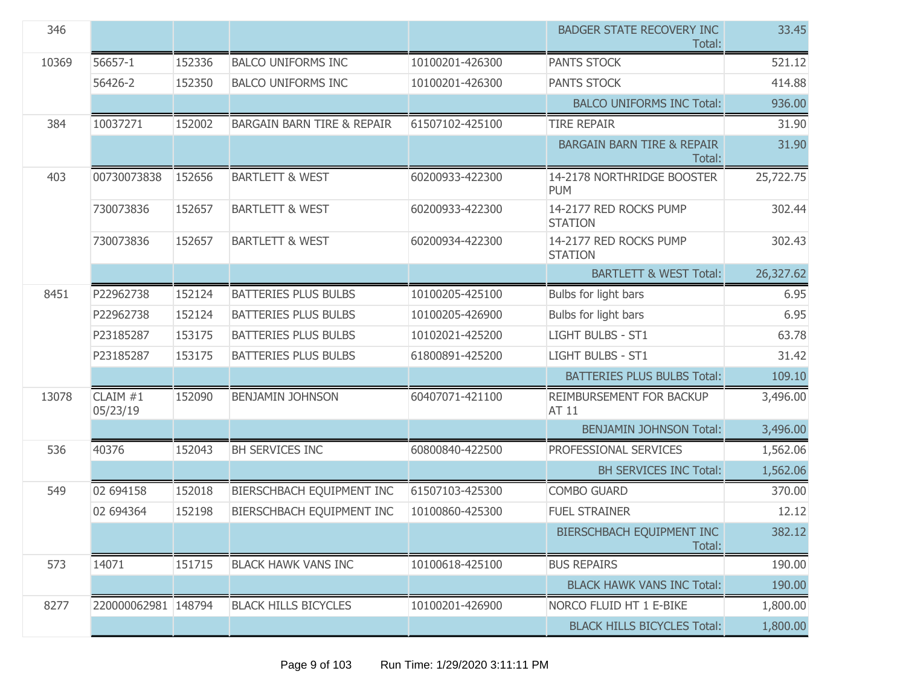| 346   |                      |        |                                       |                 | <b>BADGER STATE RECOVERY INC</b><br>Total:      | 33.45     |
|-------|----------------------|--------|---------------------------------------|-----------------|-------------------------------------------------|-----------|
| 10369 | 56657-1              | 152336 | <b>BALCO UNIFORMS INC</b>             | 10100201-426300 | <b>PANTS STOCK</b>                              | 521.12    |
|       | 56426-2              | 152350 | <b>BALCO UNIFORMS INC</b>             | 10100201-426300 | <b>PANTS STOCK</b>                              | 414.88    |
|       |                      |        |                                       |                 | <b>BALCO UNIFORMS INC Total:</b>                | 936.00    |
| 384   | 10037271             | 152002 | <b>BARGAIN BARN TIRE &amp; REPAIR</b> | 61507102-425100 | <b>TIRE REPAIR</b>                              | 31.90     |
|       |                      |        |                                       |                 | <b>BARGAIN BARN TIRE &amp; REPAIR</b><br>Total: | 31.90     |
| 403   | 00730073838          | 152656 | <b>BARTLETT &amp; WEST</b>            | 60200933-422300 | 14-2178 NORTHRIDGE BOOSTER<br><b>PUM</b>        | 25,722.75 |
|       | 730073836            | 152657 | <b>BARTLETT &amp; WEST</b>            | 60200933-422300 | 14-2177 RED ROCKS PUMP<br><b>STATION</b>        | 302.44    |
|       | 730073836            | 152657 | <b>BARTLETT &amp; WEST</b>            | 60200934-422300 | 14-2177 RED ROCKS PUMP<br><b>STATION</b>        | 302.43    |
|       |                      |        |                                       |                 | <b>BARTLETT &amp; WEST Total:</b>               | 26,327.62 |
| 8451  | P22962738            | 152124 | <b>BATTERIES PLUS BULBS</b>           | 10100205-425100 | Bulbs for light bars                            | 6.95      |
|       | P22962738            | 152124 | <b>BATTERIES PLUS BULBS</b>           | 10100205-426900 | Bulbs for light bars                            | 6.95      |
|       | P23185287            | 153175 | <b>BATTERIES PLUS BULBS</b>           | 10102021-425200 | LIGHT BULBS - ST1                               | 63.78     |
|       | P23185287            | 153175 | <b>BATTERIES PLUS BULBS</b>           | 61800891-425200 | <b>LIGHT BULBS - ST1</b>                        | 31.42     |
|       |                      |        |                                       |                 | <b>BATTERIES PLUS BULBS Total:</b>              | 109.10    |
| 13078 | CLAIM #1<br>05/23/19 | 152090 | <b>BENJAMIN JOHNSON</b>               | 60407071-421100 | REIMBURSEMENT FOR BACKUP<br>AT 11               | 3,496.00  |
|       |                      |        |                                       |                 | <b>BENJAMIN JOHNSON Total:</b>                  | 3,496.00  |
| 536   | 40376                | 152043 | BH SERVICES INC                       | 60800840-422500 | PROFESSIONAL SERVICES                           | 1,562.06  |
|       |                      |        |                                       |                 | <b>BH SERVICES INC Total:</b>                   | 1,562.06  |
| 549   | 02 694158            | 152018 | BIERSCHBACH EQUIPMENT INC             | 61507103-425300 | <b>COMBO GUARD</b>                              | 370.00    |
|       | 02 694364            | 152198 | BIERSCHBACH EQUIPMENT INC             | 10100860-425300 | <b>FUEL STRAINER</b>                            | 12.12     |
|       |                      |        |                                       |                 | BIERSCHBACH EQUIPMENT INC<br>Total:             | 382.12    |
| 573   | 14071                | 151715 | <b>BLACK HAWK VANS INC</b>            | 10100618-425100 | <b>BUS REPAIRS</b>                              | 190.00    |
|       |                      |        |                                       |                 | <b>BLACK HAWK VANS INC Total:</b>               | 190.00    |
| 8277  | 220000062981 148794  |        | <b>BLACK HILLS BICYCLES</b>           | 10100201-426900 | NORCO FLUID HT 1 E-BIKE                         | 1,800.00  |
|       |                      |        |                                       |                 | <b>BLACK HILLS BICYCLES Total:</b>              | 1,800.00  |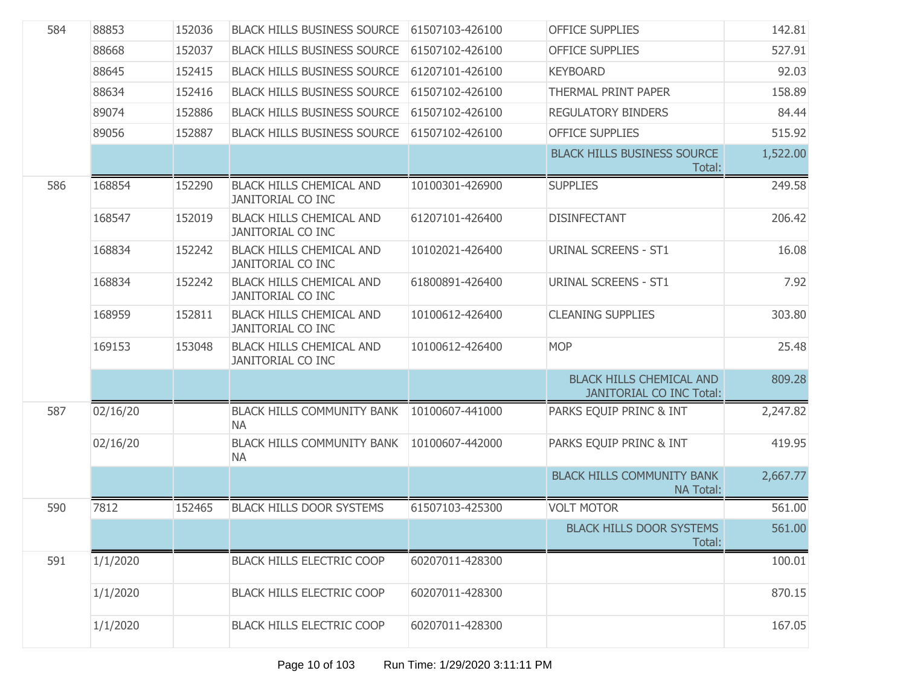| 584 | 88853    | 152036 | <b>BLACK HILLS BUSINESS SOURCE</b>                          | 61507103-426100 | <b>OFFICE SUPPLIES</b>                                             | 142.81   |
|-----|----------|--------|-------------------------------------------------------------|-----------------|--------------------------------------------------------------------|----------|
|     | 88668    | 152037 | <b>BLACK HILLS BUSINESS SOURCE</b>                          | 61507102-426100 | <b>OFFICE SUPPLIES</b>                                             | 527.91   |
|     | 88645    | 152415 | <b>BLACK HILLS BUSINESS SOURCE</b>                          | 61207101-426100 | <b>KEYBOARD</b>                                                    | 92.03    |
|     | 88634    | 152416 | <b>BLACK HILLS BUSINESS SOURCE</b>                          | 61507102-426100 | THERMAL PRINT PAPER                                                | 158.89   |
|     | 89074    | 152886 | <b>BLACK HILLS BUSINESS SOURCE</b>                          | 61507102-426100 | <b>REGULATORY BINDERS</b>                                          | 84.44    |
|     | 89056    | 152887 | <b>BLACK HILLS BUSINESS SOURCE</b>                          | 61507102-426100 | <b>OFFICE SUPPLIES</b>                                             | 515.92   |
|     |          |        |                                                             |                 | <b>BLACK HILLS BUSINESS SOURCE</b><br>Total:                       | 1,522.00 |
| 586 | 168854   | 152290 | <b>BLACK HILLS CHEMICAL AND</b><br><b>JANITORIAL CO INC</b> | 10100301-426900 | <b>SUPPLIES</b>                                                    | 249.58   |
|     | 168547   | 152019 | <b>BLACK HILLS CHEMICAL AND</b><br><b>JANITORIAL CO INC</b> | 61207101-426400 | <b>DISINFECTANT</b>                                                | 206.42   |
|     | 168834   | 152242 | <b>BLACK HILLS CHEMICAL AND</b><br><b>JANITORIAL CO INC</b> | 10102021-426400 | <b>URINAL SCREENS - ST1</b>                                        | 16.08    |
|     | 168834   | 152242 | <b>BLACK HILLS CHEMICAL AND</b><br><b>JANITORIAL CO INC</b> | 61800891-426400 | <b>URINAL SCREENS - ST1</b>                                        | 7.92     |
|     | 168959   | 152811 | <b>BLACK HILLS CHEMICAL AND</b><br><b>JANITORIAL CO INC</b> | 10100612-426400 | <b>CLEANING SUPPLIES</b>                                           | 303.80   |
|     | 169153   | 153048 | <b>BLACK HILLS CHEMICAL AND</b><br><b>JANITORIAL CO INC</b> | 10100612-426400 | <b>MOP</b>                                                         | 25.48    |
|     |          |        |                                                             |                 | <b>BLACK HILLS CHEMICAL AND</b><br><b>JANITORIAL CO INC Total:</b> | 809.28   |
| 587 | 02/16/20 |        | <b>BLACK HILLS COMMUNITY BANK</b><br><b>NA</b>              | 10100607-441000 | PARKS EQUIP PRINC & INT                                            | 2,247.82 |
|     | 02/16/20 |        | <b>BLACK HILLS COMMUNITY BANK</b><br><b>NA</b>              | 10100607-442000 | PARKS EQUIP PRINC & INT                                            | 419.95   |
|     |          |        |                                                             |                 | <b>BLACK HILLS COMMUNITY BANK</b><br><b>NA Total:</b>              | 2,667.77 |
| 590 | 7812     | 152465 | <b>BLACK HILLS DOOR SYSTEMS</b>                             | 61507103-425300 | <b>VOLT MOTOR</b>                                                  | 561.00   |
|     |          |        |                                                             |                 | <b>BLACK HILLS DOOR SYSTEMS</b><br>Total:                          | 561.00   |
| 591 | 1/1/2020 |        | <b>BLACK HILLS ELECTRIC COOP</b>                            | 60207011-428300 |                                                                    | 100.01   |
|     | 1/1/2020 |        | <b>BLACK HILLS ELECTRIC COOP</b>                            | 60207011-428300 |                                                                    | 870.15   |
|     | 1/1/2020 |        | <b>BLACK HILLS ELECTRIC COOP</b>                            | 60207011-428300 |                                                                    | 167.05   |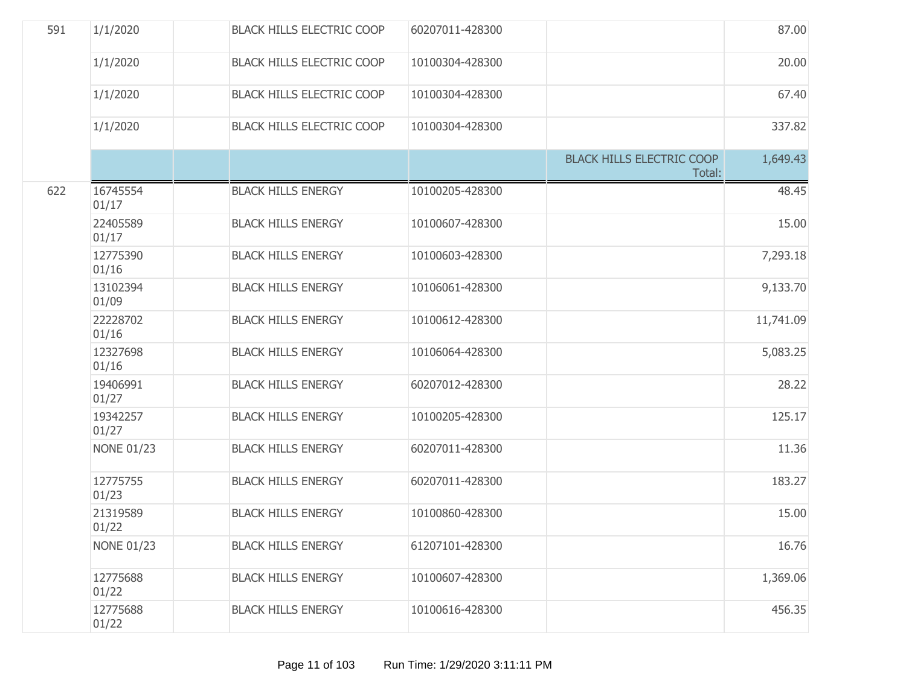| 591 | 1/1/2020          | <b>BLACK HILLS ELECTRIC COOP</b> | 60207011-428300 |                                            | 87.00     |
|-----|-------------------|----------------------------------|-----------------|--------------------------------------------|-----------|
|     | 1/1/2020          | <b>BLACK HILLS ELECTRIC COOP</b> | 10100304-428300 |                                            | 20.00     |
|     | 1/1/2020          | <b>BLACK HILLS ELECTRIC COOP</b> | 10100304-428300 |                                            | 67.40     |
|     | 1/1/2020          | <b>BLACK HILLS ELECTRIC COOP</b> | 10100304-428300 |                                            | 337.82    |
|     |                   |                                  |                 | <b>BLACK HILLS ELECTRIC COOP</b><br>Total: | 1,649.43  |
| 622 | 16745554<br>01/17 | <b>BLACK HILLS ENERGY</b>        | 10100205-428300 |                                            | 48.45     |
|     | 22405589<br>01/17 | <b>BLACK HILLS ENERGY</b>        | 10100607-428300 |                                            | 15.00     |
|     | 12775390<br>01/16 | <b>BLACK HILLS ENERGY</b>        | 10100603-428300 |                                            | 7,293.18  |
|     | 13102394<br>01/09 | <b>BLACK HILLS ENERGY</b>        | 10106061-428300 |                                            | 9,133.70  |
|     | 22228702<br>01/16 | <b>BLACK HILLS ENERGY</b>        | 10100612-428300 |                                            | 11,741.09 |
|     | 12327698<br>01/16 | <b>BLACK HILLS ENERGY</b>        | 10106064-428300 |                                            | 5,083.25  |
|     | 19406991<br>01/27 | <b>BLACK HILLS ENERGY</b>        | 60207012-428300 |                                            | 28.22     |
|     | 19342257<br>01/27 | <b>BLACK HILLS ENERGY</b>        | 10100205-428300 |                                            | 125.17    |
|     | <b>NONE 01/23</b> | <b>BLACK HILLS ENERGY</b>        | 60207011-428300 |                                            | 11.36     |
|     | 12775755<br>01/23 | <b>BLACK HILLS ENERGY</b>        | 60207011-428300 |                                            | 183.27    |
|     | 21319589<br>01/22 | <b>BLACK HILLS ENERGY</b>        | 10100860-428300 |                                            | 15.00     |
|     | <b>NONE 01/23</b> | <b>BLACK HILLS ENERGY</b>        | 61207101-428300 |                                            | 16.76     |
|     | 12775688<br>01/22 | <b>BLACK HILLS ENERGY</b>        | 10100607-428300 |                                            | 1,369.06  |
|     | 12775688<br>01/22 | <b>BLACK HILLS ENERGY</b>        | 10100616-428300 |                                            | 456.35    |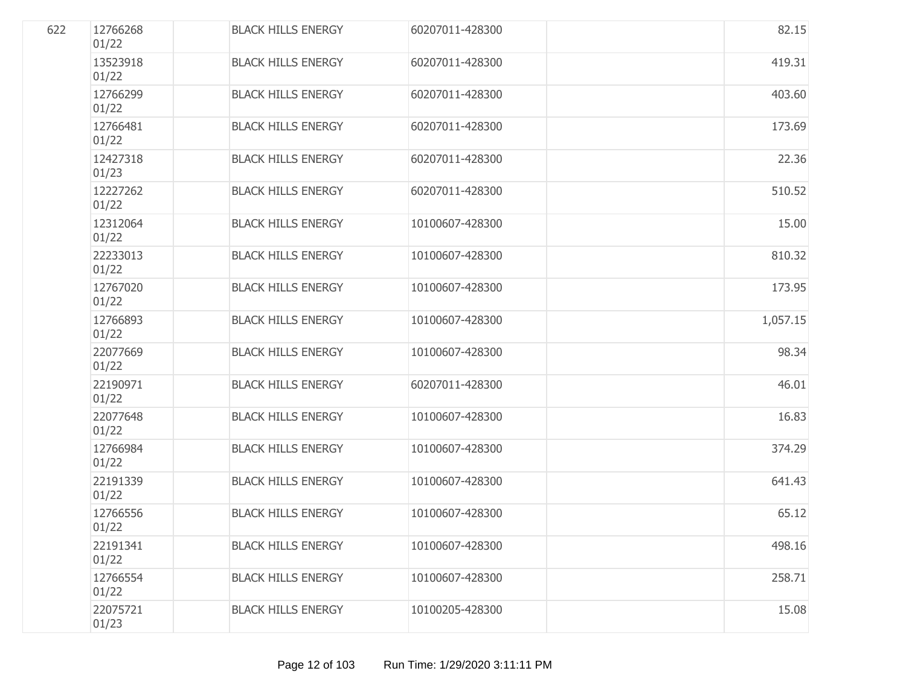| 622 | 12766268<br>01/22 | <b>BLACK HILLS ENERGY</b> | 60207011-428300 | 82.15    |
|-----|-------------------|---------------------------|-----------------|----------|
|     | 13523918<br>01/22 | <b>BLACK HILLS ENERGY</b> | 60207011-428300 | 419.31   |
|     | 12766299<br>01/22 | <b>BLACK HILLS ENERGY</b> | 60207011-428300 | 403.60   |
|     | 12766481<br>01/22 | <b>BLACK HILLS ENERGY</b> | 60207011-428300 | 173.69   |
|     | 12427318<br>01/23 | <b>BLACK HILLS ENERGY</b> | 60207011-428300 | 22.36    |
|     | 12227262<br>01/22 | <b>BLACK HILLS ENERGY</b> | 60207011-428300 | 510.52   |
|     | 12312064<br>01/22 | <b>BLACK HILLS ENERGY</b> | 10100607-428300 | 15.00    |
|     | 22233013<br>01/22 | <b>BLACK HILLS ENERGY</b> | 10100607-428300 | 810.32   |
|     | 12767020<br>01/22 | <b>BLACK HILLS ENERGY</b> | 10100607-428300 | 173.95   |
|     | 12766893<br>01/22 | <b>BLACK HILLS ENERGY</b> | 10100607-428300 | 1,057.15 |
|     | 22077669<br>01/22 | <b>BLACK HILLS ENERGY</b> | 10100607-428300 | 98.34    |
|     | 22190971<br>01/22 | <b>BLACK HILLS ENERGY</b> | 60207011-428300 | 46.01    |
|     | 22077648<br>01/22 | <b>BLACK HILLS ENERGY</b> | 10100607-428300 | 16.83    |
|     | 12766984<br>01/22 | <b>BLACK HILLS ENERGY</b> | 10100607-428300 | 374.29   |
|     | 22191339<br>01/22 | <b>BLACK HILLS ENERGY</b> | 10100607-428300 | 641.43   |
|     | 12766556<br>01/22 | <b>BLACK HILLS ENERGY</b> | 10100607-428300 | 65.12    |
|     | 22191341<br>01/22 | <b>BLACK HILLS ENERGY</b> | 10100607-428300 | 498.16   |
|     | 12766554<br>01/22 | <b>BLACK HILLS ENERGY</b> | 10100607-428300 | 258.71   |
|     | 22075721<br>01/23 | <b>BLACK HILLS ENERGY</b> | 10100205-428300 | 15.08    |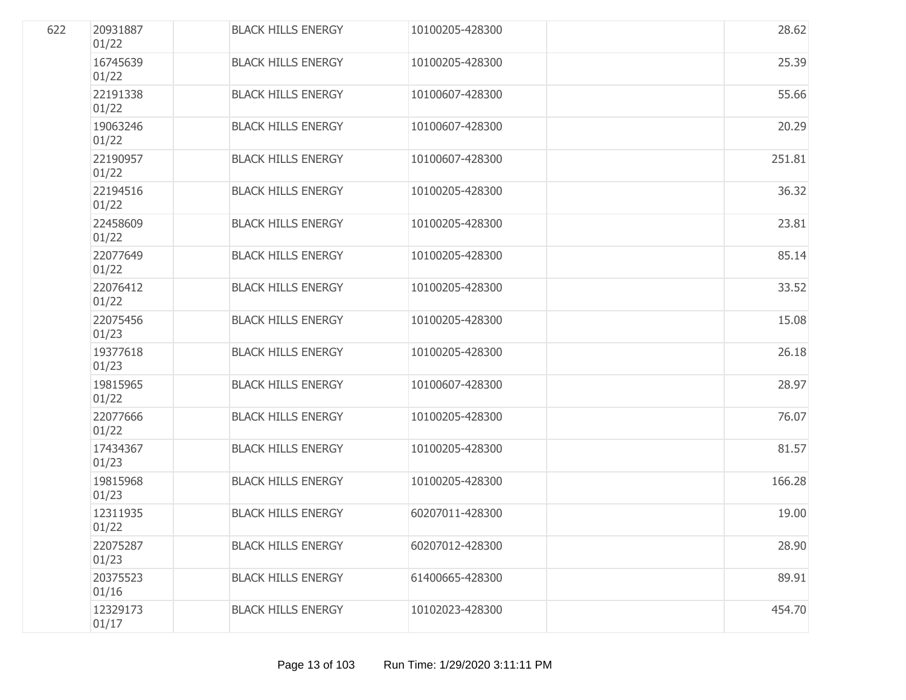| 622 | 20931887<br>01/22 | <b>BLACK HILLS ENERGY</b> | 10100205-428300 | 28.62  |
|-----|-------------------|---------------------------|-----------------|--------|
|     | 16745639<br>01/22 | <b>BLACK HILLS ENERGY</b> | 10100205-428300 | 25.39  |
|     | 22191338<br>01/22 | <b>BLACK HILLS ENERGY</b> | 10100607-428300 | 55.66  |
|     | 19063246<br>01/22 | <b>BLACK HILLS ENERGY</b> | 10100607-428300 | 20.29  |
|     | 22190957<br>01/22 | <b>BLACK HILLS ENERGY</b> | 10100607-428300 | 251.81 |
|     | 22194516<br>01/22 | <b>BLACK HILLS ENERGY</b> | 10100205-428300 | 36.32  |
|     | 22458609<br>01/22 | <b>BLACK HILLS ENERGY</b> | 10100205-428300 | 23.81  |
|     | 22077649<br>01/22 | <b>BLACK HILLS ENERGY</b> | 10100205-428300 | 85.14  |
|     | 22076412<br>01/22 | <b>BLACK HILLS ENERGY</b> | 10100205-428300 | 33.52  |
|     | 22075456<br>01/23 | <b>BLACK HILLS ENERGY</b> | 10100205-428300 | 15.08  |
|     | 19377618<br>01/23 | <b>BLACK HILLS ENERGY</b> | 10100205-428300 | 26.18  |
|     | 19815965<br>01/22 | <b>BLACK HILLS ENERGY</b> | 10100607-428300 | 28.97  |
|     | 22077666<br>01/22 | <b>BLACK HILLS ENERGY</b> | 10100205-428300 | 76.07  |
|     | 17434367<br>01/23 | <b>BLACK HILLS ENERGY</b> | 10100205-428300 | 81.57  |
|     | 19815968<br>01/23 | <b>BLACK HILLS ENERGY</b> | 10100205-428300 | 166.28 |
|     | 12311935<br>01/22 | <b>BLACK HILLS ENERGY</b> | 60207011-428300 | 19.00  |
|     | 22075287<br>01/23 | <b>BLACK HILLS ENERGY</b> | 60207012-428300 | 28.90  |
|     | 20375523<br>01/16 | <b>BLACK HILLS ENERGY</b> | 61400665-428300 | 89.91  |
|     | 12329173<br>01/17 | <b>BLACK HILLS ENERGY</b> | 10102023-428300 | 454.70 |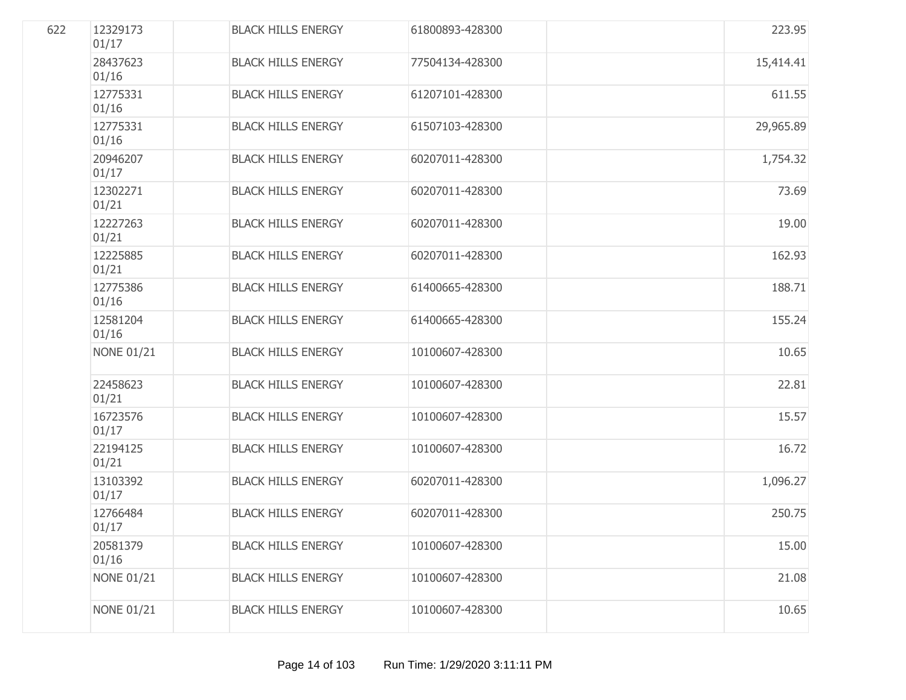| 622 | 12329173<br>01/17 | <b>BLACK HILLS ENERGY</b> | 61800893-428300 | 223.95    |
|-----|-------------------|---------------------------|-----------------|-----------|
|     | 28437623<br>01/16 | <b>BLACK HILLS ENERGY</b> | 77504134-428300 | 15,414.41 |
|     | 12775331<br>01/16 | <b>BLACK HILLS ENERGY</b> | 61207101-428300 | 611.55    |
|     | 12775331<br>01/16 | <b>BLACK HILLS ENERGY</b> | 61507103-428300 | 29,965.89 |
|     | 20946207<br>01/17 | <b>BLACK HILLS ENERGY</b> | 60207011-428300 | 1,754.32  |
|     | 12302271<br>01/21 | <b>BLACK HILLS ENERGY</b> | 60207011-428300 | 73.69     |
|     | 12227263<br>01/21 | <b>BLACK HILLS ENERGY</b> | 60207011-428300 | 19.00     |
|     | 12225885<br>01/21 | <b>BLACK HILLS ENERGY</b> | 60207011-428300 | 162.93    |
|     | 12775386<br>01/16 | <b>BLACK HILLS ENERGY</b> | 61400665-428300 | 188.71    |
|     | 12581204<br>01/16 | <b>BLACK HILLS ENERGY</b> | 61400665-428300 | 155.24    |
|     | <b>NONE 01/21</b> | <b>BLACK HILLS ENERGY</b> | 10100607-428300 | 10.65     |
|     | 22458623<br>01/21 | <b>BLACK HILLS ENERGY</b> | 10100607-428300 | 22.81     |
|     | 16723576<br>01/17 | <b>BLACK HILLS ENERGY</b> | 10100607-428300 | 15.57     |
|     | 22194125<br>01/21 | <b>BLACK HILLS ENERGY</b> | 10100607-428300 | 16.72     |
|     | 13103392<br>01/17 | <b>BLACK HILLS ENERGY</b> | 60207011-428300 | 1,096.27  |
|     | 12766484<br>01/17 | <b>BLACK HILLS ENERGY</b> | 60207011-428300 | 250.75    |
|     | 20581379<br>01/16 | <b>BLACK HILLS ENERGY</b> | 10100607-428300 | 15.00     |
|     | <b>NONE 01/21</b> | <b>BLACK HILLS ENERGY</b> | 10100607-428300 | 21.08     |
|     | <b>NONE 01/21</b> | <b>BLACK HILLS ENERGY</b> | 10100607-428300 | 10.65     |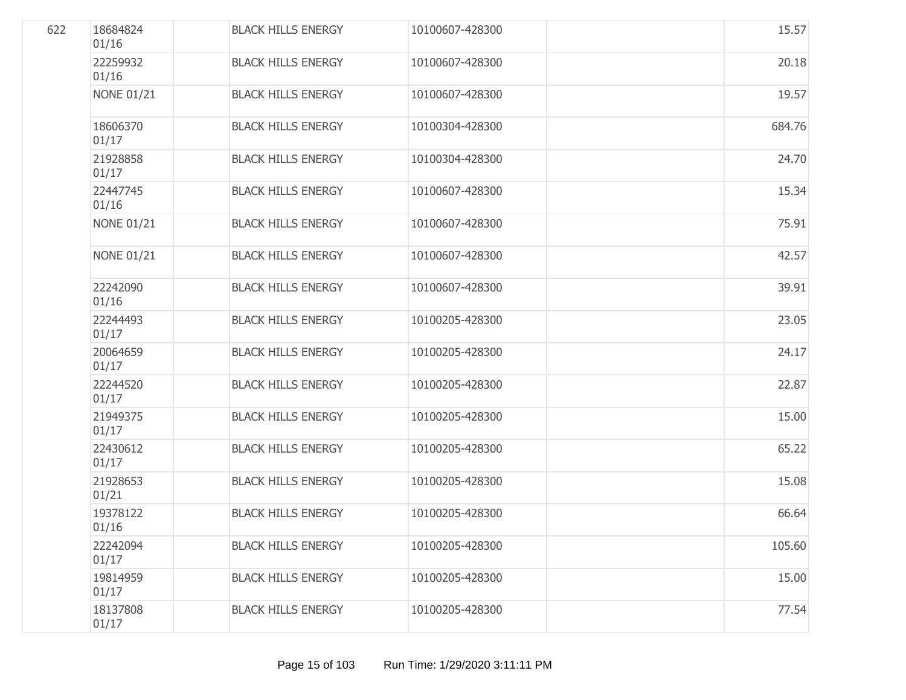| 622 | 18684824<br>01/16 | <b>BLACK HILLS ENERGY</b> | 10100607-428300 | 15.57  |
|-----|-------------------|---------------------------|-----------------|--------|
|     | 22259932<br>01/16 | <b>BLACK HILLS ENERGY</b> | 10100607-428300 | 20.18  |
|     | <b>NONE 01/21</b> | <b>BLACK HILLS ENERGY</b> | 10100607-428300 | 19.57  |
|     | 18606370<br>01/17 | <b>BLACK HILLS ENERGY</b> | 10100304-428300 | 684.76 |
|     | 21928858<br>01/17 | <b>BLACK HILLS ENERGY</b> | 10100304-428300 | 24.70  |
|     | 22447745<br>01/16 | <b>BLACK HILLS ENERGY</b> | 10100607-428300 | 15.34  |
|     | <b>NONE 01/21</b> | <b>BLACK HILLS ENERGY</b> | 10100607-428300 | 75.91  |
|     | <b>NONE 01/21</b> | <b>BLACK HILLS ENERGY</b> | 10100607-428300 | 42.57  |
|     | 22242090<br>01/16 | <b>BLACK HILLS ENERGY</b> | 10100607-428300 | 39.91  |
|     | 22244493<br>01/17 | <b>BLACK HILLS ENERGY</b> | 10100205-428300 | 23.05  |
|     | 20064659<br>01/17 | <b>BLACK HILLS ENERGY</b> | 10100205-428300 | 24.17  |
|     | 22244520<br>01/17 | <b>BLACK HILLS ENERGY</b> | 10100205-428300 | 22.87  |
|     | 21949375<br>01/17 | <b>BLACK HILLS ENERGY</b> | 10100205-428300 | 15.00  |
|     | 22430612<br>01/17 | <b>BLACK HILLS ENERGY</b> | 10100205-428300 | 65.22  |
|     | 21928653<br>01/21 | <b>BLACK HILLS ENERGY</b> | 10100205-428300 | 15.08  |
|     | 19378122<br>01/16 | <b>BLACK HILLS ENERGY</b> | 10100205-428300 | 66.64  |
|     | 22242094<br>01/17 | <b>BLACK HILLS ENERGY</b> | 10100205-428300 | 105.60 |
|     | 19814959<br>01/17 | <b>BLACK HILLS ENERGY</b> | 10100205-428300 | 15.00  |
|     | 18137808<br>01/17 | <b>BLACK HILLS ENERGY</b> | 10100205-428300 | 77.54  |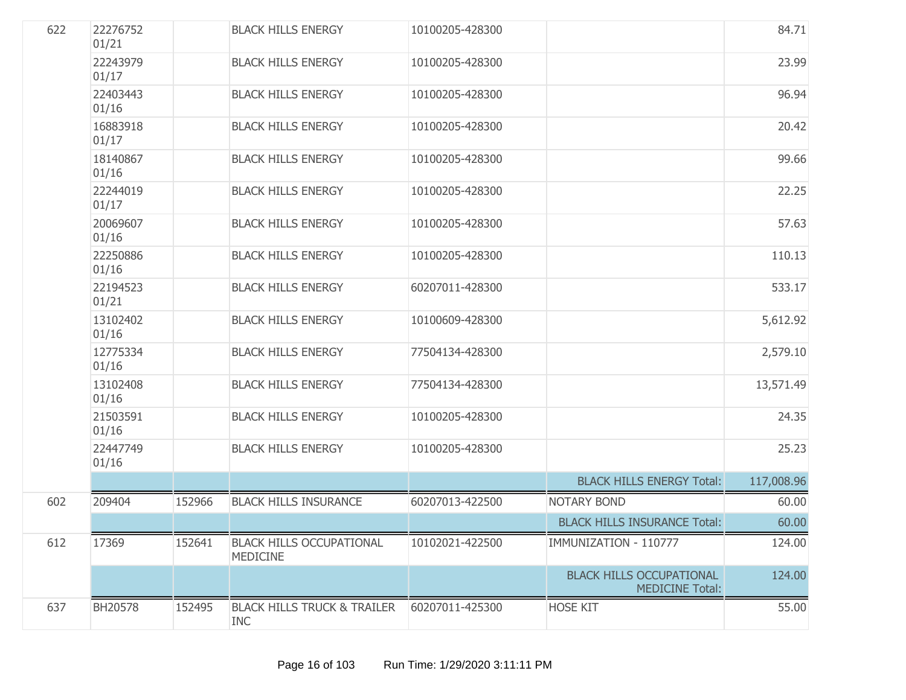| 622 | 22276752<br>01/21 |        | <b>BLACK HILLS ENERGY</b>                            | 10100205-428300 |                                                           | 84.71      |
|-----|-------------------|--------|------------------------------------------------------|-----------------|-----------------------------------------------------------|------------|
|     | 22243979<br>01/17 |        | <b>BLACK HILLS ENERGY</b>                            | 10100205-428300 |                                                           | 23.99      |
|     | 22403443<br>01/16 |        | <b>BLACK HILLS ENERGY</b>                            | 10100205-428300 |                                                           | 96.94      |
|     | 16883918<br>01/17 |        | <b>BLACK HILLS ENERGY</b>                            | 10100205-428300 |                                                           | 20.42      |
|     | 18140867<br>01/16 |        | <b>BLACK HILLS ENERGY</b>                            | 10100205-428300 |                                                           | 99.66      |
|     | 22244019<br>01/17 |        | <b>BLACK HILLS ENERGY</b>                            | 10100205-428300 |                                                           | 22.25      |
|     | 20069607<br>01/16 |        | <b>BLACK HILLS ENERGY</b>                            | 10100205-428300 |                                                           | 57.63      |
|     | 22250886<br>01/16 |        | <b>BLACK HILLS ENERGY</b>                            | 10100205-428300 |                                                           | 110.13     |
|     | 22194523<br>01/21 |        | <b>BLACK HILLS ENERGY</b>                            | 60207011-428300 |                                                           | 533.17     |
|     | 13102402<br>01/16 |        | <b>BLACK HILLS ENERGY</b>                            | 10100609-428300 |                                                           | 5,612.92   |
|     | 12775334<br>01/16 |        | <b>BLACK HILLS ENERGY</b>                            | 77504134-428300 |                                                           | 2,579.10   |
|     | 13102408<br>01/16 |        | <b>BLACK HILLS ENERGY</b>                            | 77504134-428300 |                                                           | 13,571.49  |
|     | 21503591<br>01/16 |        | <b>BLACK HILLS ENERGY</b>                            | 10100205-428300 |                                                           | 24.35      |
|     | 22447749<br>01/16 |        | <b>BLACK HILLS ENERGY</b>                            | 10100205-428300 |                                                           | 25.23      |
|     |                   |        |                                                      |                 | <b>BLACK HILLS ENERGY Total:</b>                          | 117,008.96 |
| 602 | 209404            | 152966 | <b>BLACK HILLS INSURANCE</b>                         | 60207013-422500 | <b>NOTARY BOND</b>                                        | 60.00      |
|     |                   |        |                                                      |                 | <b>BLACK HILLS INSURANCE Total:</b>                       | 60.00      |
| 612 | 17369             | 152641 | <b>BLACK HILLS OCCUPATIONAL</b><br><b>MEDICINE</b>   | 10102021-422500 | IMMUNIZATION - 110777                                     | 124.00     |
|     |                   |        |                                                      |                 | <b>BLACK HILLS OCCUPATIONAL</b><br><b>MEDICINE Total:</b> | 124.00     |
| 637 | BH20578           | 152495 | <b>BLACK HILLS TRUCK &amp; TRAILER</b><br><b>INC</b> | 60207011-425300 | <b>HOSE KIT</b>                                           | 55.00      |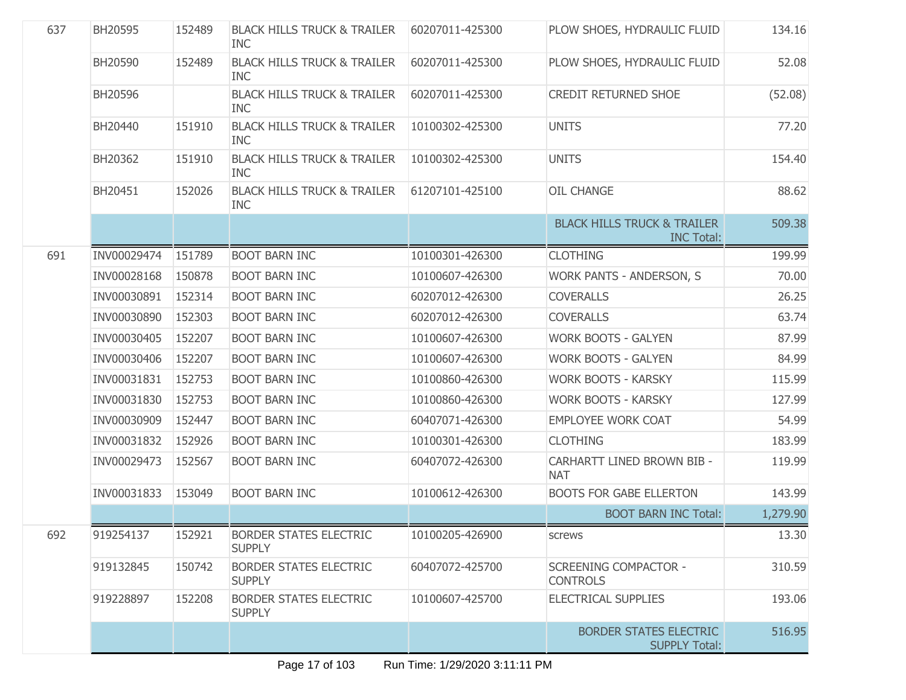| 637 | BH20595     | 152489 | <b>BLACK HILLS TRUCK &amp; TRAILER</b><br><b>INC</b> | 60207011-425300 | PLOW SHOES, HYDRAULIC FLUID                                 | 134.16   |
|-----|-------------|--------|------------------------------------------------------|-----------------|-------------------------------------------------------------|----------|
|     | BH20590     | 152489 | <b>BLACK HILLS TRUCK &amp; TRAILER</b><br><b>INC</b> | 60207011-425300 | PLOW SHOES, HYDRAULIC FLUID                                 | 52.08    |
|     | BH20596     |        | <b>BLACK HILLS TRUCK &amp; TRAILER</b><br><b>INC</b> | 60207011-425300 | <b>CREDIT RETURNED SHOE</b>                                 | (52.08)  |
|     | BH20440     | 151910 | <b>BLACK HILLS TRUCK &amp; TRAILER</b><br><b>INC</b> | 10100302-425300 | <b>UNITS</b>                                                | 77.20    |
|     | BH20362     | 151910 | <b>BLACK HILLS TRUCK &amp; TRAILER</b><br><b>INC</b> | 10100302-425300 | <b>UNITS</b>                                                | 154.40   |
|     | BH20451     | 152026 | <b>BLACK HILLS TRUCK &amp; TRAILER</b><br><b>INC</b> | 61207101-425100 | <b>OIL CHANGE</b>                                           | 88.62    |
|     |             |        |                                                      |                 | <b>BLACK HILLS TRUCK &amp; TRAILER</b><br><b>INC Total:</b> | 509.38   |
| 691 | INV00029474 | 151789 | <b>BOOT BARN INC</b>                                 | 10100301-426300 | <b>CLOTHING</b>                                             | 199.99   |
|     | INV00028168 | 150878 | <b>BOOT BARN INC</b>                                 | 10100607-426300 | WORK PANTS - ANDERSON, S                                    | 70.00    |
|     | INV00030891 | 152314 | <b>BOOT BARN INC</b>                                 | 60207012-426300 | <b>COVERALLS</b>                                            | 26.25    |
|     | INV00030890 | 152303 | <b>BOOT BARN INC</b>                                 | 60207012-426300 | <b>COVERALLS</b>                                            | 63.74    |
|     | INV00030405 | 152207 | <b>BOOT BARN INC</b>                                 | 10100607-426300 | <b>WORK BOOTS - GALYEN</b>                                  | 87.99    |
|     | INV00030406 | 152207 | <b>BOOT BARN INC</b>                                 | 10100607-426300 | <b>WORK BOOTS - GALYEN</b>                                  | 84.99    |
|     | INV00031831 | 152753 | <b>BOOT BARN INC</b>                                 | 10100860-426300 | <b>WORK BOOTS - KARSKY</b>                                  | 115.99   |
|     | INV00031830 | 152753 | <b>BOOT BARN INC</b>                                 | 10100860-426300 | <b>WORK BOOTS - KARSKY</b>                                  | 127.99   |
|     | INV00030909 | 152447 | <b>BOOT BARN INC</b>                                 | 60407071-426300 | <b>EMPLOYEE WORK COAT</b>                                   | 54.99    |
|     | INV00031832 | 152926 | <b>BOOT BARN INC</b>                                 | 10100301-426300 | <b>CLOTHING</b>                                             | 183.99   |
|     | INV00029473 | 152567 | <b>BOOT BARN INC</b>                                 | 60407072-426300 | CARHARTT LINED BROWN BIB -<br><b>NAT</b>                    | 119.99   |
|     | INV00031833 | 153049 | <b>BOOT BARN INC</b>                                 | 10100612-426300 | <b>BOOTS FOR GABE ELLERTON</b>                              | 143.99   |
|     |             |        |                                                      |                 | <b>BOOT BARN INC Total:</b>                                 | 1,279.90 |
| 692 | 919254137   | 152921 | <b>BORDER STATES ELECTRIC</b><br><b>SUPPLY</b>       | 10100205-426900 | screws                                                      | 13.30    |
|     | 919132845   | 150742 | <b>BORDER STATES ELECTRIC</b><br><b>SUPPLY</b>       | 60407072-425700 | <b>SCREENING COMPACTOR -</b><br><b>CONTROLS</b>             | 310.59   |
|     | 919228897   | 152208 | <b>BORDER STATES ELECTRIC</b><br><b>SUPPLY</b>       | 10100607-425700 | ELECTRICAL SUPPLIES                                         | 193.06   |
|     |             |        |                                                      |                 | <b>BORDER STATES ELECTRIC</b><br><b>SUPPLY Total:</b>       | 516.95   |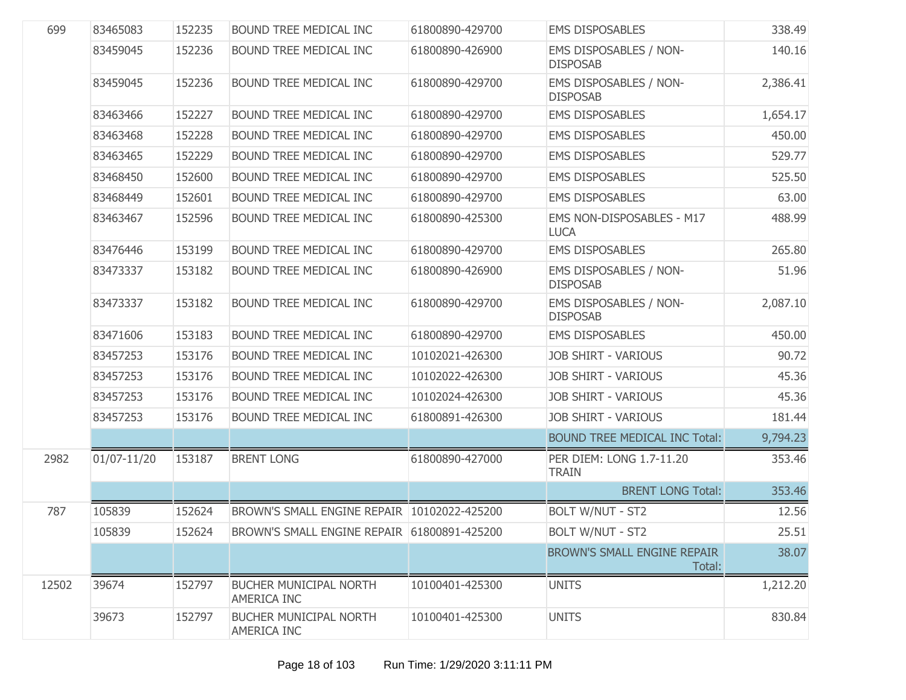| 699   | 83465083    | 152235 | BOUND TREE MEDICAL INC                       | 61800890-429700 | <b>EMS DISPOSABLES</b>                    | 338.49   |
|-------|-------------|--------|----------------------------------------------|-----------------|-------------------------------------------|----------|
|       | 83459045    | 152236 | BOUND TREE MEDICAL INC                       | 61800890-426900 | EMS DISPOSABLES / NON-<br><b>DISPOSAB</b> | 140.16   |
|       | 83459045    | 152236 | BOUND TREE MEDICAL INC                       | 61800890-429700 | EMS DISPOSABLES / NON-<br><b>DISPOSAB</b> | 2,386.41 |
|       | 83463466    | 152227 | BOUND TREE MEDICAL INC                       | 61800890-429700 | <b>EMS DISPOSABLES</b>                    | 1,654.17 |
|       | 83463468    | 152228 | BOUND TREE MEDICAL INC                       | 61800890-429700 | <b>EMS DISPOSABLES</b>                    | 450.00   |
|       | 83463465    | 152229 | BOUND TREE MEDICAL INC                       | 61800890-429700 | <b>EMS DISPOSABLES</b>                    | 529.77   |
|       | 83468450    | 152600 | BOUND TREE MEDICAL INC                       | 61800890-429700 | <b>EMS DISPOSABLES</b>                    | 525.50   |
|       | 83468449    | 152601 | BOUND TREE MEDICAL INC                       | 61800890-429700 | <b>EMS DISPOSABLES</b>                    | 63.00    |
|       | 83463467    | 152596 | BOUND TREE MEDICAL INC                       | 61800890-425300 | EMS NON-DISPOSABLES - M17<br><b>LUCA</b>  | 488.99   |
|       | 83476446    | 153199 | <b>BOUND TREE MEDICAL INC</b>                | 61800890-429700 | <b>EMS DISPOSABLES</b>                    | 265.80   |
|       | 83473337    | 153182 | BOUND TREE MEDICAL INC                       | 61800890-426900 | EMS DISPOSABLES / NON-<br><b>DISPOSAB</b> | 51.96    |
|       | 83473337    | 153182 | <b>BOUND TREE MEDICAL INC</b>                | 61800890-429700 | EMS DISPOSABLES / NON-<br><b>DISPOSAB</b> | 2,087.10 |
|       | 83471606    | 153183 | BOUND TREE MEDICAL INC                       | 61800890-429700 | <b>EMS DISPOSABLES</b>                    | 450.00   |
|       | 83457253    | 153176 | BOUND TREE MEDICAL INC                       | 10102021-426300 | <b>JOB SHIRT - VARIOUS</b>                | 90.72    |
|       | 83457253    | 153176 | BOUND TREE MEDICAL INC                       | 10102022-426300 | <b>JOB SHIRT - VARIOUS</b>                | 45.36    |
|       | 83457253    | 153176 | BOUND TREE MEDICAL INC                       | 10102024-426300 | <b>JOB SHIRT - VARIOUS</b>                | 45.36    |
|       | 83457253    | 153176 | BOUND TREE MEDICAL INC                       | 61800891-426300 | <b>JOB SHIRT - VARIOUS</b>                | 181.44   |
|       |             |        |                                              |                 | <b>BOUND TREE MEDICAL INC Total:</b>      | 9,794.23 |
| 2982  | 01/07-11/20 | 153187 | <b>BRENT LONG</b>                            | 61800890-427000 | PER DIEM: LONG 1.7-11.20<br><b>TRAIN</b>  | 353.46   |
|       |             |        |                                              |                 | <b>BRENT LONG Total:</b>                  | 353.46   |
| 787   | 105839      | 152624 | BROWN'S SMALL ENGINE REPAIR 10102022-425200  |                 | <b>BOLT W/NUT - ST2</b>                   | 12.56    |
|       | 105839      | 152624 | BROWN'S SMALL ENGINE REPAIR 61800891-425200  |                 | <b>BOLT W/NUT - ST2</b>                   | 25.51    |
|       |             |        |                                              |                 | BROWN'S SMALL ENGINE REPAIR<br>Total:     | 38.07    |
| 12502 | 39674       | 152797 | <b>BUCHER MUNICIPAL NORTH</b><br>AMERICA INC | 10100401-425300 | <b>UNITS</b>                              | 1,212.20 |
|       | 39673       | 152797 | <b>BUCHER MUNICIPAL NORTH</b><br>AMERICA INC | 10100401-425300 | <b>UNITS</b>                              | 830.84   |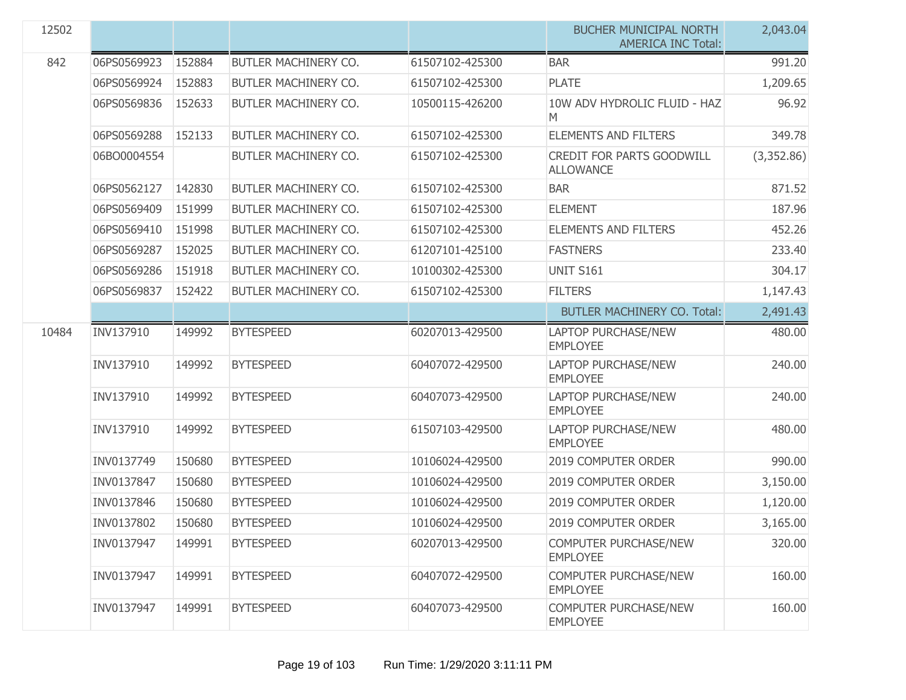| 12502 |             |        |                      |                 | <b>BUCHER MUNICIPAL NORTH</b><br><b>AMERICA INC Total:</b> | 2,043.04   |
|-------|-------------|--------|----------------------|-----------------|------------------------------------------------------------|------------|
| 842   | 06PS0569923 | 152884 | BUTLER MACHINERY CO. | 61507102-425300 | <b>BAR</b>                                                 | 991.20     |
|       | 06PS0569924 | 152883 | BUTLER MACHINERY CO. | 61507102-425300 | <b>PLATE</b>                                               | 1,209.65   |
|       | 06PS0569836 | 152633 | BUTLER MACHINERY CO. | 10500115-426200 | 10W ADV HYDROLIC FLUID - HAZ<br>M                          | 96.92      |
|       | 06PS0569288 | 152133 | BUTLER MACHINERY CO. | 61507102-425300 | <b>ELEMENTS AND FILTERS</b>                                | 349.78     |
|       | 06BO0004554 |        | BUTLER MACHINERY CO. | 61507102-425300 | <b>CREDIT FOR PARTS GOODWILL</b><br><b>ALLOWANCE</b>       | (3,352.86) |
|       | 06PS0562127 | 142830 | BUTLER MACHINERY CO. | 61507102-425300 | <b>BAR</b>                                                 | 871.52     |
|       | 06PS0569409 | 151999 | BUTLER MACHINERY CO. | 61507102-425300 | <b>ELEMENT</b>                                             | 187.96     |
|       | 06PS0569410 | 151998 | BUTLER MACHINERY CO. | 61507102-425300 | <b>ELEMENTS AND FILTERS</b>                                | 452.26     |
|       | 06PS0569287 | 152025 | BUTLER MACHINERY CO. | 61207101-425100 | <b>FASTNERS</b>                                            | 233.40     |
|       | 06PS0569286 | 151918 | BUTLER MACHINERY CO. | 10100302-425300 | <b>UNIT S161</b>                                           | 304.17     |
|       | 06PS0569837 | 152422 | BUTLER MACHINERY CO. | 61507102-425300 | <b>FILTERS</b>                                             | 1,147.43   |
|       |             |        |                      |                 | <b>BUTLER MACHINERY CO. Total:</b>                         | 2,491.43   |
| 10484 | INV137910   | 149992 | <b>BYTESPEED</b>     | 60207013-429500 | <b>LAPTOP PURCHASE/NEW</b><br><b>EMPLOYEE</b>              | 480.00     |
|       | INV137910   | 149992 | <b>BYTESPEED</b>     | 60407072-429500 | <b>LAPTOP PURCHASE/NEW</b><br><b>EMPLOYEE</b>              | 240.00     |
|       | INV137910   | 149992 | <b>BYTESPEED</b>     | 60407073-429500 | <b>LAPTOP PURCHASE/NEW</b><br><b>EMPLOYEE</b>              | 240.00     |
|       | INV137910   | 149992 | <b>BYTESPEED</b>     | 61507103-429500 | <b>LAPTOP PURCHASE/NEW</b><br><b>EMPLOYEE</b>              | 480.00     |
|       | INV0137749  | 150680 | <b>BYTESPEED</b>     | 10106024-429500 | 2019 COMPUTER ORDER                                        | 990.00     |
|       | INV0137847  | 150680 | <b>BYTESPEED</b>     | 10106024-429500 | 2019 COMPUTER ORDER                                        | 3,150.00   |
|       | INV0137846  | 150680 | <b>BYTESPEED</b>     | 10106024-429500 | 2019 COMPUTER ORDER                                        | 1,120.00   |
|       | INV0137802  | 150680 | <b>BYTESPEED</b>     | 10106024-429500 | 2019 COMPUTER ORDER                                        | 3,165.00   |
|       | INV0137947  | 149991 | <b>BYTESPEED</b>     | 60207013-429500 | <b>COMPUTER PURCHASE/NEW</b><br><b>EMPLOYEE</b>            | 320.00     |
|       | INV0137947  | 149991 | <b>BYTESPEED</b>     | 60407072-429500 | <b>COMPUTER PURCHASE/NEW</b><br><b>EMPLOYEE</b>            | 160.00     |
|       | INV0137947  | 149991 | <b>BYTESPEED</b>     | 60407073-429500 | COMPUTER PURCHASE/NEW<br><b>EMPLOYEE</b>                   | 160.00     |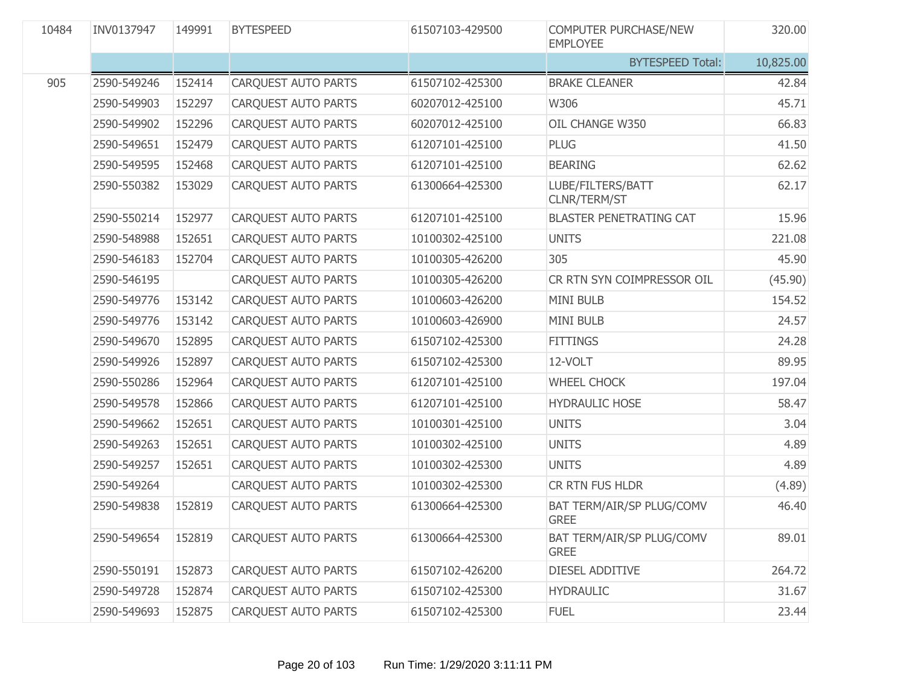| 10484 | INV0137947  | 149991 | <b>BYTESPEED</b>           | 61507103-429500 | <b>COMPUTER PURCHASE/NEW</b><br><b>EMPLOYEE</b> | 320.00    |
|-------|-------------|--------|----------------------------|-----------------|-------------------------------------------------|-----------|
|       |             |        |                            |                 | <b>BYTESPEED Total:</b>                         | 10,825.00 |
| 905   | 2590-549246 | 152414 | CARQUEST AUTO PARTS        | 61507102-425300 | <b>BRAKE CLEANER</b>                            | 42.84     |
|       | 2590-549903 | 152297 | <b>CARQUEST AUTO PARTS</b> | 60207012-425100 | W306                                            | 45.71     |
|       | 2590-549902 | 152296 | <b>CARQUEST AUTO PARTS</b> | 60207012-425100 | OIL CHANGE W350                                 | 66.83     |
|       | 2590-549651 | 152479 | CARQUEST AUTO PARTS        | 61207101-425100 | <b>PLUG</b>                                     | 41.50     |
|       | 2590-549595 | 152468 | <b>CARQUEST AUTO PARTS</b> | 61207101-425100 | <b>BEARING</b>                                  | 62.62     |
|       | 2590-550382 | 153029 | CARQUEST AUTO PARTS        | 61300664-425300 | LUBE/FILTERS/BATT<br>CLNR/TERM/ST               | 62.17     |
|       | 2590-550214 | 152977 | CARQUEST AUTO PARTS        | 61207101-425100 | <b>BLASTER PENETRATING CAT</b>                  | 15.96     |
|       | 2590-548988 | 152651 | CARQUEST AUTO PARTS        | 10100302-425100 | <b>UNITS</b>                                    | 221.08    |
|       | 2590-546183 | 152704 | CARQUEST AUTO PARTS        | 10100305-426200 | 305                                             | 45.90     |
|       | 2590-546195 |        | CARQUEST AUTO PARTS        | 10100305-426200 | CR RTN SYN COIMPRESSOR OIL                      | (45.90)   |
|       | 2590-549776 | 153142 | CARQUEST AUTO PARTS        | 10100603-426200 | <b>MINI BULB</b>                                | 154.52    |
|       | 2590-549776 | 153142 | CARQUEST AUTO PARTS        | 10100603-426900 | <b>MINI BULB</b>                                | 24.57     |
|       | 2590-549670 | 152895 | CARQUEST AUTO PARTS        | 61507102-425300 | <b>FITTINGS</b>                                 | 24.28     |
|       | 2590-549926 | 152897 | CARQUEST AUTO PARTS        | 61507102-425300 | 12-VOLT                                         | 89.95     |
|       | 2590-550286 | 152964 | CARQUEST AUTO PARTS        | 61207101-425100 | <b>WHEEL CHOCK</b>                              | 197.04    |
|       | 2590-549578 | 152866 | CARQUEST AUTO PARTS        | 61207101-425100 | <b>HYDRAULIC HOSE</b>                           | 58.47     |
|       | 2590-549662 | 152651 | CARQUEST AUTO PARTS        | 10100301-425100 | <b>UNITS</b>                                    | 3.04      |
|       | 2590-549263 | 152651 | CARQUEST AUTO PARTS        | 10100302-425100 | <b>UNITS</b>                                    | 4.89      |
|       | 2590-549257 | 152651 | CARQUEST AUTO PARTS        | 10100302-425300 | <b>UNITS</b>                                    | 4.89      |
|       | 2590-549264 |        | <b>CARQUEST AUTO PARTS</b> | 10100302-425300 | CR RTN FUS HLDR                                 | (4.89)    |
|       | 2590-549838 | 152819 | CARQUEST AUTO PARTS        | 61300664-425300 | BAT TERM/AIR/SP PLUG/COMV<br><b>GREE</b>        | 46.40     |
|       | 2590-549654 | 152819 | CARQUEST AUTO PARTS        | 61300664-425300 | <b>BAT TERM/AIR/SP PLUG/COMV</b><br><b>GREE</b> | 89.01     |
|       | 2590-550191 | 152873 | <b>CARQUEST AUTO PARTS</b> | 61507102-426200 | DIESEL ADDITIVE                                 | 264.72    |
|       | 2590-549728 | 152874 | <b>CARQUEST AUTO PARTS</b> | 61507102-425300 | <b>HYDRAULIC</b>                                | 31.67     |
|       | 2590-549693 | 152875 | CARQUEST AUTO PARTS        | 61507102-425300 | <b>FUEL</b>                                     | 23.44     |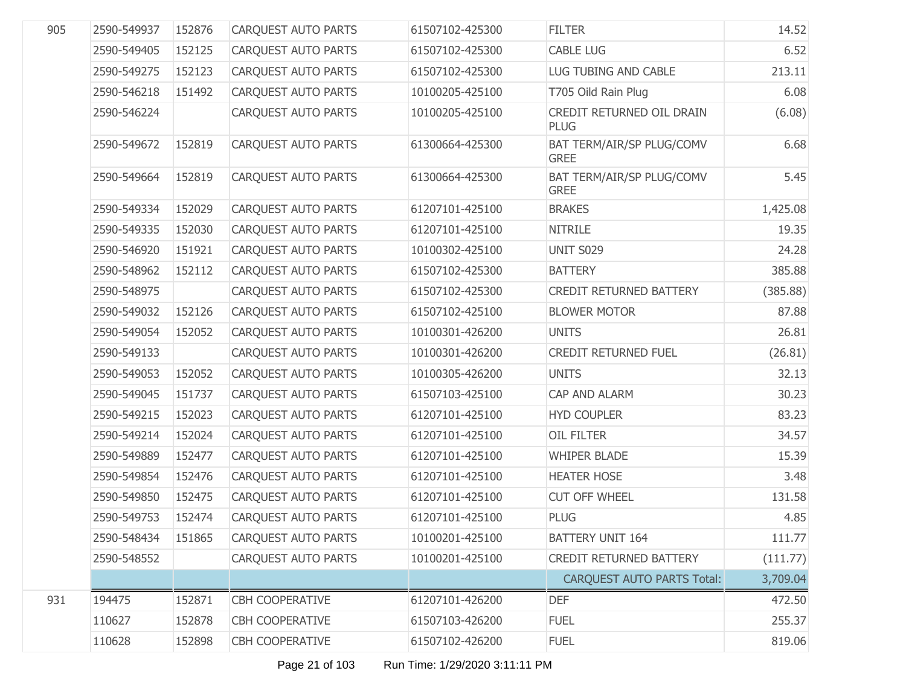| 905 | 2590-549937 | 152876 | <b>CARQUEST AUTO PARTS</b> | 61507102-425300 | <b>FILTER</b>                            | 14.52    |
|-----|-------------|--------|----------------------------|-----------------|------------------------------------------|----------|
|     | 2590-549405 | 152125 | <b>CARQUEST AUTO PARTS</b> | 61507102-425300 | <b>CABLE LUG</b>                         | 6.52     |
|     | 2590-549275 | 152123 | CARQUEST AUTO PARTS        | 61507102-425300 | LUG TUBING AND CABLE                     | 213.11   |
|     | 2590-546218 | 151492 | CARQUEST AUTO PARTS        | 10100205-425100 | T705 Oild Rain Plug                      | 6.08     |
|     | 2590-546224 |        | <b>CARQUEST AUTO PARTS</b> | 10100205-425100 | CREDIT RETURNED OIL DRAIN<br><b>PLUG</b> | (6.08)   |
|     | 2590-549672 | 152819 | <b>CARQUEST AUTO PARTS</b> | 61300664-425300 | BAT TERM/AIR/SP PLUG/COMV<br><b>GREE</b> | 6.68     |
|     | 2590-549664 | 152819 | <b>CARQUEST AUTO PARTS</b> | 61300664-425300 | BAT TERM/AIR/SP PLUG/COMV<br><b>GREE</b> | 5.45     |
|     | 2590-549334 | 152029 | CARQUEST AUTO PARTS        | 61207101-425100 | <b>BRAKES</b>                            | 1,425.08 |
|     | 2590-549335 | 152030 | CARQUEST AUTO PARTS        | 61207101-425100 | <b>NITRILE</b>                           | 19.35    |
|     | 2590-546920 | 151921 | CARQUEST AUTO PARTS        | 10100302-425100 | <b>UNIT S029</b>                         | 24.28    |
|     | 2590-548962 | 152112 | <b>CARQUEST AUTO PARTS</b> | 61507102-425300 | <b>BATTERY</b>                           | 385.88   |
|     | 2590-548975 |        | CARQUEST AUTO PARTS        | 61507102-425300 | <b>CREDIT RETURNED BATTERY</b>           | (385.88) |
|     | 2590-549032 | 152126 | CARQUEST AUTO PARTS        | 61507102-425100 | <b>BLOWER MOTOR</b>                      | 87.88    |
|     | 2590-549054 | 152052 | CARQUEST AUTO PARTS        | 10100301-426200 | <b>UNITS</b>                             | 26.81    |
|     | 2590-549133 |        | <b>CARQUEST AUTO PARTS</b> | 10100301-426200 | CREDIT RETURNED FUEL                     | (26.81)  |
|     | 2590-549053 | 152052 | CARQUEST AUTO PARTS        | 10100305-426200 | <b>UNITS</b>                             | 32.13    |
|     | 2590-549045 | 151737 | CARQUEST AUTO PARTS        | 61507103-425100 | CAP AND ALARM                            | 30.23    |
|     | 2590-549215 | 152023 | CARQUEST AUTO PARTS        | 61207101-425100 | <b>HYD COUPLER</b>                       | 83.23    |
|     | 2590-549214 | 152024 | CARQUEST AUTO PARTS        | 61207101-425100 | OIL FILTER                               | 34.57    |
|     | 2590-549889 | 152477 | CARQUEST AUTO PARTS        | 61207101-425100 | <b>WHIPER BLADE</b>                      | 15.39    |
|     | 2590-549854 | 152476 | CARQUEST AUTO PARTS        | 61207101-425100 | <b>HEATER HOSE</b>                       | 3.48     |
|     | 2590-549850 | 152475 | CARQUEST AUTO PARTS        | 61207101-425100 | <b>CUT OFF WHEEL</b>                     | 131.58   |
|     | 2590-549753 | 152474 | CARQUEST AUTO PARTS        | 61207101-425100 | <b>PLUG</b>                              | 4.85     |
|     | 2590-548434 | 151865 | CARQUEST AUTO PARTS        | 10100201-425100 | <b>BATTERY UNIT 164</b>                  | 111.77   |
|     | 2590-548552 |        | <b>CARQUEST AUTO PARTS</b> | 10100201-425100 | <b>CREDIT RETURNED BATTERY</b>           | (111.77) |
|     |             |        |                            |                 | <b>CARQUEST AUTO PARTS Total:</b>        | 3,709.04 |
| 931 | 194475      | 152871 | <b>CBH COOPERATIVE</b>     | 61207101-426200 | <b>DEF</b>                               | 472.50   |
|     | 110627      | 152878 | <b>CBH COOPERATIVE</b>     | 61507103-426200 | <b>FUEL</b>                              | 255.37   |
|     | 110628      | 152898 | <b>CBH COOPERATIVE</b>     | 61507102-426200 | <b>FUEL</b>                              | 819.06   |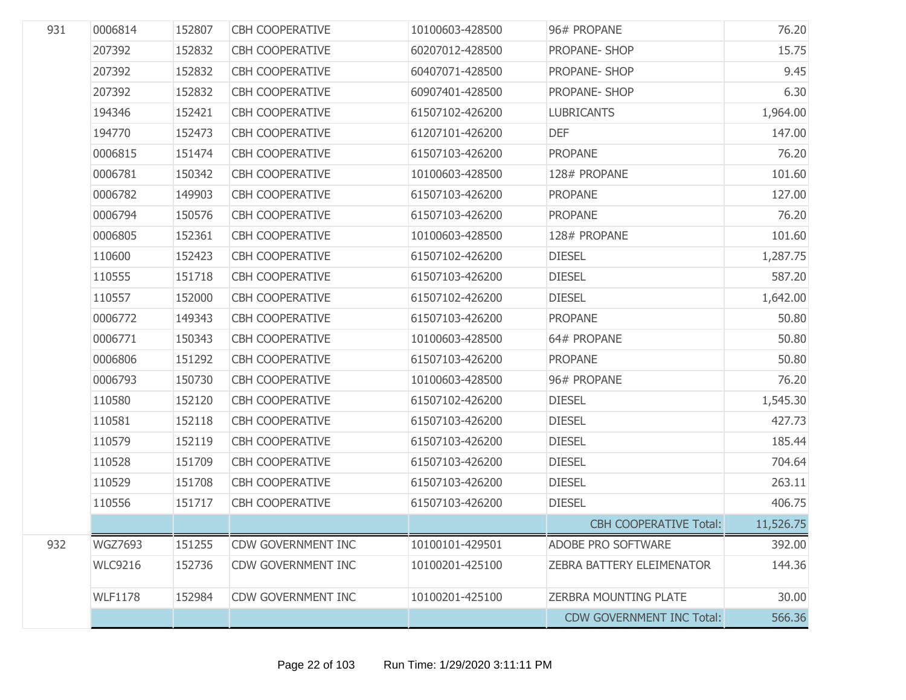| 931 | 0006814        | 152807 | <b>CBH COOPERATIVE</b>    | 10100603-428500 | 96# PROPANE                      | 76.20     |
|-----|----------------|--------|---------------------------|-----------------|----------------------------------|-----------|
|     | 207392         | 152832 | <b>CBH COOPERATIVE</b>    | 60207012-428500 | PROPANE- SHOP                    | 15.75     |
|     | 207392         | 152832 | <b>CBH COOPERATIVE</b>    | 60407071-428500 | PROPANE- SHOP                    | 9.45      |
|     | 207392         | 152832 | <b>CBH COOPERATIVE</b>    | 60907401-428500 | PROPANE- SHOP                    | 6.30      |
|     | 194346         | 152421 | <b>CBH COOPERATIVE</b>    | 61507102-426200 | <b>LUBRICANTS</b>                | 1,964.00  |
|     | 194770         | 152473 | <b>CBH COOPERATIVE</b>    | 61207101-426200 | <b>DEF</b>                       | 147.00    |
|     | 0006815        | 151474 | <b>CBH COOPERATIVE</b>    | 61507103-426200 | <b>PROPANE</b>                   | 76.20     |
|     | 0006781        | 150342 | <b>CBH COOPERATIVE</b>    | 10100603-428500 | 128# PROPANE                     | 101.60    |
|     | 0006782        | 149903 | <b>CBH COOPERATIVE</b>    | 61507103-426200 | <b>PROPANE</b>                   | 127.00    |
|     | 0006794        | 150576 | <b>CBH COOPERATIVE</b>    | 61507103-426200 | <b>PROPANE</b>                   | 76.20     |
|     | 0006805        | 152361 | <b>CBH COOPERATIVE</b>    | 10100603-428500 | 128# PROPANE                     | 101.60    |
|     | 110600         | 152423 | <b>CBH COOPERATIVE</b>    | 61507102-426200 | <b>DIESEL</b>                    | 1,287.75  |
|     | 110555         | 151718 | <b>CBH COOPERATIVE</b>    | 61507103-426200 | <b>DIESEL</b>                    | 587.20    |
|     | 110557         | 152000 | <b>CBH COOPERATIVE</b>    | 61507102-426200 | <b>DIESEL</b>                    | 1,642.00  |
|     | 0006772        | 149343 | <b>CBH COOPERATIVE</b>    | 61507103-426200 | <b>PROPANE</b>                   | 50.80     |
|     | 0006771        | 150343 | <b>CBH COOPERATIVE</b>    | 10100603-428500 | 64# PROPANE                      | 50.80     |
|     | 0006806        | 151292 | <b>CBH COOPERATIVE</b>    | 61507103-426200 | <b>PROPANE</b>                   | 50.80     |
|     | 0006793        | 150730 | <b>CBH COOPERATIVE</b>    | 10100603-428500 | 96# PROPANE                      | 76.20     |
|     | 110580         | 152120 | <b>CBH COOPERATIVE</b>    | 61507102-426200 | <b>DIESEL</b>                    | 1,545.30  |
|     | 110581         | 152118 | <b>CBH COOPERATIVE</b>    | 61507103-426200 | <b>DIESEL</b>                    | 427.73    |
|     | 110579         | 152119 | <b>CBH COOPERATIVE</b>    | 61507103-426200 | <b>DIESEL</b>                    | 185.44    |
|     | 110528         | 151709 | <b>CBH COOPERATIVE</b>    | 61507103-426200 | <b>DIESEL</b>                    | 704.64    |
|     | 110529         | 151708 | <b>CBH COOPERATIVE</b>    | 61507103-426200 | <b>DIESEL</b>                    | 263.11    |
|     | 110556         | 151717 | <b>CBH COOPERATIVE</b>    | 61507103-426200 | <b>DIESEL</b>                    | 406.75    |
|     |                |        |                           |                 | <b>CBH COOPERATIVE Total:</b>    | 11,526.75 |
| 932 | <b>WGZ7693</b> | 151255 | <b>CDW GOVERNMENT INC</b> | 10100101-429501 | <b>ADOBE PRO SOFTWARE</b>        | 392.00    |
|     | <b>WLC9216</b> | 152736 | <b>CDW GOVERNMENT INC</b> | 10100201-425100 | <b>ZEBRA BATTERY ELEIMENATOR</b> | 144.36    |
|     | <b>WLF1178</b> | 152984 | <b>CDW GOVERNMENT INC</b> | 10100201-425100 | <b>ZERBRA MOUNTING PLATE</b>     | 30.00     |
|     |                |        |                           |                 | <b>CDW GOVERNMENT INC Total:</b> | 566.36    |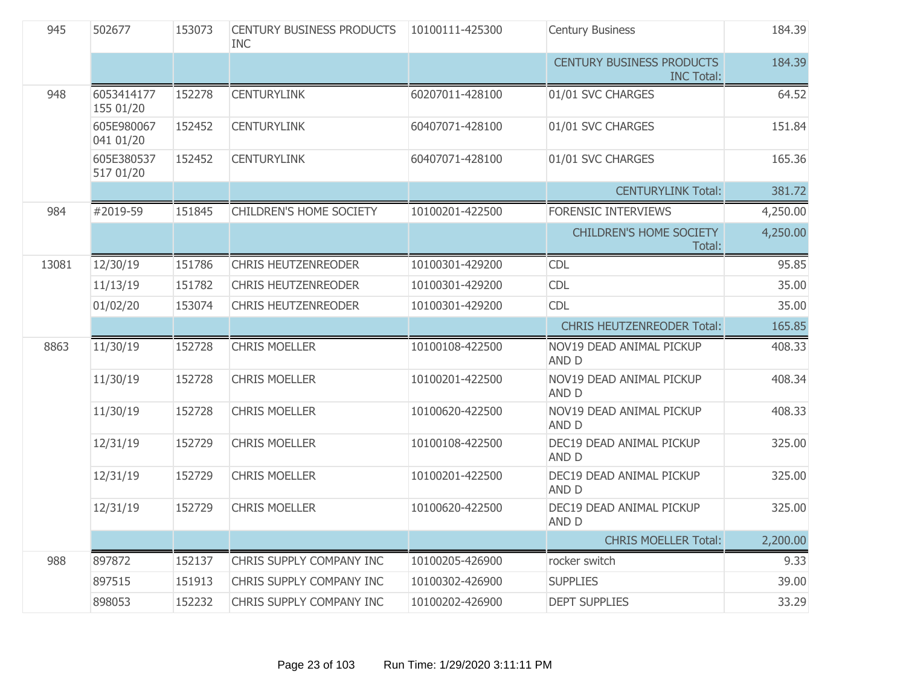| 945   | 502677                  | 153073 | <b>CENTURY BUSINESS PRODUCTS</b><br><b>INC</b> | 10100111-425300 | <b>Century Business</b>                               | 184.39   |
|-------|-------------------------|--------|------------------------------------------------|-----------------|-------------------------------------------------------|----------|
|       |                         |        |                                                |                 | <b>CENTURY BUSINESS PRODUCTS</b><br><b>INC Total:</b> | 184.39   |
| 948   | 6053414177<br>155 01/20 | 152278 | <b>CENTURYLINK</b>                             | 60207011-428100 | 01/01 SVC CHARGES                                     | 64.52    |
|       | 605E980067<br>041 01/20 | 152452 | <b>CENTURYLINK</b>                             | 60407071-428100 | 01/01 SVC CHARGES                                     | 151.84   |
|       | 605E380537<br>517 01/20 | 152452 | <b>CENTURYLINK</b>                             | 60407071-428100 | 01/01 SVC CHARGES                                     | 165.36   |
|       |                         |        |                                                |                 | <b>CENTURYLINK Total:</b>                             | 381.72   |
| 984   | #2019-59                | 151845 | CHILDREN'S HOME SOCIETY                        | 10100201-422500 | FORENSIC INTERVIEWS                                   | 4,250.00 |
|       |                         |        |                                                |                 | <b>CHILDREN'S HOME SOCIETY</b><br>Total:              | 4,250.00 |
| 13081 | 12/30/19                | 151786 | <b>CHRIS HEUTZENREODER</b>                     | 10100301-429200 | <b>CDL</b>                                            | 95.85    |
|       | 11/13/19                | 151782 | <b>CHRIS HEUTZENREODER</b>                     | 10100301-429200 | <b>CDL</b>                                            | 35.00    |
|       | 01/02/20                | 153074 | <b>CHRIS HEUTZENREODER</b>                     | 10100301-429200 | <b>CDL</b>                                            | 35.00    |
|       |                         |        |                                                |                 |                                                       |          |
|       |                         |        |                                                |                 | <b>CHRIS HEUTZENREODER Total:</b>                     | 165.85   |
| 8863  | 11/30/19                | 152728 | <b>CHRIS MOELLER</b>                           | 10100108-422500 | NOV19 DEAD ANIMAL PICKUP<br><b>AND D</b>              | 408.33   |
|       | 11/30/19                | 152728 | <b>CHRIS MOELLER</b>                           | 10100201-422500 | NOV19 DEAD ANIMAL PICKUP<br>AND D                     | 408.34   |
|       | 11/30/19                | 152728 | <b>CHRIS MOELLER</b>                           | 10100620-422500 | NOV19 DEAD ANIMAL PICKUP<br>AND D                     | 408.33   |
|       | 12/31/19                | 152729 | <b>CHRIS MOELLER</b>                           | 10100108-422500 | DEC19 DEAD ANIMAL PICKUP<br>AND D                     | 325.00   |
|       | 12/31/19                | 152729 | <b>CHRIS MOELLER</b>                           | 10100201-422500 | DEC19 DEAD ANIMAL PICKUP<br><b>AND D</b>              | 325.00   |
|       | 12/31/19                | 152729 | <b>CHRIS MOELLER</b>                           | 10100620-422500 | DEC19 DEAD ANIMAL PICKUP<br>AND D                     | 325.00   |
|       |                         |        |                                                |                 | <b>CHRIS MOELLER Total:</b>                           | 2,200.00 |
| 988   | 897872                  | 152137 | CHRIS SUPPLY COMPANY INC                       | 10100205-426900 | rocker switch                                         | 9.33     |
|       | 897515                  | 151913 | CHRIS SUPPLY COMPANY INC                       | 10100302-426900 | <b>SUPPLIES</b>                                       | 39.00    |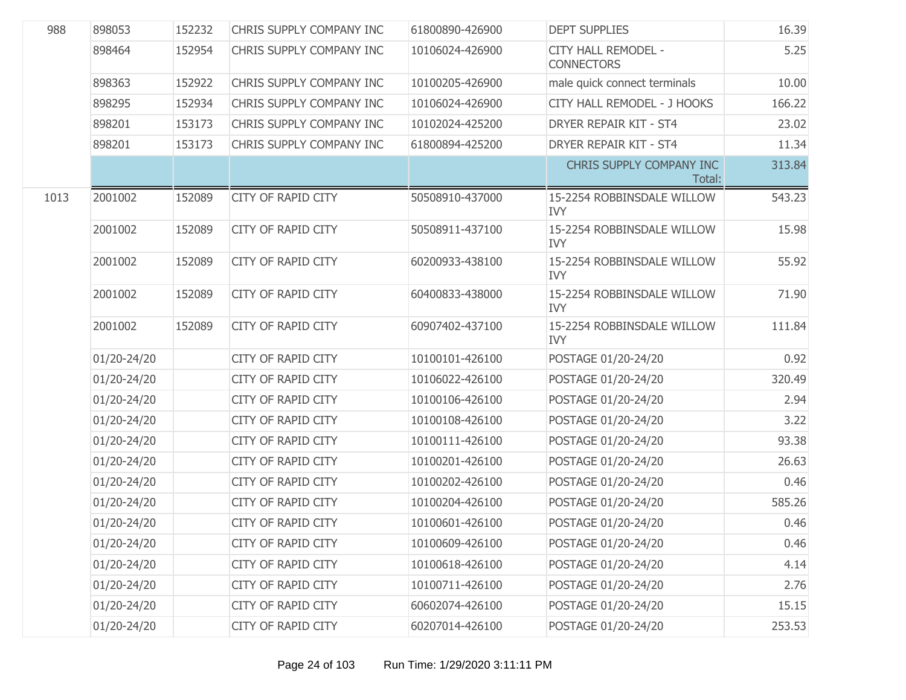| 988  | 898053      | 152232 | CHRIS SUPPLY COMPANY INC  | 61800890-426900 | <b>DEPT SUPPLIES</b>                     | 16.39  |
|------|-------------|--------|---------------------------|-----------------|------------------------------------------|--------|
|      | 898464      | 152954 | CHRIS SUPPLY COMPANY INC  | 10106024-426900 | CITY HALL REMODEL -<br><b>CONNECTORS</b> | 5.25   |
|      | 898363      | 152922 | CHRIS SUPPLY COMPANY INC  | 10100205-426900 | male quick connect terminals             | 10.00  |
|      | 898295      | 152934 | CHRIS SUPPLY COMPANY INC  | 10106024-426900 | CITY HALL REMODEL - J HOOKS              | 166.22 |
|      | 898201      | 153173 | CHRIS SUPPLY COMPANY INC  | 10102024-425200 | <b>DRYER REPAIR KIT - ST4</b>            | 23.02  |
|      | 898201      | 153173 | CHRIS SUPPLY COMPANY INC  | 61800894-425200 | DRYER REPAIR KIT - ST4                   | 11.34  |
|      |             |        |                           |                 | CHRIS SUPPLY COMPANY INC<br>Total:       | 313.84 |
| 1013 | 2001002     | 152089 | <b>CITY OF RAPID CITY</b> | 50508910-437000 | 15-2254 ROBBINSDALE WILLOW<br><b>IVY</b> | 543.23 |
|      | 2001002     | 152089 | <b>CITY OF RAPID CITY</b> | 50508911-437100 | 15-2254 ROBBINSDALE WILLOW<br><b>IVY</b> | 15.98  |
|      | 2001002     | 152089 | <b>CITY OF RAPID CITY</b> | 60200933-438100 | 15-2254 ROBBINSDALE WILLOW<br><b>IVY</b> | 55.92  |
|      | 2001002     | 152089 | <b>CITY OF RAPID CITY</b> | 60400833-438000 | 15-2254 ROBBINSDALE WILLOW<br><b>IVY</b> | 71.90  |
|      | 2001002     | 152089 | <b>CITY OF RAPID CITY</b> | 60907402-437100 | 15-2254 ROBBINSDALE WILLOW<br><b>IVY</b> | 111.84 |
|      | 01/20-24/20 |        | CITY OF RAPID CITY        | 10100101-426100 | POSTAGE 01/20-24/20                      | 0.92   |
|      | 01/20-24/20 |        | <b>CITY OF RAPID CITY</b> | 10106022-426100 | POSTAGE 01/20-24/20                      | 320.49 |
|      | 01/20-24/20 |        | CITY OF RAPID CITY        | 10100106-426100 | POSTAGE 01/20-24/20                      | 2.94   |
|      | 01/20-24/20 |        | <b>CITY OF RAPID CITY</b> | 10100108-426100 | POSTAGE 01/20-24/20                      | 3.22   |
|      | 01/20-24/20 |        | CITY OF RAPID CITY        | 10100111-426100 | POSTAGE 01/20-24/20                      | 93.38  |
|      | 01/20-24/20 |        | <b>CITY OF RAPID CITY</b> | 10100201-426100 | POSTAGE 01/20-24/20                      | 26.63  |
|      | 01/20-24/20 |        | CITY OF RAPID CITY        | 10100202-426100 | POSTAGE 01/20-24/20                      | 0.46   |
|      | 01/20-24/20 |        | <b>CITY OF RAPID CITY</b> | 10100204-426100 | POSTAGE 01/20-24/20                      | 585.26 |
|      | 01/20-24/20 |        | <b>CITY OF RAPID CITY</b> | 10100601-426100 | POSTAGE 01/20-24/20                      | 0.46   |
|      | 01/20-24/20 |        | <b>CITY OF RAPID CITY</b> | 10100609-426100 | POSTAGE 01/20-24/20                      | 0.46   |
|      | 01/20-24/20 |        | <b>CITY OF RAPID CITY</b> | 10100618-426100 | POSTAGE 01/20-24/20                      | 4.14   |
|      | 01/20-24/20 |        | <b>CITY OF RAPID CITY</b> | 10100711-426100 | POSTAGE 01/20-24/20                      | 2.76   |
|      | 01/20-24/20 |        | <b>CITY OF RAPID CITY</b> | 60602074-426100 | POSTAGE 01/20-24/20                      | 15.15  |
|      | 01/20-24/20 |        | CITY OF RAPID CITY        | 60207014-426100 | POSTAGE 01/20-24/20                      | 253.53 |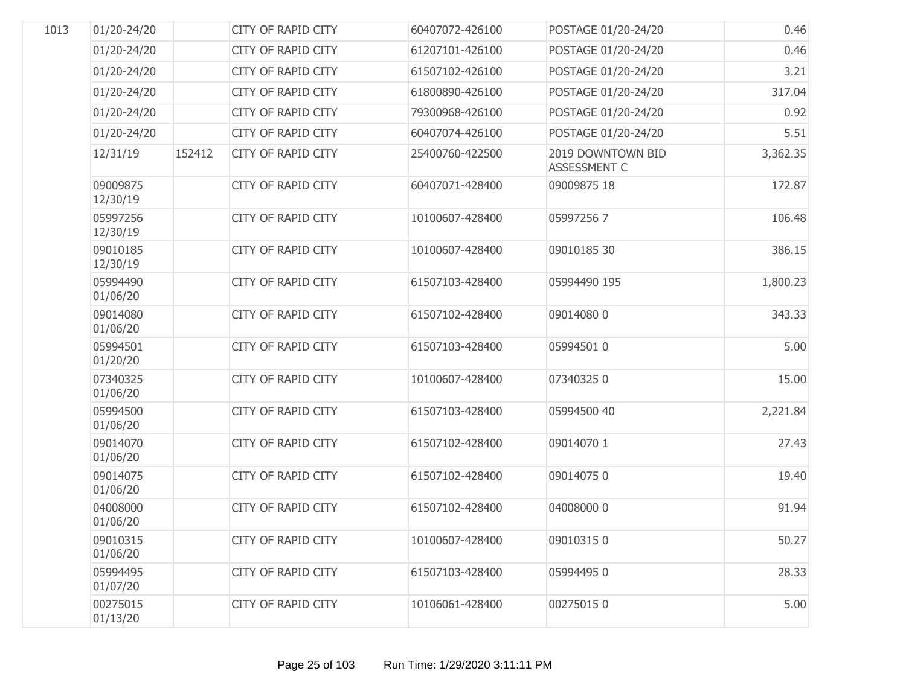| 1013 | 01/20-24/20          |        | <b>CITY OF RAPID CITY</b> | 60407072-426100 | POSTAGE 01/20-24/20                      | 0.46     |
|------|----------------------|--------|---------------------------|-----------------|------------------------------------------|----------|
|      | 01/20-24/20          |        | <b>CITY OF RAPID CITY</b> | 61207101-426100 | POSTAGE 01/20-24/20                      | 0.46     |
|      | 01/20-24/20          |        | CITY OF RAPID CITY        | 61507102-426100 | POSTAGE 01/20-24/20                      | 3.21     |
|      | 01/20-24/20          |        | <b>CITY OF RAPID CITY</b> | 61800890-426100 | POSTAGE 01/20-24/20                      | 317.04   |
|      | 01/20-24/20          |        | CITY OF RAPID CITY        | 79300968-426100 | POSTAGE 01/20-24/20                      | 0.92     |
|      | 01/20-24/20          |        | <b>CITY OF RAPID CITY</b> | 60407074-426100 | POSTAGE 01/20-24/20                      | 5.51     |
|      | 12/31/19             | 152412 | <b>CITY OF RAPID CITY</b> | 25400760-422500 | 2019 DOWNTOWN BID<br><b>ASSESSMENT C</b> | 3,362.35 |
|      | 09009875<br>12/30/19 |        | <b>CITY OF RAPID CITY</b> | 60407071-428400 | 09009875 18                              | 172.87   |
|      | 05997256<br>12/30/19 |        | <b>CITY OF RAPID CITY</b> | 10100607-428400 | 059972567                                | 106.48   |
|      | 09010185<br>12/30/19 |        | <b>CITY OF RAPID CITY</b> | 10100607-428400 | 09010185 30                              | 386.15   |
|      | 05994490<br>01/06/20 |        | <b>CITY OF RAPID CITY</b> | 61507103-428400 | 05994490 195                             | 1,800.23 |
|      | 09014080<br>01/06/20 |        | <b>CITY OF RAPID CITY</b> | 61507102-428400 | 090140800                                | 343.33   |
|      | 05994501<br>01/20/20 |        | <b>CITY OF RAPID CITY</b> | 61507103-428400 | 05994501 0                               | 5.00     |
|      | 07340325<br>01/06/20 |        | <b>CITY OF RAPID CITY</b> | 10100607-428400 | 073403250                                | 15.00    |
|      | 05994500<br>01/06/20 |        | <b>CITY OF RAPID CITY</b> | 61507103-428400 | 05994500 40                              | 2,221.84 |
|      | 09014070<br>01/06/20 |        | <b>CITY OF RAPID CITY</b> | 61507102-428400 | 09014070 1                               | 27.43    |
|      | 09014075<br>01/06/20 |        | CITY OF RAPID CITY        | 61507102-428400 | 090140750                                | 19.40    |
|      | 04008000<br>01/06/20 |        | CITY OF RAPID CITY        | 61507102-428400 | 04008000 0                               | 91.94    |
|      | 09010315<br>01/06/20 |        | <b>CITY OF RAPID CITY</b> | 10100607-428400 | 090103150                                | 50.27    |
|      | 05994495<br>01/07/20 |        | <b>CITY OF RAPID CITY</b> | 61507103-428400 | 059944950                                | 28.33    |
|      | 00275015<br>01/13/20 |        | <b>CITY OF RAPID CITY</b> | 10106061-428400 | 002750150                                | 5.00     |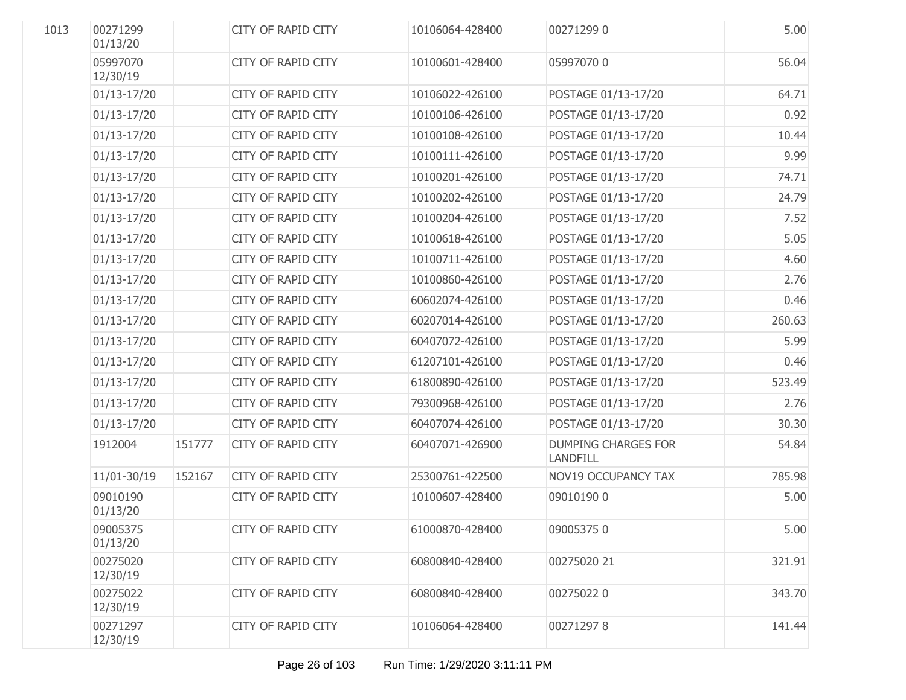| 1013 | 00271299<br>01/13/20 |        | <b>CITY OF RAPID CITY</b> | 10106064-428400 | 002712990                                     | 5.00   |
|------|----------------------|--------|---------------------------|-----------------|-----------------------------------------------|--------|
|      | 05997070<br>12/30/19 |        | <b>CITY OF RAPID CITY</b> | 10100601-428400 | 05997070 0                                    | 56.04  |
|      | $01/13 - 17/20$      |        | CITY OF RAPID CITY        | 10106022-426100 | POSTAGE 01/13-17/20                           | 64.71  |
|      | $01/13 - 17/20$      |        | CITY OF RAPID CITY        | 10100106-426100 | POSTAGE 01/13-17/20                           | 0.92   |
|      | $01/13 - 17/20$      |        | CITY OF RAPID CITY        | 10100108-426100 | POSTAGE 01/13-17/20                           | 10.44  |
|      | $01/13 - 17/20$      |        | CITY OF RAPID CITY        | 10100111-426100 | POSTAGE 01/13-17/20                           | 9.99   |
|      | $01/13 - 17/20$      |        | CITY OF RAPID CITY        | 10100201-426100 | POSTAGE 01/13-17/20                           | 74.71  |
|      | 01/13-17/20          |        | CITY OF RAPID CITY        | 10100202-426100 | POSTAGE 01/13-17/20                           | 24.79  |
|      | $01/13 - 17/20$      |        | CITY OF RAPID CITY        | 10100204-426100 | POSTAGE 01/13-17/20                           | 7.52   |
|      | $01/13 - 17/20$      |        | CITY OF RAPID CITY        | 10100618-426100 | POSTAGE 01/13-17/20                           | 5.05   |
|      | $01/13 - 17/20$      |        | CITY OF RAPID CITY        | 10100711-426100 | POSTAGE 01/13-17/20                           | 4.60   |
|      | $01/13 - 17/20$      |        | CITY OF RAPID CITY        | 10100860-426100 | POSTAGE 01/13-17/20                           | 2.76   |
|      | $01/13 - 17/20$      |        | CITY OF RAPID CITY        | 60602074-426100 | POSTAGE 01/13-17/20                           | 0.46   |
|      | 01/13-17/20          |        | CITY OF RAPID CITY        | 60207014-426100 | POSTAGE 01/13-17/20                           | 260.63 |
|      | $01/13 - 17/20$      |        | CITY OF RAPID CITY        | 60407072-426100 | POSTAGE 01/13-17/20                           | 5.99   |
|      | $01/13 - 17/20$      |        | CITY OF RAPID CITY        | 61207101-426100 | POSTAGE 01/13-17/20                           | 0.46   |
|      | $01/13 - 17/20$      |        | CITY OF RAPID CITY        | 61800890-426100 | POSTAGE 01/13-17/20                           | 523.49 |
|      | $01/13 - 17/20$      |        | CITY OF RAPID CITY        | 79300968-426100 | POSTAGE 01/13-17/20                           | 2.76   |
|      | $01/13 - 17/20$      |        | CITY OF RAPID CITY        | 60407074-426100 | POSTAGE 01/13-17/20                           | 30.30  |
|      | 1912004              | 151777 | <b>CITY OF RAPID CITY</b> | 60407071-426900 | <b>DUMPING CHARGES FOR</b><br><b>LANDFILL</b> | 54.84  |
|      | 11/01-30/19          | 152167 | <b>CITY OF RAPID CITY</b> | 25300761-422500 | <b>NOV19 OCCUPANCY TAX</b>                    | 785.98 |
|      | 09010190<br>01/13/20 |        | CITY OF RAPID CITY        | 10100607-428400 | 09010190 0                                    | 5.00   |
|      | 09005375<br>01/13/20 |        | CITY OF RAPID CITY        | 61000870-428400 | 090053750                                     | 5.00   |
|      | 00275020<br>12/30/19 |        | <b>CITY OF RAPID CITY</b> | 60800840-428400 | 00275020 21                                   | 321.91 |
|      | 00275022<br>12/30/19 |        | <b>CITY OF RAPID CITY</b> | 60800840-428400 | 002750220                                     | 343.70 |
|      | 00271297<br>12/30/19 |        | <b>CITY OF RAPID CITY</b> | 10106064-428400 | 002712978                                     | 141.44 |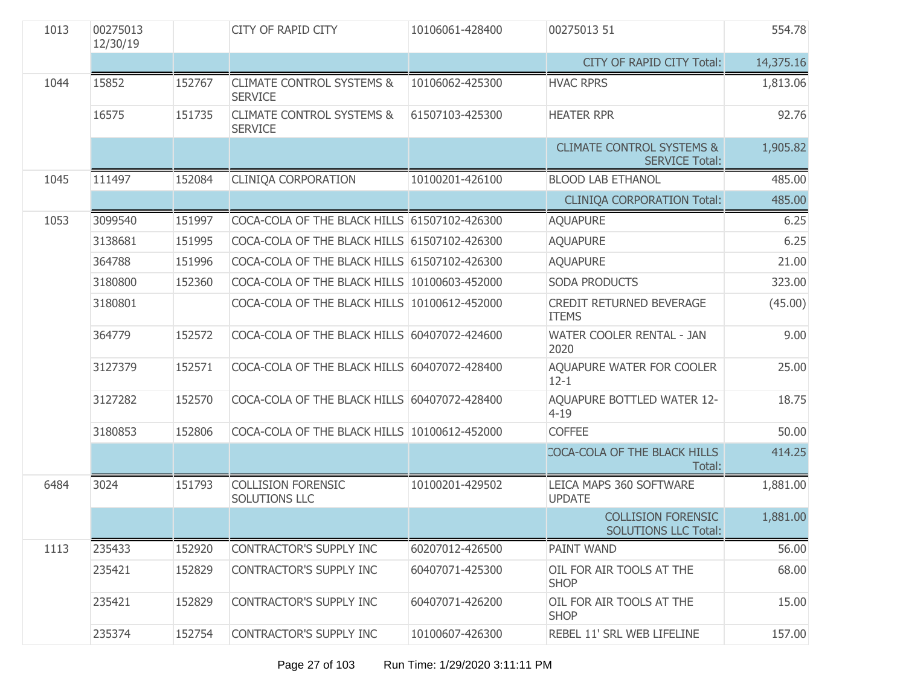| 1013 | 00275013<br>12/30/19 |        | <b>CITY OF RAPID CITY</b>                              | 10106061-428400 | 00275013 51                                                   | 554.78    |
|------|----------------------|--------|--------------------------------------------------------|-----------------|---------------------------------------------------------------|-----------|
|      |                      |        |                                                        |                 | CITY OF RAPID CITY Total:                                     | 14,375.16 |
| 1044 | 15852                | 152767 | <b>CLIMATE CONTROL SYSTEMS &amp;</b><br><b>SERVICE</b> | 10106062-425300 | <b>HVAC RPRS</b>                                              | 1,813.06  |
|      | 16575                | 151735 | <b>CLIMATE CONTROL SYSTEMS &amp;</b><br><b>SERVICE</b> | 61507103-425300 | <b>HEATER RPR</b>                                             | 92.76     |
|      |                      |        |                                                        |                 | <b>CLIMATE CONTROL SYSTEMS &amp;</b><br><b>SERVICE Total:</b> | 1,905.82  |
| 1045 | 111497               | 152084 | <b>CLINIQA CORPORATION</b>                             | 10100201-426100 | <b>BLOOD LAB ETHANOL</b>                                      | 485.00    |
|      |                      |        |                                                        |                 | <b>CLINIQA CORPORATION Total:</b>                             | 485.00    |
| 1053 | 3099540              | 151997 | COCA-COLA OF THE BLACK HILLS 61507102-426300           |                 | <b>AQUAPURE</b>                                               | 6.25      |
|      | 3138681              | 151995 | COCA-COLA OF THE BLACK HILLS 61507102-426300           |                 | <b>AQUAPURE</b>                                               | 6.25      |
|      | 364788               | 151996 | COCA-COLA OF THE BLACK HILLS 61507102-426300           |                 | <b>AQUAPURE</b>                                               | 21.00     |
|      | 3180800              | 152360 | COCA-COLA OF THE BLACK HILLS 10100603-452000           |                 | <b>SODA PRODUCTS</b>                                          | 323.00    |
|      | 3180801              |        | COCA-COLA OF THE BLACK HILLS 10100612-452000           |                 | CREDIT RETURNED BEVERAGE<br><b>ITEMS</b>                      | (45.00)   |
|      | 364779               | 152572 | COCA-COLA OF THE BLACK HILLS 60407072-424600           |                 | WATER COOLER RENTAL - JAN<br>2020                             | 9.00      |
|      | 3127379              | 152571 | COCA-COLA OF THE BLACK HILLS 60407072-428400           |                 | AQUAPURE WATER FOR COOLER<br>$12 - 1$                         | 25.00     |
|      | 3127282              | 152570 | COCA-COLA OF THE BLACK HILLS 60407072-428400           |                 | AQUAPURE BOTTLED WATER 12-<br>$4 - 19$                        | 18.75     |
|      | 3180853              | 152806 | COCA-COLA OF THE BLACK HILLS 10100612-452000           |                 | <b>COFFEE</b>                                                 | 50.00     |
|      |                      |        |                                                        |                 | COCA-COLA OF THE BLACK HILLS<br>Total:                        | 414.25    |
| 6484 | 3024                 | 151793 | <b>COLLISION FORENSIC</b><br>SOLUTIONS LLC             | 10100201-429502 | LEICA MAPS 360 SOFTWARE<br><b>UPDATE</b>                      | 1,881.00  |
|      |                      |        |                                                        |                 | <b>COLLISION FORENSIC</b><br><b>SOLUTIONS LLC Total:</b>      | 1,881.00  |
| 1113 | 235433               | 152920 | CONTRACTOR'S SUPPLY INC                                | 60207012-426500 | <b>PAINT WAND</b>                                             | 56.00     |
|      | 235421               | 152829 | CONTRACTOR'S SUPPLY INC                                | 60407071-425300 | OIL FOR AIR TOOLS AT THE<br><b>SHOP</b>                       | 68.00     |
|      | 235421               | 152829 | CONTRACTOR'S SUPPLY INC                                | 60407071-426200 | OIL FOR AIR TOOLS AT THE<br><b>SHOP</b>                       | 15.00     |
|      | 235374               | 152754 | CONTRACTOR'S SUPPLY INC                                | 10100607-426300 | REBEL 11' SRL WEB LIFELINE                                    | 157.00    |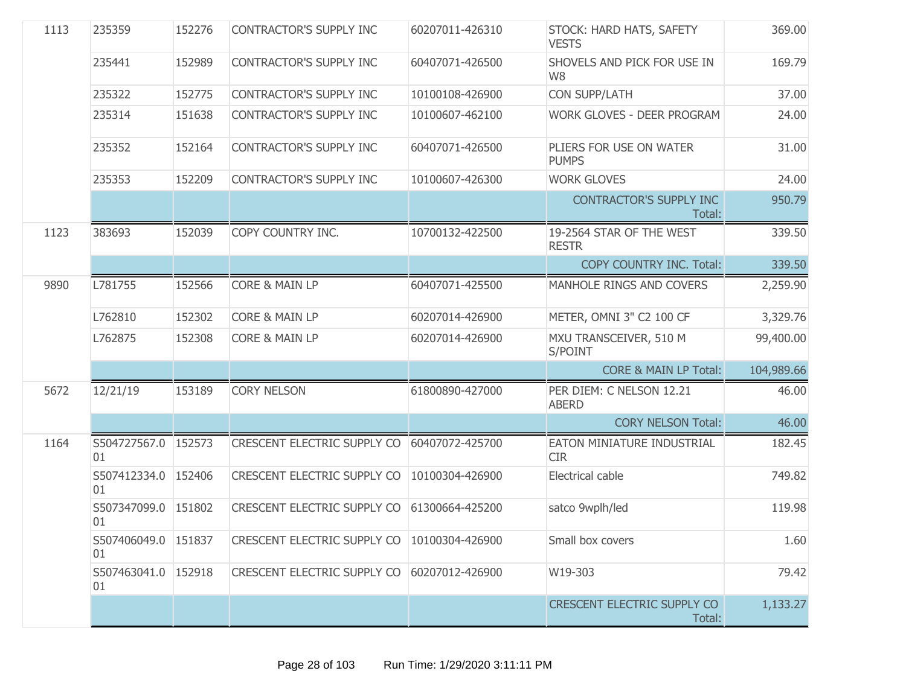| 1113 | 235359                    | 152276 | <b>CONTRACTOR'S SUPPLY INC</b>                | 60207011-426310 | STOCK: HARD HATS, SAFETY<br><b>VESTS</b>      | 369.00     |
|------|---------------------------|--------|-----------------------------------------------|-----------------|-----------------------------------------------|------------|
|      | 235441                    | 152989 | CONTRACTOR'S SUPPLY INC                       | 60407071-426500 | SHOVELS AND PICK FOR USE IN<br>W <sub>8</sub> | 169.79     |
|      | 235322                    | 152775 | CONTRACTOR'S SUPPLY INC                       | 10100108-426900 | <b>CON SUPP/LATH</b>                          | 37.00      |
|      | 235314                    | 151638 | CONTRACTOR'S SUPPLY INC                       | 10100607-462100 | WORK GLOVES - DEER PROGRAM                    | 24.00      |
|      | 235352                    | 152164 | CONTRACTOR'S SUPPLY INC                       | 60407071-426500 | PLIERS FOR USE ON WATER<br><b>PUMPS</b>       | 31.00      |
|      | 235353                    | 152209 | CONTRACTOR'S SUPPLY INC                       | 10100607-426300 | <b>WORK GLOVES</b>                            | 24.00      |
|      |                           |        |                                               |                 | <b>CONTRACTOR'S SUPPLY INC</b><br>Total:      | 950.79     |
| 1123 | 383693                    | 152039 | COPY COUNTRY INC.                             | 10700132-422500 | 19-2564 STAR OF THE WEST<br><b>RESTR</b>      | 339.50     |
|      |                           |        |                                               |                 | COPY COUNTRY INC. Total:                      | 339.50     |
| 9890 | L781755                   | 152566 | <b>CORE &amp; MAIN LP</b>                     | 60407071-425500 | MANHOLE RINGS AND COVERS                      | 2,259.90   |
|      | L762810                   | 152302 | <b>CORE &amp; MAIN LP</b>                     | 60207014-426900 | METER, OMNI 3" C2 100 CF                      | 3,329.76   |
|      | L762875                   | 152308 | <b>CORE &amp; MAIN LP</b>                     | 60207014-426900 | MXU TRANSCEIVER, 510 M<br>S/POINT             | 99,400.00  |
|      |                           |        |                                               |                 | <b>CORE &amp; MAIN LP Total:</b>              | 104,989.66 |
| 5672 | 12/21/19                  | 153189 | <b>CORY NELSON</b>                            | 61800890-427000 | PER DIEM: C NELSON 12.21<br><b>ABERD</b>      | 46.00      |
|      |                           |        |                                               |                 | <b>CORY NELSON Total:</b>                     | 46.00      |
| 1164 | S504727567.0<br>01        | 152573 | CRESCENT ELECTRIC SUPPLY CO                   | 60407072-425700 | EATON MINIATURE INDUSTRIAL<br><b>CIR</b>      | 182.45     |
|      | S507412334.0 152406<br>01 |        | CRESCENT ELECTRIC SUPPLY CO                   | 10100304-426900 | Electrical cable                              | 749.82     |
|      | S507347099.0 151802<br>01 |        | CRESCENT ELECTRIC SUPPLY CO                   | 61300664-425200 | satco 9wplh/led                               | 119.98     |
|      | S507406049.0 151837<br>01 |        | CRESCENT ELECTRIC SUPPLY CO   10100304-426900 |                 | Small box covers                              | 1.60       |
|      | S507463041.0 152918<br>01 |        | CRESCENT ELECTRIC SUPPLY CO 60207012-426900   |                 | W19-303                                       | 79.42      |
|      |                           |        |                                               |                 | <b>CRESCENT ELECTRIC SUPPLY CO</b><br>Total:  | 1,133.27   |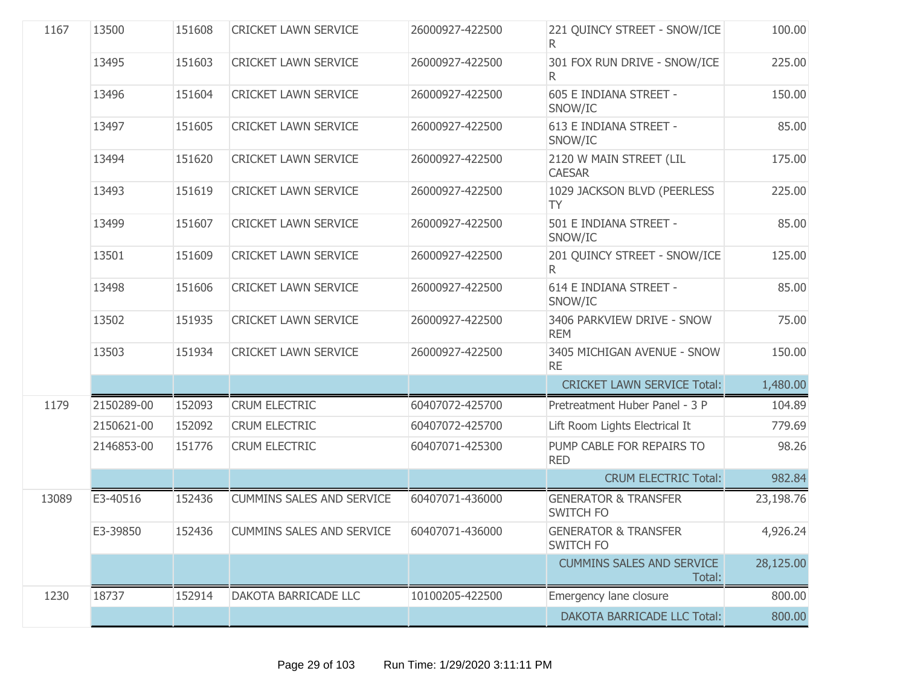| 1167  | 13500      | 151608 | <b>CRICKET LAWN SERVICE</b>      | 26000927-422500 | 221 QUINCY STREET - SNOW/ICE                        | 100.00    |
|-------|------------|--------|----------------------------------|-----------------|-----------------------------------------------------|-----------|
|       | 13495      | 151603 | <b>CRICKET LAWN SERVICE</b>      | 26000927-422500 | 301 FOX RUN DRIVE - SNOW/ICE<br>R.                  | 225.00    |
|       | 13496      | 151604 | <b>CRICKET LAWN SERVICE</b>      | 26000927-422500 | 605 E INDIANA STREET -<br>SNOW/IC                   | 150.00    |
|       | 13497      | 151605 | <b>CRICKET LAWN SERVICE</b>      | 26000927-422500 | 613 E INDIANA STREET -<br>SNOW/IC                   | 85.00     |
|       | 13494      | 151620 | <b>CRICKET LAWN SERVICE</b>      | 26000927-422500 | 2120 W MAIN STREET (LIL<br><b>CAESAR</b>            | 175.00    |
|       | 13493      | 151619 | <b>CRICKET LAWN SERVICE</b>      | 26000927-422500 | 1029 JACKSON BLVD (PEERLESS<br><b>TY</b>            | 225.00    |
|       | 13499      | 151607 | <b>CRICKET LAWN SERVICE</b>      | 26000927-422500 | 501 E INDIANA STREET -<br>SNOW/IC                   | 85.00     |
|       | 13501      | 151609 | <b>CRICKET LAWN SERVICE</b>      | 26000927-422500 | 201 QUINCY STREET - SNOW/ICE<br>R.                  | 125.00    |
|       | 13498      | 151606 | <b>CRICKET LAWN SERVICE</b>      | 26000927-422500 | 614 E INDIANA STREET -<br>SNOW/IC                   | 85.00     |
|       | 13502      | 151935 | <b>CRICKET LAWN SERVICE</b>      | 26000927-422500 | 3406 PARKVIEW DRIVE - SNOW<br><b>REM</b>            | 75.00     |
|       | 13503      | 151934 | <b>CRICKET LAWN SERVICE</b>      | 26000927-422500 | 3405 MICHIGAN AVENUE - SNOW<br><b>RE</b>            | 150.00    |
|       |            |        |                                  |                 | <b>CRICKET LAWN SERVICE Total:</b>                  | 1,480.00  |
| 1179  | 2150289-00 | 152093 | <b>CRUM ELECTRIC</b>             | 60407072-425700 | Pretreatment Huber Panel - 3 P                      | 104.89    |
|       | 2150621-00 | 152092 | <b>CRUM ELECTRIC</b>             | 60407072-425700 | Lift Room Lights Electrical It                      | 779.69    |
|       | 2146853-00 | 151776 | <b>CRUM ELECTRIC</b>             | 60407071-425300 | PUMP CABLE FOR REPAIRS TO<br><b>RED</b>             | 98.26     |
|       |            |        |                                  |                 | <b>CRUM ELECTRIC Total:</b>                         | 982.84    |
| 13089 | E3-40516   | 152436 | <b>CUMMINS SALES AND SERVICE</b> | 60407071-436000 | <b>GENERATOR &amp; TRANSFER</b><br><b>SWITCH FO</b> | 23,198.76 |
|       | E3-39850   | 152436 | CUMMINS SALES AND SERVICE        | 60407071-436000 | <b>GENERATOR &amp; TRANSFER</b><br>SWITCH FO        | 4,926.24  |
|       |            |        |                                  |                 | <b>CUMMINS SALES AND SERVICE</b><br>Total:          | 28,125.00 |
| 1230  | 18737      | 152914 | DAKOTA BARRICADE LLC             | 10100205-422500 | Emergency lane closure                              | 800.00    |
|       |            |        |                                  |                 | <b>DAKOTA BARRICADE LLC Total:</b>                  | 800.00    |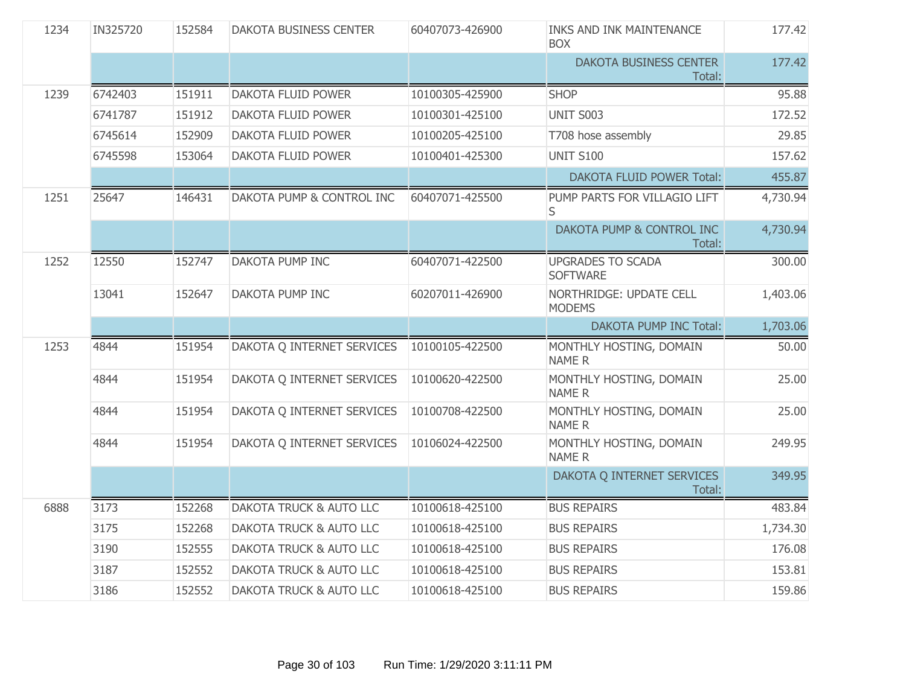| 1234 | IN325720 | 152584 | DAKOTA BUSINESS CENTER             | 60407073-426900 | <b>INKS AND INK MAINTENANCE</b><br><b>BOX</b> | 177.42   |
|------|----------|--------|------------------------------------|-----------------|-----------------------------------------------|----------|
|      |          |        |                                    |                 | DAKOTA BUSINESS CENTER<br>Total:              | 177.42   |
| 1239 | 6742403  | 151911 | DAKOTA FLUID POWER                 | 10100305-425900 | <b>SHOP</b>                                   | 95.88    |
|      | 6741787  | 151912 | DAKOTA FLUID POWER                 | 10100301-425100 | <b>UNIT S003</b>                              | 172.52   |
|      | 6745614  | 152909 | DAKOTA FLUID POWER                 | 10100205-425100 | T708 hose assembly                            | 29.85    |
|      | 6745598  | 153064 | DAKOTA FLUID POWER                 | 10100401-425300 | <b>UNIT S100</b>                              | 157.62   |
|      |          |        |                                    |                 | <b>DAKOTA FLUID POWER Total:</b>              | 455.87   |
| 1251 | 25647    | 146431 | DAKOTA PUMP & CONTROL INC          | 60407071-425500 | PUMP PARTS FOR VILLAGIO LIFT<br>S             | 4,730.94 |
|      |          |        |                                    |                 | DAKOTA PUMP & CONTROL INC<br>Total:           | 4,730.94 |
| 1252 | 12550    | 152747 | DAKOTA PUMP INC                    | 60407071-422500 | <b>UPGRADES TO SCADA</b><br><b>SOFTWARE</b>   | 300.00   |
|      | 13041    | 152647 | DAKOTA PUMP INC                    | 60207011-426900 | NORTHRIDGE: UPDATE CELL<br><b>MODEMS</b>      | 1,403.06 |
|      |          |        |                                    |                 | <b>DAKOTA PUMP INC Total:</b>                 | 1,703.06 |
| 1253 | 4844     | 151954 | DAKOTA Q INTERNET SERVICES         | 10100105-422500 | MONTHLY HOSTING, DOMAIN                       | 50.00    |
|      |          |        |                                    |                 | <b>NAMER</b>                                  |          |
|      | 4844     | 151954 | DAKOTA Q INTERNET SERVICES         | 10100620-422500 | MONTHLY HOSTING, DOMAIN<br><b>NAMER</b>       | 25.00    |
|      | 4844     | 151954 | DAKOTA Q INTERNET SERVICES         | 10100708-422500 | MONTHLY HOSTING, DOMAIN<br><b>NAMER</b>       | 25.00    |
|      | 4844     | 151954 | DAKOTA Q INTERNET SERVICES         | 10106024-422500 | MONTHLY HOSTING, DOMAIN<br><b>NAMER</b>       | 249.95   |
|      |          |        |                                    |                 | DAKOTA Q INTERNET SERVICES<br>Total:          | 349.95   |
| 6888 | 3173     | 152268 | <b>DAKOTA TRUCK &amp; AUTO LLC</b> | 10100618-425100 | <b>BUS REPAIRS</b>                            | 483.84   |
|      | 3175     | 152268 | <b>DAKOTA TRUCK &amp; AUTO LLC</b> | 10100618-425100 | <b>BUS REPAIRS</b>                            | 1,734.30 |
|      | 3190     | 152555 | DAKOTA TRUCK & AUTO LLC            | 10100618-425100 | <b>BUS REPAIRS</b>                            | 176.08   |
|      | 3187     | 152552 | DAKOTA TRUCK & AUTO LLC            | 10100618-425100 | <b>BUS REPAIRS</b>                            | 153.81   |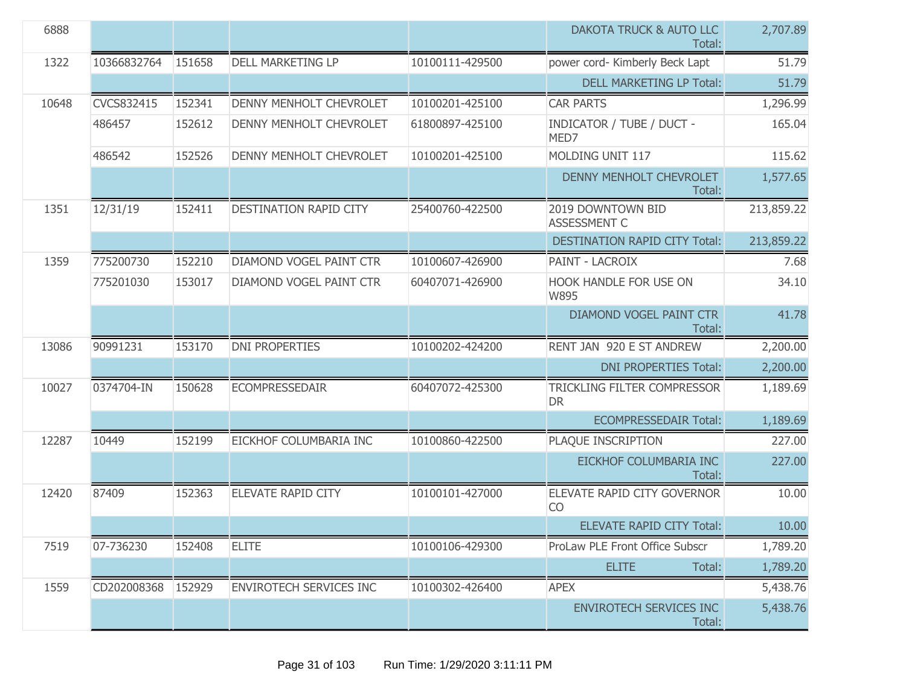| 6888  |             |        |                                |                 | DAKOTA TRUCK & AUTO LLC<br>Total:        | 2,707.89   |
|-------|-------------|--------|--------------------------------|-----------------|------------------------------------------|------------|
| 1322  | 10366832764 | 151658 | <b>DELL MARKETING LP</b>       | 10100111-429500 | power cord- Kimberly Beck Lapt           | 51.79      |
|       |             |        |                                |                 | <b>DELL MARKETING LP Total:</b>          | 51.79      |
| 10648 | CVCS832415  | 152341 | <b>DENNY MENHOLT CHEVROLET</b> | 10100201-425100 | <b>CAR PARTS</b>                         | 1,296.99   |
|       | 486457      | 152612 | DENNY MENHOLT CHEVROLET        | 61800897-425100 | <b>INDICATOR / TUBE / DUCT -</b><br>MED7 | 165.04     |
|       | 486542      | 152526 | <b>DENNY MENHOLT CHEVROLET</b> | 10100201-425100 | MOLDING UNIT 117                         | 115.62     |
|       |             |        |                                |                 | DENNY MENHOLT CHEVROLET<br>Total:        | 1,577.65   |
| 1351  | 12/31/19    | 152411 | DESTINATION RAPID CITY         | 25400760-422500 | 2019 DOWNTOWN BID<br>ASSESSMENT C        | 213,859.22 |
|       |             |        |                                |                 | <b>DESTINATION RAPID CITY Total:</b>     | 213,859.22 |
| 1359  | 775200730   | 152210 | DIAMOND VOGEL PAINT CTR        | 10100607-426900 | PAINT - LACROIX                          | 7.68       |
|       | 775201030   | 153017 | DIAMOND VOGEL PAINT CTR        | 60407071-426900 | <b>HOOK HANDLE FOR USE ON</b><br>W895    | 34.10      |
|       |             |        |                                |                 | DIAMOND VOGEL PAINT CTR<br>Total:        | 41.78      |
| 13086 | 90991231    | 153170 | <b>DNI PROPERTIES</b>          | 10100202-424200 | RENT JAN 920 E ST ANDREW                 | 2,200.00   |
|       |             |        |                                |                 | <b>DNI PROPERTIES Total:</b>             | 2,200.00   |
| 10027 | 0374704-IN  | 150628 | <b>ECOMPRESSEDAIR</b>          | 60407072-425300 | TRICKLING FILTER COMPRESSOR<br><b>DR</b> | 1,189.69   |
|       |             |        |                                |                 | <b>ECOMPRESSEDAIR Total:</b>             | 1,189.69   |
| 12287 | 10449       | 152199 | EICKHOF COLUMBARIA INC         | 10100860-422500 | PLAQUE INSCRIPTION                       | 227.00     |
|       |             |        |                                |                 | EICKHOF COLUMBARIA INC<br>Total:         | 227.00     |
| 12420 | 87409       | 152363 | ELEVATE RAPID CITY             | 10100101-427000 | ELEVATE RAPID CITY GOVERNOR<br><b>CO</b> | 10.00      |
|       |             |        |                                |                 | <b>ELEVATE RAPID CITY Total:</b>         | 10.00      |
| 7519  | 07-736230   | 152408 | <b>ELITE</b>                   | 10100106-429300 | ProLaw PLE Front Office Subscr           | 1,789.20   |
|       |             |        |                                |                 | Total:<br><b>ELITE</b>                   | 1,789.20   |
| 1559  | CD202008368 | 152929 | <b>ENVIROTECH SERVICES INC</b> | 10100302-426400 | <b>APEX</b>                              | 5,438.76   |
|       |             |        |                                |                 | <b>ENVIROTECH SERVICES INC</b><br>Total: | 5,438.76   |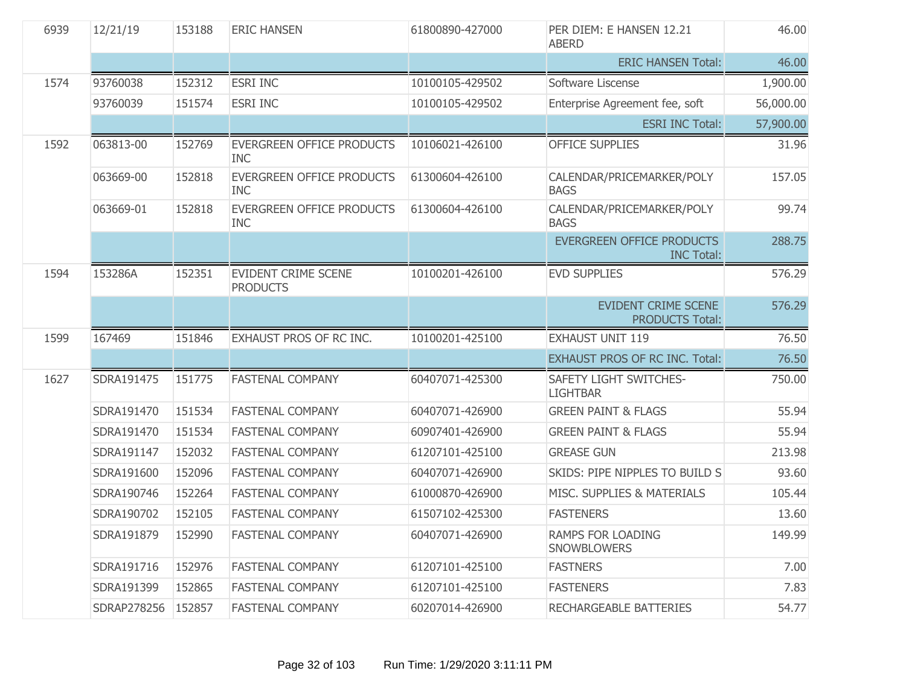| 6939 | 12/21/19           | 153188 | <b>ERIC HANSEN</b>                             | 61800890-427000 | PER DIEM: E HANSEN 12.21<br><b>ABERD</b>             | 46.00     |
|------|--------------------|--------|------------------------------------------------|-----------------|------------------------------------------------------|-----------|
|      |                    |        |                                                |                 | <b>ERIC HANSEN Total:</b>                            | 46.00     |
| 1574 | 93760038           | 152312 | <b>ESRI INC</b>                                | 10100105-429502 | Software Liscense                                    | 1,900.00  |
|      | 93760039           | 151574 | <b>ESRI INC</b>                                | 10100105-429502 | Enterprise Agreement fee, soft                       | 56,000.00 |
|      |                    |        |                                                |                 | <b>ESRI INC Total:</b>                               | 57,900.00 |
| 1592 | 063813-00          | 152769 | EVERGREEN OFFICE PRODUCTS<br><b>INC</b>        | 10106021-426100 | <b>OFFICE SUPPLIES</b>                               | 31.96     |
|      | 063669-00          | 152818 | EVERGREEN OFFICE PRODUCTS<br><b>INC</b>        | 61300604-426100 | CALENDAR/PRICEMARKER/POLY<br><b>BAGS</b>             | 157.05    |
|      | 063669-01          | 152818 | <b>EVERGREEN OFFICE PRODUCTS</b><br><b>INC</b> | 61300604-426100 | CALENDAR/PRICEMARKER/POLY<br><b>BAGS</b>             | 99.74     |
|      |                    |        |                                                |                 | EVERGREEN OFFICE PRODUCTS<br><b>INC Total:</b>       | 288.75    |
| 1594 | 153286A            | 152351 | <b>EVIDENT CRIME SCENE</b><br><b>PRODUCTS</b>  | 10100201-426100 | <b>EVD SUPPLIES</b>                                  | 576.29    |
|      |                    |        |                                                |                 | <b>EVIDENT CRIME SCENE</b><br><b>PRODUCTS Total:</b> | 576.29    |
| 1599 | 167469             | 151846 | EXHAUST PROS OF RC INC.                        | 10100201-425100 | <b>EXHAUST UNIT 119</b>                              | 76.50     |
|      |                    |        |                                                |                 | <b>EXHAUST PROS OF RC INC. Total:</b>                | 76.50     |
| 1627 | SDRA191475         | 151775 | <b>FASTENAL COMPANY</b>                        | 60407071-425300 | SAFETY LIGHT SWITCHES-<br><b>LIGHTBAR</b>            | 750.00    |
|      | SDRA191470         | 151534 | <b>FASTENAL COMPANY</b>                        | 60407071-426900 | <b>GREEN PAINT &amp; FLAGS</b>                       | 55.94     |
|      | SDRA191470         | 151534 | <b>FASTENAL COMPANY</b>                        | 60907401-426900 | <b>GREEN PAINT &amp; FLAGS</b>                       | 55.94     |
|      | SDRA191147         | 152032 | <b>FASTENAL COMPANY</b>                        | 61207101-425100 | <b>GREASE GUN</b>                                    | 213.98    |
|      | SDRA191600         | 152096 | <b>FASTENAL COMPANY</b>                        | 60407071-426900 | SKIDS: PIPE NIPPLES TO BUILD S                       | 93.60     |
|      | SDRA190746         | 152264 | <b>FASTENAL COMPANY</b>                        | 61000870-426900 | MISC. SUPPLIES & MATERIALS                           | 105.44    |
|      | SDRA190702         | 152105 | <b>FASTENAL COMPANY</b>                        | 61507102-425300 | <b>FASTENERS</b>                                     | 13.60     |
|      | SDRA191879         | 152990 | <b>FASTENAL COMPANY</b>                        | 60407071-426900 | <b>RAMPS FOR LOADING</b><br>SNOWBLOWERS              | 149.99    |
|      | SDRA191716         | 152976 | <b>FASTENAL COMPANY</b>                        | 61207101-425100 | <b>FASTNERS</b>                                      | 7.00      |
|      | SDRA191399         | 152865 | <b>FASTENAL COMPANY</b>                        | 61207101-425100 | <b>FASTENERS</b>                                     | 7.83      |
|      | SDRAP278256 152857 |        | <b>FASTENAL COMPANY</b>                        | 60207014-426900 | RECHARGEABLE BATTERIES                               | 54.77     |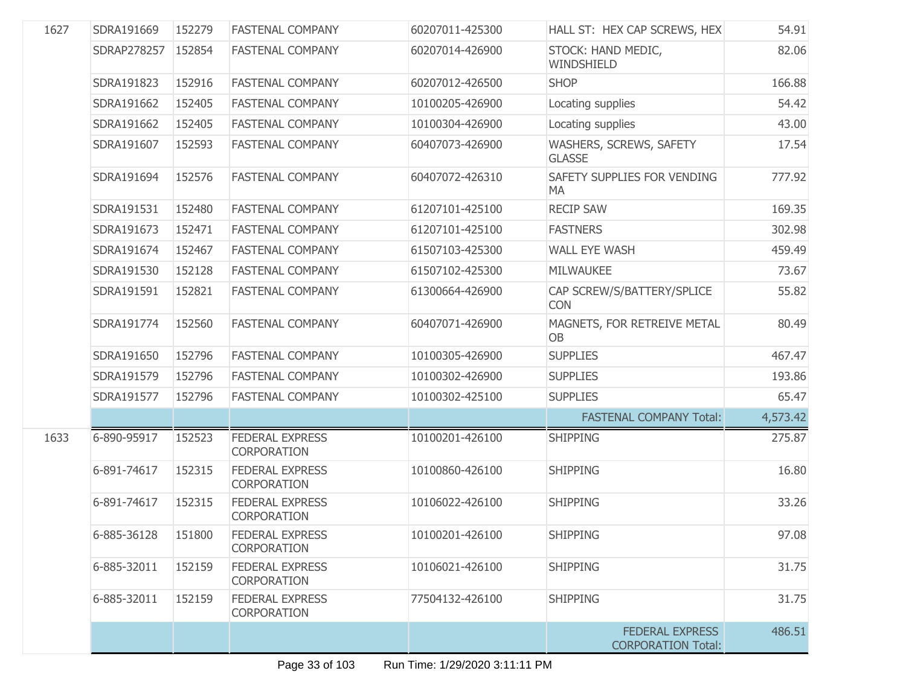| 1627 | SDRA191669  | 152279 | <b>FASTENAL COMPANY</b>                      | 60207011-425300 | HALL ST: HEX CAP SCREWS, HEX                        | 54.91    |
|------|-------------|--------|----------------------------------------------|-----------------|-----------------------------------------------------|----------|
|      | SDRAP278257 | 152854 | <b>FASTENAL COMPANY</b>                      | 60207014-426900 | STOCK: HAND MEDIC,<br>WINDSHIELD                    | 82.06    |
|      | SDRA191823  | 152916 | <b>FASTENAL COMPANY</b>                      | 60207012-426500 | <b>SHOP</b>                                         | 166.88   |
|      | SDRA191662  | 152405 | <b>FASTENAL COMPANY</b>                      | 10100205-426900 | Locating supplies                                   | 54.42    |
|      | SDRA191662  | 152405 | <b>FASTENAL COMPANY</b>                      | 10100304-426900 | Locating supplies                                   | 43.00    |
|      | SDRA191607  | 152593 | <b>FASTENAL COMPANY</b>                      | 60407073-426900 | WASHERS, SCREWS, SAFETY<br><b>GLASSE</b>            | 17.54    |
|      | SDRA191694  | 152576 | <b>FASTENAL COMPANY</b>                      | 60407072-426310 | SAFETY SUPPLIES FOR VENDING<br>MA                   | 777.92   |
|      | SDRA191531  | 152480 | <b>FASTENAL COMPANY</b>                      | 61207101-425100 | <b>RECIP SAW</b>                                    | 169.35   |
|      | SDRA191673  | 152471 | <b>FASTENAL COMPANY</b>                      | 61207101-425100 | <b>FASTNERS</b>                                     | 302.98   |
|      | SDRA191674  | 152467 | <b>FASTENAL COMPANY</b>                      | 61507103-425300 | <b>WALL EYE WASH</b>                                | 459.49   |
|      | SDRA191530  | 152128 | <b>FASTENAL COMPANY</b>                      | 61507102-425300 | <b>MILWAUKEE</b>                                    | 73.67    |
|      | SDRA191591  | 152821 | <b>FASTENAL COMPANY</b>                      | 61300664-426900 | CAP SCREW/S/BATTERY/SPLICE<br><b>CON</b>            | 55.82    |
|      | SDRA191774  | 152560 | <b>FASTENAL COMPANY</b>                      | 60407071-426900 | MAGNETS, FOR RETREIVE METAL<br><b>OB</b>            | 80.49    |
|      | SDRA191650  | 152796 | <b>FASTENAL COMPANY</b>                      | 10100305-426900 | <b>SUPPLIES</b>                                     | 467.47   |
|      | SDRA191579  | 152796 | <b>FASTENAL COMPANY</b>                      | 10100302-426900 | <b>SUPPLIES</b>                                     | 193.86   |
|      | SDRA191577  | 152796 | <b>FASTENAL COMPANY</b>                      | 10100302-425100 | <b>SUPPLIES</b>                                     | 65.47    |
|      |             |        |                                              |                 | <b>FASTENAL COMPANY Total:</b>                      | 4,573.42 |
| 1633 | 6-890-95917 | 152523 | <b>FEDERAL EXPRESS</b><br><b>CORPORATION</b> | 10100201-426100 | <b>SHIPPING</b>                                     | 275.87   |
|      | 6-891-74617 | 152315 | <b>FEDERAL EXPRESS</b><br><b>CORPORATION</b> | 10100860-426100 | <b>SHIPPING</b>                                     | 16.80    |
|      | 6-891-74617 | 152315 | <b>FEDERAL EXPRESS</b><br><b>CORPORATION</b> | 10106022-426100 | <b>SHIPPING</b>                                     | 33.26    |
|      | 6-885-36128 | 151800 | FEDERAL EXPRESS<br><b>CORPORATION</b>        | 10100201-426100 | <b>SHIPPING</b>                                     | 97.08    |
|      | 6-885-32011 | 152159 | <b>FEDERAL EXPRESS</b><br><b>CORPORATION</b> | 10106021-426100 | <b>SHIPPING</b>                                     | 31.75    |
|      | 6-885-32011 | 152159 | <b>FEDERAL EXPRESS</b><br><b>CORPORATION</b> | 77504132-426100 | <b>SHIPPING</b>                                     | 31.75    |
|      |             |        |                                              |                 | <b>FEDERAL EXPRESS</b><br><b>CORPORATION Total:</b> | 486.51   |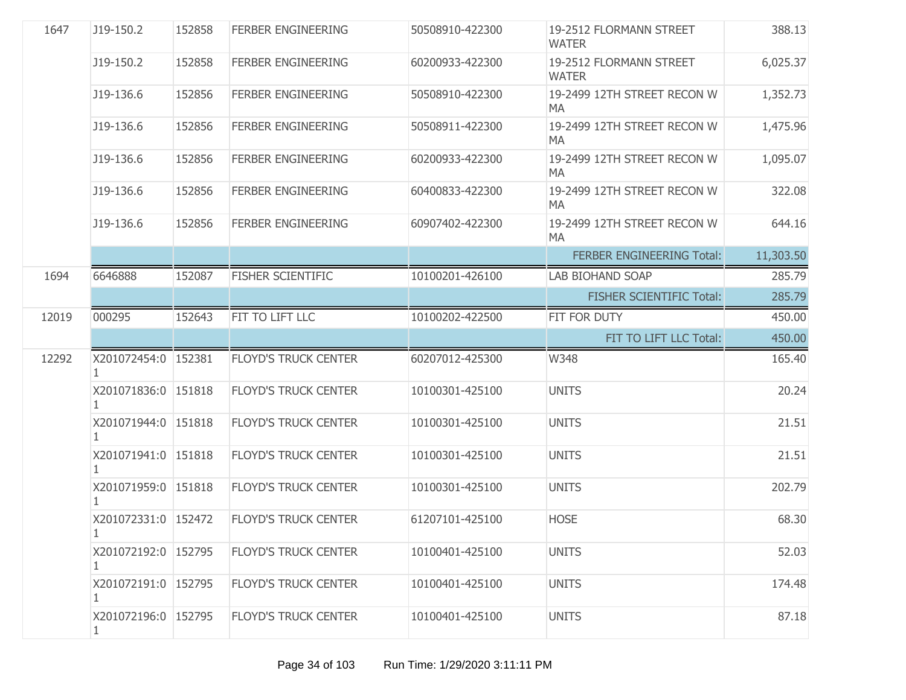| 1647  | J19-150.2                           | 152858 | <b>FERBER ENGINEERING</b>   | 50508910-422300 | 19-2512 FLORMANN STREET<br><b>WATER</b> | 388.13    |
|-------|-------------------------------------|--------|-----------------------------|-----------------|-----------------------------------------|-----------|
|       | J19-150.2                           | 152858 | <b>FERBER ENGINEERING</b>   | 60200933-422300 | 19-2512 FLORMANN STREET<br><b>WATER</b> | 6,025.37  |
|       | J19-136.6                           | 152856 | <b>FERBER ENGINEERING</b>   | 50508910-422300 | 19-2499 12TH STREET RECON W<br>MA       | 1,352.73  |
|       | J19-136.6                           | 152856 | <b>FERBER ENGINEERING</b>   | 50508911-422300 | 19-2499 12TH STREET RECON W<br>MA       | 1,475.96  |
|       | J19-136.6                           | 152856 | <b>FERBER ENGINEERING</b>   | 60200933-422300 | 19-2499 12TH STREET RECON W<br>MA       | 1,095.07  |
|       | J19-136.6                           | 152856 | <b>FERBER ENGINEERING</b>   | 60400833-422300 | 19-2499 12TH STREET RECON W<br>MA       | 322.08    |
|       | J19-136.6                           | 152856 | <b>FERBER ENGINEERING</b>   | 60907402-422300 | 19-2499 12TH STREET RECON W<br>MA       | 644.16    |
|       |                                     |        |                             |                 | <b>FERBER ENGINEERING Total:</b>        | 11,303.50 |
| 1694  | 6646888                             | 152087 | <b>FISHER SCIENTIFIC</b>    | 10100201-426100 | <b>LAB BIOHAND SOAP</b>                 | 285.79    |
|       |                                     |        |                             |                 | <b>FISHER SCIENTIFIC Total:</b>         | 285.79    |
| 12019 | 000295                              | 152643 | FIT TO LIFT LLC             | 10100202-422500 | FIT FOR DUTY                            | 450.00    |
|       |                                     |        |                             |                 | FIT TO LIFT LLC Total:                  | 450.00    |
| 12292 | X201072454:0 152381                 |        | <b>FLOYD'S TRUCK CENTER</b> | 60207012-425300 | W348                                    | 165.40    |
|       | X201071836:0 151818                 |        | <b>FLOYD'S TRUCK CENTER</b> | 10100301-425100 | <b>UNITS</b>                            | 20.24     |
|       | X201071944:0 151818<br>1.           |        | <b>FLOYD'S TRUCK CENTER</b> | 10100301-425100 | <b>UNITS</b>                            | 21.51     |
|       | X201071941:0 151818                 |        | <b>FLOYD'S TRUCK CENTER</b> | 10100301-425100 | <b>UNITS</b>                            | 21.51     |
|       | X201071959:0 151818                 |        | <b>FLOYD'S TRUCK CENTER</b> | 10100301-425100 | <b>UNITS</b>                            | 202.79    |
|       | X201072331:0 152472                 |        | <b>FLOYD'S TRUCK CENTER</b> | 61207101-425100 | <b>HOSE</b>                             | 68.30     |
|       | X201072192:0 152795<br>1            |        | <b>FLOYD'S TRUCK CENTER</b> | 10100401-425100 | <b>UNITS</b>                            | 52.03     |
|       | X201072191:0 152795                 |        | <b>FLOYD'S TRUCK CENTER</b> | 10100401-425100 | <b>UNITS</b>                            | 174.48    |
|       | X201072196:0 152795<br>$\mathbf{1}$ |        | <b>FLOYD'S TRUCK CENTER</b> | 10100401-425100 | <b>UNITS</b>                            | 87.18     |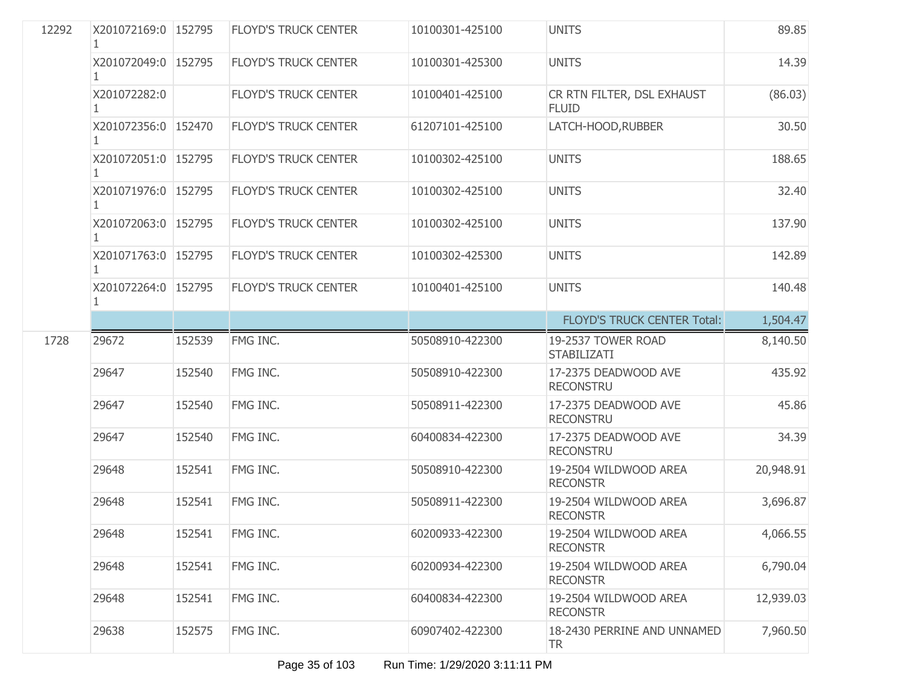| 12292 | X201072169:0 152795 |        | <b>FLOYD'S TRUCK CENTER</b> | 10100301-425100 | <b>UNITS</b>                               | 89.85     |
|-------|---------------------|--------|-----------------------------|-----------------|--------------------------------------------|-----------|
|       | X201072049:0 152795 |        | <b>FLOYD'S TRUCK CENTER</b> | 10100301-425300 | <b>UNITS</b>                               | 14.39     |
|       | X201072282:0        |        | <b>FLOYD'S TRUCK CENTER</b> | 10100401-425100 | CR RTN FILTER, DSL EXHAUST<br><b>FLUID</b> | (86.03)   |
|       | X201072356:0 152470 |        | <b>FLOYD'S TRUCK CENTER</b> | 61207101-425100 | LATCH-HOOD, RUBBER                         | 30.50     |
|       | X201072051:0 152795 |        | <b>FLOYD'S TRUCK CENTER</b> | 10100302-425100 | <b>UNITS</b>                               | 188.65    |
|       | X201071976:0 152795 |        | <b>FLOYD'S TRUCK CENTER</b> | 10100302-425100 | <b>UNITS</b>                               | 32.40     |
|       | X201072063:0 152795 |        | <b>FLOYD'S TRUCK CENTER</b> | 10100302-425100 | <b>UNITS</b>                               | 137.90    |
|       | X201071763:0 152795 |        | <b>FLOYD'S TRUCK CENTER</b> | 10100302-425300 | <b>UNITS</b>                               | 142.89    |
|       | X201072264:0 152795 |        | <b>FLOYD'S TRUCK CENTER</b> | 10100401-425100 | <b>UNITS</b>                               | 140.48    |
|       |                     |        |                             |                 | <b>FLOYD'S TRUCK CENTER Total:</b>         | 1,504.47  |
| 1728  | 29672               | 152539 | FMG INC.                    | 50508910-422300 | 19-2537 TOWER ROAD<br><b>STABILIZATI</b>   | 8,140.50  |
|       | 29647               | 152540 | FMG INC.                    | 50508910-422300 | 17-2375 DEADWOOD AVE<br><b>RECONSTRU</b>   | 435.92    |
|       | 29647               | 152540 | FMG INC.                    | 50508911-422300 | 17-2375 DEADWOOD AVE<br><b>RECONSTRU</b>   | 45.86     |
|       | 29647               | 152540 | FMG INC.                    | 60400834-422300 | 17-2375 DEADWOOD AVE<br><b>RECONSTRU</b>   | 34.39     |
|       | 29648               | 152541 | FMG INC.                    | 50508910-422300 | 19-2504 WILDWOOD AREA<br><b>RECONSTR</b>   | 20,948.91 |
|       | 29648               | 152541 | FMG INC.                    | 50508911-422300 | 19-2504 WILDWOOD AREA<br><b>RECONSTR</b>   | 3,696.87  |
|       | 29648               | 152541 | FMG INC.                    | 60200933-422300 | 19-2504 WILDWOOD AREA<br><b>RECONSTR</b>   | 4,066.55  |
|       | 29648               | 152541 | FMG INC.                    | 60200934-422300 | 19-2504 WILDWOOD AREA<br><b>RECONSTR</b>   | 6,790.04  |
|       | 29648               | 152541 | FMG INC.                    | 60400834-422300 | 19-2504 WILDWOOD AREA<br><b>RECONSTR</b>   | 12,939.03 |
|       | 29638               | 152575 | FMG INC.                    | 60907402-422300 | 18-2430 PERRINE AND UNNAMED<br><b>TR</b>   | 7,960.50  |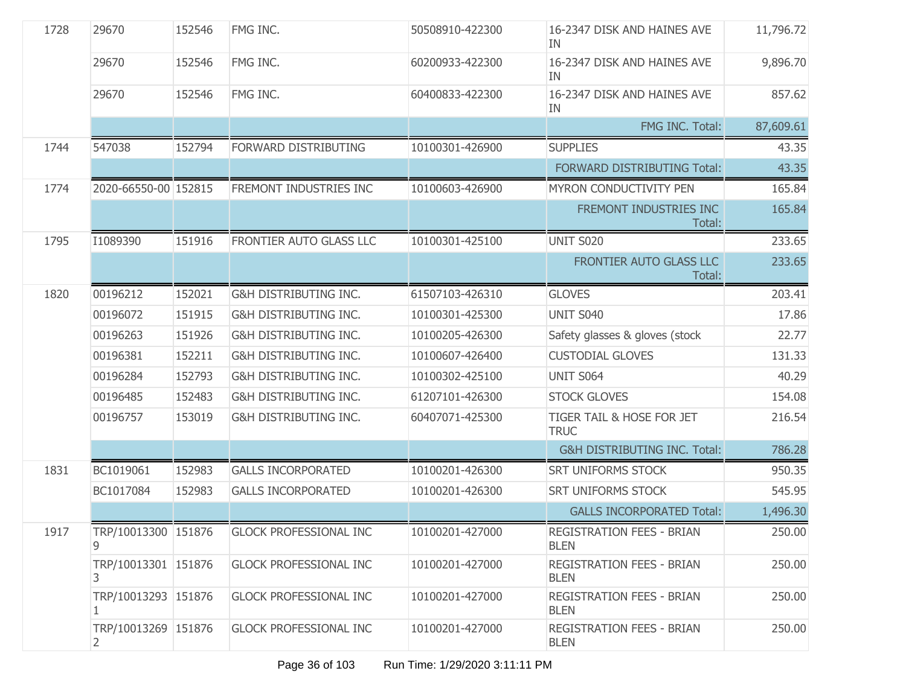| 1728 | 29670                     | 152546 | FMG INC.                         | 50508910-422300 | 16-2347 DISK AND HAINES AVE<br>ΙN.              | 11,796.72 |
|------|---------------------------|--------|----------------------------------|-----------------|-------------------------------------------------|-----------|
|      | 29670                     | 152546 | FMG INC.                         | 60200933-422300 | 16-2347 DISK AND HAINES AVE<br>IN               | 9,896.70  |
|      | 29670                     | 152546 | FMG INC.                         | 60400833-422300 | 16-2347 DISK AND HAINES AVE<br>IN               | 857.62    |
|      |                           |        |                                  |                 | FMG INC. Total:                                 | 87,609.61 |
| 1744 | 547038                    | 152794 | FORWARD DISTRIBUTING             | 10100301-426900 | <b>SUPPLIES</b>                                 | 43.35     |
|      |                           |        |                                  |                 | FORWARD DISTRIBUTING Total:                     | 43.35     |
| 1774 | 2020-66550-00 152815      |        | FREMONT INDUSTRIES INC           | 10100603-426900 | MYRON CONDUCTIVITY PEN                          | 165.84    |
|      |                           |        |                                  |                 | FREMONT INDUSTRIES INC<br>Total:                | 165.84    |
| 1795 | I1089390                  | 151916 | FRONTIER AUTO GLASS LLC          | 10100301-425100 | <b>UNIT S020</b>                                | 233.65    |
|      |                           |        |                                  |                 | FRONTIER AUTO GLASS LLC<br>Total:               | 233.65    |
| 1820 | 00196212                  | 152021 | <b>G&amp;H DISTRIBUTING INC.</b> | 61507103-426310 | <b>GLOVES</b>                                   | 203.41    |
|      | 00196072                  | 151915 | <b>G&amp;H DISTRIBUTING INC.</b> | 10100301-425300 | <b>UNIT S040</b>                                | 17.86     |
|      | 00196263                  | 151926 | <b>G&amp;H DISTRIBUTING INC.</b> | 10100205-426300 | Safety glasses & gloves (stock                  | 22.77     |
|      | 00196381                  | 152211 | <b>G&amp;H DISTRIBUTING INC.</b> | 10100607-426400 | <b>CUSTODIAL GLOVES</b>                         | 131.33    |
|      | 00196284                  | 152793 | <b>G&amp;H DISTRIBUTING INC.</b> | 10100302-425100 | UNIT S064                                       | 40.29     |
|      | 00196485                  | 152483 | <b>G&amp;H DISTRIBUTING INC.</b> | 61207101-426300 | <b>STOCK GLOVES</b>                             | 154.08    |
|      | 00196757                  | 153019 | <b>G&amp;H DISTRIBUTING INC.</b> | 60407071-425300 | TIGER TAIL & HOSE FOR JET<br><b>TRUC</b>        | 216.54    |
|      |                           |        |                                  |                 | G&H DISTRIBUTING INC. Total:                    | 786.28    |
| 1831 | BC1019061                 | 152983 | <b>GALLS INCORPORATED</b>        | 10100201-426300 | <b>SRT UNIFORMS STOCK</b>                       | 950.35    |
|      | BC1017084                 | 152983 | <b>GALLS INCORPORATED</b>        | 10100201-426300 | <b>SRT UNIFORMS STOCK</b>                       | 545.95    |
|      |                           |        |                                  |                 | <b>GALLS INCORPORATED Total:</b>                | 1,496.30  |
| 1917 | TRP/10013300 151876       |        | <b>GLOCK PROFESSIONAL INC</b>    | 10100201-427000 | REGISTRATION FEES - BRIAN<br><b>BLEN</b>        | 250.00    |
|      | TRP/10013301 151876<br>3. |        | <b>GLOCK PROFESSIONAL INC</b>    | 10100201-427000 | REGISTRATION FEES - BRIAN<br><b>BLEN</b>        | 250.00    |
|      | TRP/10013293 151876       |        | <b>GLOCK PROFESSIONAL INC</b>    | 10100201-427000 | <b>REGISTRATION FEES - BRIAN</b><br><b>BLEN</b> | 250.00    |
|      | TRP/10013269 151876<br>2  |        | <b>GLOCK PROFESSIONAL INC</b>    | 10100201-427000 | <b>REGISTRATION FEES - BRIAN</b><br><b>BLEN</b> | 250.00    |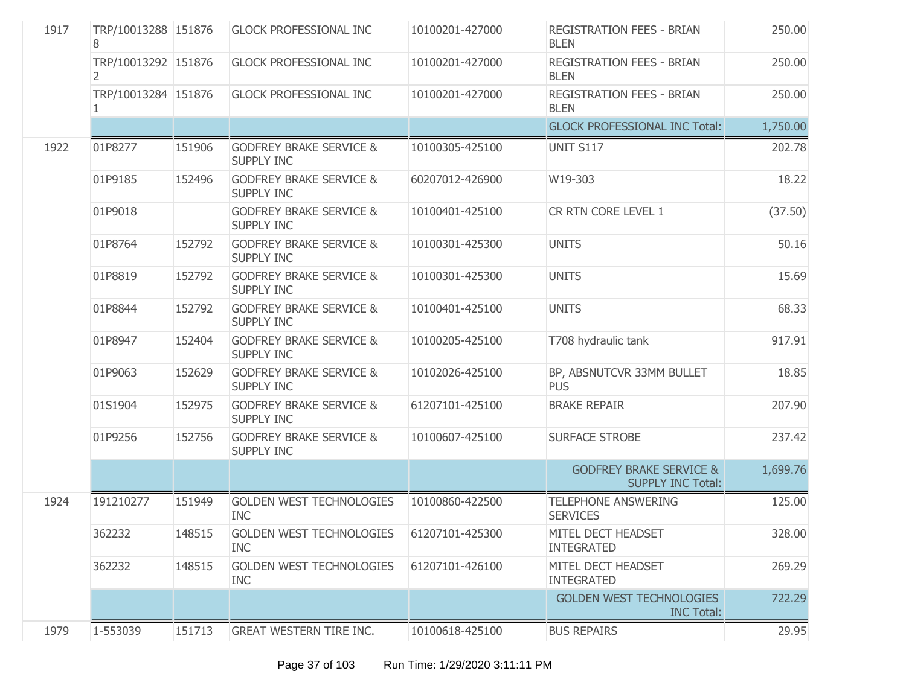| 1917 | TRP/10013288 151876<br>8 |        | <b>GLOCK PROFESSIONAL INC</b>                           | 10100201-427000 | <b>REGISTRATION FEES - BRIAN</b><br><b>BLEN</b>                | 250.00   |
|------|--------------------------|--------|---------------------------------------------------------|-----------------|----------------------------------------------------------------|----------|
|      | TRP/10013292 151876<br>2 |        | <b>GLOCK PROFESSIONAL INC</b>                           | 10100201-427000 | <b>REGISTRATION FEES - BRIAN</b><br><b>BLEN</b>                | 250.00   |
|      | TRP/10013284 151876<br>1 |        | <b>GLOCK PROFESSIONAL INC</b>                           | 10100201-427000 | <b>REGISTRATION FEES - BRIAN</b><br><b>BLEN</b>                | 250.00   |
|      |                          |        |                                                         |                 | <b>GLOCK PROFESSIONAL INC Total:</b>                           | 1,750.00 |
| 1922 | 01P8277                  | 151906 | <b>GODFREY BRAKE SERVICE &amp;</b><br><b>SUPPLY INC</b> | 10100305-425100 | <b>UNIT S117</b>                                               | 202.78   |
|      | 01P9185                  | 152496 | <b>GODFREY BRAKE SERVICE &amp;</b><br><b>SUPPLY INC</b> | 60207012-426900 | W19-303                                                        | 18.22    |
|      | 01P9018                  |        | <b>GODFREY BRAKE SERVICE &amp;</b><br><b>SUPPLY INC</b> | 10100401-425100 | CR RTN CORE LEVEL 1                                            | (37.50)  |
|      | 01P8764                  | 152792 | <b>GODFREY BRAKE SERVICE &amp;</b><br><b>SUPPLY INC</b> | 10100301-425300 | <b>UNITS</b>                                                   | 50.16    |
|      | 01P8819                  | 152792 | <b>GODFREY BRAKE SERVICE &amp;</b><br><b>SUPPLY INC</b> | 10100301-425300 | <b>UNITS</b>                                                   | 15.69    |
|      | 01P8844                  | 152792 | <b>GODFREY BRAKE SERVICE &amp;</b><br><b>SUPPLY INC</b> | 10100401-425100 | <b>UNITS</b>                                                   | 68.33    |
|      | 01P8947                  | 152404 | <b>GODFREY BRAKE SERVICE &amp;</b><br><b>SUPPLY INC</b> | 10100205-425100 | T708 hydraulic tank                                            | 917.91   |
|      | 01P9063                  | 152629 | <b>GODFREY BRAKE SERVICE &amp;</b><br><b>SUPPLY INC</b> | 10102026-425100 | BP, ABSNUTCVR 33MM BULLET<br><b>PUS</b>                        | 18.85    |
|      | 01S1904                  | 152975 | <b>GODFREY BRAKE SERVICE &amp;</b><br><b>SUPPLY INC</b> | 61207101-425100 | <b>BRAKE REPAIR</b>                                            | 207.90   |
|      | 01P9256                  | 152756 | <b>GODFREY BRAKE SERVICE &amp;</b><br><b>SUPPLY INC</b> | 10100607-425100 | <b>SURFACE STROBE</b>                                          | 237.42   |
|      |                          |        |                                                         |                 | <b>GODFREY BRAKE SERVICE &amp;</b><br><b>SUPPLY INC Total:</b> | 1,699.76 |
| 1924 | 191210277                | 151949 | <b>GOLDEN WEST TECHNOLOGIES</b><br><b>INC</b>           | 10100860-422500 | <b>TELEPHONE ANSWERING</b><br><b>SERVICES</b>                  | 125.00   |
|      | 362232                   | 148515 | GOLDEN WEST TECHNOLOGIES<br><b>INC</b>                  | 61207101-425300 | MITEL DECT HEADSET<br><b>INTEGRATED</b>                        | 328.00   |
|      | 362232                   | 148515 | <b>GOLDEN WEST TECHNOLOGIES</b><br><b>INC</b>           | 61207101-426100 | MITEL DECT HEADSET<br><b>INTEGRATED</b>                        | 269.29   |
|      |                          |        |                                                         |                 | <b>GOLDEN WEST TECHNOLOGIES</b><br><b>INC Total:</b>           | 722.29   |
| 1979 | 1-553039                 | 151713 | <b>GREAT WESTERN TIRE INC.</b>                          | 10100618-425100 | <b>BUS REPAIRS</b>                                             | 29.95    |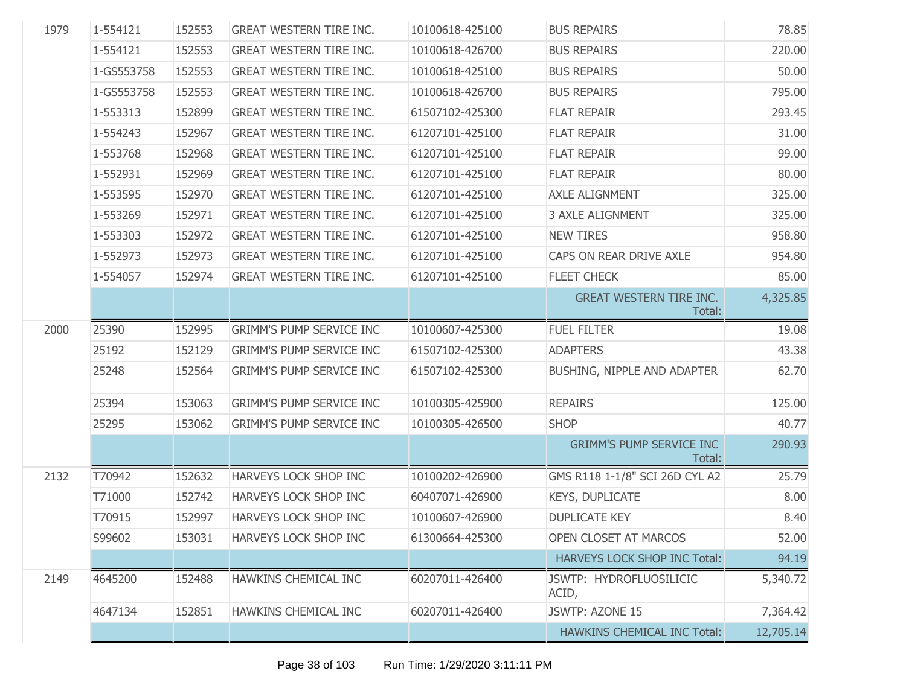| 1979 | 1-554121   | 152553 | <b>GREAT WESTERN TIRE INC.</b>  | 10100618-425100 | <b>BUS REPAIRS</b>                        | 78.85     |
|------|------------|--------|---------------------------------|-----------------|-------------------------------------------|-----------|
|      | 1-554121   | 152553 | <b>GREAT WESTERN TIRE INC.</b>  | 10100618-426700 | <b>BUS REPAIRS</b>                        | 220.00    |
|      | 1-GS553758 | 152553 | <b>GREAT WESTERN TIRE INC.</b>  | 10100618-425100 | <b>BUS REPAIRS</b>                        | 50.00     |
|      | 1-GS553758 | 152553 | <b>GREAT WESTERN TIRE INC.</b>  | 10100618-426700 | <b>BUS REPAIRS</b>                        | 795.00    |
|      | 1-553313   | 152899 | <b>GREAT WESTERN TIRE INC.</b>  | 61507102-425300 | <b>FLAT REPAIR</b>                        | 293.45    |
|      | 1-554243   | 152967 | <b>GREAT WESTERN TIRE INC.</b>  | 61207101-425100 | <b>FLAT REPAIR</b>                        | 31.00     |
|      | 1-553768   | 152968 | <b>GREAT WESTERN TIRE INC.</b>  | 61207101-425100 | <b>FLAT REPAIR</b>                        | 99.00     |
|      | 1-552931   | 152969 | <b>GREAT WESTERN TIRE INC.</b>  | 61207101-425100 | <b>FLAT REPAIR</b>                        | 80.00     |
|      | 1-553595   | 152970 | <b>GREAT WESTERN TIRE INC.</b>  | 61207101-425100 | <b>AXLE ALIGNMENT</b>                     | 325.00    |
|      | 1-553269   | 152971 | <b>GREAT WESTERN TIRE INC.</b>  | 61207101-425100 | <b>3 AXLE ALIGNMENT</b>                   | 325.00    |
|      | 1-553303   | 152972 | <b>GREAT WESTERN TIRE INC.</b>  | 61207101-425100 | <b>NEW TIRES</b>                          | 958.80    |
|      | 1-552973   | 152973 | <b>GREAT WESTERN TIRE INC.</b>  | 61207101-425100 | CAPS ON REAR DRIVE AXLE                   | 954.80    |
|      | 1-554057   | 152974 | <b>GREAT WESTERN TIRE INC.</b>  | 61207101-425100 | FLEET CHECK                               | 85.00     |
|      |            |        |                                 |                 | <b>GREAT WESTERN TIRE INC.</b><br>Total:  | 4,325.85  |
| 2000 | 25390      | 152995 | <b>GRIMM'S PUMP SERVICE INC</b> | 10100607-425300 | <b>FUEL FILTER</b>                        | 19.08     |
|      | 25192      | 152129 | <b>GRIMM'S PUMP SERVICE INC</b> | 61507102-425300 | <b>ADAPTERS</b>                           | 43.38     |
|      | 25248      | 152564 | <b>GRIMM'S PUMP SERVICE INC</b> | 61507102-425300 | BUSHING, NIPPLE AND ADAPTER               | 62.70     |
|      | 25394      | 153063 | <b>GRIMM'S PUMP SERVICE INC</b> | 10100305-425900 | <b>REPAIRS</b>                            | 125.00    |
|      | 25295      | 153062 | <b>GRIMM'S PUMP SERVICE INC</b> | 10100305-426500 | <b>SHOP</b>                               | 40.77     |
|      |            |        |                                 |                 | <b>GRIMM'S PUMP SERVICE INC</b><br>Total: | 290.93    |
| 2132 | T70942     | 152632 | HARVEYS LOCK SHOP INC           | 10100202-426900 | GMS R118 1-1/8" SCI 26D CYL A2            | 25.79     |
|      | T71000     | 152742 | HARVEYS LOCK SHOP INC           | 60407071-426900 | <b>KEYS, DUPLICATE</b>                    | 8.00      |
|      | T70915     | 152997 | HARVEYS LOCK SHOP INC           | 10100607-426900 | <b>DUPLICATE KEY</b>                      | 8.40      |
|      | S99602     | 153031 | HARVEYS LOCK SHOP INC           | 61300664-425300 | OPEN CLOSET AT MARCOS                     | 52.00     |
|      |            |        |                                 |                 | HARVEYS LOCK SHOP INC Total:              | 94.19     |
| 2149 | 4645200    | 152488 | HAWKINS CHEMICAL INC            | 60207011-426400 | JSWTP: HYDROFLUOSILICIC<br>ACID,          | 5,340.72  |
|      | 4647134    | 152851 | HAWKINS CHEMICAL INC            | 60207011-426400 | JSWTP: AZONE 15                           | 7,364.42  |
|      |            |        |                                 |                 | <b>HAWKINS CHEMICAL INC Total:</b>        | 12,705.14 |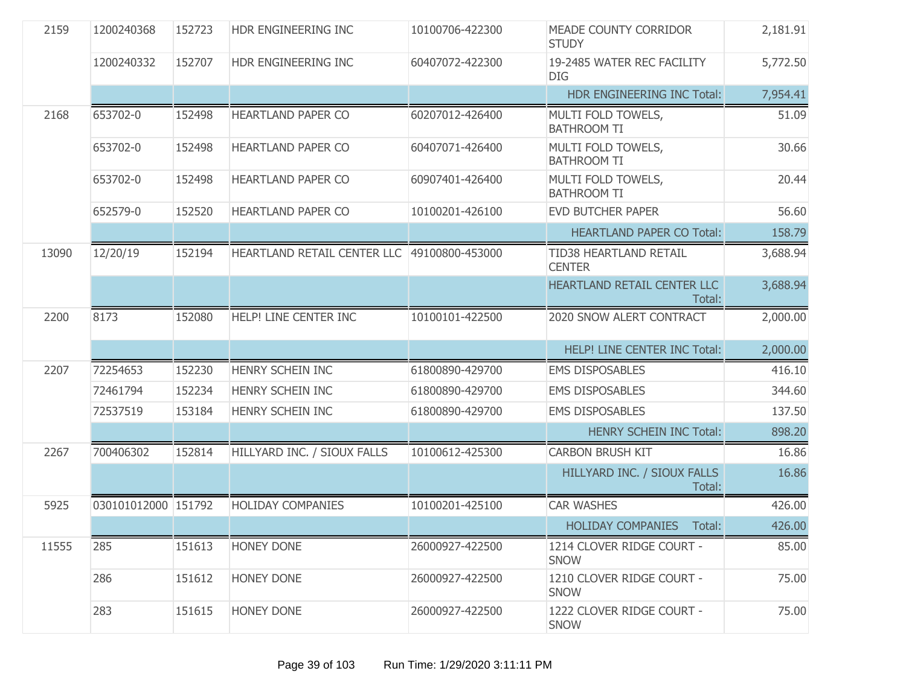| 2159  | 1200240368          | 152723 | HDR ENGINEERING INC                         | 10100706-422300 | MEADE COUNTY CORRIDOR<br><b>STUDY</b>    | 2,181.91 |
|-------|---------------------|--------|---------------------------------------------|-----------------|------------------------------------------|----------|
|       | 1200240332          | 152707 | HDR ENGINEERING INC                         | 60407072-422300 | 19-2485 WATER REC FACILITY<br><b>DIG</b> | 5,772.50 |
|       |                     |        |                                             |                 | HDR ENGINEERING INC Total:               | 7,954.41 |
| 2168  | 653702-0            | 152498 | <b>HEARTLAND PAPER CO</b>                   | 60207012-426400 | MULTI FOLD TOWELS,<br><b>BATHROOM TI</b> | 51.09    |
|       | 653702-0            | 152498 | <b>HEARTLAND PAPER CO</b>                   | 60407071-426400 | MULTI FOLD TOWELS,<br><b>BATHROOM TI</b> | 30.66    |
|       | 653702-0            | 152498 | HEARTLAND PAPER CO                          | 60907401-426400 | MULTI FOLD TOWELS,<br><b>BATHROOM TI</b> | 20.44    |
|       | 652579-0            | 152520 | <b>HEARTLAND PAPER CO</b>                   | 10100201-426100 | <b>EVD BUTCHER PAPER</b>                 | 56.60    |
|       |                     |        |                                             |                 | <b>HEARTLAND PAPER CO Total:</b>         | 158.79   |
| 13090 | 12/20/19            | 152194 | HEARTLAND RETAIL CENTER LLC 49100800-453000 |                 | TID38 HEARTLAND RETAIL<br><b>CENTER</b>  | 3,688.94 |
|       |                     |        |                                             |                 | HEARTLAND RETAIL CENTER LLC<br>Total:    | 3,688.94 |
| 2200  | 8173                | 152080 | HELP! LINE CENTER INC                       | 10100101-422500 | 2020 SNOW ALERT CONTRACT                 | 2,000.00 |
|       |                     |        |                                             |                 | HELP! LINE CENTER INC Total:             | 2,000.00 |
| 2207  | 72254653            | 152230 | <b>HENRY SCHEIN INC</b>                     | 61800890-429700 | <b>EMS DISPOSABLES</b>                   | 416.10   |
|       | 72461794            | 152234 | HENRY SCHEIN INC                            | 61800890-429700 | <b>EMS DISPOSABLES</b>                   | 344.60   |
|       | 72537519            | 153184 | HENRY SCHEIN INC                            | 61800890-429700 | <b>EMS DISPOSABLES</b>                   | 137.50   |
|       |                     |        |                                             |                 | <b>HENRY SCHEIN INC Total:</b>           | 898.20   |
| 2267  | 700406302           | 152814 | HILLYARD INC. / SIOUX FALLS                 | 10100612-425300 | <b>CARBON BRUSH KIT</b>                  | 16.86    |
|       |                     |        |                                             |                 | HILLYARD INC. / SIOUX FALLS<br>Total:    | 16.86    |
| 5925  | 030101012000 151792 |        | <b>HOLIDAY COMPANIES</b>                    | 10100201-425100 | <b>CAR WASHES</b>                        | 426.00   |
|       |                     |        |                                             |                 | <b>HOLIDAY COMPANIES</b><br>Total:       | 426.00   |
| 11555 | 285                 | 151613 | HONEY DONE                                  | 26000927-422500 | 1214 CLOVER RIDGE COURT -<br><b>SNOW</b> | 85.00    |
|       | 286                 | 151612 | <b>HONEY DONE</b>                           | 26000927-422500 | 1210 CLOVER RIDGE COURT -<br><b>SNOW</b> | 75.00    |
|       | 283                 | 151615 | <b>HONEY DONE</b>                           | 26000927-422500 | 1222 CLOVER RIDGE COURT -<br><b>SNOW</b> | 75.00    |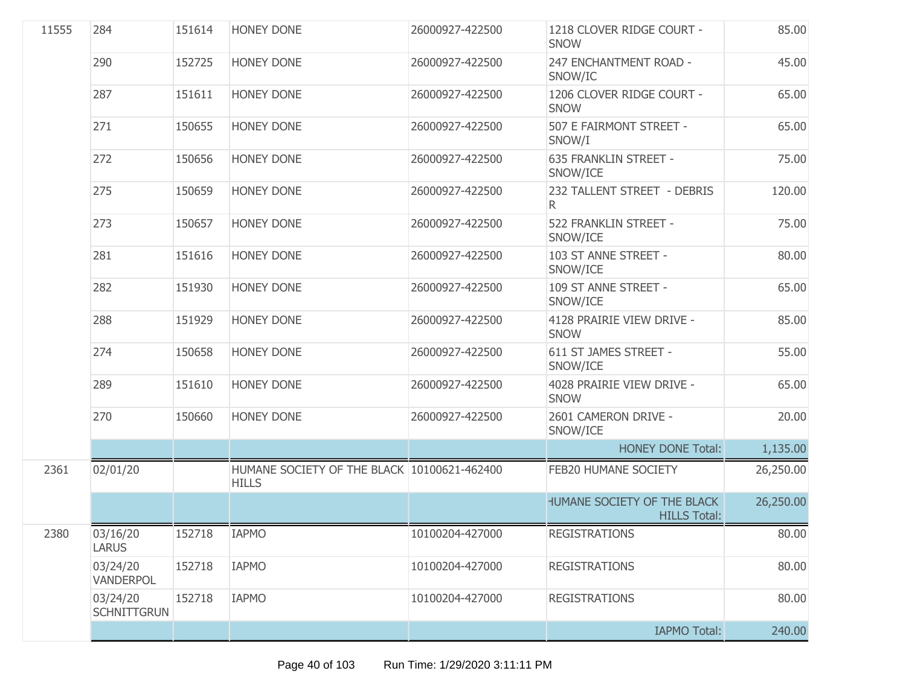| 11555 | 284                            | 151614 | <b>HONEY DONE</b>                                           | 26000927-422500 | 1218 CLOVER RIDGE COURT -<br><b>SNOW</b>           | 85.00     |
|-------|--------------------------------|--------|-------------------------------------------------------------|-----------------|----------------------------------------------------|-----------|
|       | 290                            | 152725 | <b>HONEY DONE</b>                                           | 26000927-422500 | 247 ENCHANTMENT ROAD -<br>SNOW/IC                  | 45.00     |
|       | 287                            | 151611 | HONEY DONE                                                  | 26000927-422500 | 1206 CLOVER RIDGE COURT -<br><b>SNOW</b>           | 65.00     |
|       | 271                            | 150655 | <b>HONEY DONE</b>                                           | 26000927-422500 | 507 E FAIRMONT STREET -<br>SNOW/I                  | 65.00     |
|       | 272                            | 150656 | <b>HONEY DONE</b>                                           | 26000927-422500 | <b>635 FRANKLIN STREET -</b><br>SNOW/ICE           | 75.00     |
|       | 275                            | 150659 | <b>HONEY DONE</b>                                           | 26000927-422500 | 232 TALLENT STREET - DEBRIS<br>R.                  | 120.00    |
|       | 273                            | 150657 | HONEY DONE                                                  | 26000927-422500 | 522 FRANKLIN STREET -<br>SNOW/ICE                  | 75.00     |
|       | 281                            | 151616 | <b>HONEY DONE</b>                                           | 26000927-422500 | 103 ST ANNE STREET -<br>SNOW/ICE                   | 80.00     |
|       | 282                            | 151930 | <b>HONEY DONE</b>                                           | 26000927-422500 | 109 ST ANNE STREET -<br>SNOW/ICE                   | 65.00     |
|       | 288                            | 151929 | <b>HONEY DONE</b>                                           | 26000927-422500 | 4128 PRAIRIE VIEW DRIVE -<br><b>SNOW</b>           | 85.00     |
|       | 274                            | 150658 | <b>HONEY DONE</b>                                           | 26000927-422500 | 611 ST JAMES STREET -<br>SNOW/ICE                  | 55.00     |
|       | 289                            | 151610 | HONEY DONE                                                  | 26000927-422500 | 4028 PRAIRIE VIEW DRIVE -<br><b>SNOW</b>           | 65.00     |
|       | 270                            | 150660 | HONEY DONE                                                  | 26000927-422500 | 2601 CAMERON DRIVE -<br>SNOW/ICE                   | 20.00     |
|       |                                |        |                                                             |                 | <b>HONEY DONE Total:</b>                           | 1,135.00  |
| 2361  | 02/01/20                       |        | HUMANE SOCIETY OF THE BLACK 10100621-462400<br><b>HILLS</b> |                 | FEB20 HUMANE SOCIETY                               | 26,250.00 |
|       |                                |        |                                                             |                 | HUMANE SOCIETY OF THE BLACK<br><b>HILLS Total:</b> | 26,250.00 |
| 2380  | 03/16/20<br><b>LARUS</b>       | 152718 | <b>IAPMO</b>                                                | 10100204-427000 | <b>REGISTRATIONS</b>                               | 80.00     |
|       | 03/24/20<br><b>VANDERPOL</b>   | 152718 | <b>IAPMO</b>                                                | 10100204-427000 | <b>REGISTRATIONS</b>                               | 80.00     |
|       | 03/24/20<br><b>SCHNITTGRUN</b> | 152718 | <b>IAPMO</b>                                                | 10100204-427000 | <b>REGISTRATIONS</b>                               | 80.00     |
|       |                                |        |                                                             |                 | <b>IAPMO Total:</b>                                | 240.00    |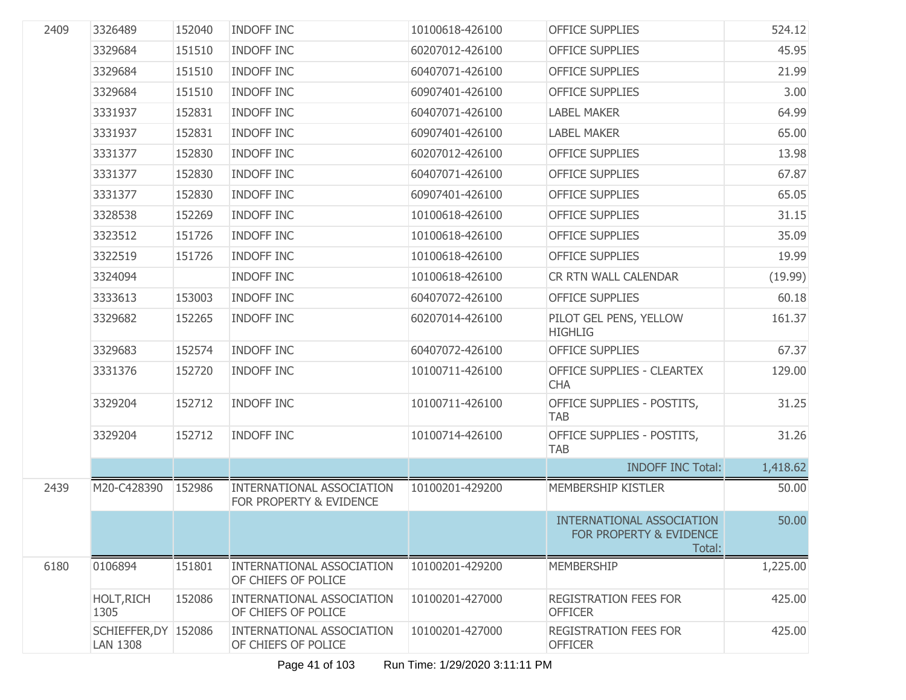| 2409 | 3326489                                 | 152040 | <b>INDOFF INC</b>                                           | 10100618-426100 | <b>OFFICE SUPPLIES</b>                                         | 524.12   |
|------|-----------------------------------------|--------|-------------------------------------------------------------|-----------------|----------------------------------------------------------------|----------|
|      | 3329684                                 | 151510 | <b>INDOFF INC</b>                                           | 60207012-426100 | <b>OFFICE SUPPLIES</b>                                         | 45.95    |
|      | 3329684                                 | 151510 | <b>INDOFF INC</b>                                           | 60407071-426100 | <b>OFFICE SUPPLIES</b>                                         | 21.99    |
|      | 3329684                                 | 151510 | <b>INDOFF INC</b>                                           | 60907401-426100 | <b>OFFICE SUPPLIES</b>                                         | 3.00     |
|      | 3331937                                 | 152831 | <b>INDOFF INC</b>                                           | 60407071-426100 | <b>LABEL MAKER</b>                                             | 64.99    |
|      | 3331937                                 | 152831 | <b>INDOFF INC</b>                                           | 60907401-426100 | <b>LABEL MAKER</b>                                             | 65.00    |
|      | 3331377                                 | 152830 | <b>INDOFF INC</b>                                           | 60207012-426100 | <b>OFFICE SUPPLIES</b>                                         | 13.98    |
|      | 3331377                                 | 152830 | <b>INDOFF INC</b>                                           | 60407071-426100 | <b>OFFICE SUPPLIES</b>                                         | 67.87    |
|      | 3331377                                 | 152830 | <b>INDOFF INC</b>                                           | 60907401-426100 | <b>OFFICE SUPPLIES</b>                                         | 65.05    |
|      | 3328538                                 | 152269 | <b>INDOFF INC</b>                                           | 10100618-426100 | <b>OFFICE SUPPLIES</b>                                         | 31.15    |
|      | 3323512                                 | 151726 | <b>INDOFF INC</b>                                           | 10100618-426100 | <b>OFFICE SUPPLIES</b>                                         | 35.09    |
|      | 3322519                                 | 151726 | <b>INDOFF INC</b>                                           | 10100618-426100 | <b>OFFICE SUPPLIES</b>                                         | 19.99    |
|      | 3324094                                 |        | INDOFF INC                                                  | 10100618-426100 | CR RTN WALL CALENDAR                                           | (19.99)  |
|      | 3333613                                 | 153003 | INDOFF INC                                                  | 60407072-426100 | <b>OFFICE SUPPLIES</b>                                         | 60.18    |
|      | 3329682                                 | 152265 | INDOFF INC                                                  | 60207014-426100 | PILOT GEL PENS, YELLOW<br><b>HIGHLIG</b>                       | 161.37   |
|      | 3329683                                 | 152574 | <b>INDOFF INC</b>                                           | 60407072-426100 | <b>OFFICE SUPPLIES</b>                                         | 67.37    |
|      | 3331376                                 | 152720 | <b>INDOFF INC</b>                                           | 10100711-426100 | <b>OFFICE SUPPLIES - CLEARTEX</b><br><b>CHA</b>                | 129.00   |
|      | 3329204                                 | 152712 | <b>INDOFF INC</b>                                           | 10100711-426100 | OFFICE SUPPLIES - POSTITS,<br><b>TAB</b>                       | 31.25    |
|      | 3329204                                 | 152712 | <b>INDOFF INC</b>                                           | 10100714-426100 | OFFICE SUPPLIES - POSTITS,<br><b>TAB</b>                       | 31.26    |
|      |                                         |        |                                                             |                 | <b>INDOFF INC Total:</b>                                       | 1,418.62 |
| 2439 | M20-C428390                             | 152986 | <b>INTERNATIONAL ASSOCIATION</b><br>FOR PROPERTY & EVIDENCE | 10100201-429200 | MEMBERSHIP KISTLER                                             | 50.00    |
|      |                                         |        |                                                             |                 | INTERNATIONAL ASSOCIATION<br>FOR PROPERTY & EVIDENCE<br>Total: | 50.00    |
| 6180 | 0106894                                 | 151801 | <b>INTERNATIONAL ASSOCIATION</b><br>OF CHIEFS OF POLICE     | 10100201-429200 | <b>MEMBERSHIP</b>                                              | 1,225.00 |
|      | <b>HOLT, RICH</b><br>1305               | 152086 | INTERNATIONAL ASSOCIATION<br>OF CHIEFS OF POLICE            | 10100201-427000 | <b>REGISTRATION FEES FOR</b><br><b>OFFICER</b>                 | 425.00   |
|      | SCHIEFFER, DY 152086<br><b>LAN 1308</b> |        | INTERNATIONAL ASSOCIATION<br>OF CHIEFS OF POLICE            | 10100201-427000 | REGISTRATION FEES FOR<br><b>OFFICER</b>                        | 425.00   |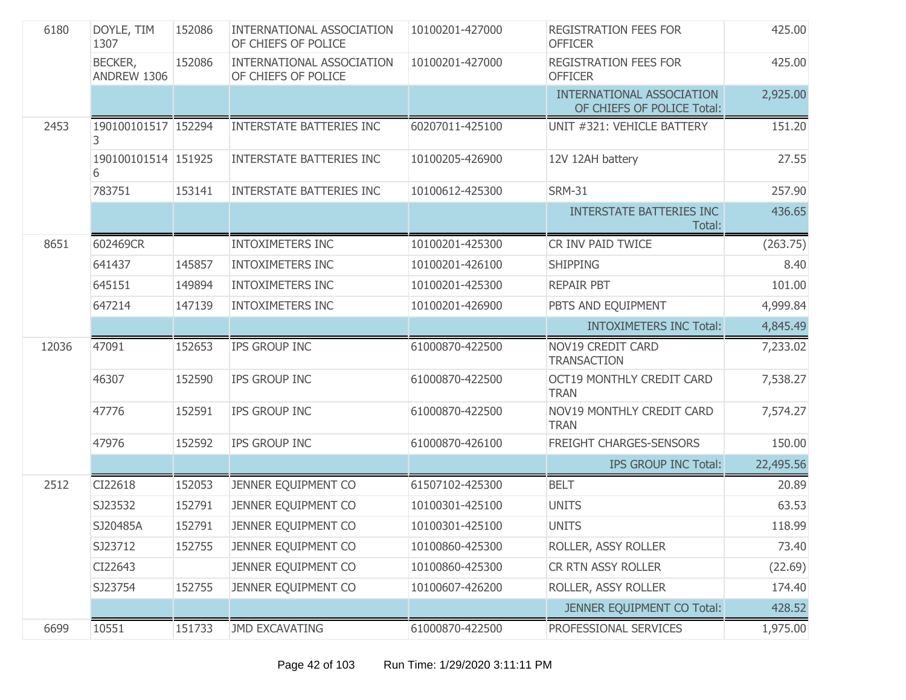| 6180  | DOYLE, TIM<br>1307       | 152086 | INTERNATIONAL ASSOCIATION<br>OF CHIEFS OF POLICE        | 10100201-427000 | <b>REGISTRATION FEES FOR</b><br><b>OFFICER</b>                 | 425.00    |
|-------|--------------------------|--------|---------------------------------------------------------|-----------------|----------------------------------------------------------------|-----------|
|       | BECKER,<br>ANDREW 1306   | 152086 | <b>INTERNATIONAL ASSOCIATION</b><br>OF CHIEFS OF POLICE | 10100201-427000 | <b>REGISTRATION FEES FOR</b><br><b>OFFICER</b>                 | 425.00    |
|       |                          |        |                                                         |                 | <b>INTERNATIONAL ASSOCIATION</b><br>OF CHIEFS OF POLICE Total: | 2,925.00  |
| 2453  | 190100101517 152294<br>3 |        | <b>INTERSTATE BATTERIES INC</b>                         | 60207011-425100 | UNIT #321: VEHICLE BATTERY                                     | 151.20    |
|       | 190100101514 151925<br>6 |        | <b>INTERSTATE BATTERIES INC</b>                         | 10100205-426900 | 12V 12AH battery                                               | 27.55     |
|       | 783751                   | 153141 | INTERSTATE BATTERIES INC                                | 10100612-425300 | <b>SRM-31</b>                                                  | 257.90    |
|       |                          |        |                                                         |                 | <b>INTERSTATE BATTERIES INC</b><br>Total:                      | 436.65    |
| 8651  | 602469CR                 |        | <b>INTOXIMETERS INC</b>                                 | 10100201-425300 | CR INV PAID TWICE                                              | (263.75)  |
|       | 641437                   | 145857 | <b>INTOXIMETERS INC</b>                                 | 10100201-426100 | <b>SHIPPING</b>                                                | 8.40      |
|       | 645151                   | 149894 | <b>INTOXIMETERS INC</b>                                 | 10100201-425300 | <b>REPAIR PBT</b>                                              | 101.00    |
|       | 647214                   | 147139 | <b>INTOXIMETERS INC</b>                                 | 10100201-426900 | PBTS AND EQUIPMENT                                             | 4,999.84  |
|       |                          |        |                                                         |                 | <b>INTOXIMETERS INC Total:</b>                                 | 4,845.49  |
| 12036 | 47091                    | 152653 | IPS GROUP INC                                           | 61000870-422500 | NOV19 CREDIT CARD<br><b>TRANSACTION</b>                        | 7,233.02  |
|       | 46307                    | 152590 | IPS GROUP INC                                           | 61000870-422500 | <b>OCT19 MONTHLY CREDIT CARD</b><br><b>TRAN</b>                | 7,538.27  |
|       | 47776                    | 152591 | IPS GROUP INC                                           | 61000870-422500 | NOV19 MONTHLY CREDIT CARD<br><b>TRAN</b>                       | 7,574.27  |
|       | 47976                    | 152592 | IPS GROUP INC                                           | 61000870-426100 | FREIGHT CHARGES-SENSORS                                        | 150.00    |
|       |                          |        |                                                         |                 | <b>IPS GROUP INC Total:</b>                                    | 22,495.56 |
| 2512  | CI22618                  | 152053 | JENNER EQUIPMENT CO                                     | 61507102-425300 | <b>BELT</b>                                                    | 20.89     |
|       | SJ23532                  | 152791 | JENNER EQUIPMENT CO                                     | 10100301-425100 | <b>UNITS</b>                                                   | 63.53     |
|       | SJ20485A                 | 152791 | JENNER EQUIPMENT CO                                     | 10100301-425100 | <b>UNITS</b>                                                   | 118.99    |
|       | SJ23712                  | 152755 | JENNER EQUIPMENT CO                                     | 10100860-425300 | ROLLER, ASSY ROLLER                                            | 73.40     |
|       | CI22643                  |        | JENNER EQUIPMENT CO                                     | 10100860-425300 | CR RTN ASSY ROLLER                                             | (22.69)   |
|       | SJ23754                  | 152755 | JENNER EQUIPMENT CO                                     | 10100607-426200 | ROLLER, ASSY ROLLER                                            | 174.40    |
|       |                          |        |                                                         |                 | JENNER EQUIPMENT CO Total:                                     | 428.52    |
| 6699  | 10551                    | 151733 | JMD EXCAVATING                                          | 61000870-422500 | PROFESSIONAL SERVICES                                          | 1,975.00  |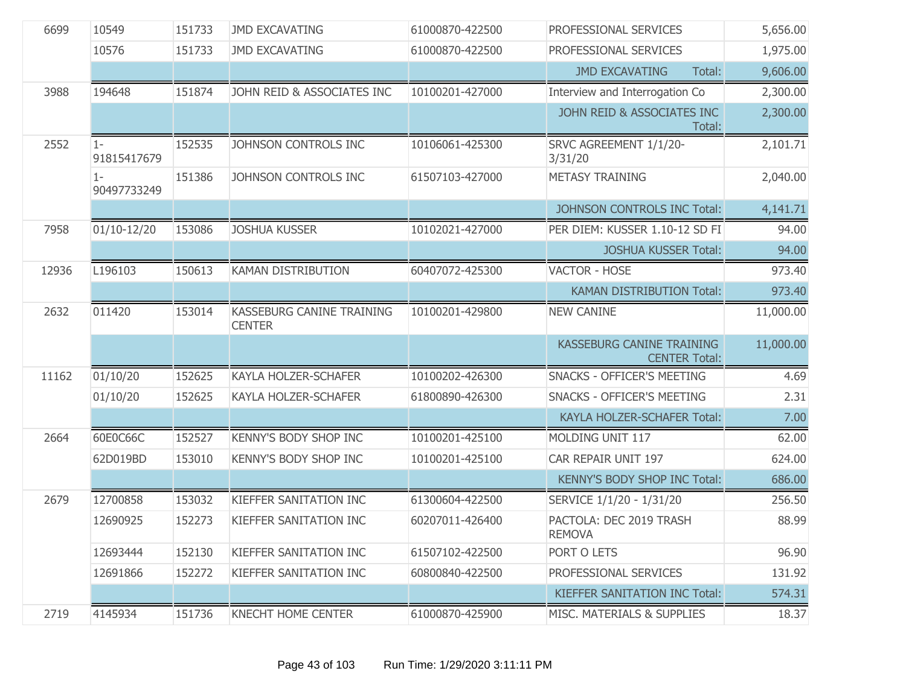| 6699  | 10549                | 151733 | <b>JMD EXCAVATING</b>                      | 61000870-422500 | PROFESSIONAL SERVICES                                    | 5,656.00  |
|-------|----------------------|--------|--------------------------------------------|-----------------|----------------------------------------------------------|-----------|
|       | 10576                | 151733 | <b>JMD EXCAVATING</b>                      | 61000870-422500 | PROFESSIONAL SERVICES                                    | 1,975.00  |
|       |                      |        |                                            |                 | <b>JMD EXCAVATING</b><br>Total:                          | 9,606.00  |
| 3988  | 194648               | 151874 | JOHN REID & ASSOCIATES INC                 | 10100201-427000 | Interview and Interrogation Co                           | 2,300.00  |
|       |                      |        |                                            |                 | JOHN REID & ASSOCIATES INC<br>Total:                     | 2,300.00  |
| 2552  | $1 -$<br>91815417679 | 152535 | JOHNSON CONTROLS INC                       | 10106061-425300 | SRVC AGREEMENT 1/1/20-<br>3/31/20                        | 2,101.71  |
|       | $1 -$<br>90497733249 | 151386 | JOHNSON CONTROLS INC                       | 61507103-427000 | <b>METASY TRAINING</b>                                   | 2,040.00  |
|       |                      |        |                                            |                 | JOHNSON CONTROLS INC Total:                              | 4,141.71  |
| 7958  | $01/10-12/20$        | 153086 | <b>JOSHUA KUSSER</b>                       | 10102021-427000 | PER DIEM: KUSSER 1.10-12 SD FI                           | 94.00     |
|       |                      |        |                                            |                 | <b>JOSHUA KUSSER Total:</b>                              | 94.00     |
| 12936 | L196103              | 150613 | <b>KAMAN DISTRIBUTION</b>                  | 60407072-425300 | <b>VACTOR - HOSE</b>                                     | 973.40    |
|       |                      |        |                                            |                 | <b>KAMAN DISTRIBUTION Total:</b>                         | 973.40    |
| 2632  | 011420               | 153014 | KASSEBURG CANINE TRAINING<br><b>CENTER</b> | 10100201-429800 | <b>NEW CANINE</b>                                        | 11,000.00 |
|       |                      |        |                                            |                 | <b>KASSEBURG CANINE TRAINING</b><br><b>CENTER Total:</b> | 11,000.00 |
| 11162 | 01/10/20             | 152625 | <b>KAYLA HOLZER-SCHAFER</b>                | 10100202-426300 | <b>SNACKS - OFFICER'S MEETING</b>                        | 4.69      |
|       | 01/10/20             | 152625 | <b>KAYLA HOLZER-SCHAFER</b>                | 61800890-426300 | <b>SNACKS - OFFICER'S MEETING</b>                        | 2.31      |
|       |                      |        |                                            |                 | KAYLA HOLZER-SCHAFER Total:                              | 7.00      |
| 2664  | 60E0C66C             | 152527 | <b>KENNY'S BODY SHOP INC</b>               | 10100201-425100 | MOLDING UNIT 117                                         | 62.00     |
|       | 62D019BD             | 153010 | <b>KENNY'S BODY SHOP INC</b>               | 10100201-425100 | CAR REPAIR UNIT 197                                      | 624.00    |
|       |                      |        |                                            |                 | KENNY'S BODY SHOP INC Total:                             | 686.00    |
| 2679  | 12700858             | 153032 | KIEFFER SANITATION INC                     | 61300604-422500 | SERVICE 1/1/20 - 1/31/20                                 | 256.50    |
|       | 12690925             | 152273 | <b>KIEFFER SANITATION INC</b>              | 60207011-426400 | PACTOLA: DEC 2019 TRASH<br><b>REMOVA</b>                 | 88.99     |
|       | 12693444             | 152130 | KIEFFER SANITATION INC                     | 61507102-422500 | PORT O LETS                                              | 96.90     |
|       | 12691866             | 152272 | KIEFFER SANITATION INC                     | 60800840-422500 | PROFESSIONAL SERVICES                                    | 131.92    |
|       |                      |        |                                            |                 | <b>KIEFFER SANITATION INC Total:</b>                     | 574.31    |
| 2719  | 4145934              | 151736 | <b>KNECHT HOME CENTER</b>                  | 61000870-425900 | MISC. MATERIALS & SUPPLIES                               | 18.37     |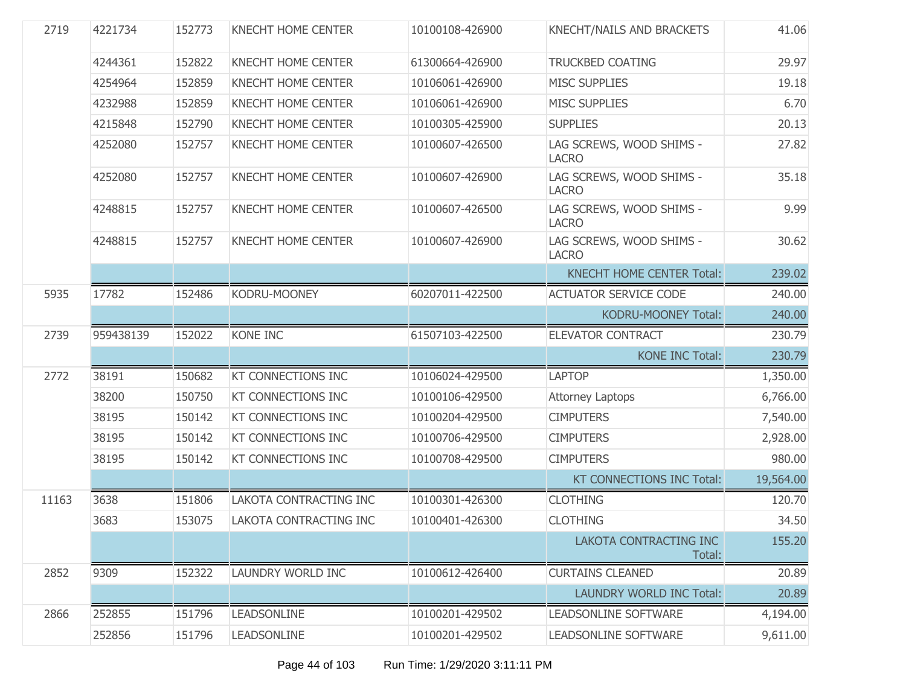| 2719  | 4221734   | 152773 | <b>KNECHT HOME CENTER</b> | 10100108-426900 | KNECHT/NAILS AND BRACKETS                | 41.06     |
|-------|-----------|--------|---------------------------|-----------------|------------------------------------------|-----------|
|       | 4244361   | 152822 | <b>KNECHT HOME CENTER</b> | 61300664-426900 | <b>TRUCKBED COATING</b>                  | 29.97     |
|       | 4254964   | 152859 | <b>KNECHT HOME CENTER</b> | 10106061-426900 | <b>MISC SUPPLIES</b>                     | 19.18     |
|       | 4232988   | 152859 | <b>KNECHT HOME CENTER</b> | 10106061-426900 | <b>MISC SUPPLIES</b>                     | 6.70      |
|       | 4215848   | 152790 | <b>KNECHT HOME CENTER</b> | 10100305-425900 | <b>SUPPLIES</b>                          | 20.13     |
|       | 4252080   | 152757 | <b>KNECHT HOME CENTER</b> | 10100607-426500 | LAG SCREWS, WOOD SHIMS -<br><b>LACRO</b> | 27.82     |
|       | 4252080   | 152757 | <b>KNECHT HOME CENTER</b> | 10100607-426900 | LAG SCREWS, WOOD SHIMS -<br><b>LACRO</b> | 35.18     |
|       | 4248815   | 152757 | <b>KNECHT HOME CENTER</b> | 10100607-426500 | LAG SCREWS, WOOD SHIMS -<br><b>LACRO</b> | 9.99      |
|       | 4248815   | 152757 | <b>KNECHT HOME CENTER</b> | 10100607-426900 | LAG SCREWS, WOOD SHIMS -<br><b>LACRO</b> | 30.62     |
|       |           |        |                           |                 | <b>KNECHT HOME CENTER Total:</b>         | 239.02    |
| 5935  | 17782     | 152486 | KODRU-MOONEY              | 60207011-422500 | <b>ACTUATOR SERVICE CODE</b>             | 240.00    |
|       |           |        |                           |                 | KODRU-MOONEY Total:                      | 240.00    |
| 2739  | 959438139 | 152022 | KONE INC                  | 61507103-422500 | <b>ELEVATOR CONTRACT</b>                 | 230.79    |
|       |           |        |                           |                 | <b>KONE INC Total:</b>                   | 230.79    |
| 2772  | 38191     | 150682 | <b>KT CONNECTIONS INC</b> | 10106024-429500 | <b>LAPTOP</b>                            | 1,350.00  |
|       | 38200     | 150750 | KT CONNECTIONS INC        | 10100106-429500 | <b>Attorney Laptops</b>                  | 6,766.00  |
|       | 38195     | 150142 | <b>KT CONNECTIONS INC</b> | 10100204-429500 | <b>CIMPUTERS</b>                         | 7,540.00  |
|       | 38195     | 150142 | <b>KT CONNECTIONS INC</b> | 10100706-429500 | <b>CIMPUTERS</b>                         | 2,928.00  |
|       | 38195     | 150142 | KT CONNECTIONS INC        | 10100708-429500 | <b>CIMPUTERS</b>                         | 980.00    |
|       |           |        |                           |                 | KT CONNECTIONS INC Total:                | 19,564.00 |
| 11163 | 3638      | 151806 | LAKOTA CONTRACTING INC    | 10100301-426300 | <b>CLOTHING</b>                          | 120.70    |
|       | 3683      | 153075 | LAKOTA CONTRACTING INC    | 10100401-426300 | <b>CLOTHING</b>                          | 34.50     |
|       |           |        |                           |                 | LAKOTA CONTRACTING INC<br>Total:         | 155.20    |
| 2852  | 9309      | 152322 | LAUNDRY WORLD INC         | 10100612-426400 | <b>CURTAINS CLEANED</b>                  | 20.89     |
|       |           |        |                           |                 | <b>LAUNDRY WORLD INC Total:</b>          | 20.89     |
| 2866  | 252855    | 151796 | <b>LEADSONLINE</b>        | 10100201-429502 | <b>LEADSONLINE SOFTWARE</b>              | 4,194.00  |
|       | 252856    | 151796 | <b>LEADSONLINE</b>        | 10100201-429502 | LEADSONLINE SOFTWARE                     | 9,611.00  |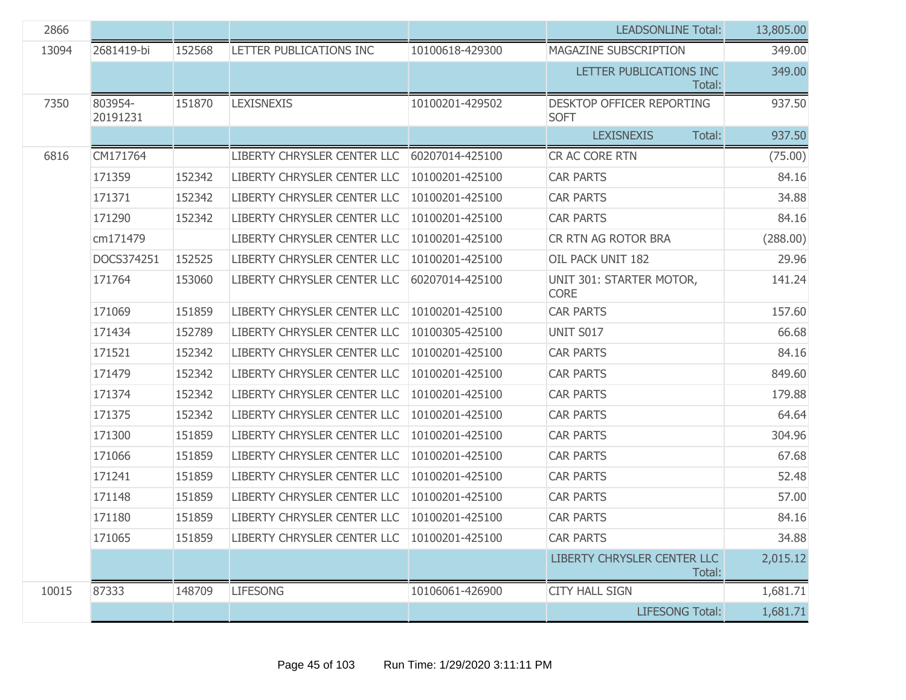| 2866  |                     |        |                                               |                 | <b>LEADSONLINE Total:</b>                | 13,805.00 |
|-------|---------------------|--------|-----------------------------------------------|-----------------|------------------------------------------|-----------|
| 13094 | 2681419-bi          | 152568 | LETTER PUBLICATIONS INC                       | 10100618-429300 | MAGAZINE SUBSCRIPTION                    | 349.00    |
|       |                     |        |                                               |                 | LETTER PUBLICATIONS INC<br>Total:        | 349.00    |
| 7350  | 803954-<br>20191231 | 151870 | <b>LEXISNEXIS</b>                             | 10100201-429502 | DESKTOP OFFICER REPORTING<br><b>SOFT</b> | 937.50    |
|       |                     |        |                                               |                 | <b>LEXISNEXIS</b><br>Total:              | 937.50    |
| 6816  | CM171764            |        | LIBERTY CHRYSLER CENTER LLC                   | 60207014-425100 | CR AC CORE RTN                           | (75.00)   |
|       | 171359              | 152342 | LIBERTY CHRYSLER CENTER LLC                   | 10100201-425100 | <b>CAR PARTS</b>                         | 84.16     |
|       | 171371              | 152342 | LIBERTY CHRYSLER CENTER LLC                   | 10100201-425100 | <b>CAR PARTS</b>                         | 34.88     |
|       | 171290              | 152342 | LIBERTY CHRYSLER CENTER LLC                   | 10100201-425100 | <b>CAR PARTS</b>                         | 84.16     |
|       | cm171479            |        | LIBERTY CHRYSLER CENTER LLC                   | 10100201-425100 | CR RTN AG ROTOR BRA                      | (288.00)  |
|       | DOCS374251          | 152525 | LIBERTY CHRYSLER CENTER LLC                   | 10100201-425100 | OIL PACK UNIT 182                        | 29.96     |
|       | 171764              | 153060 | LIBERTY CHRYSLER CENTER LLC                   | 60207014-425100 | UNIT 301: STARTER MOTOR,<br><b>CORE</b>  | 141.24    |
|       | 171069              | 151859 | LIBERTY CHRYSLER CENTER LLC                   | 10100201-425100 | <b>CAR PARTS</b>                         | 157.60    |
|       | 171434              | 152789 | LIBERTY CHRYSLER CENTER LLC                   | 10100305-425100 | <b>UNIT S017</b>                         | 66.68     |
|       | 171521              | 152342 | LIBERTY CHRYSLER CENTER LLC                   | 10100201-425100 | <b>CAR PARTS</b>                         | 84.16     |
|       | 171479              | 152342 | LIBERTY CHRYSLER CENTER LLC                   | 10100201-425100 | <b>CAR PARTS</b>                         | 849.60    |
|       | 171374              | 152342 | LIBERTY CHRYSLER CENTER LLC                   | 10100201-425100 | <b>CAR PARTS</b>                         | 179.88    |
|       | 171375              | 152342 | LIBERTY CHRYSLER CENTER LLC                   | 10100201-425100 | <b>CAR PARTS</b>                         | 64.64     |
|       | 171300              | 151859 | LIBERTY CHRYSLER CENTER LLC                   | 10100201-425100 | <b>CAR PARTS</b>                         | 304.96    |
|       | 171066              | 151859 | LIBERTY CHRYSLER CENTER LLC                   | 10100201-425100 | <b>CAR PARTS</b>                         | 67.68     |
|       | 171241              | 151859 | LIBERTY CHRYSLER CENTER LLC                   | 10100201-425100 | <b>CAR PARTS</b>                         | 52.48     |
|       | 171148              | 151859 | LIBERTY CHRYSLER CENTER LLC                   | 10100201-425100 | <b>CAR PARTS</b>                         | 57.00     |
|       | 171180              | 151859 | LIBERTY CHRYSLER CENTER LLC                   | 10100201-425100 | <b>CAR PARTS</b>                         | 84.16     |
|       | 171065              | 151859 | LIBERTY CHRYSLER CENTER LLC   10100201-425100 |                 | <b>CAR PARTS</b>                         | 34.88     |
|       |                     |        |                                               |                 | LIBERTY CHRYSLER CENTER LLC<br>Total:    | 2,015.12  |
| 10015 | 87333               | 148709 | <b>LIFESONG</b>                               | 10106061-426900 | <b>CITY HALL SIGN</b>                    | 1,681.71  |
|       |                     |        |                                               |                 | <b>LIFESONG Total:</b>                   | 1,681.71  |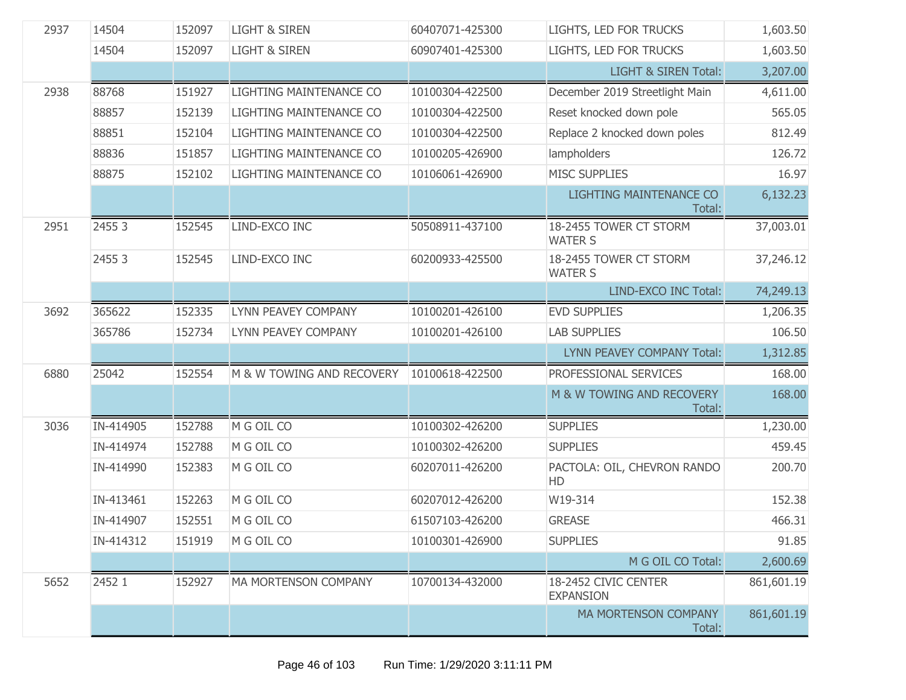| 2937 | 14504     | 152097 | <b>LIGHT &amp; SIREN</b>    | 60407071-425300 | LIGHTS, LED FOR TRUCKS                   | 1,603.50   |
|------|-----------|--------|-----------------------------|-----------------|------------------------------------------|------------|
|      | 14504     | 152097 | <b>LIGHT &amp; SIREN</b>    | 60907401-425300 | LIGHTS, LED FOR TRUCKS                   | 1,603.50   |
|      |           |        |                             |                 | <b>LIGHT &amp; SIREN Total:</b>          | 3,207.00   |
| 2938 | 88768     | 151927 | LIGHTING MAINTENANCE CO     | 10100304-422500 | December 2019 Streetlight Main           | 4,611.00   |
|      | 88857     | 152139 | LIGHTING MAINTENANCE CO     | 10100304-422500 | Reset knocked down pole                  | 565.05     |
|      | 88851     | 152104 | LIGHTING MAINTENANCE CO     | 10100304-422500 | Replace 2 knocked down poles             | 812.49     |
|      | 88836     | 151857 | LIGHTING MAINTENANCE CO     | 10100205-426900 | lampholders                              | 126.72     |
|      | 88875     | 152102 | LIGHTING MAINTENANCE CO     | 10106061-426900 | <b>MISC SUPPLIES</b>                     | 16.97      |
|      |           |        |                             |                 | <b>LIGHTING MAINTENANCE CO</b><br>Total: | 6,132.23   |
| 2951 | 2455 3    | 152545 | LIND-EXCO INC               | 50508911-437100 | 18-2455 TOWER CT STORM<br><b>WATER S</b> | 37,003.01  |
|      | 2455 3    | 152545 | LIND-EXCO INC               | 60200933-425500 | 18-2455 TOWER CT STORM<br><b>WATER S</b> | 37,246.12  |
|      |           |        |                             |                 | LIND-EXCO INC Total:                     | 74,249.13  |
| 3692 | 365622    | 152335 | LYNN PEAVEY COMPANY         | 10100201-426100 | <b>EVD SUPPLIES</b>                      | 1,206.35   |
|      | 365786    | 152734 | LYNN PEAVEY COMPANY         | 10100201-426100 | <b>LAB SUPPLIES</b>                      | 106.50     |
|      |           |        |                             |                 | LYNN PEAVEY COMPANY Total:               | 1,312.85   |
| 6880 | 25042     | 152554 | M & W TOWING AND RECOVERY   | 10100618-422500 | PROFESSIONAL SERVICES                    | 168.00     |
|      |           |        |                             |                 | M & W TOWING AND RECOVERY<br>Total:      | 168.00     |
| 3036 | IN-414905 | 152788 | M G OIL CO                  | 10100302-426200 | <b>SUPPLIES</b>                          | 1,230.00   |
|      | IN-414974 | 152788 | M G OIL CO                  | 10100302-426200 | <b>SUPPLIES</b>                          | 459.45     |
|      | IN-414990 | 152383 | M G OIL CO                  | 60207011-426200 | PACTOLA: OIL, CHEVRON RANDO<br>HD        | 200.70     |
|      | IN-413461 | 152263 | M G OIL CO                  | 60207012-426200 | W19-314                                  | 152.38     |
|      | IN-414907 | 152551 | M G OIL CO                  | 61507103-426200 | <b>GREASE</b>                            | 466.31     |
|      | IN-414312 | 151919 | M G OIL CO                  | 10100301-426900 | <b>SUPPLIES</b>                          | 91.85      |
|      |           |        |                             |                 | M G OIL CO Total:                        | 2,600.69   |
| 5652 | 2452 1    | 152927 | <b>MA MORTENSON COMPANY</b> | 10700134-432000 | 18-2452 CIVIC CENTER<br><b>EXPANSION</b> | 861,601.19 |
|      |           |        |                             |                 | MA MORTENSON COMPANY<br>Total:           | 861,601.19 |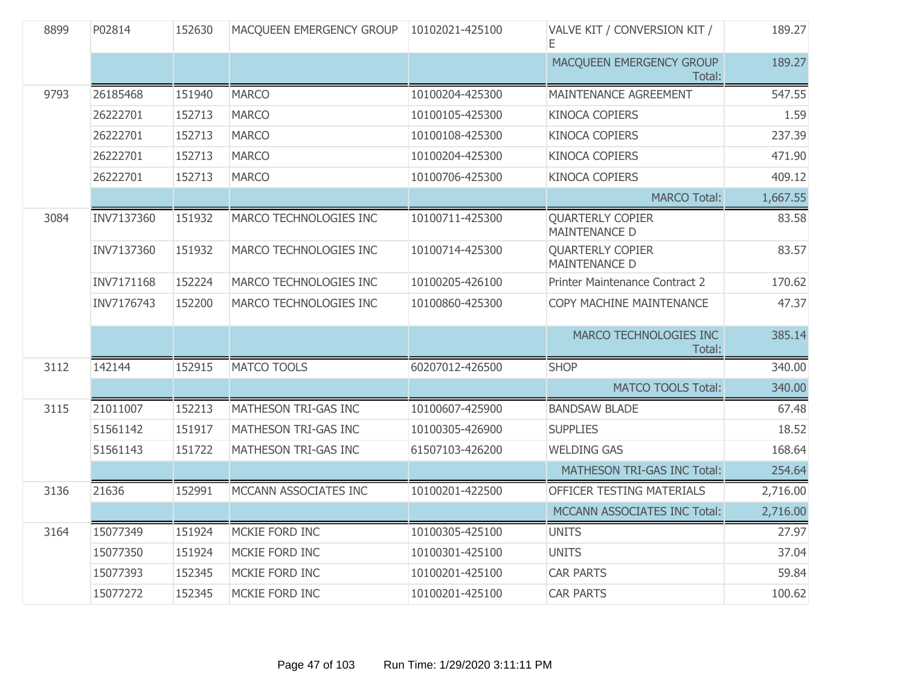| 8899 | P02814     | 152630 | MACQUEEN EMERGENCY GROUP | 10102021-425100 | VALVE KIT / CONVERSION KIT /<br>Ε               | 189.27   |
|------|------------|--------|--------------------------|-----------------|-------------------------------------------------|----------|
|      |            |        |                          |                 | MACQUEEN EMERGENCY GROUP<br>Total:              | 189.27   |
| 9793 | 26185468   | 151940 | <b>MARCO</b>             | 10100204-425300 | <b>MAINTENANCE AGREEMENT</b>                    | 547.55   |
|      | 26222701   | 152713 | <b>MARCO</b>             | 10100105-425300 | <b>KINOCA COPIERS</b>                           | 1.59     |
|      | 26222701   | 152713 | <b>MARCO</b>             | 10100108-425300 | <b>KINOCA COPIERS</b>                           | 237.39   |
|      | 26222701   | 152713 | <b>MARCO</b>             | 10100204-425300 | <b>KINOCA COPIERS</b>                           | 471.90   |
|      | 26222701   | 152713 | <b>MARCO</b>             | 10100706-425300 | <b>KINOCA COPIERS</b>                           | 409.12   |
|      |            |        |                          |                 | <b>MARCO Total:</b>                             | 1,667.55 |
| 3084 | INV7137360 | 151932 | MARCO TECHNOLOGIES INC   | 10100711-425300 | <b>QUARTERLY COPIER</b><br><b>MAINTENANCE D</b> | 83.58    |
|      | INV7137360 | 151932 | MARCO TECHNOLOGIES INC   | 10100714-425300 | <b>QUARTERLY COPIER</b><br><b>MAINTENANCE D</b> | 83.57    |
|      | INV7171168 | 152224 | MARCO TECHNOLOGIES INC   | 10100205-426100 | Printer Maintenance Contract 2                  | 170.62   |
|      | INV7176743 | 152200 | MARCO TECHNOLOGIES INC   | 10100860-425300 | COPY MACHINE MAINTENANCE                        | 47.37    |
|      |            |        |                          |                 | MARCO TECHNOLOGIES INC<br>Total:                | 385.14   |
| 3112 | 142144     | 152915 | <b>MATCO TOOLS</b>       | 60207012-426500 | <b>SHOP</b>                                     | 340.00   |
|      |            |        |                          |                 | <b>MATCO TOOLS Total:</b>                       | 340.00   |
| 3115 | 21011007   | 152213 | MATHESON TRI-GAS INC     | 10100607-425900 | <b>BANDSAW BLADE</b>                            | 67.48    |
|      | 51561142   | 151917 | MATHESON TRI-GAS INC     | 10100305-426900 | <b>SUPPLIES</b>                                 | 18.52    |
|      | 51561143   | 151722 | MATHESON TRI-GAS INC     | 61507103-426200 | <b>WELDING GAS</b>                              | 168.64   |
|      |            |        |                          |                 | MATHESON TRI-GAS INC Total:                     | 254.64   |
| 3136 | 21636      | 152991 | MCCANN ASSOCIATES INC    | 10100201-422500 | OFFICER TESTING MATERIALS                       | 2,716.00 |
|      |            |        |                          |                 | MCCANN ASSOCIATES INC Total:                    | 2,716.00 |
| 3164 | 15077349   | 151924 | MCKIE FORD INC           | 10100305-425100 | <b>UNITS</b>                                    | 27.97    |
|      | 15077350   | 151924 | MCKIE FORD INC           | 10100301-425100 | <b>UNITS</b>                                    | 37.04    |
|      | 15077393   | 152345 | MCKIE FORD INC           | 10100201-425100 | <b>CAR PARTS</b>                                | 59.84    |
|      | 15077272   | 152345 | MCKIE FORD INC           | 10100201-425100 | <b>CAR PARTS</b>                                | 100.62   |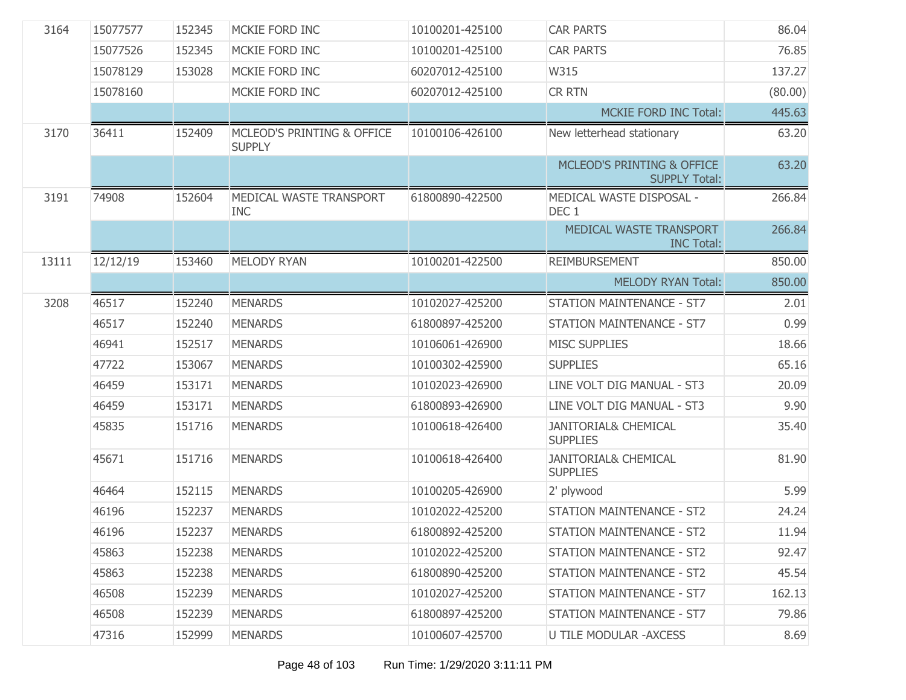| 3164  | 15077577 | 152345 | MCKIE FORD INC                              | 10100201-425100 | <b>CAR PARTS</b>                                   | 86.04   |
|-------|----------|--------|---------------------------------------------|-----------------|----------------------------------------------------|---------|
|       | 15077526 | 152345 | MCKIE FORD INC                              | 10100201-425100 | <b>CAR PARTS</b>                                   | 76.85   |
|       | 15078129 | 153028 | MCKIE FORD INC                              | 60207012-425100 | W315                                               | 137.27  |
|       | 15078160 |        | MCKIE FORD INC                              | 60207012-425100 | <b>CR RTN</b>                                      | (80.00) |
|       |          |        |                                             |                 | <b>MCKIE FORD INC Total:</b>                       | 445.63  |
| 3170  | 36411    | 152409 | MCLEOD'S PRINTING & OFFICE<br><b>SUPPLY</b> | 10100106-426100 | New letterhead stationary                          | 63.20   |
|       |          |        |                                             |                 | MCLEOD'S PRINTING & OFFICE<br><b>SUPPLY Total:</b> | 63.20   |
| 3191  | 74908    | 152604 | MEDICAL WASTE TRANSPORT<br><b>INC</b>       | 61800890-422500 | MEDICAL WASTE DISPOSAL -<br>DEC 1                  | 266.84  |
|       |          |        |                                             |                 | MEDICAL WASTE TRANSPORT<br><b>INC Total:</b>       | 266.84  |
| 13111 | 12/12/19 | 153460 | MELODY RYAN                                 | 10100201-422500 | <b>REIMBURSEMENT</b>                               | 850.00  |
|       |          |        |                                             |                 | <b>MELODY RYAN Total:</b>                          | 850.00  |
| 3208  | 46517    | 152240 | <b>MENARDS</b>                              | 10102027-425200 | <b>STATION MAINTENANCE - ST7</b>                   | 2.01    |
|       | 46517    | 152240 | <b>MENARDS</b>                              | 61800897-425200 | <b>STATION MAINTENANCE - ST7</b>                   | 0.99    |
|       | 46941    | 152517 | <b>MENARDS</b>                              | 10106061-426900 | <b>MISC SUPPLIES</b>                               | 18.66   |
|       | 47722    | 153067 | <b>MENARDS</b>                              | 10100302-425900 | <b>SUPPLIES</b>                                    | 65.16   |
|       | 46459    | 153171 | <b>MENARDS</b>                              | 10102023-426900 | LINE VOLT DIG MANUAL - ST3                         | 20.09   |
|       | 46459    | 153171 | <b>MENARDS</b>                              | 61800893-426900 | LINE VOLT DIG MANUAL - ST3                         | 9.90    |
|       | 45835    | 151716 | <b>MENARDS</b>                              | 10100618-426400 | <b>JANITORIAL&amp; CHEMICAL</b><br><b>SUPPLIES</b> | 35.40   |
|       | 45671    | 151716 | <b>MENARDS</b>                              | 10100618-426400 | <b>JANITORIAL&amp; CHEMICAL</b><br><b>SUPPLIES</b> | 81.90   |
|       | 46464    | 152115 | <b>MENARDS</b>                              | 10100205-426900 | 2' plywood                                         | 5.99    |
|       | 46196    | 152237 | <b>MENARDS</b>                              | 10102022-425200 | <b>STATION MAINTENANCE - ST2</b>                   | 24.24   |
|       | 46196    | 152237 | <b>MENARDS</b>                              | 61800892-425200 | STATION MAINTENANCE - ST2                          | 11.94   |
|       | 45863    | 152238 | <b>MENARDS</b>                              | 10102022-425200 | <b>STATION MAINTENANCE - ST2</b>                   | 92.47   |
|       | 45863    | 152238 | <b>MENARDS</b>                              | 61800890-425200 | <b>STATION MAINTENANCE - ST2</b>                   | 45.54   |
|       | 46508    | 152239 | <b>MENARDS</b>                              | 10102027-425200 | <b>STATION MAINTENANCE - ST7</b>                   | 162.13  |
|       | 46508    | 152239 | <b>MENARDS</b>                              | 61800897-425200 | <b>STATION MAINTENANCE - ST7</b>                   | 79.86   |
|       | 47316    | 152999 | <b>MENARDS</b>                              | 10100607-425700 | <b>U TILE MODULAR - AXCESS</b>                     | 8.69    |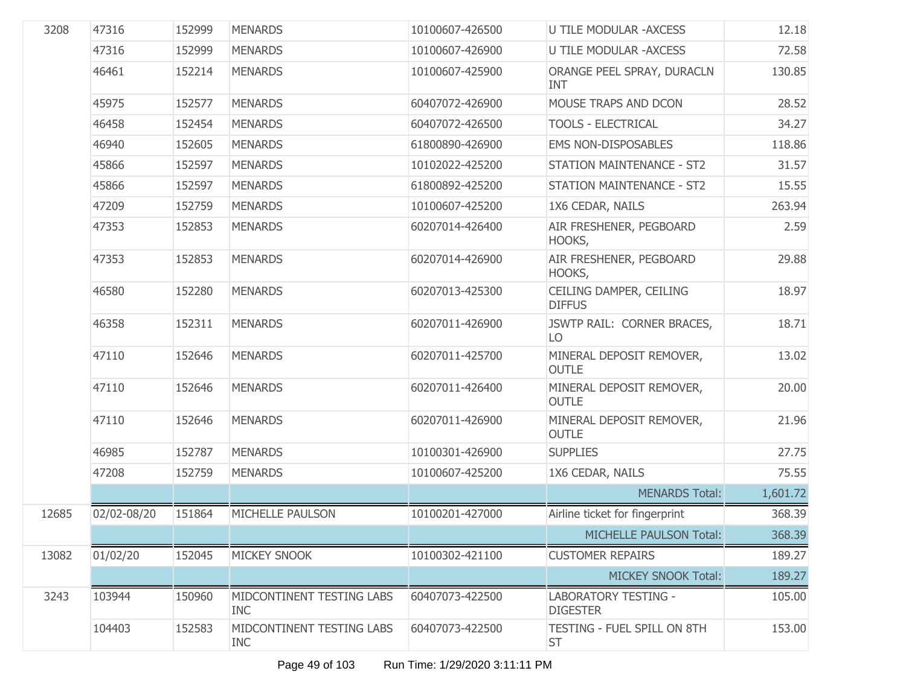| 3208  | 47316       | 152999 | <b>MENARDS</b>                          | 10100607-426500 | <b>U TILE MODULAR - AXCESS</b>                 | 12.18    |
|-------|-------------|--------|-----------------------------------------|-----------------|------------------------------------------------|----------|
|       | 47316       | 152999 | <b>MENARDS</b>                          | 10100607-426900 | <b>U TILE MODULAR - AXCESS</b>                 | 72.58    |
|       | 46461       | 152214 | <b>MENARDS</b>                          | 10100607-425900 | ORANGE PEEL SPRAY, DURACLN<br><b>INT</b>       | 130.85   |
|       | 45975       | 152577 | <b>MENARDS</b>                          | 60407072-426900 | MOUSE TRAPS AND DCON                           | 28.52    |
|       | 46458       | 152454 | <b>MENARDS</b>                          | 60407072-426500 | <b>TOOLS - ELECTRICAL</b>                      | 34.27    |
|       | 46940       | 152605 | <b>MENARDS</b>                          | 61800890-426900 | <b>EMS NON-DISPOSABLES</b>                     | 118.86   |
|       | 45866       | 152597 | <b>MENARDS</b>                          | 10102022-425200 | STATION MAINTENANCE - ST2                      | 31.57    |
|       | 45866       | 152597 | <b>MENARDS</b>                          | 61800892-425200 | STATION MAINTENANCE - ST2                      | 15.55    |
|       | 47209       | 152759 | <b>MENARDS</b>                          | 10100607-425200 | 1X6 CEDAR, NAILS                               | 263.94   |
|       | 47353       | 152853 | <b>MENARDS</b>                          | 60207014-426400 | AIR FRESHENER, PEGBOARD<br>HOOKS,              | 2.59     |
|       | 47353       | 152853 | <b>MENARDS</b>                          | 60207014-426900 | AIR FRESHENER, PEGBOARD<br>HOOKS,              | 29.88    |
|       | 46580       | 152280 | <b>MENARDS</b>                          | 60207013-425300 | CEILING DAMPER, CEILING<br><b>DIFFUS</b>       | 18.97    |
|       | 46358       | 152311 | <b>MENARDS</b>                          | 60207011-426900 | JSWTP RAIL: CORNER BRACES,<br>LO               | 18.71    |
|       | 47110       | 152646 | <b>MENARDS</b>                          | 60207011-425700 | MINERAL DEPOSIT REMOVER,<br><b>OUTLE</b>       | 13.02    |
|       | 47110       | 152646 | <b>MENARDS</b>                          | 60207011-426400 | MINERAL DEPOSIT REMOVER,<br><b>OUTLE</b>       | 20.00    |
|       | 47110       | 152646 | <b>MENARDS</b>                          | 60207011-426900 | MINERAL DEPOSIT REMOVER,<br><b>OUTLE</b>       | 21.96    |
|       | 46985       | 152787 | <b>MENARDS</b>                          | 10100301-426900 | <b>SUPPLIES</b>                                | 27.75    |
|       | 47208       | 152759 | <b>MENARDS</b>                          | 10100607-425200 | 1X6 CEDAR, NAILS                               | 75.55    |
|       |             |        |                                         |                 | <b>MENARDS Total:</b>                          | 1,601.72 |
| 12685 | 02/02-08/20 | 151864 | MICHELLE PAULSON                        | 10100201-427000 | Airline ticket for fingerprint                 | 368.39   |
|       |             |        |                                         |                 | MICHELLE PAULSON Total:                        | 368.39   |
| 13082 | 01/02/20    | 152045 | <b>MICKEY SNOOK</b>                     | 10100302-421100 | <b>CUSTOMER REPAIRS</b>                        | 189.27   |
|       |             |        |                                         |                 | <b>MICKEY SNOOK Total:</b>                     | 189.27   |
| 3243  | 103944      | 150960 | MIDCONTINENT TESTING LABS<br><b>INC</b> | 60407073-422500 | <b>LABORATORY TESTING -</b><br><b>DIGESTER</b> | 105.00   |
|       | 104403      | 152583 | MIDCONTINENT TESTING LABS<br><b>INC</b> | 60407073-422500 | TESTING - FUEL SPILL ON 8TH<br><b>ST</b>       | 153.00   |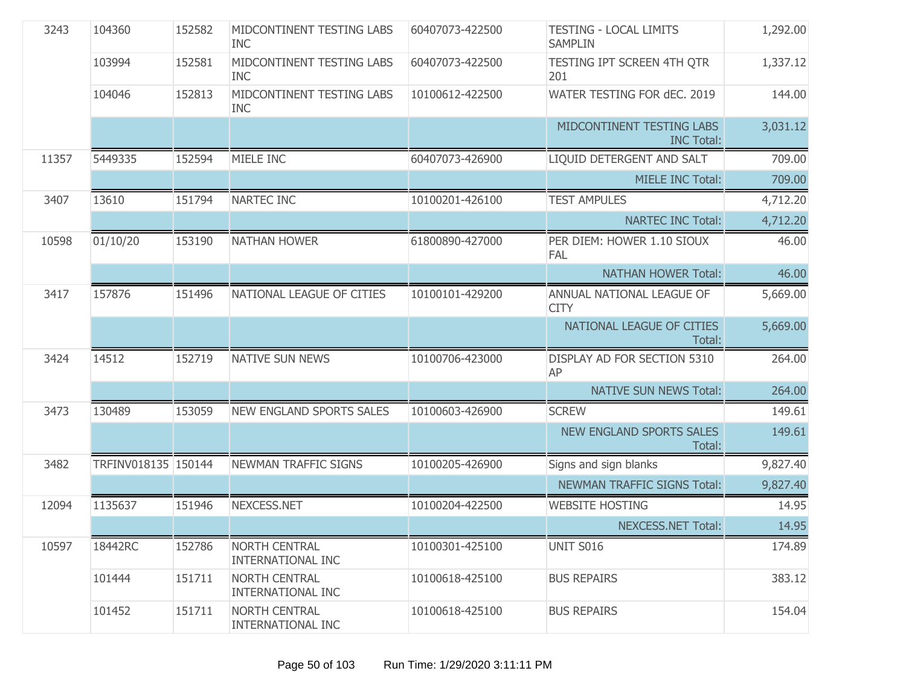| 3243  | 104360              | 152582 | MIDCONTINENT TESTING LABS<br><b>INC</b>   | 60407073-422500 | <b>TESTING - LOCAL LIMITS</b><br><b>SAMPLIN</b> | 1,292.00 |
|-------|---------------------|--------|-------------------------------------------|-----------------|-------------------------------------------------|----------|
|       | 103994              | 152581 | MIDCONTINENT TESTING LABS<br><b>INC</b>   | 60407073-422500 | TESTING IPT SCREEN 4TH QTR<br>201               | 1,337.12 |
|       | 104046              | 152813 | MIDCONTINENT TESTING LABS<br><b>INC</b>   | 10100612-422500 | WATER TESTING FOR dEC. 2019                     | 144.00   |
|       |                     |        |                                           |                 | MIDCONTINENT TESTING LABS<br><b>INC Total:</b>  | 3,031.12 |
| 11357 | 5449335             | 152594 | MIELE INC                                 | 60407073-426900 | LIQUID DETERGENT AND SALT                       | 709.00   |
|       |                     |        |                                           |                 | <b>MIELE INC Total:</b>                         | 709.00   |
| 3407  | 13610               | 151794 | NARTEC INC                                | 10100201-426100 | <b>TEST AMPULES</b>                             | 4,712.20 |
|       |                     |        |                                           |                 | <b>NARTEC INC Total:</b>                        | 4,712.20 |
| 10598 | 01/10/20            | 153190 | <b>NATHAN HOWER</b>                       | 61800890-427000 | PER DIEM: HOWER 1.10 SIOUX<br><b>FAL</b>        | 46.00    |
|       |                     |        |                                           |                 | <b>NATHAN HOWER Total:</b>                      | 46.00    |
| 3417  | 157876              | 151496 | NATIONAL LEAGUE OF CITIES                 | 10100101-429200 | ANNUAL NATIONAL LEAGUE OF<br><b>CITY</b>        | 5,669.00 |
|       |                     |        |                                           |                 | NATIONAL LEAGUE OF CITIES<br>Total:             | 5,669.00 |
| 3424  | 14512               | 152719 | <b>NATIVE SUN NEWS</b>                    | 10100706-423000 | DISPLAY AD FOR SECTION 5310<br>AP               | 264.00   |
|       |                     |        |                                           |                 | <b>NATIVE SUN NEWS Total:</b>                   | 264.00   |
| 3473  | 130489              | 153059 | <b>NEW ENGLAND SPORTS SALES</b>           | 10100603-426900 | <b>SCREW</b>                                    | 149.61   |
|       |                     |        |                                           |                 | <b>NEW ENGLAND SPORTS SALES</b><br>Total:       | 149.61   |
| 3482  | TRFINV018135 150144 |        | NEWMAN TRAFFIC SIGNS                      | 10100205-426900 | Signs and sign blanks                           | 9,827.40 |
|       |                     |        |                                           |                 | NEWMAN TRAFFIC SIGNS Total:                     | 9,827.40 |
| 12094 | 1135637             | 151946 | NEXCESS.NET                               | 10100204-422500 | <b>WEBSITE HOSTING</b>                          | 14.95    |
|       |                     |        |                                           |                 | <b>NEXCESS.NET Total:</b>                       | 14.95    |
| 10597 | 18442RC             | 152786 | <b>NORTH CENTRAL</b><br>INTERNATIONAL INC | 10100301-425100 | UNIT S016                                       | 174.89   |
|       | 101444              | 151711 | <b>NORTH CENTRAL</b><br>INTERNATIONAL INC | 10100618-425100 | <b>BUS REPAIRS</b>                              | 383.12   |
|       | 101452              | 151711 | <b>NORTH CENTRAL</b><br>INTERNATIONAL INC | 10100618-425100 | <b>BUS REPAIRS</b>                              | 154.04   |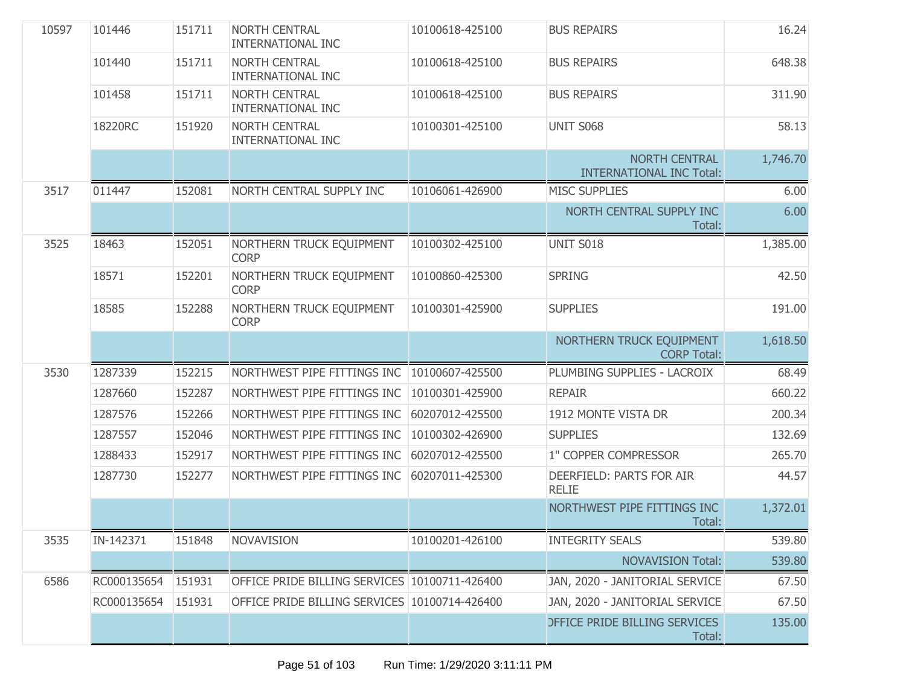| 10597 | 101446      | 151711 | <b>NORTH CENTRAL</b><br><b>INTERNATIONAL INC</b> | 10100618-425100 | <b>BUS REPAIRS</b>                                      | 16.24    |
|-------|-------------|--------|--------------------------------------------------|-----------------|---------------------------------------------------------|----------|
|       | 101440      | 151711 | <b>NORTH CENTRAL</b><br><b>INTERNATIONAL INC</b> | 10100618-425100 | <b>BUS REPAIRS</b>                                      | 648.38   |
|       | 101458      | 151711 | <b>NORTH CENTRAL</b><br><b>INTERNATIONAL INC</b> | 10100618-425100 | <b>BUS REPAIRS</b>                                      | 311.90   |
|       | 18220RC     | 151920 | <b>NORTH CENTRAL</b><br><b>INTERNATIONAL INC</b> | 10100301-425100 | <b>UNIT S068</b>                                        | 58.13    |
|       |             |        |                                                  |                 | <b>NORTH CENTRAL</b><br><b>INTERNATIONAL INC Total:</b> | 1,746.70 |
| 3517  | 011447      | 152081 | NORTH CENTRAL SUPPLY INC                         | 10106061-426900 | <b>MISC SUPPLIES</b>                                    | 6.00     |
|       |             |        |                                                  |                 | NORTH CENTRAL SUPPLY INC<br>Total:                      | 6.00     |
| 3525  | 18463       | 152051 | NORTHERN TRUCK EQUIPMENT<br><b>CORP</b>          | 10100302-425100 | UNIT S018                                               | 1,385.00 |
|       | 18571       | 152201 | NORTHERN TRUCK EQUIPMENT<br><b>CORP</b>          | 10100860-425300 | <b>SPRING</b>                                           | 42.50    |
|       | 18585       | 152288 | NORTHERN TRUCK EQUIPMENT<br><b>CORP</b>          | 10100301-425900 | <b>SUPPLIES</b>                                         | 191.00   |
|       |             |        |                                                  |                 | NORTHERN TRUCK EQUIPMENT<br><b>CORP Total:</b>          | 1,618.50 |
| 3530  | 1287339     | 152215 | NORTHWEST PIPE FITTINGS INC                      | 10100607-425500 | PLUMBING SUPPLIES - LACROIX                             | 68.49    |
|       | 1287660     | 152287 | NORTHWEST PIPE FITTINGS INC                      | 10100301-425900 | <b>REPAIR</b>                                           | 660.22   |
|       | 1287576     | 152266 | NORTHWEST PIPE FITTINGS INC                      | 60207012-425500 | 1912 MONTE VISTA DR                                     | 200.34   |
|       | 1287557     | 152046 | NORTHWEST PIPE FITTINGS INC                      | 10100302-426900 | <b>SUPPLIES</b>                                         | 132.69   |
|       | 1288433     | 152917 | NORTHWEST PIPE FITTINGS INC                      | 60207012-425500 | 1" COPPER COMPRESSOR                                    | 265.70   |
|       | 1287730     | 152277 | NORTHWEST PIPE FITTINGS INC                      | 60207011-425300 | DEERFIELD: PARTS FOR AIR<br><b>RELIE</b>                | 44.57    |
|       |             |        |                                                  |                 | NORTHWEST PIPE FITTINGS INC<br>Total:                   | 1,372.01 |
| 3535  | IN-142371   | 151848 | <b>NOVAVISION</b>                                | 10100201-426100 | <b>INTEGRITY SEALS</b>                                  | 539.80   |
|       |             |        |                                                  |                 | <b>NOVAVISION Total:</b>                                | 539.80   |
| 6586  | RC000135654 | 151931 | OFFICE PRIDE BILLING SERVICES 10100711-426400    |                 | JAN, 2020 - JANITORIAL SERVICE                          | 67.50    |
|       | RC000135654 | 151931 | OFFICE PRIDE BILLING SERVICES 10100714-426400    |                 | JAN, 2020 - JANITORIAL SERVICE                          | 67.50    |
|       |             |        |                                                  |                 | <b>DEFICE PRIDE BILLING SERVICES</b><br>Total:          | 135.00   |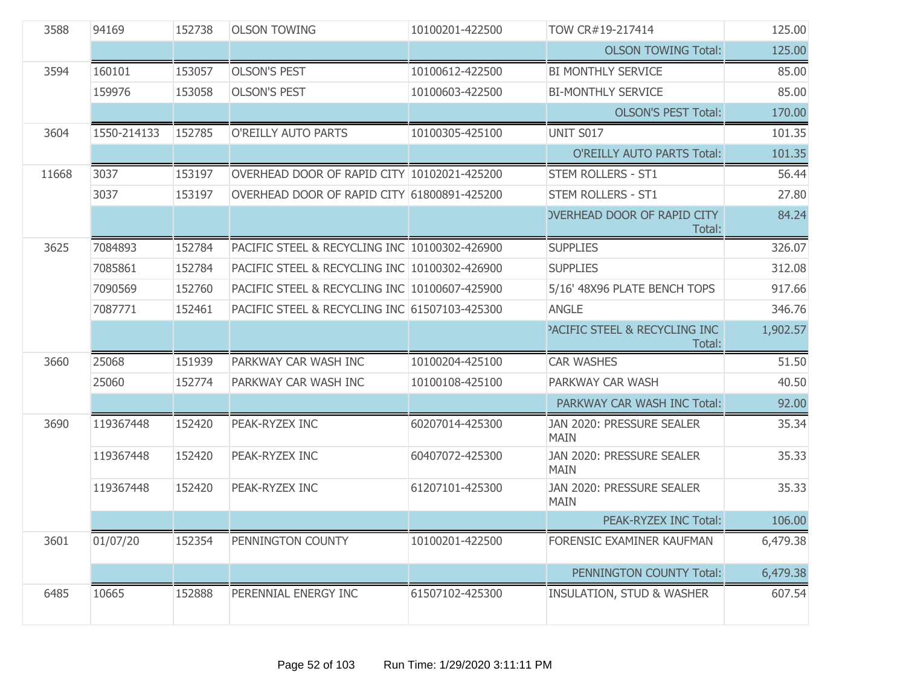| 3588  | 94169       | 152738 | <b>OLSON TOWING</b>                           | 10100201-422500 | TOW CR#19-217414                                   | 125.00   |
|-------|-------------|--------|-----------------------------------------------|-----------------|----------------------------------------------------|----------|
|       |             |        |                                               |                 | <b>OLSON TOWING Total:</b>                         | 125.00   |
| 3594  | 160101      | 153057 | <b>OLSON'S PEST</b>                           | 10100612-422500 | <b>BI MONTHLY SERVICE</b>                          | 85.00    |
|       | 159976      | 153058 | <b>OLSON'S PEST</b>                           | 10100603-422500 | <b>BI-MONTHLY SERVICE</b>                          | 85.00    |
|       |             |        |                                               |                 | <b>OLSON'S PEST Total:</b>                         | 170.00   |
| 3604  | 1550-214133 | 152785 | O'REILLY AUTO PARTS                           | 10100305-425100 | UNIT S017                                          | 101.35   |
|       |             |        |                                               |                 | <b>O'REILLY AUTO PARTS Total:</b>                  | 101.35   |
| 11668 | 3037        | 153197 | OVERHEAD DOOR OF RAPID CITY 10102021-425200   |                 | <b>STEM ROLLERS - ST1</b>                          | 56.44    |
|       | 3037        | 153197 | OVERHEAD DOOR OF RAPID CITY 61800891-425200   |                 | <b>STEM ROLLERS - ST1</b>                          | 27.80    |
|       |             |        |                                               |                 | <b>OVERHEAD DOOR OF RAPID CITY</b><br>Total:       | 84.24    |
| 3625  | 7084893     | 152784 | PACIFIC STEEL & RECYCLING INC 10100302-426900 |                 | <b>SUPPLIES</b>                                    | 326.07   |
|       | 7085861     | 152784 | PACIFIC STEEL & RECYCLING INC 10100302-426900 |                 | <b>SUPPLIES</b>                                    | 312.08   |
|       | 7090569     | 152760 | PACIFIC STEEL & RECYCLING INC 10100607-425900 |                 | 5/16' 48X96 PLATE BENCH TOPS                       | 917.66   |
|       | 7087771     | 152461 | PACIFIC STEEL & RECYCLING INC 61507103-425300 |                 | <b>ANGLE</b>                                       | 346.76   |
|       |             |        |                                               |                 | <b>PACIFIC STEEL &amp; RECYCLING INC</b><br>Total: | 1,902.57 |
| 3660  | 25068       | 151939 | PARKWAY CAR WASH INC                          | 10100204-425100 | <b>CAR WASHES</b>                                  | 51.50    |
|       | 25060       | 152774 | PARKWAY CAR WASH INC                          | 10100108-425100 | PARKWAY CAR WASH                                   | 40.50    |
|       |             |        |                                               |                 | PARKWAY CAR WASH INC Total:                        | 92.00    |
| 3690  | 119367448   | 152420 | PEAK-RYZEX INC                                | 60207014-425300 | JAN 2020: PRESSURE SEALER<br><b>MAIN</b>           | 35.34    |
|       | 119367448   | 152420 | PEAK-RYZEX INC                                | 60407072-425300 | JAN 2020: PRESSURE SEALER<br><b>MAIN</b>           | 35.33    |
|       | 119367448   | 152420 | PEAK-RYZEX INC                                | 61207101-425300 | JAN 2020: PRESSURE SEALER<br><b>MAIN</b>           | 35.33    |
|       |             |        |                                               |                 | PEAK-RYZEX INC Total:                              | 106.00   |
| 3601  | 01/07/20    | 152354 | PENNINGTON COUNTY                             | 10100201-422500 | FORENSIC EXAMINER KAUFMAN                          | 6,479.38 |
|       |             |        |                                               |                 | PENNINGTON COUNTY Total:                           | 6,479.38 |
| 6485  | 10665       | 152888 | PERENNIAL ENERGY INC                          | 61507102-425300 | <b>INSULATION, STUD &amp; WASHER</b>               | 607.54   |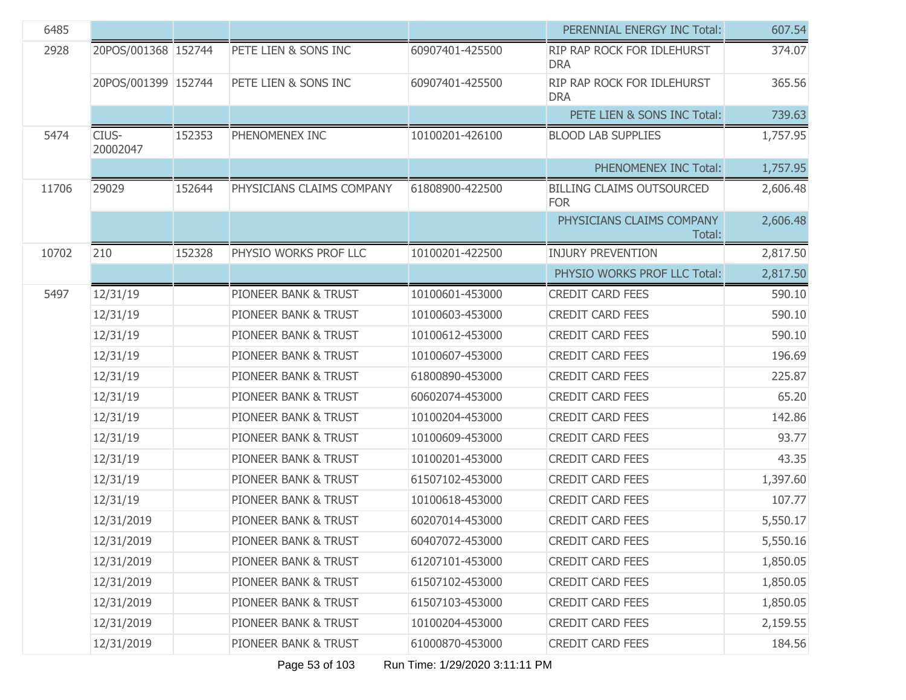| 6485  |                     |        |                                 |                 | PERENNIAL ENERGY INC Total:                    | 607.54   |
|-------|---------------------|--------|---------------------------------|-----------------|------------------------------------------------|----------|
| 2928  | 20POS/001368 152744 |        | PETE LIEN & SONS INC            | 60907401-425500 | RIP RAP ROCK FOR IDLEHURST<br><b>DRA</b>       | 374.07   |
|       | 20POS/001399 152744 |        | PETE LIEN & SONS INC            | 60907401-425500 | RIP RAP ROCK FOR IDLEHURST<br><b>DRA</b>       | 365.56   |
|       |                     |        |                                 |                 | PETE LIEN & SONS INC Total:                    | 739.63   |
| 5474  | CIUS-<br>20002047   | 152353 | PHENOMENEX INC                  | 10100201-426100 | <b>BLOOD LAB SUPPLIES</b>                      | 1,757.95 |
|       |                     |        |                                 |                 | PHENOMENEX INC Total:                          | 1,757.95 |
| 11706 | 29029               | 152644 | PHYSICIANS CLAIMS COMPANY       | 61808900-422500 | <b>BILLING CLAIMS OUTSOURCED</b><br><b>FOR</b> | 2,606.48 |
|       |                     |        |                                 |                 | PHYSICIANS CLAIMS COMPANY<br>Total:            | 2,606.48 |
| 10702 | 210                 | 152328 | PHYSIO WORKS PROF LLC           | 10100201-422500 | <b>INJURY PREVENTION</b>                       | 2,817.50 |
|       |                     |        |                                 |                 | PHYSIO WORKS PROF LLC Total:                   | 2,817.50 |
| 5497  | 12/31/19            |        | <b>PIONEER BANK &amp; TRUST</b> | 10100601-453000 | <b>CREDIT CARD FEES</b>                        | 590.10   |
|       | 12/31/19            |        | PIONEER BANK & TRUST            | 10100603-453000 | <b>CREDIT CARD FEES</b>                        | 590.10   |
|       | 12/31/19            |        | PIONEER BANK & TRUST            | 10100612-453000 | <b>CREDIT CARD FEES</b>                        | 590.10   |
|       | 12/31/19            |        | PIONEER BANK & TRUST            | 10100607-453000 | <b>CREDIT CARD FEES</b>                        | 196.69   |
|       | 12/31/19            |        | PIONEER BANK & TRUST            | 61800890-453000 | <b>CREDIT CARD FEES</b>                        | 225.87   |
|       | 12/31/19            |        | PIONEER BANK & TRUST            | 60602074-453000 | <b>CREDIT CARD FEES</b>                        | 65.20    |
|       | 12/31/19            |        | PIONEER BANK & TRUST            | 10100204-453000 | <b>CREDIT CARD FEES</b>                        | 142.86   |
|       | 12/31/19            |        | PIONEER BANK & TRUST            | 10100609-453000 | <b>CREDIT CARD FEES</b>                        | 93.77    |
|       | 12/31/19            |        | PIONEER BANK & TRUST            | 10100201-453000 | <b>CREDIT CARD FEES</b>                        | 43.35    |
|       | 12/31/19            |        | PIONEER BANK & TRUST            | 61507102-453000 | <b>CREDIT CARD FEES</b>                        | 1,397.60 |
|       | 12/31/19            |        | PIONEER BANK & TRUST            | 10100618-453000 | <b>CREDIT CARD FEES</b>                        | 107.77   |
|       | 12/31/2019          |        | PIONEER BANK & TRUST            | 60207014-453000 | <b>CREDIT CARD FEES</b>                        | 5,550.17 |
|       | 12/31/2019          |        | PIONEER BANK & TRUST            | 60407072-453000 | <b>CREDIT CARD FEES</b>                        | 5,550.16 |
|       | 12/31/2019          |        | PIONEER BANK & TRUST            | 61207101-453000 | <b>CREDIT CARD FEES</b>                        | 1,850.05 |
|       | 12/31/2019          |        | PIONEER BANK & TRUST            | 61507102-453000 | <b>CREDIT CARD FEES</b>                        | 1,850.05 |
|       | 12/31/2019          |        | PIONEER BANK & TRUST            | 61507103-453000 | <b>CREDIT CARD FEES</b>                        | 1,850.05 |
|       | 12/31/2019          |        | PIONEER BANK & TRUST            | 10100204-453000 | <b>CREDIT CARD FEES</b>                        | 2,159.55 |
|       | 12/31/2019          |        | PIONEER BANK & TRUST            | 61000870-453000 | <b>CREDIT CARD FEES</b>                        | 184.56   |

Page 53 of 103 Run Time: 1/29/2020 3:11:11 PM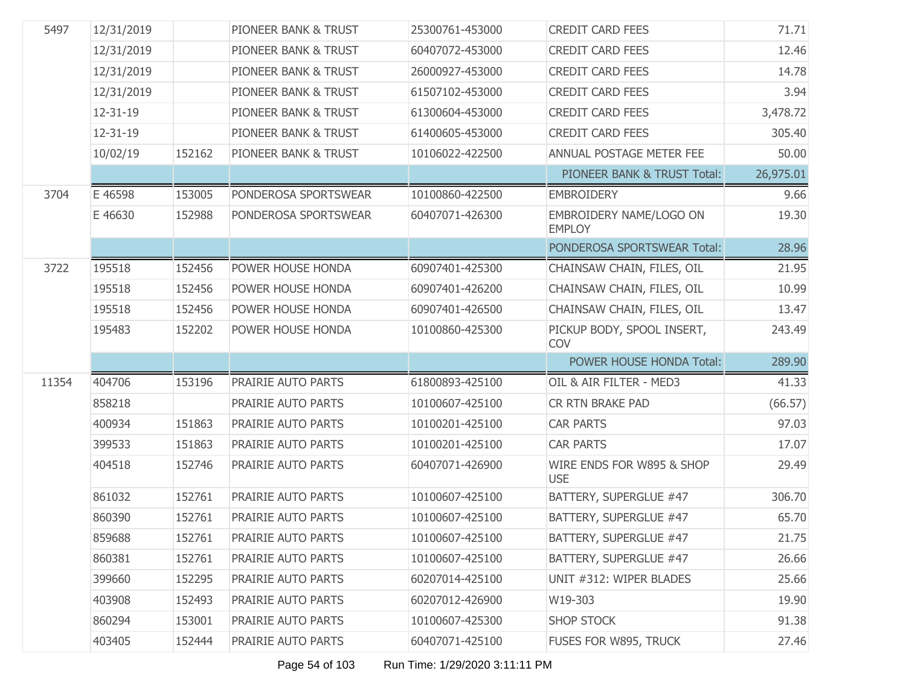| 5497  | 12/31/2019 |        | PIONEER BANK & TRUST | 25300761-453000 | <b>CREDIT CARD FEES</b>                  | 71.71     |
|-------|------------|--------|----------------------|-----------------|------------------------------------------|-----------|
|       | 12/31/2019 |        | PIONEER BANK & TRUST | 60407072-453000 | <b>CREDIT CARD FEES</b>                  | 12.46     |
|       | 12/31/2019 |        | PIONEER BANK & TRUST | 26000927-453000 | <b>CREDIT CARD FEES</b>                  | 14.78     |
|       | 12/31/2019 |        | PIONEER BANK & TRUST | 61507102-453000 | <b>CREDIT CARD FEES</b>                  | 3.94      |
|       | 12-31-19   |        | PIONEER BANK & TRUST | 61300604-453000 | <b>CREDIT CARD FEES</b>                  | 3,478.72  |
|       | 12-31-19   |        | PIONEER BANK & TRUST | 61400605-453000 | <b>CREDIT CARD FEES</b>                  | 305.40    |
|       | 10/02/19   | 152162 | PIONEER BANK & TRUST | 10106022-422500 | ANNUAL POSTAGE METER FEE                 | 50.00     |
|       |            |        |                      |                 | PIONEER BANK & TRUST Total:              | 26,975.01 |
| 3704  | E 46598    | 153005 | PONDEROSA SPORTSWEAR | 10100860-422500 | <b>EMBROIDERY</b>                        | 9.66      |
|       | E 46630    | 152988 | PONDEROSA SPORTSWEAR | 60407071-426300 | EMBROIDERY NAME/LOGO ON<br><b>EMPLOY</b> | 19.30     |
|       |            |        |                      |                 | PONDEROSA SPORTSWEAR Total:              | 28.96     |
| 3722  | 195518     | 152456 | POWER HOUSE HONDA    | 60907401-425300 | CHAINSAW CHAIN, FILES, OIL               | 21.95     |
|       | 195518     | 152456 | POWER HOUSE HONDA    | 60907401-426200 | CHAINSAW CHAIN, FILES, OIL               | 10.99     |
|       | 195518     | 152456 | POWER HOUSE HONDA    | 60907401-426500 | CHAINSAW CHAIN, FILES, OIL               | 13.47     |
|       | 195483     | 152202 | POWER HOUSE HONDA    | 10100860-425300 | PICKUP BODY, SPOOL INSERT,<br>COV        | 243.49    |
|       |            |        |                      |                 | POWER HOUSE HONDA Total:                 | 289.90    |
| 11354 | 404706     | 153196 | PRAIRIE AUTO PARTS   | 61800893-425100 | OIL & AIR FILTER - MED3                  | 41.33     |
|       | 858218     |        | PRAIRIE AUTO PARTS   | 10100607-425100 | <b>CR RTN BRAKE PAD</b>                  | (66.57)   |
|       | 400934     | 151863 | PRAIRIE AUTO PARTS   | 10100201-425100 | <b>CAR PARTS</b>                         | 97.03     |
|       | 399533     | 151863 | PRAIRIE AUTO PARTS   | 10100201-425100 | <b>CAR PARTS</b>                         | 17.07     |
|       | 404518     | 152746 | PRAIRIE AUTO PARTS   | 60407071-426900 | WIRE ENDS FOR W895 & SHOP<br><b>USE</b>  | 29.49     |
|       | 861032     | 152761 | PRAIRIE AUTO PARTS   | 10100607-425100 | BATTERY, SUPERGLUE #47                   | 306.70    |
|       | 860390     | 152761 | PRAIRIE AUTO PARTS   | 10100607-425100 | BATTERY, SUPERGLUE #47                   | 65.70     |
|       | 859688     | 152761 | PRAIRIE AUTO PARTS   | 10100607-425100 | BATTERY, SUPERGLUE #47                   | 21.75     |
|       | 860381     | 152761 | PRAIRIE AUTO PARTS   | 10100607-425100 | BATTERY, SUPERGLUE #47                   | 26.66     |
|       | 399660     | 152295 | PRAIRIE AUTO PARTS   | 60207014-425100 | UNIT #312: WIPER BLADES                  | 25.66     |
|       | 403908     | 152493 | PRAIRIE AUTO PARTS   | 60207012-426900 | W19-303                                  | 19.90     |
|       | 860294     | 153001 | PRAIRIE AUTO PARTS   | 10100607-425300 | <b>SHOP STOCK</b>                        | 91.38     |
|       | 403405     | 152444 | PRAIRIE AUTO PARTS   | 60407071-425100 | FUSES FOR W895, TRUCK                    | 27.46     |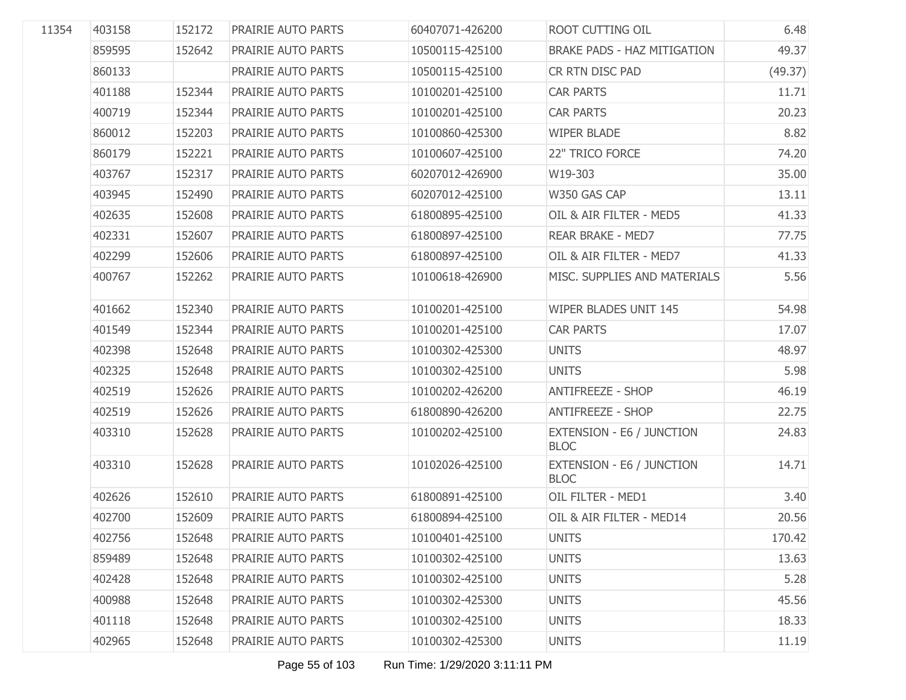| 11354 | 403158 | 152172 | PRAIRIE AUTO PARTS        | 60407071-426200 | ROOT CUTTING OIL                         | 6.48    |
|-------|--------|--------|---------------------------|-----------------|------------------------------------------|---------|
|       | 859595 | 152642 | PRAIRIE AUTO PARTS        | 10500115-425100 | <b>BRAKE PADS - HAZ MITIGATION</b>       | 49.37   |
|       | 860133 |        | PRAIRIE AUTO PARTS        | 10500115-425100 | CR RTN DISC PAD                          | (49.37) |
|       | 401188 | 152344 | PRAIRIE AUTO PARTS        | 10100201-425100 | <b>CAR PARTS</b>                         | 11.71   |
|       | 400719 | 152344 | PRAIRIE AUTO PARTS        | 10100201-425100 | <b>CAR PARTS</b>                         | 20.23   |
|       | 860012 | 152203 | PRAIRIE AUTO PARTS        | 10100860-425300 | <b>WIPER BLADE</b>                       | 8.82    |
|       | 860179 | 152221 | PRAIRIE AUTO PARTS        | 10100607-425100 | 22" TRICO FORCE                          | 74.20   |
|       | 403767 | 152317 | PRAIRIE AUTO PARTS        | 60207012-426900 | W19-303                                  | 35.00   |
|       | 403945 | 152490 | PRAIRIE AUTO PARTS        | 60207012-425100 | W350 GAS CAP                             | 13.11   |
|       | 402635 | 152608 | PRAIRIE AUTO PARTS        | 61800895-425100 | OIL & AIR FILTER - MED5                  | 41.33   |
|       | 402331 | 152607 | PRAIRIE AUTO PARTS        | 61800897-425100 | <b>REAR BRAKE - MED7</b>                 | 77.75   |
|       | 402299 | 152606 | PRAIRIE AUTO PARTS        | 61800897-425100 | OIL & AIR FILTER - MED7                  | 41.33   |
|       | 400767 | 152262 | PRAIRIE AUTO PARTS        | 10100618-426900 | MISC. SUPPLIES AND MATERIALS             | 5.56    |
|       | 401662 | 152340 | PRAIRIE AUTO PARTS        | 10100201-425100 | <b>WIPER BLADES UNIT 145</b>             | 54.98   |
|       | 401549 | 152344 | PRAIRIE AUTO PARTS        | 10100201-425100 | <b>CAR PARTS</b>                         | 17.07   |
|       | 402398 | 152648 | PRAIRIE AUTO PARTS        | 10100302-425300 | <b>UNITS</b>                             | 48.97   |
|       | 402325 | 152648 | PRAIRIE AUTO PARTS        | 10100302-425100 | <b>UNITS</b>                             | 5.98    |
|       | 402519 | 152626 | PRAIRIE AUTO PARTS        | 10100202-426200 | <b>ANTIFREEZE - SHOP</b>                 | 46.19   |
|       | 402519 | 152626 | PRAIRIE AUTO PARTS        | 61800890-426200 | <b>ANTIFREEZE - SHOP</b>                 | 22.75   |
|       | 403310 | 152628 | PRAIRIE AUTO PARTS        | 10100202-425100 | EXTENSION - E6 / JUNCTION<br><b>BLOC</b> | 24.83   |
|       | 403310 | 152628 | PRAIRIE AUTO PARTS        | 10102026-425100 | EXTENSION - E6 / JUNCTION<br><b>BLOC</b> | 14.71   |
|       | 402626 | 152610 | PRAIRIE AUTO PARTS        | 61800891-425100 | OIL FILTER - MED1                        | 3.40    |
|       | 402700 | 152609 | PRAIRIE AUTO PARTS        | 61800894-425100 | OIL & AIR FILTER - MED14                 | 20.56   |
|       | 402756 | 152648 | <b>PRAIRIE AUTO PARTS</b> | 10100401-425100 | <b>UNITS</b>                             | 170.42  |
|       | 859489 | 152648 | PRAIRIE AUTO PARTS        | 10100302-425100 | <b>UNITS</b>                             | 13.63   |
|       | 402428 | 152648 | PRAIRIE AUTO PARTS        | 10100302-425100 | <b>UNITS</b>                             | 5.28    |
|       | 400988 | 152648 | PRAIRIE AUTO PARTS        | 10100302-425300 | <b>UNITS</b>                             | 45.56   |
|       | 401118 | 152648 | PRAIRIE AUTO PARTS        | 10100302-425100 | <b>UNITS</b>                             | 18.33   |
|       | 402965 | 152648 | PRAIRIE AUTO PARTS        | 10100302-425300 | <b>UNITS</b>                             | 11.19   |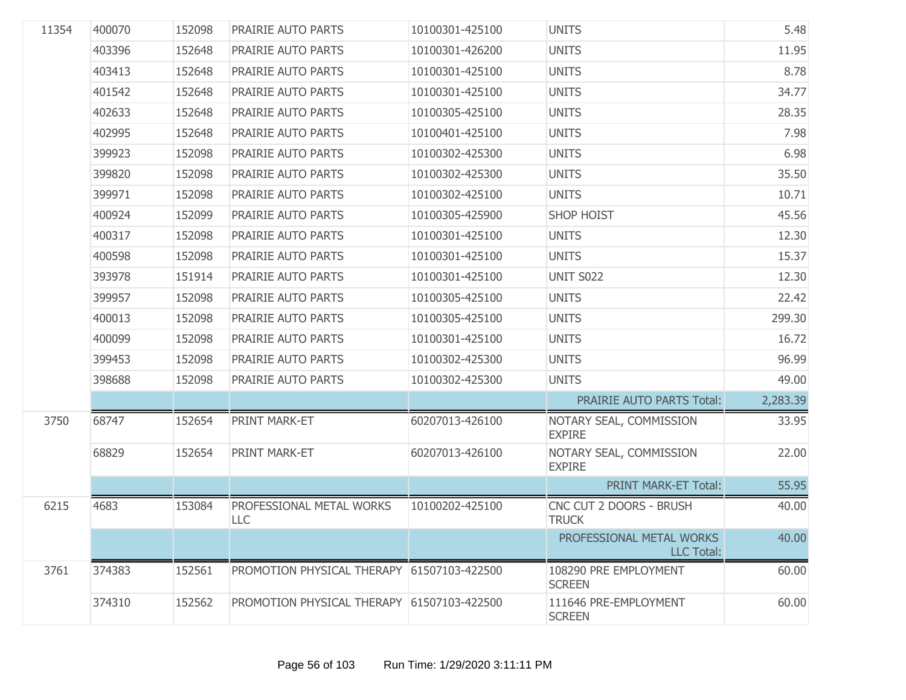| 11354 | 400070 | 152098 | PRAIRIE AUTO PARTS                         | 10100301-425100 | <b>UNITS</b>                                  | 5.48     |
|-------|--------|--------|--------------------------------------------|-----------------|-----------------------------------------------|----------|
|       | 403396 | 152648 | PRAIRIE AUTO PARTS                         | 10100301-426200 | <b>UNITS</b>                                  | 11.95    |
|       | 403413 | 152648 | PRAIRIE AUTO PARTS                         | 10100301-425100 | <b>UNITS</b>                                  | 8.78     |
|       | 401542 | 152648 | PRAIRIE AUTO PARTS                         | 10100301-425100 | <b>UNITS</b>                                  | 34.77    |
|       | 402633 | 152648 | PRAIRIE AUTO PARTS                         | 10100305-425100 | <b>UNITS</b>                                  | 28.35    |
|       | 402995 | 152648 | PRAIRIE AUTO PARTS                         | 10100401-425100 | <b>UNITS</b>                                  | 7.98     |
|       | 399923 | 152098 | PRAIRIE AUTO PARTS                         | 10100302-425300 | <b>UNITS</b>                                  | 6.98     |
|       | 399820 | 152098 | PRAIRIE AUTO PARTS                         | 10100302-425300 | <b>UNITS</b>                                  | 35.50    |
|       | 399971 | 152098 | PRAIRIE AUTO PARTS                         | 10100302-425100 | <b>UNITS</b>                                  | 10.71    |
|       | 400924 | 152099 | PRAIRIE AUTO PARTS                         | 10100305-425900 | <b>SHOP HOIST</b>                             | 45.56    |
|       | 400317 | 152098 | PRAIRIE AUTO PARTS                         | 10100301-425100 | <b>UNITS</b>                                  | 12.30    |
|       | 400598 | 152098 | PRAIRIE AUTO PARTS                         | 10100301-425100 | <b>UNITS</b>                                  | 15.37    |
|       | 393978 | 151914 | PRAIRIE AUTO PARTS                         | 10100301-425100 | <b>UNIT S022</b>                              | 12.30    |
|       | 399957 | 152098 | PRAIRIE AUTO PARTS                         | 10100305-425100 | <b>UNITS</b>                                  | 22.42    |
|       | 400013 | 152098 | PRAIRIE AUTO PARTS                         | 10100305-425100 | <b>UNITS</b>                                  | 299.30   |
|       | 400099 | 152098 | PRAIRIE AUTO PARTS                         | 10100301-425100 | <b>UNITS</b>                                  | 16.72    |
|       | 399453 | 152098 | PRAIRIE AUTO PARTS                         | 10100302-425300 | <b>UNITS</b>                                  | 96.99    |
|       | 398688 | 152098 | PRAIRIE AUTO PARTS                         | 10100302-425300 | <b>UNITS</b>                                  | 49.00    |
|       |        |        |                                            |                 | PRAIRIE AUTO PARTS Total:                     | 2,283.39 |
| 3750  | 68747  | 152654 | PRINT MARK-ET                              | 60207013-426100 | NOTARY SEAL, COMMISSION<br><b>EXPIRE</b>      | 33.95    |
|       | 68829  | 152654 | PRINT MARK-ET                              | 60207013-426100 | NOTARY SEAL, COMMISSION<br><b>EXPIRE</b>      | 22.00    |
|       |        |        |                                            |                 | PRINT MARK-ET Total:                          | 55.95    |
| 6215  | 4683   | 153084 | PROFESSIONAL METAL WORKS<br>LLC            | 10100202-425100 | CNC CUT 2 DOORS - BRUSH<br><b>TRUCK</b>       | 40.00    |
|       |        |        |                                            |                 | PROFESSIONAL METAL WORKS<br><b>LLC</b> Total: | 40.00    |
| 3761  | 374383 | 152561 | PROMOTION PHYSICAL THERAPY 61507103-422500 |                 | 108290 PRE EMPLOYMENT<br><b>SCREEN</b>        | 60.00    |
|       | 374310 | 152562 | PROMOTION PHYSICAL THERAPY 61507103-422500 |                 | 111646 PRE-EMPLOYMENT<br><b>SCREEN</b>        | 60.00    |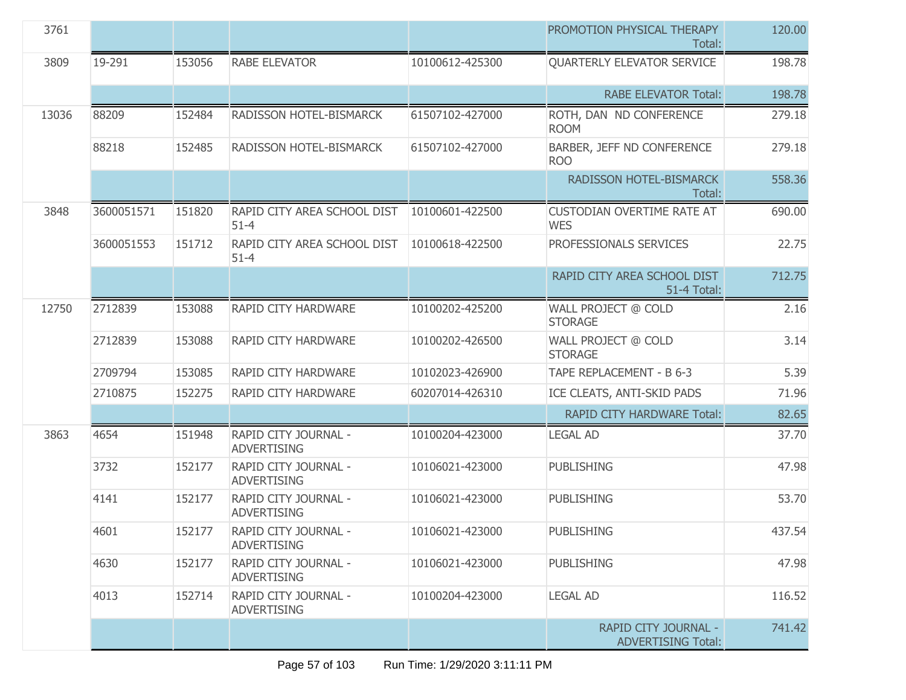| 3761  |            |        |                                            |                 | PROMOTION PHYSICAL THERAPY<br>Total:              | 120.00 |
|-------|------------|--------|--------------------------------------------|-----------------|---------------------------------------------------|--------|
| 3809  | 19-291     | 153056 | <b>RABE ELEVATOR</b>                       | 10100612-425300 | <b>QUARTERLY ELEVATOR SERVICE</b>                 | 198.78 |
|       |            |        |                                            |                 | <b>RABE ELEVATOR Total:</b>                       | 198.78 |
| 13036 | 88209      | 152484 | RADISSON HOTEL-BISMARCK                    | 61507102-427000 | ROTH, DAN ND CONFERENCE<br><b>ROOM</b>            | 279.18 |
|       | 88218      | 152485 | RADISSON HOTEL-BISMARCK                    | 61507102-427000 | BARBER, JEFF ND CONFERENCE<br><b>ROO</b>          | 279.18 |
|       |            |        |                                            |                 | RADISSON HOTEL-BISMARCK<br>Total:                 | 558.36 |
| 3848  | 3600051571 | 151820 | RAPID CITY AREA SCHOOL DIST<br>$51 - 4$    | 10100601-422500 | <b>CUSTODIAN OVERTIME RATE AT</b><br><b>WES</b>   | 690.00 |
|       | 3600051553 | 151712 | RAPID CITY AREA SCHOOL DIST<br>$51 - 4$    | 10100618-422500 | PROFESSIONALS SERVICES                            | 22.75  |
|       |            |        |                                            |                 | RAPID CITY AREA SCHOOL DIST<br><b>51-4 Total:</b> | 712.75 |
| 12750 | 2712839    | 153088 | RAPID CITY HARDWARE                        | 10100202-425200 | WALL PROJECT @ COLD<br><b>STORAGE</b>             | 2.16   |
|       | 2712839    | 153088 | RAPID CITY HARDWARE                        | 10100202-426500 | WALL PROJECT @ COLD<br><b>STORAGE</b>             | 3.14   |
|       | 2709794    | 153085 | RAPID CITY HARDWARE                        | 10102023-426900 | TAPE REPLACEMENT - B 6-3                          | 5.39   |
|       | 2710875    | 152275 | RAPID CITY HARDWARE                        | 60207014-426310 | ICE CLEATS, ANTI-SKID PADS                        | 71.96  |
|       |            |        |                                            |                 | <b>RAPID CITY HARDWARE Total:</b>                 | 82.65  |
| 3863  | 4654       | 151948 | RAPID CITY JOURNAL -<br><b>ADVERTISING</b> | 10100204-423000 | <b>LEGAL AD</b>                                   | 37.70  |
|       | 3732       | 152177 | RAPID CITY JOURNAL -<br><b>ADVERTISING</b> | 10106021-423000 | <b>PUBLISHING</b>                                 | 47.98  |
|       | 4141       | 152177 | RAPID CITY JOURNAL -<br><b>ADVERTISING</b> | 10106021-423000 | <b>PUBLISHING</b>                                 | 53.70  |
|       | 4601       | 152177 | RAPID CITY JOURNAL -<br><b>ADVERTISING</b> | 10106021-423000 | PUBLISHING                                        | 437.54 |
|       | 4630       | 152177 | RAPID CITY JOURNAL -<br><b>ADVERTISING</b> | 10106021-423000 | <b>PUBLISHING</b>                                 | 47.98  |
|       | 4013       | 152714 | RAPID CITY JOURNAL -<br><b>ADVERTISING</b> | 10100204-423000 | <b>LEGAL AD</b>                                   | 116.52 |
|       |            |        |                                            |                 | RAPID CITY JOURNAL -<br><b>ADVERTISING Total:</b> | 741.42 |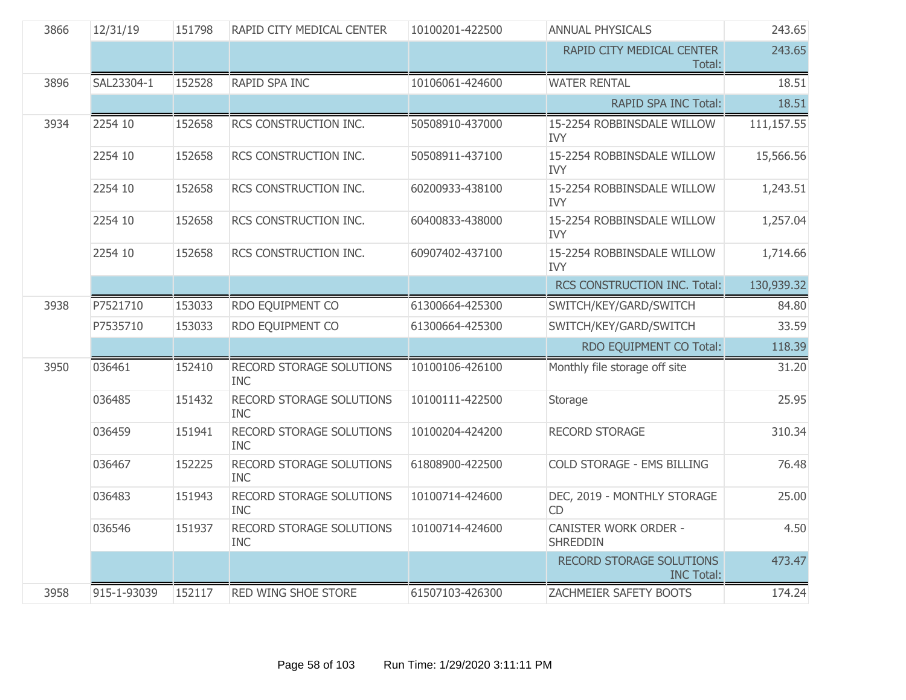| 3866 | 12/31/19    | 151798 | RAPID CITY MEDICAL CENTER                     | 10100201-422500 | ANNUAL PHYSICALS                                | 243.65     |
|------|-------------|--------|-----------------------------------------------|-----------------|-------------------------------------------------|------------|
|      |             |        |                                               |                 | RAPID CITY MEDICAL CENTER<br>Total:             | 243.65     |
| 3896 | SAL23304-1  | 152528 | RAPID SPA INC                                 | 10106061-424600 | <b>WATER RENTAL</b>                             | 18.51      |
|      |             |        |                                               |                 | RAPID SPA INC Total:                            | 18.51      |
| 3934 | 2254 10     | 152658 | RCS CONSTRUCTION INC.                         | 50508910-437000 | 15-2254 ROBBINSDALE WILLOW<br><b>IVY</b>        | 111,157.55 |
|      | 2254 10     | 152658 | RCS CONSTRUCTION INC.                         | 50508911-437100 | 15-2254 ROBBINSDALE WILLOW<br><b>IVY</b>        | 15,566.56  |
|      | 2254 10     | 152658 | RCS CONSTRUCTION INC.                         | 60200933-438100 | 15-2254 ROBBINSDALE WILLOW<br><b>IVY</b>        | 1,243.51   |
|      | 2254 10     | 152658 | RCS CONSTRUCTION INC.                         | 60400833-438000 | 15-2254 ROBBINSDALE WILLOW<br><b>IVY</b>        | 1,257.04   |
|      | 2254 10     | 152658 | RCS CONSTRUCTION INC.                         | 60907402-437100 | 15-2254 ROBBINSDALE WILLOW<br><b>IVY</b>        | 1,714.66   |
|      |             |        |                                               |                 | RCS CONSTRUCTION INC. Total:                    | 130,939.32 |
| 3938 | P7521710    | 153033 | RDO EQUIPMENT CO                              | 61300664-425300 | SWITCH/KEY/GARD/SWITCH                          | 84.80      |
|      | P7535710    | 153033 | RDO EQUIPMENT CO                              | 61300664-425300 | SWITCH/KEY/GARD/SWITCH                          | 33.59      |
|      |             |        |                                               |                 | RDO EQUIPMENT CO Total:                         | 118.39     |
| 3950 | 036461      | 152410 | RECORD STORAGE SOLUTIONS<br><b>INC</b>        | 10100106-426100 | Monthly file storage off site                   | 31.20      |
|      | 036485      | 151432 | RECORD STORAGE SOLUTIONS<br><b>INC</b>        | 10100111-422500 | Storage                                         | 25.95      |
|      | 036459      | 151941 | RECORD STORAGE SOLUTIONS<br><b>INC</b>        | 10100204-424200 | RECORD STORAGE                                  | 310.34     |
|      | 036467      | 152225 | RECORD STORAGE SOLUTIONS<br><b>INC</b>        | 61808900-422500 | COLD STORAGE - EMS BILLING                      | 76.48      |
|      | 036483      | 151943 | RECORD STORAGE SOLUTIONS<br><b>INC</b>        | 10100714-424600 | DEC, 2019 - MONTHLY STORAGE<br><b>CD</b>        | 25.00      |
|      | 036546      | 151937 | <b>RECORD STORAGE SOLUTIONS</b><br><b>INC</b> | 10100714-424600 | <b>CANISTER WORK ORDER -</b><br><b>SHREDDIN</b> | 4.50       |
|      |             |        |                                               |                 | RECORD STORAGE SOLUTIONS<br><b>INC Total:</b>   | 473.47     |
| 3958 | 915-1-93039 | 152117 | RED WING SHOE STORE                           | 61507103-426300 | ZACHMEIER SAFETY BOOTS                          | 174.24     |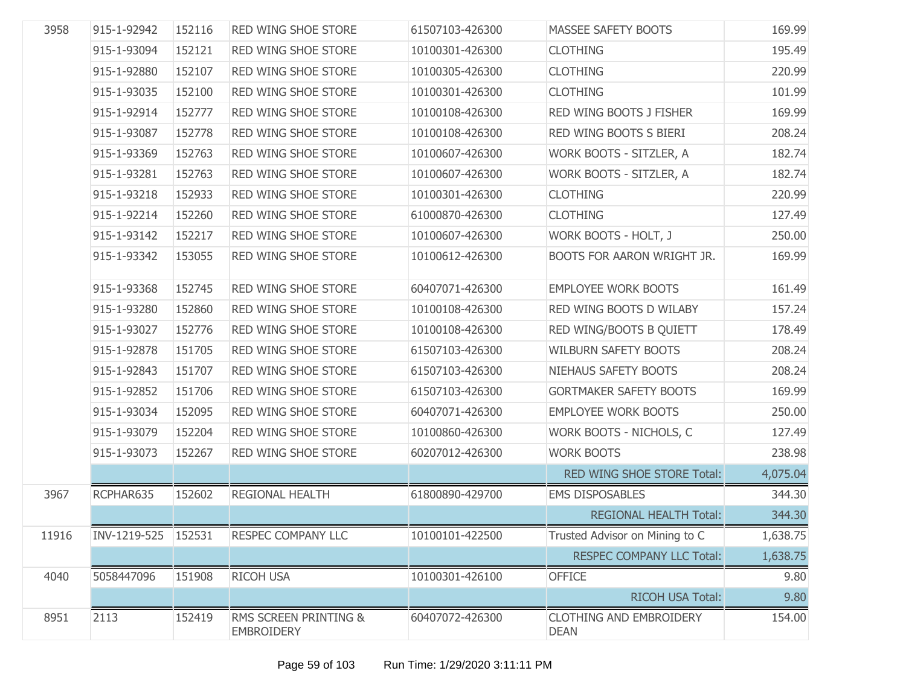| 3958  | 915-1-92942  | 152116 | RED WING SHOE STORE                        | 61507103-426300 | <b>MASSEE SAFETY BOOTS</b>                    | 169.99   |
|-------|--------------|--------|--------------------------------------------|-----------------|-----------------------------------------------|----------|
|       | 915-1-93094  | 152121 | RED WING SHOE STORE                        | 10100301-426300 | <b>CLOTHING</b>                               | 195.49   |
|       | 915-1-92880  | 152107 | RED WING SHOE STORE                        | 10100305-426300 | <b>CLOTHING</b>                               | 220.99   |
|       | 915-1-93035  | 152100 | RED WING SHOE STORE                        | 10100301-426300 | <b>CLOTHING</b>                               | 101.99   |
|       | 915-1-92914  | 152777 | RED WING SHOE STORE                        | 10100108-426300 | RED WING BOOTS J FISHER                       | 169.99   |
|       | 915-1-93087  | 152778 | RED WING SHOE STORE                        | 10100108-426300 | RED WING BOOTS S BIERI                        | 208.24   |
|       | 915-1-93369  | 152763 | RED WING SHOE STORE                        | 10100607-426300 | WORK BOOTS - SITZLER, A                       | 182.74   |
|       | 915-1-93281  | 152763 | RED WING SHOE STORE                        | 10100607-426300 | WORK BOOTS - SITZLER, A                       | 182.74   |
|       | 915-1-93218  | 152933 | RED WING SHOE STORE                        | 10100301-426300 | <b>CLOTHING</b>                               | 220.99   |
|       | 915-1-92214  | 152260 | RED WING SHOE STORE                        | 61000870-426300 | <b>CLOTHING</b>                               | 127.49   |
|       | 915-1-93142  | 152217 | RED WING SHOE STORE                        | 10100607-426300 | WORK BOOTS - HOLT, J                          | 250.00   |
|       | 915-1-93342  | 153055 | RED WING SHOE STORE                        | 10100612-426300 | <b>BOOTS FOR AARON WRIGHT JR.</b>             | 169.99   |
|       | 915-1-93368  | 152745 | RED WING SHOE STORE                        | 60407071-426300 | <b>EMPLOYEE WORK BOOTS</b>                    | 161.49   |
|       | 915-1-93280  | 152860 | RED WING SHOE STORE                        | 10100108-426300 | RED WING BOOTS D WILABY                       | 157.24   |
|       | 915-1-93027  | 152776 | <b>RED WING SHOE STORE</b>                 | 10100108-426300 | RED WING/BOOTS B QUIETT                       | 178.49   |
|       | 915-1-92878  | 151705 | RED WING SHOE STORE                        | 61507103-426300 | <b>WILBURN SAFETY BOOTS</b>                   | 208.24   |
|       | 915-1-92843  | 151707 | RED WING SHOE STORE                        | 61507103-426300 | NIEHAUS SAFETY BOOTS                          | 208.24   |
|       | 915-1-92852  | 151706 | RED WING SHOE STORE                        | 61507103-426300 | <b>GORTMAKER SAFETY BOOTS</b>                 | 169.99   |
|       | 915-1-93034  | 152095 | RED WING SHOE STORE                        | 60407071-426300 | <b>EMPLOYEE WORK BOOTS</b>                    | 250.00   |
|       | 915-1-93079  | 152204 | RED WING SHOE STORE                        | 10100860-426300 | WORK BOOTS - NICHOLS, C                       | 127.49   |
|       | 915-1-93073  | 152267 | RED WING SHOE STORE                        | 60207012-426300 | <b>WORK BOOTS</b>                             | 238.98   |
|       |              |        |                                            |                 | RED WING SHOE STORE Total:                    | 4,075.04 |
| 3967  | RCPHAR635    | 152602 | REGIONAL HEALTH                            | 61800890-429700 | <b>EMS DISPOSABLES</b>                        | 344.30   |
|       |              |        |                                            |                 | <b>REGIONAL HEALTH Total:</b>                 | 344.30   |
| 11916 | INV-1219-525 | 152531 | RESPEC COMPANY LLC                         | 10100101-422500 | Trusted Advisor on Mining to C                | 1,638.75 |
|       |              |        |                                            |                 | <b>RESPEC COMPANY LLC Total:</b>              | 1,638.75 |
| 4040  | 5058447096   | 151908 | RICOH USA                                  | 10100301-426100 | <b>OFFICE</b>                                 | 9.80     |
|       |              |        |                                            |                 | RICOH USA Total:                              | 9.80     |
| 8951  | 2113         | 152419 | RMS SCREEN PRINTING &<br><b>EMBROIDERY</b> | 60407072-426300 | <b>CLOTHING AND EMBROIDERY</b><br><b>DEAN</b> | 154.00   |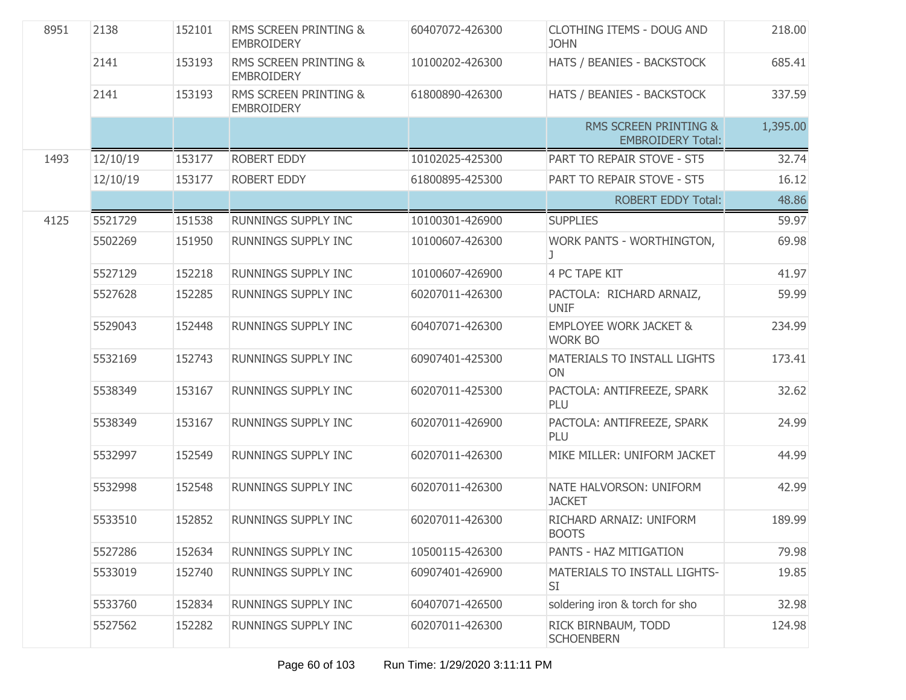| 8951 | 2138     | 152101 | <b>RMS SCREEN PRINTING &amp;</b><br><b>EMBROIDERY</b> | 60407072-426300 | <b>CLOTHING ITEMS - DOUG AND</b><br><b>JOHN</b>              | 218.00   |
|------|----------|--------|-------------------------------------------------------|-----------------|--------------------------------------------------------------|----------|
|      | 2141     | 153193 | RMS SCREEN PRINTING &<br><b>EMBROIDERY</b>            | 10100202-426300 | HATS / BEANIES - BACKSTOCK                                   | 685.41   |
|      | 2141     | 153193 | RMS SCREEN PRINTING &<br><b>EMBROIDERY</b>            | 61800890-426300 | HATS / BEANIES - BACKSTOCK                                   | 337.59   |
|      |          |        |                                                       |                 | <b>RMS SCREEN PRINTING &amp;</b><br><b>EMBROIDERY Total:</b> | 1,395.00 |
| 1493 | 12/10/19 | 153177 | <b>ROBERT EDDY</b>                                    | 10102025-425300 | PART TO REPAIR STOVE - ST5                                   | 32.74    |
|      | 12/10/19 | 153177 | ROBERT EDDY                                           | 61800895-425300 | PART TO REPAIR STOVE - ST5                                   | 16.12    |
|      |          |        |                                                       |                 | <b>ROBERT EDDY Total:</b>                                    | 48.86    |
| 4125 | 5521729  | 151538 | RUNNINGS SUPPLY INC                                   | 10100301-426900 | <b>SUPPLIES</b>                                              | 59.97    |
|      | 5502269  | 151950 | RUNNINGS SUPPLY INC                                   | 10100607-426300 | WORK PANTS - WORTHINGTON,                                    | 69.98    |
|      | 5527129  | 152218 | RUNNINGS SUPPLY INC                                   | 10100607-426900 | 4 PC TAPE KIT                                                | 41.97    |
|      | 5527628  | 152285 | RUNNINGS SUPPLY INC                                   | 60207011-426300 | PACTOLA: RICHARD ARNAIZ,<br><b>UNIF</b>                      | 59.99    |
|      | 5529043  | 152448 | RUNNINGS SUPPLY INC                                   | 60407071-426300 | <b>EMPLOYEE WORK JACKET &amp;</b><br><b>WORK BO</b>          | 234.99   |
|      | 5532169  | 152743 | RUNNINGS SUPPLY INC                                   | 60907401-425300 | MATERIALS TO INSTALL LIGHTS<br>ON                            | 173.41   |
|      | 5538349  | 153167 | RUNNINGS SUPPLY INC                                   | 60207011-425300 | PACTOLA: ANTIFREEZE, SPARK<br>PLU                            | 32.62    |
|      | 5538349  | 153167 | RUNNINGS SUPPLY INC                                   | 60207011-426900 | PACTOLA: ANTIFREEZE, SPARK<br>PLU                            | 24.99    |
|      | 5532997  | 152549 | RUNNINGS SUPPLY INC                                   | 60207011-426300 | MIKE MILLER: UNIFORM JACKET                                  | 44.99    |
|      | 5532998  | 152548 | <b>RUNNINGS SUPPLY INC</b>                            | 60207011-426300 | NATE HALVORSON: UNIFORM<br><b>JACKET</b>                     | 42.99    |
|      | 5533510  | 152852 | RUNNINGS SUPPLY INC                                   | 60207011-426300 | RICHARD ARNAIZ: UNIFORM<br><b>BOOTS</b>                      | 189.99   |
|      | 5527286  | 152634 | RUNNINGS SUPPLY INC                                   | 10500115-426300 | PANTS - HAZ MITIGATION                                       | 79.98    |
|      | 5533019  | 152740 | RUNNINGS SUPPLY INC                                   | 60907401-426900 | MATERIALS TO INSTALL LIGHTS-<br>SI                           | 19.85    |
|      | 5533760  | 152834 | RUNNINGS SUPPLY INC                                   | 60407071-426500 | soldering iron & torch for sho                               | 32.98    |
|      | 5527562  | 152282 | RUNNINGS SUPPLY INC                                   | 60207011-426300 | RICK BIRNBAUM, TODD<br><b>SCHOENBERN</b>                     | 124.98   |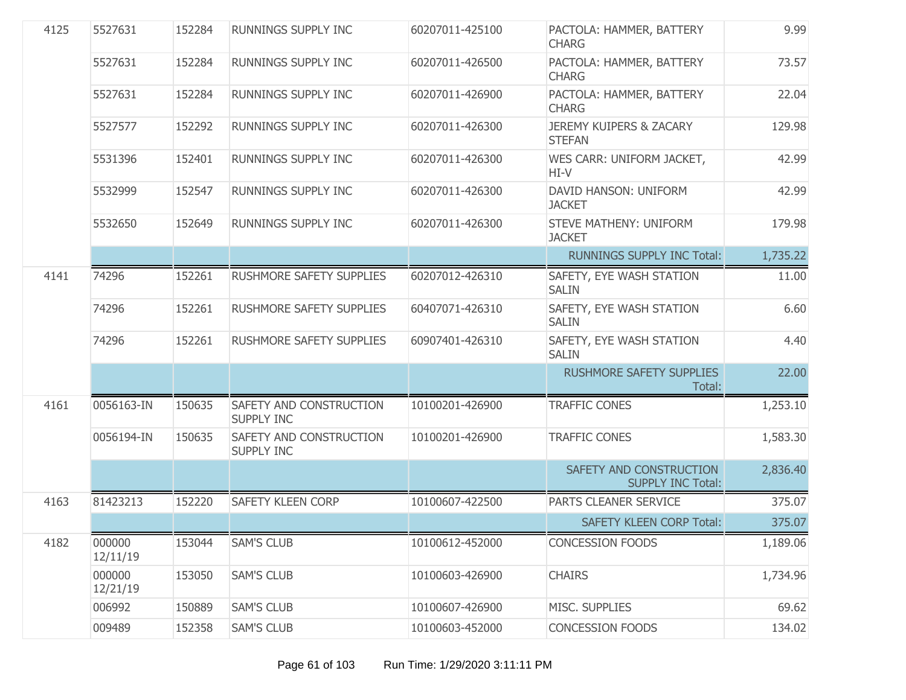| 4125 | 5527631            | 152284 | <b>RUNNINGS SUPPLY INC</b>                   | 60207011-425100 | PACTOLA: HAMMER, BATTERY<br><b>CHARG</b>            | 9.99     |
|------|--------------------|--------|----------------------------------------------|-----------------|-----------------------------------------------------|----------|
|      | 5527631            | 152284 | <b>RUNNINGS SUPPLY INC</b>                   | 60207011-426500 | PACTOLA: HAMMER, BATTERY<br><b>CHARG</b>            | 73.57    |
|      | 5527631            | 152284 | RUNNINGS SUPPLY INC                          | 60207011-426900 | PACTOLA: HAMMER, BATTERY<br><b>CHARG</b>            | 22.04    |
|      | 5527577            | 152292 | RUNNINGS SUPPLY INC                          | 60207011-426300 | <b>JEREMY KUIPERS &amp; ZACARY</b><br><b>STEFAN</b> | 129.98   |
|      | 5531396            | 152401 | <b>RUNNINGS SUPPLY INC</b>                   | 60207011-426300 | WES CARR: UNIFORM JACKET,<br>HI-V                   | 42.99    |
|      | 5532999            | 152547 | RUNNINGS SUPPLY INC                          | 60207011-426300 | DAVID HANSON: UNIFORM<br><b>JACKET</b>              | 42.99    |
|      | 5532650            | 152649 | RUNNINGS SUPPLY INC                          | 60207011-426300 | STEVE MATHENY: UNIFORM<br><b>JACKET</b>             | 179.98   |
|      |                    |        |                                              |                 | <b>RUNNINGS SUPPLY INC Total:</b>                   | 1,735.22 |
| 4141 | 74296              | 152261 | RUSHMORE SAFETY SUPPLIES                     | 60207012-426310 | SAFETY, EYE WASH STATION<br><b>SALIN</b>            | 11.00    |
|      | 74296              | 152261 | <b>RUSHMORE SAFETY SUPPLIES</b>              | 60407071-426310 | SAFETY, EYE WASH STATION<br><b>SALIN</b>            | 6.60     |
|      | 74296              | 152261 | RUSHMORE SAFETY SUPPLIES                     | 60907401-426310 | SAFETY, EYE WASH STATION<br><b>SALIN</b>            | 4.40     |
|      |                    |        |                                              |                 | <b>RUSHMORE SAFETY SUPPLIES</b><br>Total:           | 22.00    |
| 4161 | 0056163-IN         | 150635 | SAFETY AND CONSTRUCTION<br><b>SUPPLY INC</b> | 10100201-426900 | <b>TRAFFIC CONES</b>                                | 1,253.10 |
|      | 0056194-IN         | 150635 | SAFETY AND CONSTRUCTION<br><b>SUPPLY INC</b> | 10100201-426900 | <b>TRAFFIC CONES</b>                                | 1,583.30 |
|      |                    |        |                                              |                 | SAFETY AND CONSTRUCTION<br><b>SUPPLY INC Total:</b> | 2,836.40 |
| 4163 | 81423213           | 152220 | <b>SAFETY KLEEN CORP</b>                     | 10100607-422500 | PARTS CLEANER SERVICE                               | 375.07   |
|      |                    |        |                                              |                 | <b>SAFETY KLEEN CORP Total:</b>                     | 375.07   |
| 4182 | 000000<br>12/11/19 | 153044 | <b>SAM'S CLUB</b>                            | 10100612-452000 | <b>CONCESSION FOODS</b>                             | 1,189.06 |
|      | 000000<br>12/21/19 | 153050 | <b>SAM'S CLUB</b>                            | 10100603-426900 | <b>CHAIRS</b>                                       | 1,734.96 |
|      | 006992             | 150889 | <b>SAM'S CLUB</b>                            | 10100607-426900 | MISC. SUPPLIES                                      | 69.62    |
|      | 009489             | 152358 | <b>SAM'S CLUB</b>                            | 10100603-452000 | <b>CONCESSION FOODS</b>                             | 134.02   |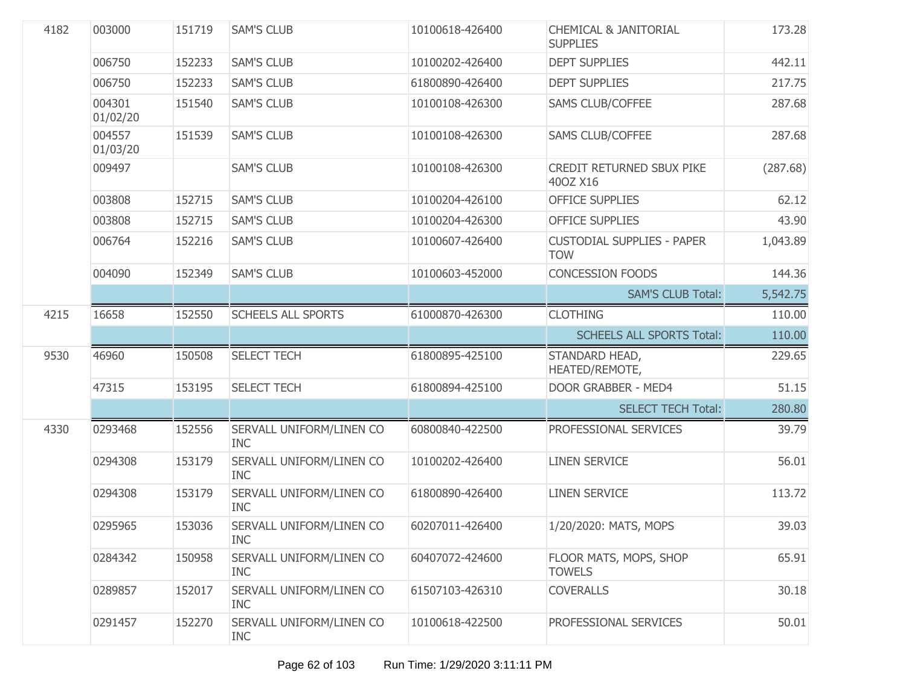| 4182 | 003000             | 151719 | <b>SAM'S CLUB</b>                      | 10100618-426400 | <b>CHEMICAL &amp; JANITORIAL</b><br><b>SUPPLIES</b> | 173.28   |
|------|--------------------|--------|----------------------------------------|-----------------|-----------------------------------------------------|----------|
|      | 006750             | 152233 | <b>SAM'S CLUB</b>                      | 10100202-426400 | <b>DEPT SUPPLIES</b>                                | 442.11   |
|      | 006750             | 152233 | <b>SAM'S CLUB</b>                      | 61800890-426400 | <b>DEPT SUPPLIES</b>                                | 217.75   |
|      | 004301<br>01/02/20 | 151540 | <b>SAM'S CLUB</b>                      | 10100108-426300 | <b>SAMS CLUB/COFFEE</b>                             | 287.68   |
|      | 004557<br>01/03/20 | 151539 | <b>SAM'S CLUB</b>                      | 10100108-426300 | <b>SAMS CLUB/COFFEE</b>                             | 287.68   |
|      | 009497             |        | <b>SAM'S CLUB</b>                      | 10100108-426300 | CREDIT RETURNED SBUX PIKE<br>400Z X16               | (287.68) |
|      | 003808             | 152715 | <b>SAM'S CLUB</b>                      | 10100204-426100 | <b>OFFICE SUPPLIES</b>                              | 62.12    |
|      | 003808             | 152715 | <b>SAM'S CLUB</b>                      | 10100204-426300 | <b>OFFICE SUPPLIES</b>                              | 43.90    |
|      | 006764             | 152216 | <b>SAM'S CLUB</b>                      | 10100607-426400 | <b>CUSTODIAL SUPPLIES - PAPER</b><br><b>TOW</b>     | 1,043.89 |
|      | 004090             | 152349 | <b>SAM'S CLUB</b>                      | 10100603-452000 | <b>CONCESSION FOODS</b>                             | 144.36   |
|      |                    |        |                                        |                 | <b>SAM'S CLUB Total:</b>                            | 5,542.75 |
| 4215 | 16658              | 152550 | <b>SCHEELS ALL SPORTS</b>              | 61000870-426300 | <b>CLOTHING</b>                                     | 110.00   |
|      |                    |        |                                        |                 | <b>SCHEELS ALL SPORTS Total:</b>                    | 110.00   |
| 9530 | 46960              | 150508 | <b>SELECT TECH</b>                     | 61800895-425100 | STANDARD HEAD,<br>HEATED/REMOTE,                    | 229.65   |
|      | 47315              | 153195 | <b>SELECT TECH</b>                     | 61800894-425100 | DOOR GRABBER - MED4                                 | 51.15    |
|      |                    |        |                                        |                 | <b>SELECT TECH Total:</b>                           | 280.80   |
| 4330 | 0293468            | 152556 | SERVALL UNIFORM/LINEN CO<br><b>INC</b> | 60800840-422500 | PROFESSIONAL SERVICES                               | 39.79    |
|      | 0294308            | 153179 | SERVALL UNIFORM/LINEN CO<br><b>INC</b> | 10100202-426400 | <b>LINEN SERVICE</b>                                | 56.01    |
|      | 0294308            | 153179 | SERVALL UNIFORM/LINEN CO<br><b>INC</b> | 61800890-426400 | <b>LINEN SERVICE</b>                                | 113.72   |
|      | 0295965            | 153036 | SERVALL UNIFORM/LINEN CO<br>INC.       | 60207011-426400 | 1/20/2020: MATS, MOPS                               | 39.03    |
|      | 0284342            | 150958 | SERVALL UNIFORM/LINEN CO<br><b>INC</b> | 60407072-424600 | FLOOR MATS, MOPS, SHOP<br><b>TOWELS</b>             | 65.91    |
|      | 0289857            | 152017 | SERVALL UNIFORM/LINEN CO<br><b>INC</b> | 61507103-426310 | <b>COVERALLS</b>                                    | 30.18    |
|      | 0291457            | 152270 | SERVALL UNIFORM/LINEN CO<br><b>INC</b> | 10100618-422500 | PROFESSIONAL SERVICES                               | 50.01    |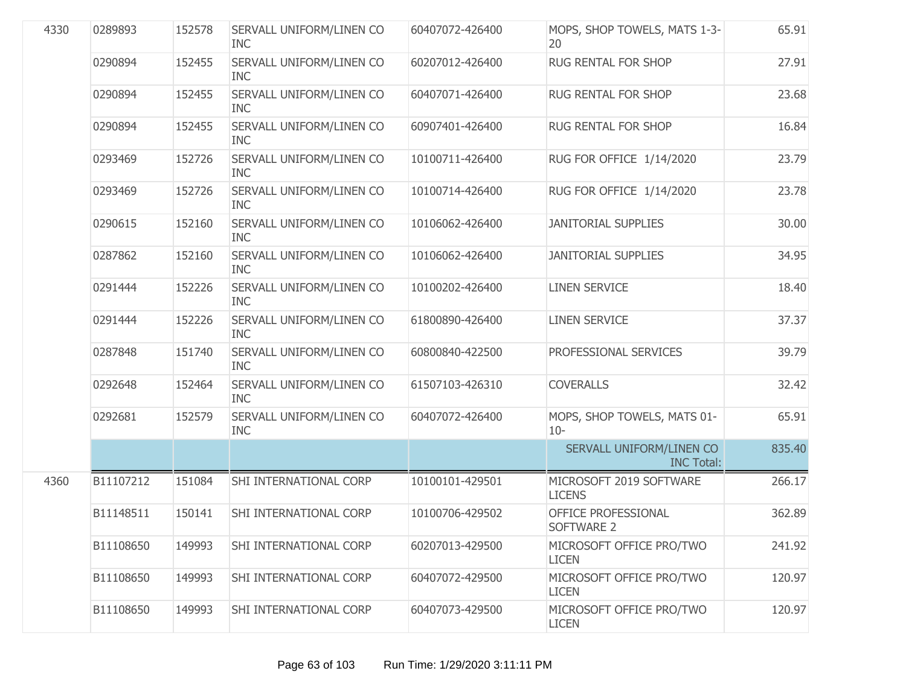| 4330 | 0289893   | 152578 | SERVALL UNIFORM/LINEN CO<br><b>INC</b> | 60407072-426400 | MOPS, SHOP TOWELS, MATS 1-3-<br>20            | 65.91  |
|------|-----------|--------|----------------------------------------|-----------------|-----------------------------------------------|--------|
|      | 0290894   | 152455 | SERVALL UNIFORM/LINEN CO<br><b>INC</b> | 60207012-426400 | RUG RENTAL FOR SHOP                           | 27.91  |
|      | 0290894   | 152455 | SERVALL UNIFORM/LINEN CO<br><b>INC</b> | 60407071-426400 | RUG RENTAL FOR SHOP                           | 23.68  |
|      | 0290894   | 152455 | SERVALL UNIFORM/LINEN CO<br><b>INC</b> | 60907401-426400 | RUG RENTAL FOR SHOP                           | 16.84  |
|      | 0293469   | 152726 | SERVALL UNIFORM/LINEN CO<br><b>INC</b> | 10100711-426400 | RUG FOR OFFICE 1/14/2020                      | 23.79  |
|      | 0293469   | 152726 | SERVALL UNIFORM/LINEN CO<br><b>INC</b> | 10100714-426400 | RUG FOR OFFICE 1/14/2020                      | 23.78  |
|      | 0290615   | 152160 | SERVALL UNIFORM/LINEN CO<br><b>INC</b> | 10106062-426400 | <b>JANITORIAL SUPPLIES</b>                    | 30.00  |
|      | 0287862   | 152160 | SERVALL UNIFORM/LINEN CO<br><b>INC</b> | 10106062-426400 | <b>JANITORIAL SUPPLIES</b>                    | 34.95  |
|      | 0291444   | 152226 | SERVALL UNIFORM/LINEN CO<br><b>INC</b> | 10100202-426400 | <b>LINEN SERVICE</b>                          | 18.40  |
|      | 0291444   | 152226 | SERVALL UNIFORM/LINEN CO<br><b>INC</b> | 61800890-426400 | <b>LINEN SERVICE</b>                          | 37.37  |
|      | 0287848   | 151740 | SERVALL UNIFORM/LINEN CO<br><b>INC</b> | 60800840-422500 | PROFESSIONAL SERVICES                         | 39.79  |
|      | 0292648   | 152464 | SERVALL UNIFORM/LINEN CO<br><b>INC</b> | 61507103-426310 | <b>COVERALLS</b>                              | 32.42  |
|      | 0292681   | 152579 | SERVALL UNIFORM/LINEN CO<br><b>INC</b> | 60407072-426400 | MOPS, SHOP TOWELS, MATS 01-<br>$10 -$         | 65.91  |
|      |           |        |                                        |                 | SERVALL UNIFORM/LINEN CO<br><b>INC Total:</b> | 835.40 |
| 4360 | B11107212 | 151084 | SHI INTERNATIONAL CORP                 | 10100101-429501 | MICROSOFT 2019 SOFTWARE<br><b>LICENS</b>      | 266.17 |
|      | B11148511 | 150141 | SHI INTERNATIONAL CORP                 | 10100706-429502 | OFFICE PROFESSIONAL<br>SOFTWARE 2             | 362.89 |
|      | B11108650 | 149993 | SHI INTERNATIONAL CORP                 | 60207013-429500 | MICROSOFT OFFICE PRO/TWO<br><b>LICEN</b>      | 241.92 |
|      | B11108650 | 149993 | SHI INTERNATIONAL CORP                 | 60407072-429500 | MICROSOFT OFFICE PRO/TWO<br><b>LICEN</b>      | 120.97 |
|      | B11108650 | 149993 | SHI INTERNATIONAL CORP                 | 60407073-429500 | MICROSOFT OFFICE PRO/TWO<br><b>LICEN</b>      | 120.97 |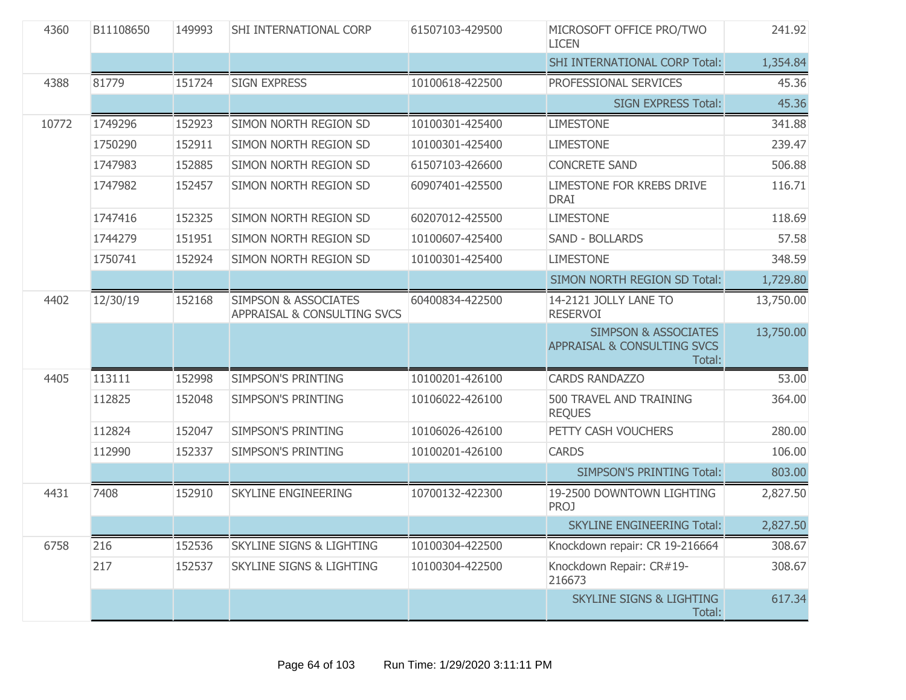| 4360  | B11108650 | 149993 | SHI INTERNATIONAL CORP                                         | 61507103-429500 | MICROSOFT OFFICE PRO/TWO<br><b>LICEN</b>                                 | 241.92    |
|-------|-----------|--------|----------------------------------------------------------------|-----------------|--------------------------------------------------------------------------|-----------|
|       |           |        |                                                                |                 | <b>SHI INTERNATIONAL CORP Total:</b>                                     | 1,354.84  |
| 4388  | 81779     | 151724 | <b>SIGN EXPRESS</b>                                            | 10100618-422500 | PROFESSIONAL SERVICES                                                    | 45.36     |
|       |           |        |                                                                |                 | <b>SIGN EXPRESS Total:</b>                                               | 45.36     |
| 10772 | 1749296   | 152923 | SIMON NORTH REGION SD                                          | 10100301-425400 | <b>LIMESTONE</b>                                                         | 341.88    |
|       | 1750290   | 152911 | SIMON NORTH REGION SD                                          | 10100301-425400 | <b>LIMESTONE</b>                                                         | 239.47    |
|       | 1747983   | 152885 | SIMON NORTH REGION SD                                          | 61507103-426600 | <b>CONCRETE SAND</b>                                                     | 506.88    |
|       | 1747982   | 152457 | SIMON NORTH REGION SD                                          | 60907401-425500 | LIMESTONE FOR KREBS DRIVE<br><b>DRAI</b>                                 | 116.71    |
|       | 1747416   | 152325 | SIMON NORTH REGION SD                                          | 60207012-425500 | <b>LIMESTONE</b>                                                         | 118.69    |
|       | 1744279   | 151951 | SIMON NORTH REGION SD                                          | 10100607-425400 | <b>SAND - BOLLARDS</b>                                                   | 57.58     |
|       | 1750741   | 152924 | SIMON NORTH REGION SD                                          | 10100301-425400 | <b>LIMESTONE</b>                                                         | 348.59    |
|       |           |        |                                                                |                 | SIMON NORTH REGION SD Total:                                             | 1,729.80  |
| 4402  | 12/30/19  | 152168 | <b>SIMPSON &amp; ASSOCIATES</b><br>APPRAISAL & CONSULTING SVCS | 60400834-422500 | 14-2121 JOLLY LANE TO<br><b>RESERVOI</b>                                 | 13,750.00 |
|       |           |        |                                                                |                 | <b>SIMPSON &amp; ASSOCIATES</b><br>APPRAISAL & CONSULTING SVCS<br>Total: | 13,750.00 |
| 4405  | 113111    | 152998 | <b>SIMPSON'S PRINTING</b>                                      | 10100201-426100 | <b>CARDS RANDAZZO</b>                                                    | 53.00     |
|       | 112825    | 152048 | <b>SIMPSON'S PRINTING</b>                                      | 10106022-426100 | 500 TRAVEL AND TRAINING<br><b>REQUES</b>                                 | 364.00    |
|       | 112824    | 152047 | <b>SIMPSON'S PRINTING</b>                                      | 10106026-426100 | PETTY CASH VOUCHERS                                                      | 280.00    |
|       | 112990    | 152337 | <b>SIMPSON'S PRINTING</b>                                      | 10100201-426100 | <b>CARDS</b>                                                             | 106.00    |
|       |           |        |                                                                |                 | <b>SIMPSON'S PRINTING Total:</b>                                         | 803.00    |
| 4431  | 7408      | 152910 | <b>SKYLINE ENGINEERING</b>                                     | 10700132-422300 | 19-2500 DOWNTOWN LIGHTING<br><b>PROJ</b>                                 | 2,827.50  |
|       |           |        |                                                                |                 | <b>SKYLINE ENGINEERING Total:</b>                                        | 2,827.50  |
| 6758  | 216       | 152536 | <b>SKYLINE SIGNS &amp; LIGHTING</b>                            | 10100304-422500 | Knockdown repair: CR 19-216664                                           | 308.67    |
|       | 217       | 152537 | <b>SKYLINE SIGNS &amp; LIGHTING</b>                            | 10100304-422500 | Knockdown Repair: CR#19-<br>216673                                       | 308.67    |
|       |           |        |                                                                |                 | <b>SKYLINE SIGNS &amp; LIGHTING</b><br>Total:                            | 617.34    |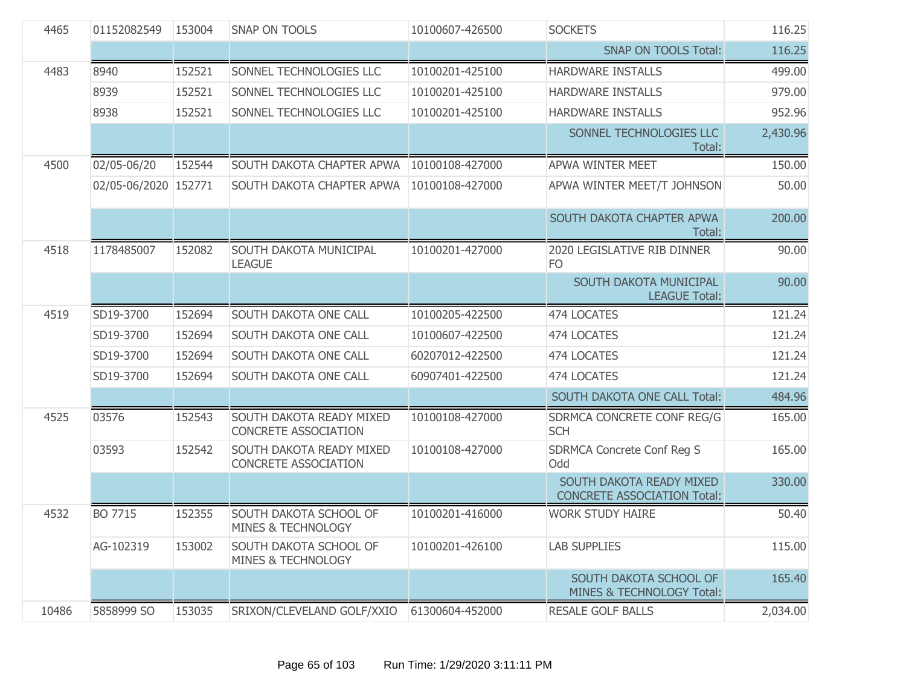| 4465  | 01152082549          | 153004 | <b>SNAP ON TOOLS</b>                                    | 10100607-426500             | <b>SOCKETS</b>                                                 | 116.25   |
|-------|----------------------|--------|---------------------------------------------------------|-----------------------------|----------------------------------------------------------------|----------|
|       |                      |        |                                                         | <b>SNAP ON TOOLS Total:</b> | 116.25                                                         |          |
| 4483  | 8940                 | 152521 | SONNEL TECHNOLOGIES LLC                                 | 10100201-425100             | HARDWARE INSTALLS                                              | 499.00   |
|       | 8939                 | 152521 | SONNEL TECHNOLOGIES LLC                                 | 10100201-425100             | HARDWARE INSTALLS                                              | 979.00   |
|       | 8938                 | 152521 | SONNEL TECHNOLOGIES LLC                                 | 10100201-425100             | HARDWARE INSTALLS                                              | 952.96   |
|       |                      |        |                                                         |                             | SONNEL TECHNOLOGIES LLC<br>Total:                              | 2,430.96 |
| 4500  | 02/05-06/20          | 152544 | SOUTH DAKOTA CHAPTER APWA                               | 10100108-427000             | <b>APWA WINTER MEET</b>                                        | 150.00   |
|       | 02/05-06/2020 152771 |        | SOUTH DAKOTA CHAPTER APWA                               | 10100108-427000             | APWA WINTER MEET/T JOHNSON                                     | 50.00    |
|       |                      |        |                                                         |                             | SOUTH DAKOTA CHAPTER APWA<br>Total:                            | 200.00   |
| 4518  | 1178485007           | 152082 | SOUTH DAKOTA MUNICIPAL<br><b>LEAGUE</b>                 | 10100201-427000             | 2020 LEGISLATIVE RIB DINNER<br>F <sub>O</sub>                  | 90.00    |
|       |                      |        |                                                         |                             | SOUTH DAKOTA MUNICIPAL<br><b>LEAGUE Total:</b>                 | 90.00    |
| 4519  | SD19-3700            | 152694 | SOUTH DAKOTA ONE CALL                                   | 10100205-422500             | 474 LOCATES                                                    | 121.24   |
|       | SD19-3700            | 152694 | <b>SOUTH DAKOTA ONE CALL</b>                            | 10100607-422500             | 474 LOCATES                                                    | 121.24   |
|       | SD19-3700            | 152694 | <b>SOUTH DAKOTA ONE CALL</b>                            | 60207012-422500             | 474 LOCATES                                                    | 121.24   |
|       | SD19-3700            | 152694 | SOUTH DAKOTA ONE CALL                                   | 60907401-422500             | 474 LOCATES                                                    | 121.24   |
|       |                      |        |                                                         |                             | SOUTH DAKOTA ONE CALL Total:                                   | 484.96   |
| 4525  | 03576                | 152543 | SOUTH DAKOTA READY MIXED<br>CONCRETE ASSOCIATION        | 10100108-427000             | SDRMCA CONCRETE CONF REG/G<br><b>SCH</b>                       | 165.00   |
|       | 03593                | 152542 | SOUTH DAKOTA READY MIXED<br><b>CONCRETE ASSOCIATION</b> | 10100108-427000             | <b>SDRMCA Concrete Conf Reg S</b><br>Odd                       | 165.00   |
|       |                      |        |                                                         |                             | SOUTH DAKOTA READY MIXED<br><b>CONCRETE ASSOCIATION Total:</b> | 330.00   |
| 4532  | BO 7715              | 152355 | SOUTH DAKOTA SCHOOL OF<br>MINES & TECHNOLOGY            | 10100201-416000             | <b>WORK STUDY HAIRE</b>                                        | 50.40    |
|       | AG-102319            | 153002 | SOUTH DAKOTA SCHOOL OF<br><b>MINES &amp; TECHNOLOGY</b> | 10100201-426100             | <b>LAB SUPPLIES</b>                                            | 115.00   |
|       |                      |        |                                                         |                             | SOUTH DAKOTA SCHOOL OF<br>MINES & TECHNOLOGY Total:            | 165.40   |
| 10486 | 5858999 SO           | 153035 | SRIXON/CLEVELAND GOLF/XXIO                              | 61300604-452000             | <b>RESALE GOLF BALLS</b>                                       | 2,034.00 |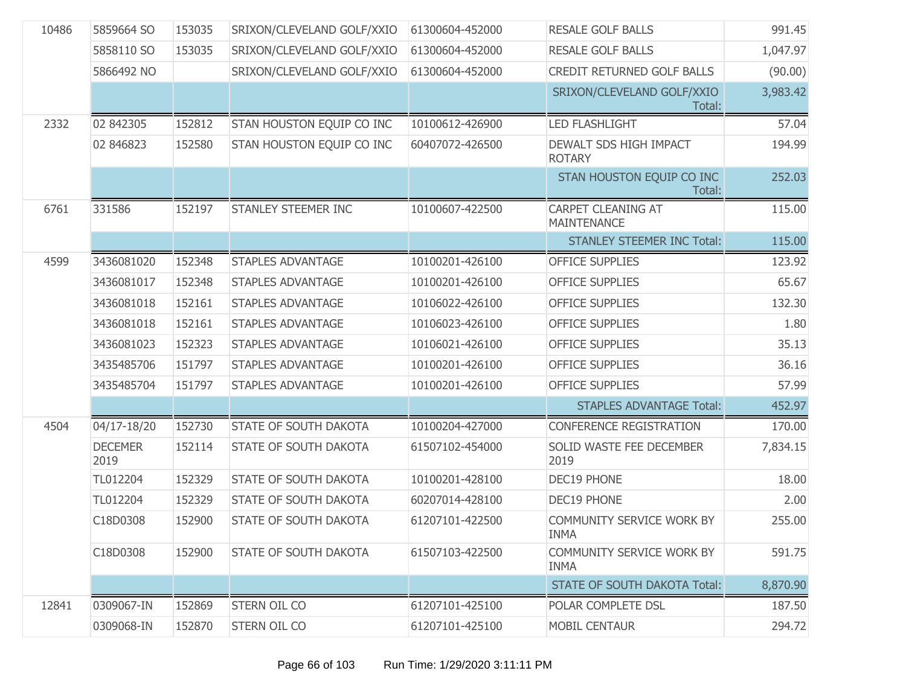| 10486 | 5859664 SO             | 153035 | SRIXON/CLEVELAND GOLF/XXIO | 61300604-452000 | <b>RESALE GOLF BALLS</b>                        | 991.45   |
|-------|------------------------|--------|----------------------------|-----------------|-------------------------------------------------|----------|
|       | 5858110 SO             | 153035 | SRIXON/CLEVELAND GOLF/XXIO | 61300604-452000 | <b>RESALE GOLF BALLS</b>                        | 1,047.97 |
|       | 5866492 NO             |        | SRIXON/CLEVELAND GOLF/XXIO | 61300604-452000 | <b>CREDIT RETURNED GOLF BALLS</b>               | (90.00)  |
|       |                        |        |                            |                 | SRIXON/CLEVELAND GOLF/XXIO<br>Total:            | 3,983.42 |
| 2332  | 02 842305              | 152812 | STAN HOUSTON EQUIP CO INC  | 10100612-426900 | <b>LED FLASHLIGHT</b>                           | 57.04    |
|       | 02 846823              | 152580 | STAN HOUSTON EQUIP CO INC  | 60407072-426500 | DEWALT SDS HIGH IMPACT<br><b>ROTARY</b>         | 194.99   |
|       |                        |        |                            |                 | STAN HOUSTON EQUIP CO INC<br>Total:             | 252.03   |
| 6761  | 331586                 | 152197 | STANLEY STEEMER INC        | 10100607-422500 | <b>CARPET CLEANING AT</b><br><b>MAINTENANCE</b> | 115.00   |
|       |                        |        |                            |                 | <b>STANLEY STEEMER INC Total:</b>               | 115.00   |
| 4599  | 3436081020             | 152348 | <b>STAPLES ADVANTAGE</b>   | 10100201-426100 | <b>OFFICE SUPPLIES</b>                          | 123.92   |
|       | 3436081017             | 152348 | <b>STAPLES ADVANTAGE</b>   | 10100201-426100 | <b>OFFICE SUPPLIES</b>                          | 65.67    |
|       | 3436081018             | 152161 | <b>STAPLES ADVANTAGE</b>   | 10106022-426100 | <b>OFFICE SUPPLIES</b>                          | 132.30   |
|       | 3436081018             | 152161 | <b>STAPLES ADVANTAGE</b>   | 10106023-426100 | <b>OFFICE SUPPLIES</b>                          | 1.80     |
|       | 3436081023             | 152323 | <b>STAPLES ADVANTAGE</b>   | 10106021-426100 | <b>OFFICE SUPPLIES</b>                          | 35.13    |
|       | 3435485706             | 151797 | <b>STAPLES ADVANTAGE</b>   | 10100201-426100 | <b>OFFICE SUPPLIES</b>                          | 36.16    |
|       | 3435485704             | 151797 | <b>STAPLES ADVANTAGE</b>   | 10100201-426100 | <b>OFFICE SUPPLIES</b>                          | 57.99    |
|       |                        |        |                            |                 | <b>STAPLES ADVANTAGE Total:</b>                 | 452.97   |
| 4504  | 04/17-18/20            | 152730 | STATE OF SOUTH DAKOTA      | 10100204-427000 | <b>CONFERENCE REGISTRATION</b>                  | 170.00   |
|       | <b>DECEMER</b><br>2019 | 152114 | STATE OF SOUTH DAKOTA      | 61507102-454000 | SOLID WASTE FEE DECEMBER<br>2019                | 7,834.15 |
|       | TL012204               | 152329 | STATE OF SOUTH DAKOTA      | 10100201-428100 | <b>DEC19 PHONE</b>                              | 18.00    |
|       | TL012204               | 152329 | STATE OF SOUTH DAKOTA      | 60207014-428100 | <b>DEC19 PHONE</b>                              | 2.00     |
|       | C18D0308               | 152900 | STATE OF SOUTH DAKOTA      | 61207101-422500 | COMMUNITY SERVICE WORK BY<br><b>INMA</b>        | 255.00   |
|       | C18D0308               | 152900 | STATE OF SOUTH DAKOTA      | 61507103-422500 | <b>COMMUNITY SERVICE WORK BY</b><br><b>INMA</b> | 591.75   |
|       |                        |        |                            |                 | <b>STATE OF SOUTH DAKOTA Total:</b>             | 8,870.90 |
| 12841 | 0309067-IN             | 152869 | STERN OIL CO               | 61207101-425100 | POLAR COMPLETE DSL                              | 187.50   |
|       | 0309068-IN             | 152870 | STERN OIL CO               | 61207101-425100 | <b>MOBIL CENTAUR</b>                            | 294.72   |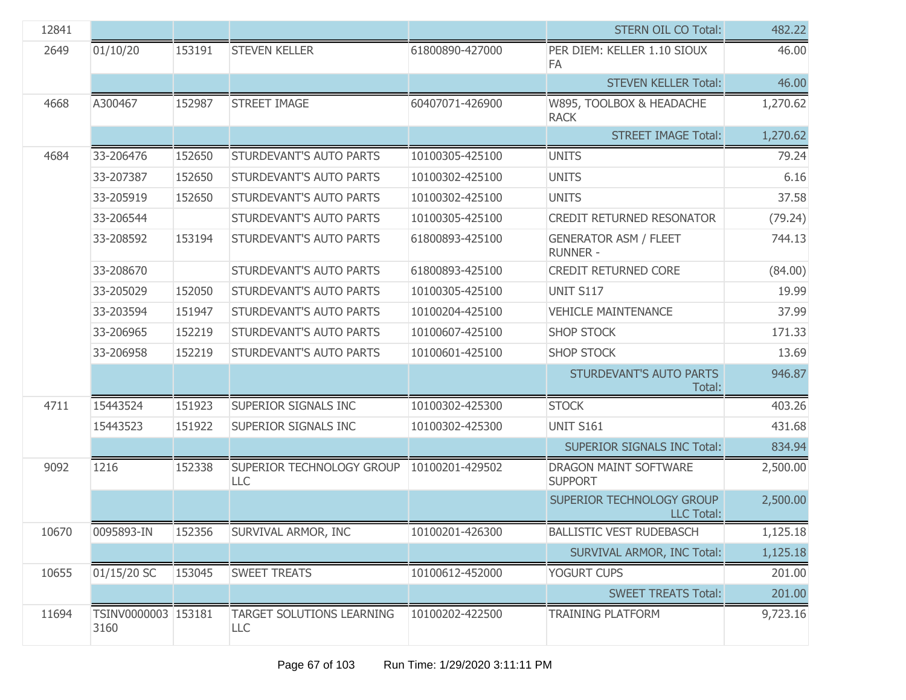| 12841 |                             |        |                                                |                 | <b>STERN OIL CO Total:</b>                      | 482.22   |
|-------|-----------------------------|--------|------------------------------------------------|-----------------|-------------------------------------------------|----------|
| 2649  | 01/10/20                    | 153191 | <b>STEVEN KELLER</b>                           | 61800890-427000 | PER DIEM: KELLER 1.10 SIOUX<br>FA               | 46.00    |
|       |                             |        |                                                |                 | <b>STEVEN KELLER Total:</b>                     | 46.00    |
| 4668  | A300467                     | 152987 | <b>STREET IMAGE</b>                            | 60407071-426900 | W895, TOOLBOX & HEADACHE<br><b>RACK</b>         | 1,270.62 |
|       |                             |        |                                                |                 | <b>STREET IMAGE Total:</b>                      | 1,270.62 |
| 4684  | 33-206476                   | 152650 | STURDEVANT'S AUTO PARTS                        | 10100305-425100 | <b>UNITS</b>                                    | 79.24    |
|       | 33-207387                   | 152650 | STURDEVANT'S AUTO PARTS                        | 10100302-425100 | <b>UNITS</b>                                    | 6.16     |
|       | 33-205919                   | 152650 | STURDEVANT'S AUTO PARTS                        | 10100302-425100 | <b>UNITS</b>                                    | 37.58    |
|       | 33-206544                   |        | STURDEVANT'S AUTO PARTS                        | 10100305-425100 | <b>CREDIT RETURNED RESONATOR</b>                | (79.24)  |
|       | 33-208592                   | 153194 | STURDEVANT'S AUTO PARTS                        | 61800893-425100 | <b>GENERATOR ASM / FLEET</b><br><b>RUNNER -</b> | 744.13   |
|       | 33-208670                   |        | STURDEVANT'S AUTO PARTS                        | 61800893-425100 | CREDIT RETURNED CORE                            | (84.00)  |
|       | 33-205029                   | 152050 | STURDEVANT'S AUTO PARTS                        | 10100305-425100 | <b>UNIT S117</b>                                | 19.99    |
|       | 33-203594                   | 151947 | STURDEVANT'S AUTO PARTS                        | 10100204-425100 | <b>VEHICLE MAINTENANCE</b>                      | 37.99    |
|       | 33-206965                   | 152219 | STURDEVANT'S AUTO PARTS                        | 10100607-425100 | <b>SHOP STOCK</b>                               | 171.33   |
|       | 33-206958                   | 152219 | STURDEVANT'S AUTO PARTS                        | 10100601-425100 | <b>SHOP STOCK</b>                               | 13.69    |
|       |                             |        |                                                |                 | STURDEVANT'S AUTO PARTS<br>Total:               | 946.87   |
| 4711  | 15443524                    | 151923 | SUPERIOR SIGNALS INC                           | 10100302-425300 | <b>STOCK</b>                                    | 403.26   |
|       | 15443523                    | 151922 | SUPERIOR SIGNALS INC                           | 10100302-425300 | <b>UNIT S161</b>                                | 431.68   |
|       |                             |        |                                                |                 | <b>SUPERIOR SIGNALS INC Total:</b>              | 834.94   |
| 9092  | 1216                        | 152338 | SUPERIOR TECHNOLOGY GROUP<br>LLC               | 10100201-429502 | DRAGON MAINT SOFTWARE<br><b>SUPPORT</b>         | 2,500.00 |
|       |                             |        |                                                |                 | SUPERIOR TECHNOLOGY GROUP<br><b>LLC Total:</b>  | 2,500.00 |
| 10670 | 0095893-IN                  | 152356 | SURVIVAL ARMOR, INC                            | 10100201-426300 | <b>BALLISTIC VEST RUDEBASCH</b>                 | 1,125.18 |
|       |                             |        |                                                |                 | SURVIVAL ARMOR, INC Total:                      | 1,125.18 |
| 10655 | 01/15/20 SC                 | 153045 | <b>SWEET TREATS</b>                            | 10100612-452000 | YOGURT CUPS                                     | 201.00   |
|       |                             |        |                                                |                 | <b>SWEET TREATS Total:</b>                      | 201.00   |
| 11694 | TSINV0000003 153181<br>3160 |        | <b>TARGET SOLUTIONS LEARNING</b><br><b>LLC</b> | 10100202-422500 | <b>TRAINING PLATFORM</b>                        | 9,723.16 |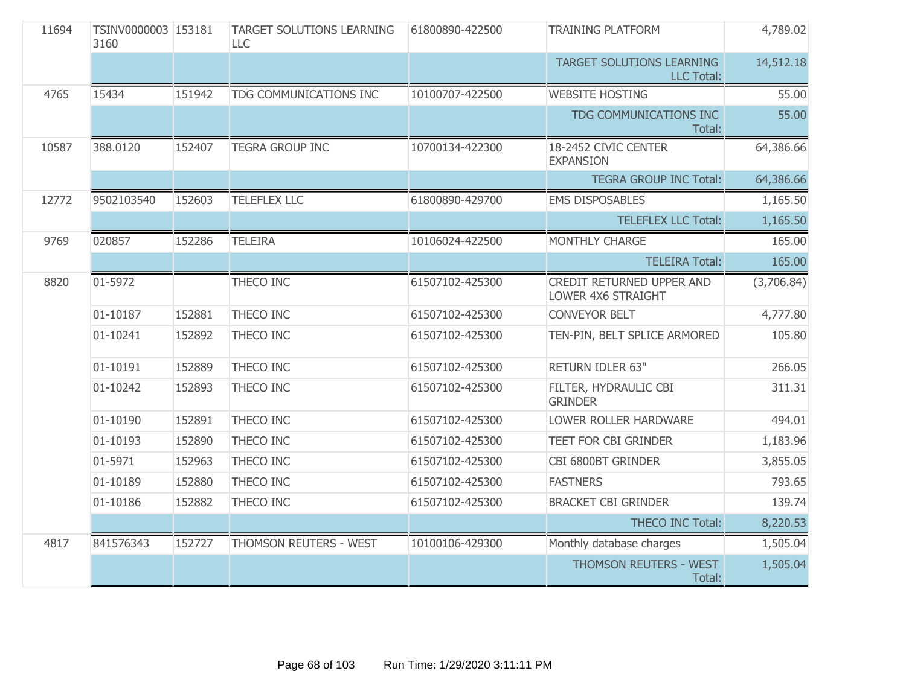| 11694 | TSINV0000003 153181<br>3160 |        | <b>TARGET SOLUTIONS LEARNING</b><br>LLC. | 61800890-422500 | <b>TRAINING PLATFORM</b>                        | 4,789.02   |
|-------|-----------------------------|--------|------------------------------------------|-----------------|-------------------------------------------------|------------|
|       |                             |        |                                          |                 | TARGET SOLUTIONS LEARNING<br><b>LLC Total:</b>  | 14,512.18  |
| 4765  | 15434                       | 151942 | TDG COMMUNICATIONS INC                   | 10100707-422500 | <b>WEBSITE HOSTING</b>                          | 55.00      |
|       |                             |        |                                          |                 | TDG COMMUNICATIONS INC<br>Total:                | 55.00      |
| 10587 | 388.0120                    | 152407 | <b>TEGRA GROUP INC</b>                   | 10700134-422300 | 18-2452 CIVIC CENTER<br><b>EXPANSION</b>        | 64,386.66  |
|       |                             |        |                                          |                 | <b>TEGRA GROUP INC Total:</b>                   | 64,386.66  |
| 12772 | 9502103540                  | 152603 | <b>TELEFLEX LLC</b>                      | 61800890-429700 | <b>EMS DISPOSABLES</b>                          | 1,165.50   |
|       |                             |        |                                          |                 | <b>TELEFLEX LLC Total:</b>                      | 1,165.50   |
| 9769  | 020857                      | 152286 | <b>TELEIRA</b>                           | 10106024-422500 | MONTHLY CHARGE                                  | 165.00     |
|       |                             |        |                                          |                 | <b>TELEIRA Total:</b>                           | 165.00     |
| 8820  | 01-5972                     |        | THECO INC                                | 61507102-425300 | CREDIT RETURNED UPPER AND<br>LOWER 4X6 STRAIGHT | (3,706.84) |
|       | 01-10187                    | 152881 | THECO INC                                | 61507102-425300 | <b>CONVEYOR BELT</b>                            | 4,777.80   |
|       | 01-10241                    | 152892 | THECO INC                                | 61507102-425300 | TEN-PIN, BELT SPLICE ARMORED                    | 105.80     |
|       | 01-10191                    | 152889 | THECO INC                                | 61507102-425300 | RETURN IDLER 63"                                | 266.05     |
|       | 01-10242                    | 152893 | THECO INC                                | 61507102-425300 | FILTER, HYDRAULIC CBI<br><b>GRINDER</b>         | 311.31     |
|       | 01-10190                    | 152891 | THECO INC                                | 61507102-425300 | LOWER ROLLER HARDWARE                           | 494.01     |
|       | 01-10193                    | 152890 | THECO INC                                | 61507102-425300 | <b>TEET FOR CBI GRINDER</b>                     | 1,183.96   |
|       | 01-5971                     | 152963 | <b>THECO INC</b>                         | 61507102-425300 | CBI 6800BT GRINDER                              | 3,855.05   |
|       | 01-10189                    | 152880 | <b>THECO INC</b>                         | 61507102-425300 | <b>FASTNERS</b>                                 | 793.65     |
|       | 01-10186                    | 152882 | THECO INC                                | 61507102-425300 | <b>BRACKET CBI GRINDER</b>                      | 139.74     |
|       |                             |        |                                          |                 | <b>THECO INC Total:</b>                         | 8,220.53   |
| 4817  | 841576343                   | 152727 | THOMSON REUTERS - WEST                   | 10100106-429300 | Monthly database charges                        | 1,505.04   |
|       |                             |        |                                          |                 | THOMSON REUTERS - WEST<br>Total:                | 1,505.04   |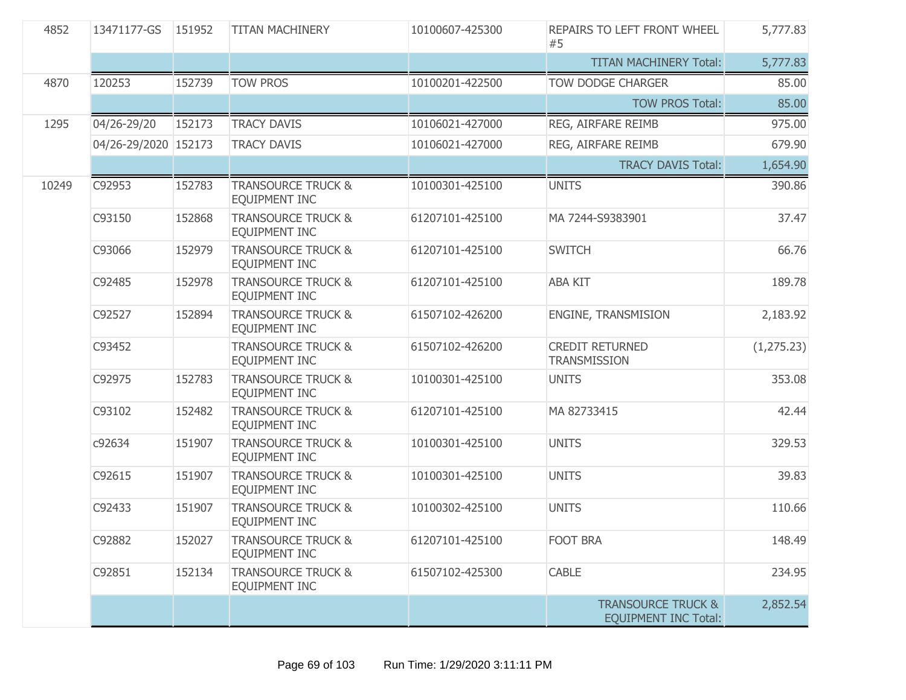| 4852  | 13471177-GS          | 151952<br><b>TITAN MACHINERY</b><br>10100607-425300<br><b>REPAIRS TO LEFT FRONT WHEEL</b><br>#5 |                                                       | 5,777.83        |                                                              |             |
|-------|----------------------|-------------------------------------------------------------------------------------------------|-------------------------------------------------------|-----------------|--------------------------------------------------------------|-------------|
|       |                      |                                                                                                 |                                                       |                 | <b>TITAN MACHINERY Total:</b>                                | 5,777.83    |
| 4870  | 120253               | 152739                                                                                          | <b>TOW PROS</b>                                       | 10100201-422500 | <b>TOW DODGE CHARGER</b>                                     | 85.00       |
|       |                      |                                                                                                 |                                                       |                 | <b>TOW PROS Total:</b>                                       | 85.00       |
| 1295  | 04/26-29/20          | 152173                                                                                          | <b>TRACY DAVIS</b>                                    | 10106021-427000 | REG, AIRFARE REIMB                                           | 975.00      |
|       | 04/26-29/2020 152173 |                                                                                                 | <b>TRACY DAVIS</b>                                    | 10106021-427000 | REG, AIRFARE REIMB                                           | 679.90      |
|       |                      |                                                                                                 |                                                       |                 | <b>TRACY DAVIS Total:</b>                                    | 1,654.90    |
| 10249 | C92953               | 152783                                                                                          | <b>TRANSOURCE TRUCK &amp;</b><br>EQUIPMENT INC        | 10100301-425100 | <b>UNITS</b>                                                 | 390.86      |
|       | C93150               | 152868                                                                                          | <b>TRANSOURCE TRUCK &amp;</b><br>EQUIPMENT INC        | 61207101-425100 | MA 7244-S9383901                                             | 37.47       |
|       | C93066               | 152979                                                                                          | <b>TRANSOURCE TRUCK &amp;</b><br>EQUIPMENT INC        | 61207101-425100 | <b>SWITCH</b>                                                | 66.76       |
|       | C92485               | 152978                                                                                          | <b>TRANSOURCE TRUCK &amp;</b><br>EQUIPMENT INC        | 61207101-425100 | <b>ABA KIT</b>                                               | 189.78      |
|       | C92527               | 152894                                                                                          | <b>TRANSOURCE TRUCK &amp;</b><br>EQUIPMENT INC        | 61507102-426200 | ENGINE, TRANSMISION                                          | 2,183.92    |
|       | C93452               |                                                                                                 | <b>TRANSOURCE TRUCK &amp;</b><br>EQUIPMENT INC        | 61507102-426200 | <b>CREDIT RETURNED</b><br><b>TRANSMISSION</b>                | (1, 275.23) |
|       | C92975               | 152783                                                                                          | <b>TRANSOURCE TRUCK &amp;</b><br>EQUIPMENT INC        | 10100301-425100 | <b>UNITS</b>                                                 | 353.08      |
|       | C93102               | 152482                                                                                          | <b>TRANSOURCE TRUCK &amp;</b><br>EQUIPMENT INC        | 61207101-425100 | MA 82733415                                                  | 42.44       |
|       | c92634               | 151907                                                                                          | <b>TRANSOURCE TRUCK &amp;</b><br>EQUIPMENT INC        | 10100301-425100 | <b>UNITS</b>                                                 | 329.53      |
|       | C92615               | 151907                                                                                          | <b>TRANSOURCE TRUCK &amp;</b><br>EQUIPMENT INC        | 10100301-425100 | <b>UNITS</b>                                                 | 39.83       |
|       | C92433               | 151907                                                                                          | <b>TRANSOURCE TRUCK &amp;</b><br><b>EQUIPMENT INC</b> | 10100302-425100 | <b>UNITS</b>                                                 | 110.66      |
|       | C92882               | 152027                                                                                          | <b>TRANSOURCE TRUCK &amp;</b><br>EQUIPMENT INC        | 61207101-425100 | <b>FOOT BRA</b>                                              | 148.49      |
|       | C92851               | 152134                                                                                          | <b>TRANSOURCE TRUCK &amp;</b><br>EOUIPMENT INC        | 61507102-425300 | <b>CABLE</b>                                                 | 234.95      |
|       |                      |                                                                                                 |                                                       |                 | <b>TRANSOURCE TRUCK &amp;</b><br><b>EQUIPMENT INC Total:</b> | 2,852.54    |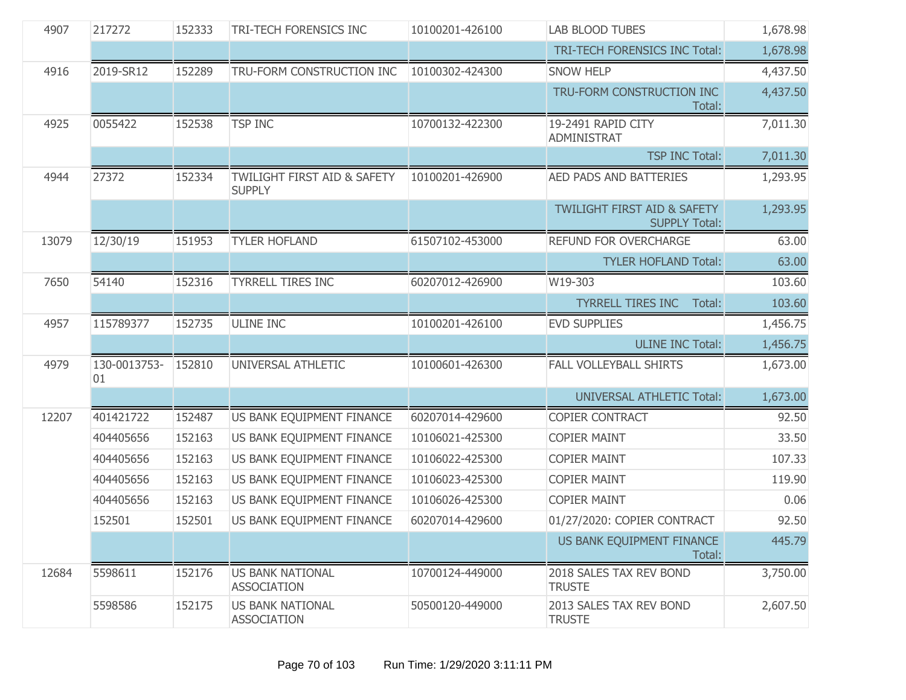| 4907  | 217272             | <b>LAB BLOOD TUBES</b><br>152333<br>TRI-TECH FORENSICS INC<br>10100201-426100 |                                                         |                 | 1,678.98                                                       |          |
|-------|--------------------|-------------------------------------------------------------------------------|---------------------------------------------------------|-----------------|----------------------------------------------------------------|----------|
|       |                    |                                                                               |                                                         |                 | TRI-TECH FORENSICS INC Total:                                  | 1,678.98 |
| 4916  | 2019-SR12          | 152289                                                                        | TRU-FORM CONSTRUCTION INC                               | 10100302-424300 | <b>SNOW HELP</b>                                               | 4,437.50 |
|       |                    |                                                                               |                                                         |                 | TRU-FORM CONSTRUCTION INC<br>Total:                            | 4,437.50 |
| 4925  | 0055422            | 152538                                                                        | <b>TSP INC</b>                                          | 10700132-422300 | 19-2491 RAPID CITY<br>ADMINISTRAT                              | 7,011.30 |
|       |                    |                                                                               |                                                         |                 | <b>TSP INC Total:</b>                                          | 7,011.30 |
| 4944  | 27372              | 152334                                                                        | <b>TWILIGHT FIRST AID &amp; SAFETY</b><br><b>SUPPLY</b> | 10100201-426900 | AED PADS AND BATTERIES                                         | 1,293.95 |
|       |                    |                                                                               |                                                         |                 | <b>TWILIGHT FIRST AID &amp; SAFETY</b><br><b>SUPPLY Total:</b> | 1,293.95 |
| 13079 | 12/30/19           | 151953                                                                        | <b>TYLER HOFLAND</b>                                    | 61507102-453000 | REFUND FOR OVERCHARGE                                          | 63.00    |
|       |                    |                                                                               |                                                         |                 | <b>TYLER HOFLAND Total:</b>                                    | 63.00    |
| 7650  | 54140              | 152316                                                                        | <b>TYRRELL TIRES INC</b>                                | 60207012-426900 | W19-303                                                        | 103.60   |
|       |                    |                                                                               |                                                         |                 | <b>TYRRELL TIRES INC</b><br>Total:                             | 103.60   |
| 4957  | 115789377          | 152735                                                                        | <b>ULINE INC</b>                                        | 10100201-426100 | <b>EVD SUPPLIES</b>                                            | 1,456.75 |
|       |                    |                                                                               |                                                         |                 | <b>ULINE INC Total:</b>                                        | 1,456.75 |
| 4979  | 130-0013753-<br>01 | 152810                                                                        | UNIVERSAL ATHLETIC                                      | 10100601-426300 | <b>FALL VOLLEYBALL SHIRTS</b>                                  | 1,673.00 |
|       |                    |                                                                               |                                                         |                 | <b>UNIVERSAL ATHLETIC Total:</b>                               | 1,673.00 |
| 12207 | 401421722          | 152487                                                                        | US BANK EQUIPMENT FINANCE                               | 60207014-429600 | COPIER CONTRACT                                                | 92.50    |
|       | 404405656          | 152163                                                                        | US BANK EQUIPMENT FINANCE                               | 10106021-425300 | <b>COPIER MAINT</b>                                            | 33.50    |
|       | 404405656          | 152163                                                                        | US BANK EQUIPMENT FINANCE                               | 10106022-425300 | <b>COPIER MAINT</b>                                            | 107.33   |
|       | 404405656          | 152163                                                                        | US BANK EQUIPMENT FINANCE                               | 10106023-425300 | <b>COPIER MAINT</b>                                            | 119.90   |
|       | 404405656          | 152163                                                                        | US BANK EQUIPMENT FINANCE                               | 10106026-425300 | <b>COPIER MAINT</b>                                            | 0.06     |
|       | 152501             | 152501                                                                        | US BANK EQUIPMENT FINANCE                               | 60207014-429600 | 01/27/2020: COPIER CONTRACT                                    | 92.50    |
|       |                    |                                                                               |                                                         |                 | US BANK EQUIPMENT FINANCE<br>Total:                            | 445.79   |
| 12684 | 5598611            | 152176                                                                        | <b>US BANK NATIONAL</b><br><b>ASSOCIATION</b>           | 10700124-449000 | 2018 SALES TAX REV BOND<br><b>TRUSTE</b>                       | 3,750.00 |
|       | 5598586            | 152175                                                                        | <b>US BANK NATIONAL</b><br><b>ASSOCIATION</b>           | 50500120-449000 | 2013 SALES TAX REV BOND<br><b>TRUSTE</b>                       | 2,607.50 |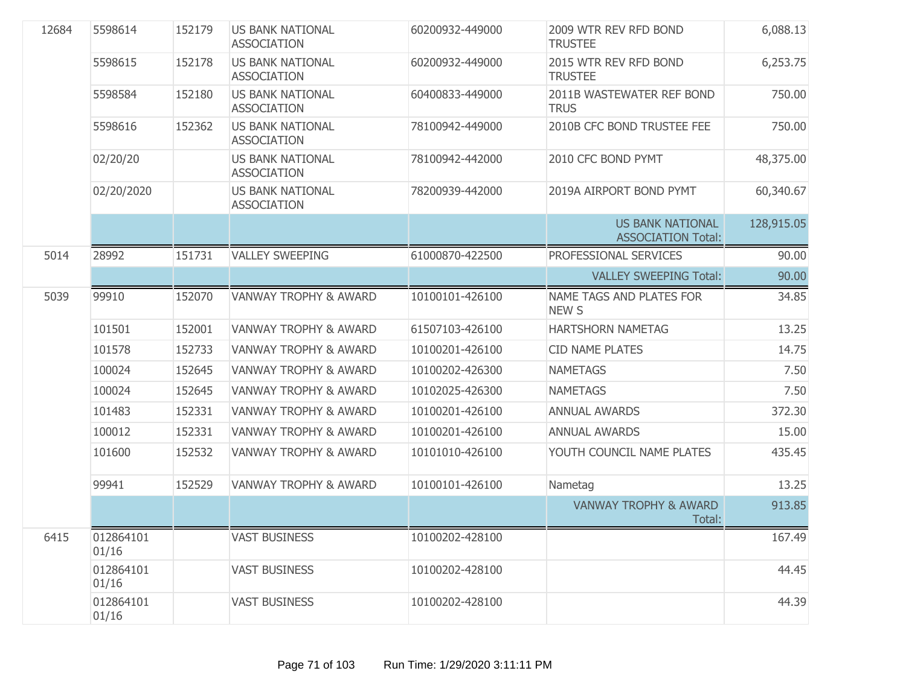| 12684 | 5598614            | 152179 | <b>US BANK NATIONAL</b><br><b>ASSOCIATION</b> | 60200932-449000 | 2009 WTR REV RFD BOND<br><b>TRUSTEE</b>              | 6,088.13   |
|-------|--------------------|--------|-----------------------------------------------|-----------------|------------------------------------------------------|------------|
|       | 5598615            | 152178 | <b>US BANK NATIONAL</b><br><b>ASSOCIATION</b> | 60200932-449000 | 2015 WTR REV RFD BOND<br><b>TRUSTEE</b>              | 6,253.75   |
|       | 5598584            | 152180 | <b>US BANK NATIONAL</b><br><b>ASSOCIATION</b> | 60400833-449000 | 2011B WASTEWATER REF BOND<br><b>TRUS</b>             | 750.00     |
|       | 5598616            | 152362 | <b>US BANK NATIONAL</b><br><b>ASSOCIATION</b> | 78100942-449000 | 2010B CFC BOND TRUSTEE FEE                           | 750.00     |
|       | 02/20/20           |        | <b>US BANK NATIONAL</b><br><b>ASSOCIATION</b> | 78100942-442000 | 2010 CFC BOND PYMT                                   | 48,375.00  |
|       | 02/20/2020         |        | <b>US BANK NATIONAL</b><br><b>ASSOCIATION</b> | 78200939-442000 | 2019A AIRPORT BOND PYMT                              | 60,340.67  |
|       |                    |        |                                               |                 | <b>US BANK NATIONAL</b><br><b>ASSOCIATION Total:</b> | 128,915.05 |
| 5014  | 28992              | 151731 | <b>VALLEY SWEEPING</b>                        | 61000870-422500 | PROFESSIONAL SERVICES                                | 90.00      |
|       |                    |        |                                               |                 | <b>VALLEY SWEEPING Total:</b>                        | 90.00      |
| 5039  | 99910              | 152070 | <b>VANWAY TROPHY &amp; AWARD</b>              | 10100101-426100 | NAME TAGS AND PLATES FOR<br><b>NEW S</b>             | 34.85      |
|       | 101501             | 152001 | <b>VANWAY TROPHY &amp; AWARD</b>              | 61507103-426100 | <b>HARTSHORN NAMETAG</b>                             | 13.25      |
|       | 101578             | 152733 | <b>VANWAY TROPHY &amp; AWARD</b>              | 10100201-426100 | <b>CID NAME PLATES</b>                               | 14.75      |
|       | 100024             | 152645 | <b>VANWAY TROPHY &amp; AWARD</b>              | 10100202-426300 | <b>NAMETAGS</b>                                      | 7.50       |
|       | 100024             | 152645 | <b>VANWAY TROPHY &amp; AWARD</b>              | 10102025-426300 | <b>NAMETAGS</b>                                      | 7.50       |
|       | 101483             | 152331 | <b>VANWAY TROPHY &amp; AWARD</b>              | 10100201-426100 | <b>ANNUAL AWARDS</b>                                 | 372.30     |
|       | 100012             | 152331 | <b>VANWAY TROPHY &amp; AWARD</b>              | 10100201-426100 | <b>ANNUAL AWARDS</b>                                 | 15.00      |
|       | 101600             | 152532 | <b>VANWAY TROPHY &amp; AWARD</b>              | 10101010-426100 | YOUTH COUNCIL NAME PLATES                            | 435.45     |
|       | 99941              | 152529 | <b>VANWAY TROPHY &amp; AWARD</b>              | 10100101-426100 | Nametag                                              | 13.25      |
|       |                    |        |                                               |                 | <b>VANWAY TROPHY &amp; AWARD</b><br>Total:           | 913.85     |
| 6415  | 012864101<br>01/16 |        | <b>VAST BUSINESS</b>                          | 10100202-428100 |                                                      | 167.49     |
|       | 012864101<br>01/16 |        | <b>VAST BUSINESS</b>                          | 10100202-428100 |                                                      | 44.45      |
|       | 012864101<br>01/16 |        | <b>VAST BUSINESS</b>                          | 10100202-428100 |                                                      | 44.39      |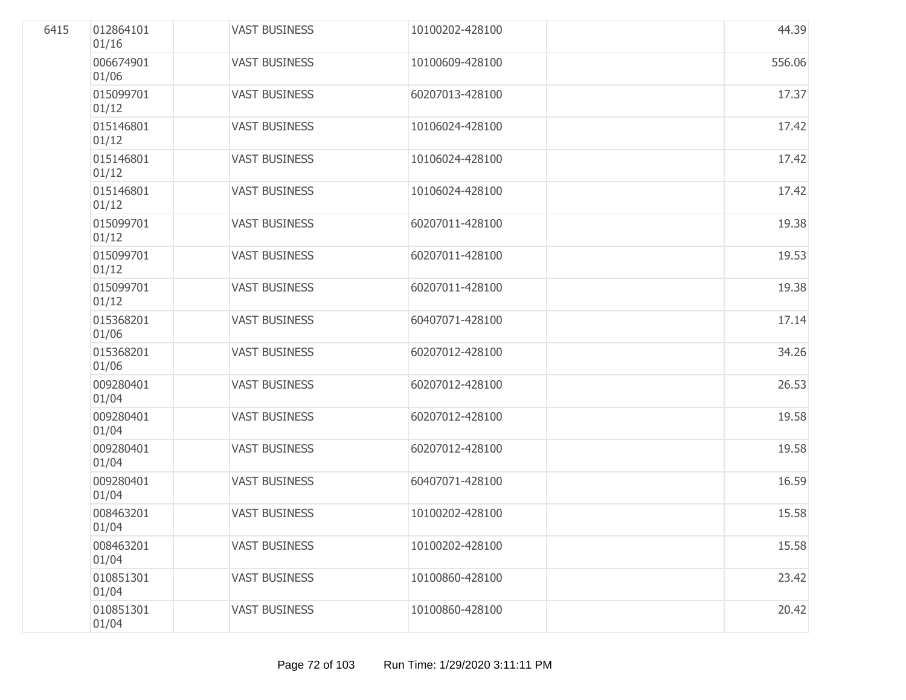| 6415 | 012864101<br>01/16 | <b>VAST BUSINESS</b> | 10100202-428100 | 44.39  |
|------|--------------------|----------------------|-----------------|--------|
|      | 006674901<br>01/06 | <b>VAST BUSINESS</b> | 10100609-428100 | 556.06 |
|      | 015099701<br>01/12 | <b>VAST BUSINESS</b> | 60207013-428100 | 17.37  |
|      | 015146801<br>01/12 | <b>VAST BUSINESS</b> | 10106024-428100 | 17.42  |
|      | 015146801<br>01/12 | <b>VAST BUSINESS</b> | 10106024-428100 | 17.42  |
|      | 015146801<br>01/12 | <b>VAST BUSINESS</b> | 10106024-428100 | 17.42  |
|      | 015099701<br>01/12 | <b>VAST BUSINESS</b> | 60207011-428100 | 19.38  |
|      | 015099701<br>01/12 | <b>VAST BUSINESS</b> | 60207011-428100 | 19.53  |
|      | 015099701<br>01/12 | <b>VAST BUSINESS</b> | 60207011-428100 | 19.38  |
|      | 015368201<br>01/06 | <b>VAST BUSINESS</b> | 60407071-428100 | 17.14  |
|      | 015368201<br>01/06 | <b>VAST BUSINESS</b> | 60207012-428100 | 34.26  |
|      | 009280401<br>01/04 | <b>VAST BUSINESS</b> | 60207012-428100 | 26.53  |
|      | 009280401<br>01/04 | <b>VAST BUSINESS</b> | 60207012-428100 | 19.58  |
|      | 009280401<br>01/04 | <b>VAST BUSINESS</b> | 60207012-428100 | 19.58  |
|      | 009280401<br>01/04 | <b>VAST BUSINESS</b> | 60407071-428100 | 16.59  |
|      | 008463201<br>01/04 | <b>VAST BUSINESS</b> | 10100202-428100 | 15.58  |
|      | 008463201<br>01/04 | <b>VAST BUSINESS</b> | 10100202-428100 | 15.58  |
|      | 010851301<br>01/04 | <b>VAST BUSINESS</b> | 10100860-428100 | 23.42  |
|      | 010851301<br>01/04 | <b>VAST BUSINESS</b> | 10100860-428100 | 20.42  |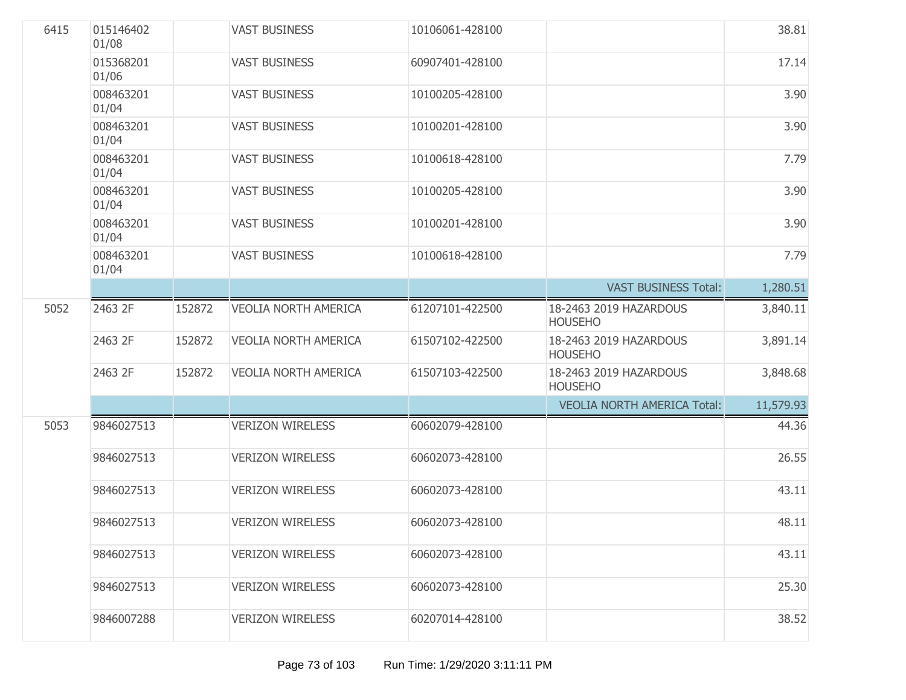| 6415 | 015146402<br>01/08 |        | <b>VAST BUSINESS</b>        | 10106061-428100 |                                          | 38.81     |
|------|--------------------|--------|-----------------------------|-----------------|------------------------------------------|-----------|
|      | 015368201<br>01/06 |        | <b>VAST BUSINESS</b>        | 60907401-428100 |                                          | 17.14     |
|      | 008463201<br>01/04 |        | <b>VAST BUSINESS</b>        | 10100205-428100 |                                          | 3.90      |
|      | 008463201<br>01/04 |        | <b>VAST BUSINESS</b>        | 10100201-428100 |                                          | 3.90      |
|      | 008463201<br>01/04 |        | <b>VAST BUSINESS</b>        | 10100618-428100 |                                          | 7.79      |
|      | 008463201<br>01/04 |        | <b>VAST BUSINESS</b>        | 10100205-428100 |                                          | 3.90      |
|      | 008463201<br>01/04 |        | <b>VAST BUSINESS</b>        | 10100201-428100 |                                          | 3.90      |
|      | 008463201<br>01/04 |        | <b>VAST BUSINESS</b>        | 10100618-428100 |                                          | 7.79      |
|      |                    |        |                             |                 | <b>VAST BUSINESS Total:</b>              | 1,280.51  |
| 5052 | 2463 2F            | 152872 | <b>VEOLIA NORTH AMERICA</b> | 61207101-422500 | 18-2463 2019 HAZARDOUS<br><b>HOUSEHO</b> | 3,840.11  |
|      | 2463 2F            | 152872 | <b>VEOLIA NORTH AMERICA</b> | 61507102-422500 | 18-2463 2019 HAZARDOUS<br><b>HOUSEHO</b> | 3,891.14  |
|      | 2463 2F            | 152872 | <b>VEOLIA NORTH AMERICA</b> | 61507103-422500 | 18-2463 2019 HAZARDOUS<br><b>HOUSEHO</b> | 3,848.68  |
|      |                    |        |                             |                 | <b>VEOLIA NORTH AMERICA Total:</b>       | 11,579.93 |
| 5053 | 9846027513         |        | <b>VERIZON WIRELESS</b>     | 60602079-428100 |                                          | 44.36     |
|      | 9846027513         |        | <b>VERIZON WIRELESS</b>     | 60602073-428100 |                                          | 26.55     |
|      | 9846027513         |        | <b>VERIZON WIRELESS</b>     | 60602073-428100 |                                          | 43.11     |
|      | 9846027513         |        | <b>VERIZON WIRELESS</b>     | 60602073-428100 |                                          | 48.11     |
|      | 9846027513         |        | <b>VERIZON WIRELESS</b>     | 60602073-428100 |                                          | 43.11     |
|      | 9846027513         |        | <b>VERIZON WIRELESS</b>     | 60602073-428100 |                                          | 25.30     |
|      | 9846007288         |        | <b>VERIZON WIRELESS</b>     | 60207014-428100 |                                          | 38.52     |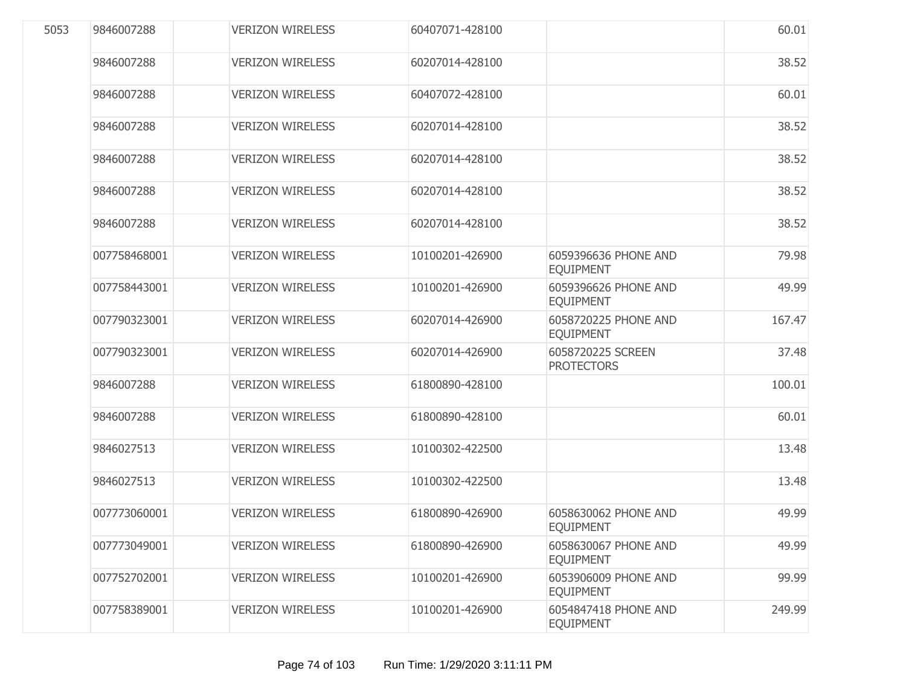| 5053 | 9846007288   | <b>VERIZON WIRELESS</b> | 60407071-428100 |                                          | 60.01  |
|------|--------------|-------------------------|-----------------|------------------------------------------|--------|
|      | 9846007288   | <b>VERIZON WIRELESS</b> | 60207014-428100 |                                          | 38.52  |
|      | 9846007288   | <b>VERIZON WIRELESS</b> | 60407072-428100 |                                          | 60.01  |
|      | 9846007288   | <b>VERIZON WIRELESS</b> | 60207014-428100 |                                          | 38.52  |
|      | 9846007288   | <b>VERIZON WIRELESS</b> | 60207014-428100 |                                          | 38.52  |
|      | 9846007288   | <b>VERIZON WIRELESS</b> | 60207014-428100 |                                          | 38.52  |
|      | 9846007288   | <b>VERIZON WIRELESS</b> | 60207014-428100 |                                          | 38.52  |
|      | 007758468001 | <b>VERIZON WIRELESS</b> | 10100201-426900 | 6059396636 PHONE AND<br><b>EQUIPMENT</b> | 79.98  |
|      | 007758443001 | <b>VERIZON WIRELESS</b> | 10100201-426900 | 6059396626 PHONE AND<br><b>EQUIPMENT</b> | 49.99  |
|      | 007790323001 | <b>VERIZON WIRELESS</b> | 60207014-426900 | 6058720225 PHONE AND<br><b>EQUIPMENT</b> | 167.47 |
|      | 007790323001 | <b>VERIZON WIRELESS</b> | 60207014-426900 | 6058720225 SCREEN<br><b>PROTECTORS</b>   | 37.48  |
|      | 9846007288   | <b>VERIZON WIRELESS</b> | 61800890-428100 |                                          | 100.01 |
|      | 9846007288   | <b>VERIZON WIRELESS</b> | 61800890-428100 |                                          | 60.01  |
|      | 9846027513   | <b>VERIZON WIRELESS</b> | 10100302-422500 |                                          | 13.48  |
|      | 9846027513   | <b>VERIZON WIRELESS</b> | 10100302-422500 |                                          | 13.48  |
|      | 007773060001 | <b>VERIZON WIRELESS</b> | 61800890-426900 | 6058630062 PHONE AND<br><b>EQUIPMENT</b> | 49.99  |
|      | 007773049001 | <b>VERIZON WIRELESS</b> | 61800890-426900 | 6058630067 PHONE AND<br><b>EQUIPMENT</b> | 49.99  |
|      | 007752702001 | <b>VERIZON WIRELESS</b> | 10100201-426900 | 6053906009 PHONE AND<br><b>EQUIPMENT</b> | 99.99  |
|      | 007758389001 | <b>VERIZON WIRELESS</b> | 10100201-426900 | 6054847418 PHONE AND<br><b>EQUIPMENT</b> | 249.99 |
|      |              |                         |                 |                                          |        |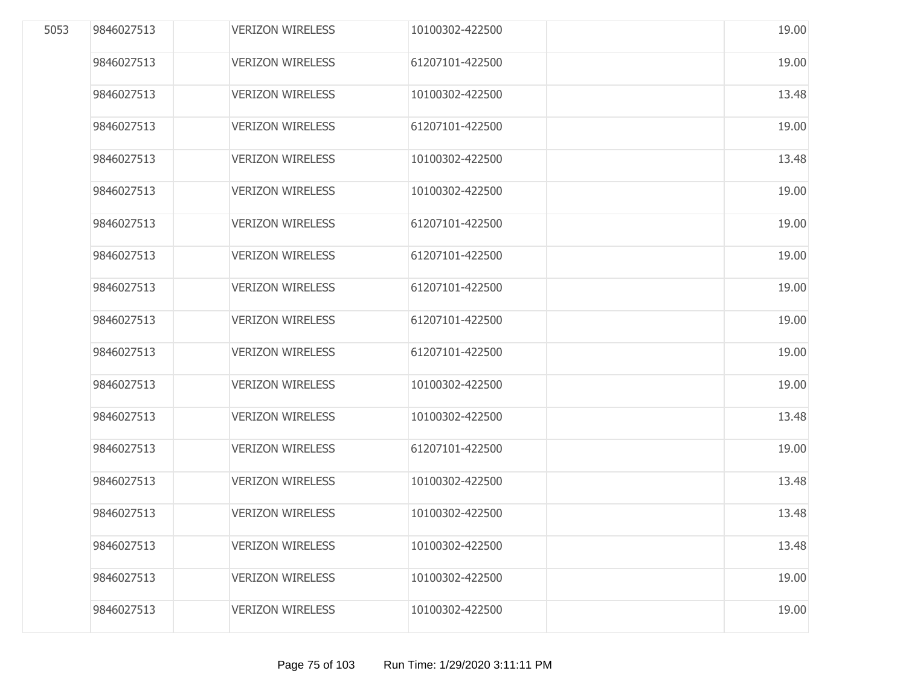| 5053 | 9846027513 | <b>VERIZON WIRELESS</b> | 10100302-422500 | 19.00 |
|------|------------|-------------------------|-----------------|-------|
|      | 9846027513 | <b>VERIZON WIRELESS</b> | 61207101-422500 | 19.00 |
|      | 9846027513 | <b>VERIZON WIRELESS</b> | 10100302-422500 | 13.48 |
|      | 9846027513 | <b>VERIZON WIRELESS</b> | 61207101-422500 | 19.00 |
|      | 9846027513 | <b>VERIZON WIRELESS</b> | 10100302-422500 | 13.48 |
|      | 9846027513 | <b>VERIZON WIRELESS</b> | 10100302-422500 | 19.00 |
|      | 9846027513 | <b>VERIZON WIRELESS</b> | 61207101-422500 | 19.00 |
|      | 9846027513 | <b>VERIZON WIRELESS</b> | 61207101-422500 | 19.00 |
|      | 9846027513 | <b>VERIZON WIRELESS</b> | 61207101-422500 | 19.00 |
|      | 9846027513 | <b>VERIZON WIRELESS</b> | 61207101-422500 | 19.00 |
|      | 9846027513 | <b>VERIZON WIRELESS</b> | 61207101-422500 | 19.00 |
|      | 9846027513 | <b>VERIZON WIRELESS</b> | 10100302-422500 | 19.00 |
|      | 9846027513 | <b>VERIZON WIRELESS</b> | 10100302-422500 | 13.48 |
|      | 9846027513 | <b>VERIZON WIRELESS</b> | 61207101-422500 | 19.00 |
|      | 9846027513 | <b>VERIZON WIRELESS</b> | 10100302-422500 | 13.48 |
|      | 9846027513 | <b>VERIZON WIRELESS</b> | 10100302-422500 | 13.48 |
|      | 9846027513 | <b>VERIZON WIRELESS</b> | 10100302-422500 | 13.48 |
|      | 9846027513 | <b>VERIZON WIRELESS</b> | 10100302-422500 | 19.00 |
|      | 9846027513 | <b>VERIZON WIRELESS</b> | 10100302-422500 | 19.00 |
|      |            |                         |                 |       |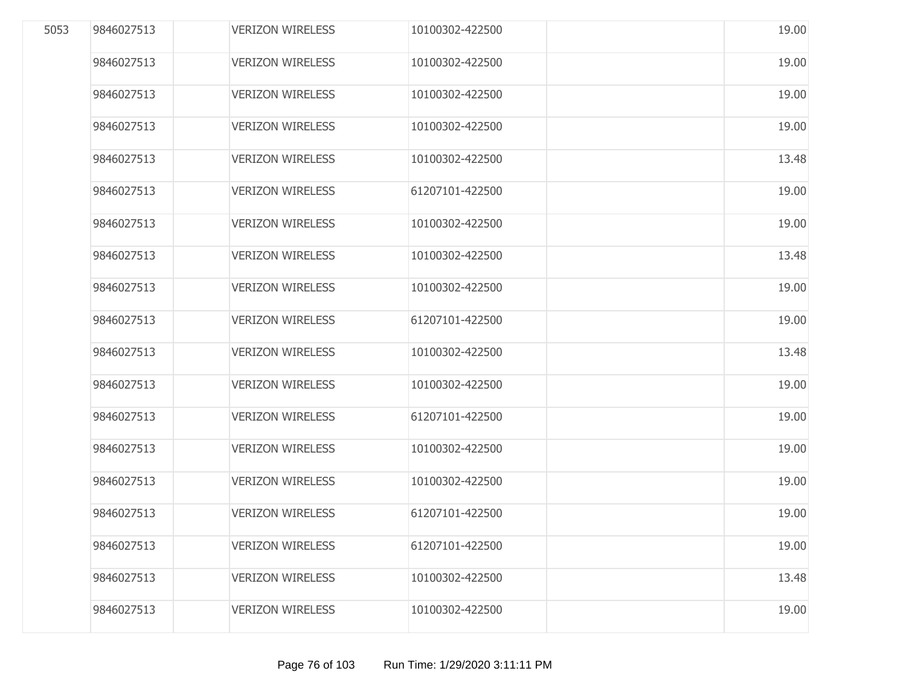| 5053 | 9846027513 | <b>VERIZON WIRELESS</b> | 10100302-422500 | 19.00 |
|------|------------|-------------------------|-----------------|-------|
|      | 9846027513 | <b>VERIZON WIRELESS</b> | 10100302-422500 | 19.00 |
|      | 9846027513 | <b>VERIZON WIRELESS</b> | 10100302-422500 | 19.00 |
|      | 9846027513 | <b>VERIZON WIRELESS</b> | 10100302-422500 | 19.00 |
|      | 9846027513 | <b>VERIZON WIRELESS</b> | 10100302-422500 | 13.48 |
|      | 9846027513 | <b>VERIZON WIRELESS</b> | 61207101-422500 | 19.00 |
|      | 9846027513 | <b>VERIZON WIRELESS</b> | 10100302-422500 | 19.00 |
|      | 9846027513 | <b>VERIZON WIRELESS</b> | 10100302-422500 | 13.48 |
|      | 9846027513 | <b>VERIZON WIRELESS</b> | 10100302-422500 | 19.00 |
|      | 9846027513 | <b>VERIZON WIRELESS</b> | 61207101-422500 | 19.00 |
|      | 9846027513 | <b>VERIZON WIRELESS</b> | 10100302-422500 | 13.48 |
|      | 9846027513 | <b>VERIZON WIRELESS</b> | 10100302-422500 | 19.00 |
|      | 9846027513 | <b>VERIZON WIRELESS</b> | 61207101-422500 | 19.00 |
|      | 9846027513 | <b>VERIZON WIRELESS</b> | 10100302-422500 | 19.00 |
|      | 9846027513 | <b>VERIZON WIRELESS</b> | 10100302-422500 | 19.00 |
|      | 9846027513 | <b>VERIZON WIRELESS</b> | 61207101-422500 | 19.00 |
|      | 9846027513 | <b>VERIZON WIRELESS</b> | 61207101-422500 | 19.00 |
|      | 9846027513 | <b>VERIZON WIRELESS</b> | 10100302-422500 | 13.48 |
|      | 9846027513 | <b>VERIZON WIRELESS</b> | 10100302-422500 | 19.00 |
|      |            |                         |                 |       |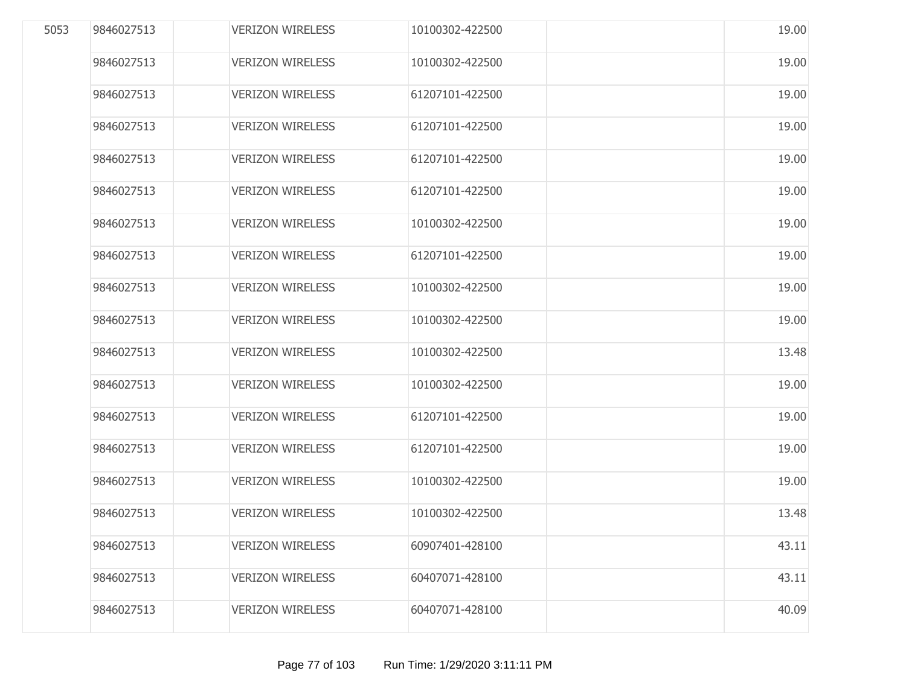| 5053 | 9846027513 | <b>VERIZON WIRELESS</b> | 10100302-422500 | 19.00 |
|------|------------|-------------------------|-----------------|-------|
|      | 9846027513 | <b>VERIZON WIRELESS</b> | 10100302-422500 | 19.00 |
|      | 9846027513 | <b>VERIZON WIRELESS</b> | 61207101-422500 | 19.00 |
|      | 9846027513 | <b>VERIZON WIRELESS</b> | 61207101-422500 | 19.00 |
|      | 9846027513 | <b>VERIZON WIRELESS</b> | 61207101-422500 | 19.00 |
|      | 9846027513 | <b>VERIZON WIRELESS</b> | 61207101-422500 | 19.00 |
|      | 9846027513 | <b>VERIZON WIRELESS</b> | 10100302-422500 | 19.00 |
|      | 9846027513 | <b>VERIZON WIRELESS</b> | 61207101-422500 | 19.00 |
|      | 9846027513 | <b>VERIZON WIRELESS</b> | 10100302-422500 | 19.00 |
|      | 9846027513 | <b>VERIZON WIRELESS</b> | 10100302-422500 | 19.00 |
|      | 9846027513 | <b>VERIZON WIRELESS</b> | 10100302-422500 | 13.48 |
|      | 9846027513 | <b>VERIZON WIRELESS</b> | 10100302-422500 | 19.00 |
|      | 9846027513 | <b>VERIZON WIRELESS</b> | 61207101-422500 | 19.00 |
|      | 9846027513 | <b>VERIZON WIRELESS</b> | 61207101-422500 | 19.00 |
|      | 9846027513 | <b>VERIZON WIRELESS</b> | 10100302-422500 | 19.00 |
|      | 9846027513 | <b>VERIZON WIRELESS</b> | 10100302-422500 | 13.48 |
|      | 9846027513 | <b>VERIZON WIRELESS</b> | 60907401-428100 | 43.11 |
|      | 9846027513 | <b>VERIZON WIRELESS</b> | 60407071-428100 | 43.11 |
|      | 9846027513 | <b>VERIZON WIRELESS</b> | 60407071-428100 | 40.09 |
|      |            |                         |                 |       |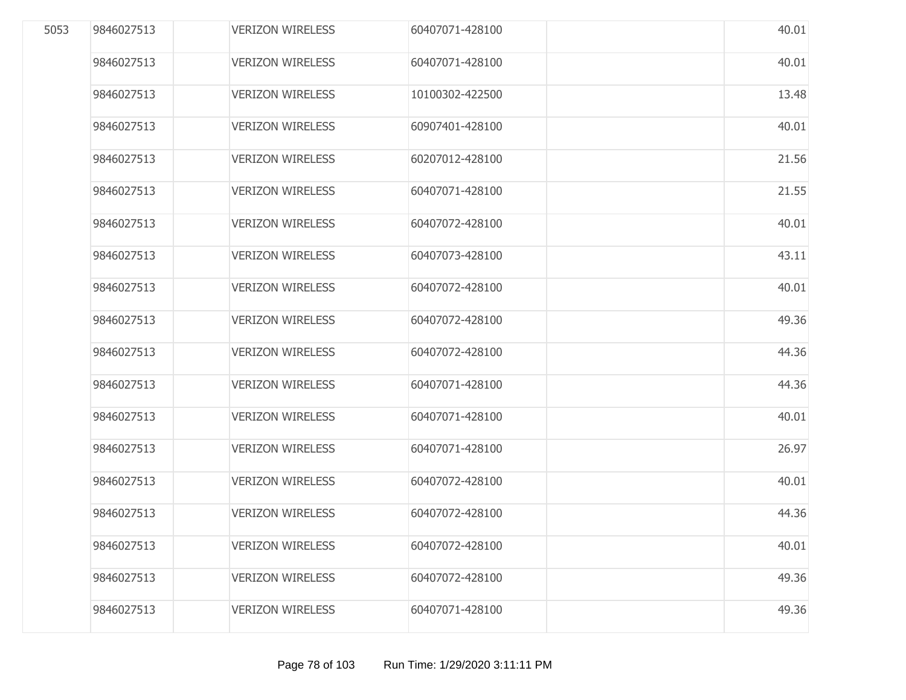| 5053 | 9846027513 | <b>VERIZON WIRELESS</b> | 60407071-428100 | 40.01 |
|------|------------|-------------------------|-----------------|-------|
|      | 9846027513 | <b>VERIZON WIRELESS</b> | 60407071-428100 | 40.01 |
|      | 9846027513 | <b>VERIZON WIRELESS</b> | 10100302-422500 | 13.48 |
|      | 9846027513 | <b>VERIZON WIRELESS</b> | 60907401-428100 | 40.01 |
|      | 9846027513 | <b>VERIZON WIRELESS</b> | 60207012-428100 | 21.56 |
|      | 9846027513 | <b>VERIZON WIRELESS</b> | 60407071-428100 | 21.55 |
|      | 9846027513 | <b>VERIZON WIRELESS</b> | 60407072-428100 | 40.01 |
|      | 9846027513 | <b>VERIZON WIRELESS</b> | 60407073-428100 | 43.11 |
|      | 9846027513 | <b>VERIZON WIRELESS</b> | 60407072-428100 | 40.01 |
|      | 9846027513 | <b>VERIZON WIRELESS</b> | 60407072-428100 | 49.36 |
|      | 9846027513 | <b>VERIZON WIRELESS</b> | 60407072-428100 | 44.36 |
|      | 9846027513 | <b>VERIZON WIRELESS</b> | 60407071-428100 | 44.36 |
|      | 9846027513 | <b>VERIZON WIRELESS</b> | 60407071-428100 | 40.01 |
|      | 9846027513 | <b>VERIZON WIRELESS</b> | 60407071-428100 | 26.97 |
|      | 9846027513 | <b>VERIZON WIRELESS</b> | 60407072-428100 | 40.01 |
|      | 9846027513 | <b>VERIZON WIRELESS</b> | 60407072-428100 | 44.36 |
|      | 9846027513 | <b>VERIZON WIRELESS</b> | 60407072-428100 | 40.01 |
|      | 9846027513 | <b>VERIZON WIRELESS</b> | 60407072-428100 | 49.36 |
|      | 9846027513 | <b>VERIZON WIRELESS</b> | 60407071-428100 | 49.36 |
|      |            |                         |                 |       |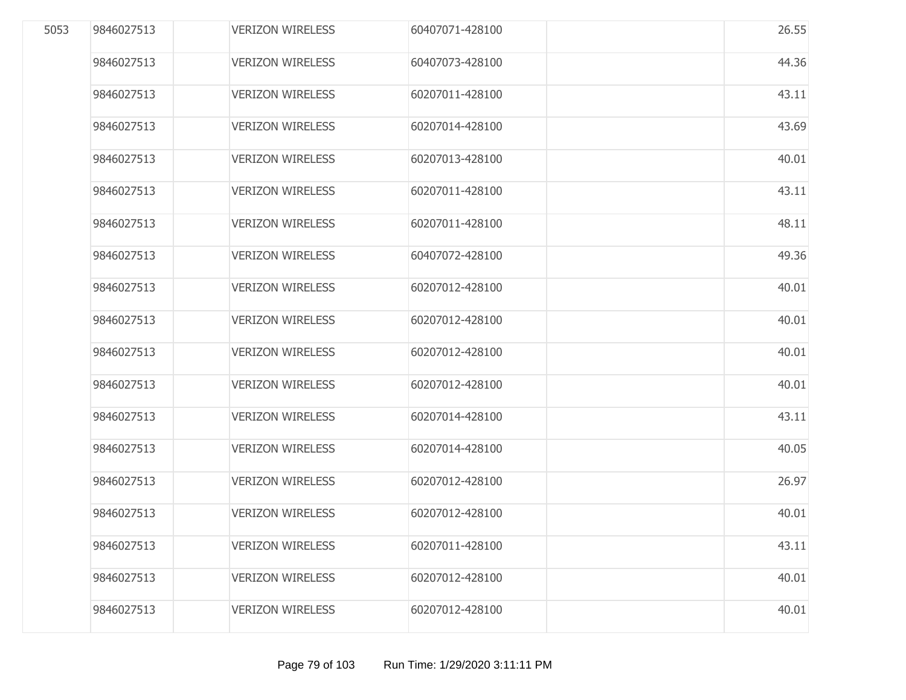| 5053 | 9846027513 | <b>VERIZON WIRELESS</b> | 60407071-428100 | 26.55 |
|------|------------|-------------------------|-----------------|-------|
|      | 9846027513 | <b>VERIZON WIRELESS</b> | 60407073-428100 | 44.36 |
|      | 9846027513 | <b>VERIZON WIRELESS</b> | 60207011-428100 | 43.11 |
|      | 9846027513 | <b>VERIZON WIRELESS</b> | 60207014-428100 | 43.69 |
|      | 9846027513 | <b>VERIZON WIRELESS</b> | 60207013-428100 | 40.01 |
|      | 9846027513 | <b>VERIZON WIRELESS</b> | 60207011-428100 | 43.11 |
|      | 9846027513 | <b>VERIZON WIRELESS</b> | 60207011-428100 | 48.11 |
|      | 9846027513 | <b>VERIZON WIRELESS</b> | 60407072-428100 | 49.36 |
|      | 9846027513 | <b>VERIZON WIRELESS</b> | 60207012-428100 | 40.01 |
|      | 9846027513 | <b>VERIZON WIRELESS</b> | 60207012-428100 | 40.01 |
|      | 9846027513 | <b>VERIZON WIRELESS</b> | 60207012-428100 | 40.01 |
|      | 9846027513 | <b>VERIZON WIRELESS</b> | 60207012-428100 | 40.01 |
|      | 9846027513 | <b>VERIZON WIRELESS</b> | 60207014-428100 | 43.11 |
|      | 9846027513 | <b>VERIZON WIRELESS</b> | 60207014-428100 | 40.05 |
|      | 9846027513 | <b>VERIZON WIRELESS</b> | 60207012-428100 | 26.97 |
|      | 9846027513 | <b>VERIZON WIRELESS</b> | 60207012-428100 | 40.01 |
|      | 9846027513 | <b>VERIZON WIRELESS</b> | 60207011-428100 | 43.11 |
|      | 9846027513 | <b>VERIZON WIRELESS</b> | 60207012-428100 | 40.01 |
|      | 9846027513 | <b>VERIZON WIRELESS</b> | 60207012-428100 | 40.01 |
|      |            |                         |                 |       |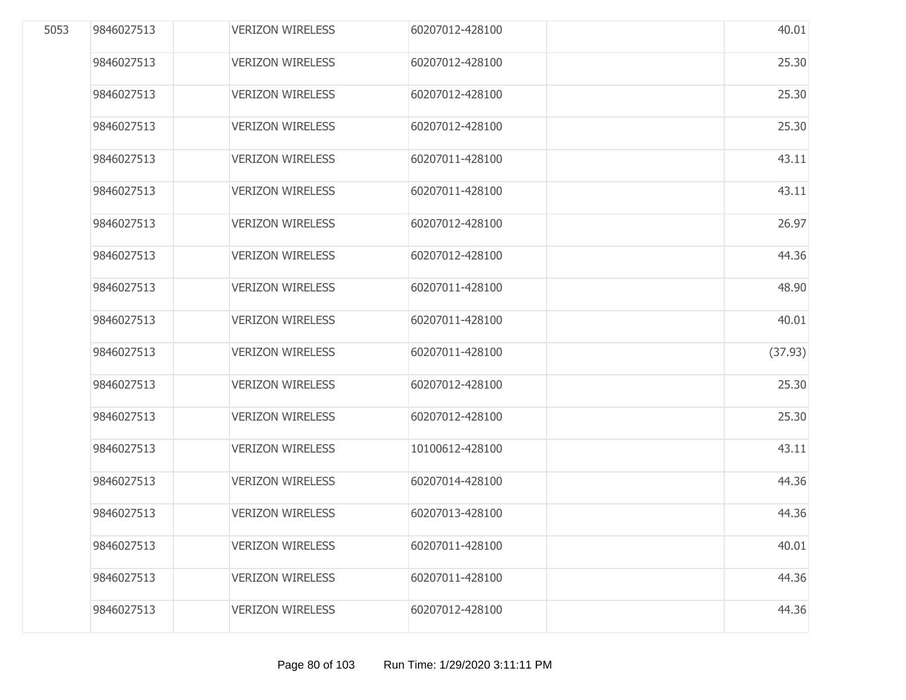| 5053 | 9846027513 | <b>VERIZON WIRELESS</b> | 60207012-428100 | 40.01   |
|------|------------|-------------------------|-----------------|---------|
|      | 9846027513 | <b>VERIZON WIRELESS</b> | 60207012-428100 | 25.30   |
|      | 9846027513 | <b>VERIZON WIRELESS</b> | 60207012-428100 | 25.30   |
|      | 9846027513 | <b>VERIZON WIRELESS</b> | 60207012-428100 | 25.30   |
|      | 9846027513 | <b>VERIZON WIRELESS</b> | 60207011-428100 | 43.11   |
|      | 9846027513 | <b>VERIZON WIRELESS</b> | 60207011-428100 | 43.11   |
|      | 9846027513 | <b>VERIZON WIRELESS</b> | 60207012-428100 | 26.97   |
|      | 9846027513 | <b>VERIZON WIRELESS</b> | 60207012-428100 | 44.36   |
|      | 9846027513 | <b>VERIZON WIRELESS</b> | 60207011-428100 | 48.90   |
|      | 9846027513 | <b>VERIZON WIRELESS</b> | 60207011-428100 | 40.01   |
|      | 9846027513 | <b>VERIZON WIRELESS</b> | 60207011-428100 | (37.93) |
|      | 9846027513 | <b>VERIZON WIRELESS</b> | 60207012-428100 | 25.30   |
|      | 9846027513 | <b>VERIZON WIRELESS</b> | 60207012-428100 | 25.30   |
|      | 9846027513 | <b>VERIZON WIRELESS</b> | 10100612-428100 | 43.11   |
|      | 9846027513 | <b>VERIZON WIRELESS</b> | 60207014-428100 | 44.36   |
|      | 9846027513 | <b>VERIZON WIRELESS</b> | 60207013-428100 | 44.36   |
|      | 9846027513 | <b>VERIZON WIRELESS</b> | 60207011-428100 | 40.01   |
|      | 9846027513 | <b>VERIZON WIRELESS</b> | 60207011-428100 | 44.36   |
|      | 9846027513 | <b>VERIZON WIRELESS</b> | 60207012-428100 | 44.36   |
|      |            |                         |                 |         |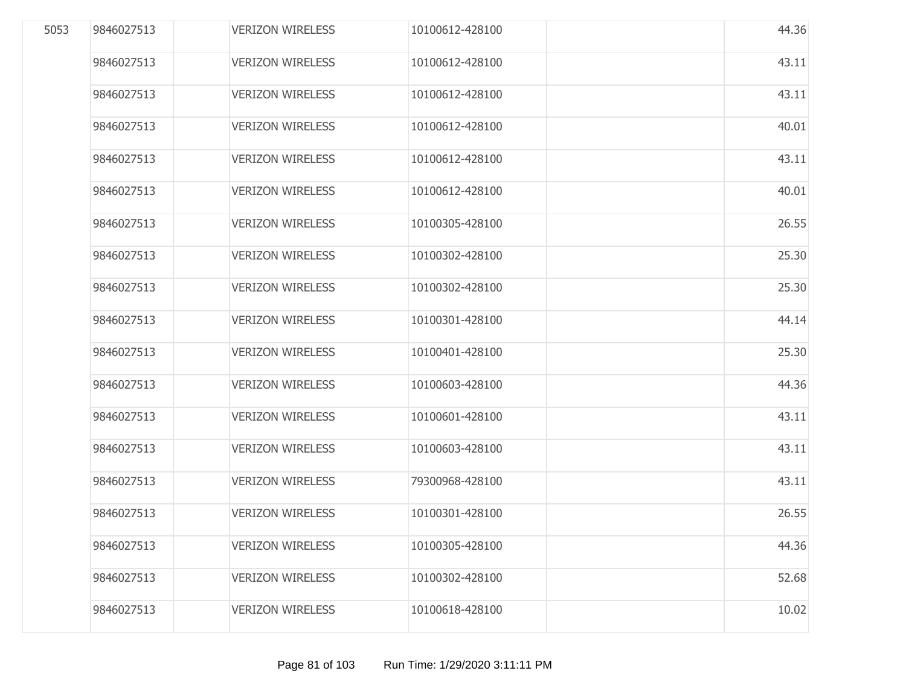| 5053 | 9846027513 | <b>VERIZON WIRELESS</b> | 10100612-428100 | 44.36 |
|------|------------|-------------------------|-----------------|-------|
|      | 9846027513 | <b>VERIZON WIRELESS</b> | 10100612-428100 | 43.11 |
|      | 9846027513 | <b>VERIZON WIRELESS</b> | 10100612-428100 | 43.11 |
|      | 9846027513 | <b>VERIZON WIRELESS</b> | 10100612-428100 | 40.01 |
|      | 9846027513 | <b>VERIZON WIRELESS</b> | 10100612-428100 | 43.11 |
|      | 9846027513 | <b>VERIZON WIRELESS</b> | 10100612-428100 | 40.01 |
|      | 9846027513 | <b>VERIZON WIRELESS</b> | 10100305-428100 | 26.55 |
|      | 9846027513 | <b>VERIZON WIRELESS</b> | 10100302-428100 | 25.30 |
|      | 9846027513 | <b>VERIZON WIRELESS</b> | 10100302-428100 | 25.30 |
|      | 9846027513 | <b>VERIZON WIRELESS</b> | 10100301-428100 | 44.14 |
|      | 9846027513 | <b>VERIZON WIRELESS</b> | 10100401-428100 | 25.30 |
|      | 9846027513 | <b>VERIZON WIRELESS</b> | 10100603-428100 | 44.36 |
|      | 9846027513 | <b>VERIZON WIRELESS</b> | 10100601-428100 | 43.11 |
|      | 9846027513 | <b>VERIZON WIRELESS</b> | 10100603-428100 | 43.11 |
|      | 9846027513 | <b>VERIZON WIRELESS</b> | 79300968-428100 | 43.11 |
|      | 9846027513 | <b>VERIZON WIRELESS</b> | 10100301-428100 | 26.55 |
|      | 9846027513 | <b>VERIZON WIRELESS</b> | 10100305-428100 | 44.36 |
|      | 9846027513 | <b>VERIZON WIRELESS</b> | 10100302-428100 | 52.68 |
|      | 9846027513 | <b>VERIZON WIRELESS</b> | 10100618-428100 | 10.02 |
|      |            |                         |                 |       |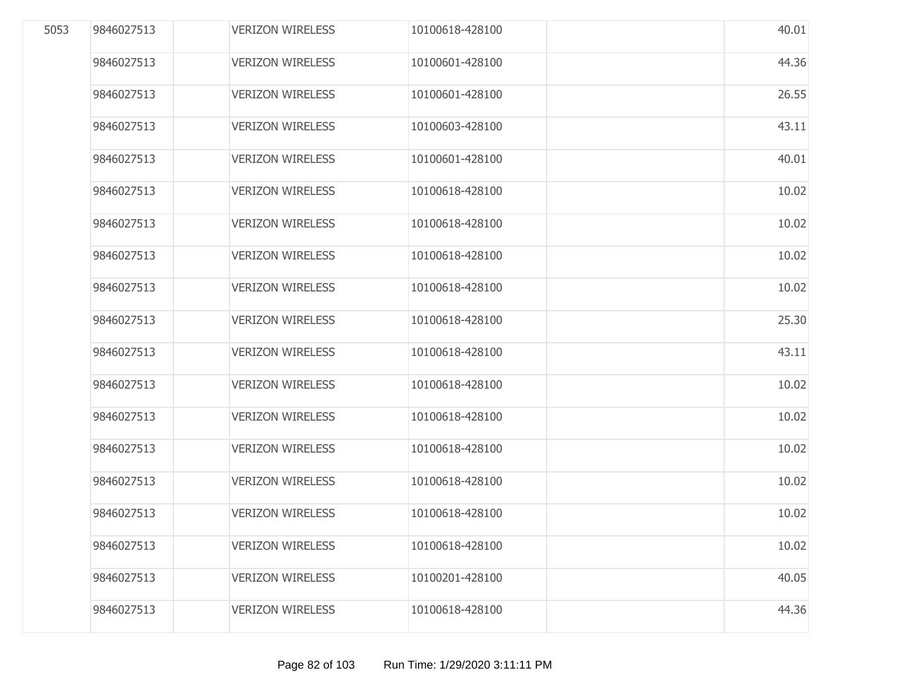| 5053 | 9846027513 | <b>VERIZON WIRELESS</b> | 10100618-428100 | 40.01 |
|------|------------|-------------------------|-----------------|-------|
|      | 9846027513 | <b>VERIZON WIRELESS</b> | 10100601-428100 | 44.36 |
|      | 9846027513 | <b>VERIZON WIRELESS</b> | 10100601-428100 | 26.55 |
|      | 9846027513 | <b>VERIZON WIRELESS</b> | 10100603-428100 | 43.11 |
|      | 9846027513 | <b>VERIZON WIRELESS</b> | 10100601-428100 | 40.01 |
|      | 9846027513 | <b>VERIZON WIRELESS</b> | 10100618-428100 | 10.02 |
|      | 9846027513 | <b>VERIZON WIRELESS</b> | 10100618-428100 | 10.02 |
|      | 9846027513 | <b>VERIZON WIRELESS</b> | 10100618-428100 | 10.02 |
|      | 9846027513 | <b>VERIZON WIRELESS</b> | 10100618-428100 | 10.02 |
|      | 9846027513 | <b>VERIZON WIRELESS</b> | 10100618-428100 | 25.30 |
|      | 9846027513 | <b>VERIZON WIRELESS</b> | 10100618-428100 | 43.11 |
|      | 9846027513 | <b>VERIZON WIRELESS</b> | 10100618-428100 | 10.02 |
|      | 9846027513 | <b>VERIZON WIRELESS</b> | 10100618-428100 | 10.02 |
|      | 9846027513 | <b>VERIZON WIRELESS</b> | 10100618-428100 | 10.02 |
|      | 9846027513 | <b>VERIZON WIRELESS</b> | 10100618-428100 | 10.02 |
|      | 9846027513 | <b>VERIZON WIRELESS</b> | 10100618-428100 | 10.02 |
|      | 9846027513 | <b>VERIZON WIRELESS</b> | 10100618-428100 | 10.02 |
|      | 9846027513 | <b>VERIZON WIRELESS</b> | 10100201-428100 | 40.05 |
|      | 9846027513 | <b>VERIZON WIRELESS</b> | 10100618-428100 | 44.36 |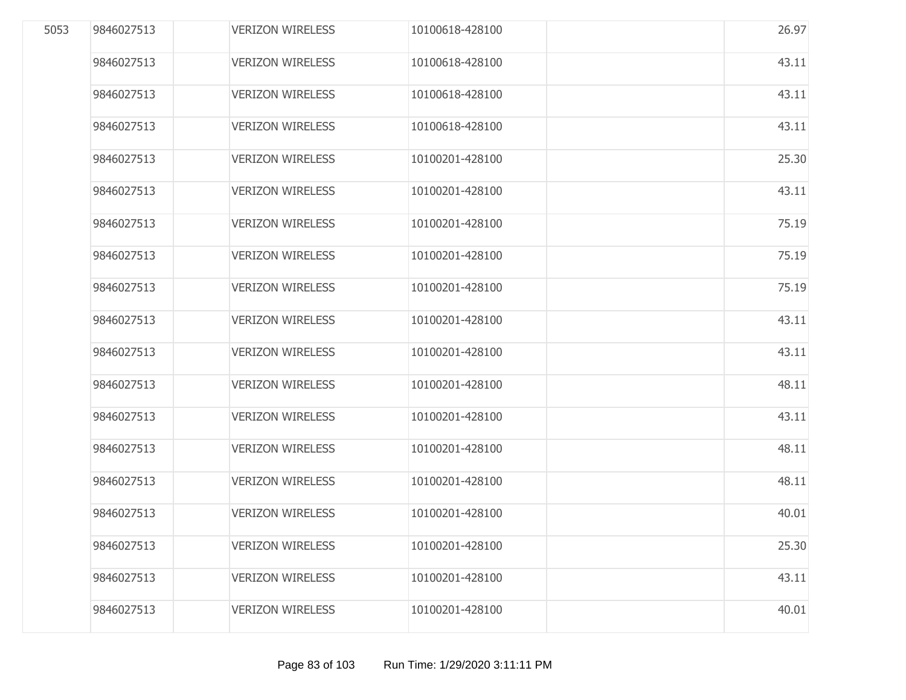| 9846027513 | <b>VERIZON WIRELESS</b> | 10100618-428100 | 26.97 |
|------------|-------------------------|-----------------|-------|
| 9846027513 | <b>VERIZON WIRELESS</b> | 10100618-428100 | 43.11 |
| 9846027513 | <b>VERIZON WIRELESS</b> | 10100618-428100 | 43.11 |
| 9846027513 | <b>VERIZON WIRELESS</b> | 10100618-428100 | 43.11 |
| 9846027513 | <b>VERIZON WIRELESS</b> | 10100201-428100 | 25.30 |
| 9846027513 | <b>VERIZON WIRELESS</b> | 10100201-428100 | 43.11 |
| 9846027513 | <b>VERIZON WIRELESS</b> | 10100201-428100 | 75.19 |
| 9846027513 | <b>VERIZON WIRELESS</b> | 10100201-428100 | 75.19 |
| 9846027513 | <b>VERIZON WIRELESS</b> | 10100201-428100 | 75.19 |
| 9846027513 | <b>VERIZON WIRELESS</b> | 10100201-428100 | 43.11 |
| 9846027513 | <b>VERIZON WIRELESS</b> | 10100201-428100 | 43.11 |
| 9846027513 | <b>VERIZON WIRELESS</b> | 10100201-428100 | 48.11 |
| 9846027513 | <b>VERIZON WIRELESS</b> | 10100201-428100 | 43.11 |
| 9846027513 | <b>VERIZON WIRELESS</b> | 10100201-428100 | 48.11 |
| 9846027513 | <b>VERIZON WIRELESS</b> | 10100201-428100 | 48.11 |
| 9846027513 | <b>VERIZON WIRELESS</b> | 10100201-428100 | 40.01 |
| 9846027513 | <b>VERIZON WIRELESS</b> | 10100201-428100 | 25.30 |
| 9846027513 | <b>VERIZON WIRELESS</b> | 10100201-428100 | 43.11 |
| 9846027513 | <b>VERIZON WIRELESS</b> | 10100201-428100 | 40.01 |
|            |                         |                 |       |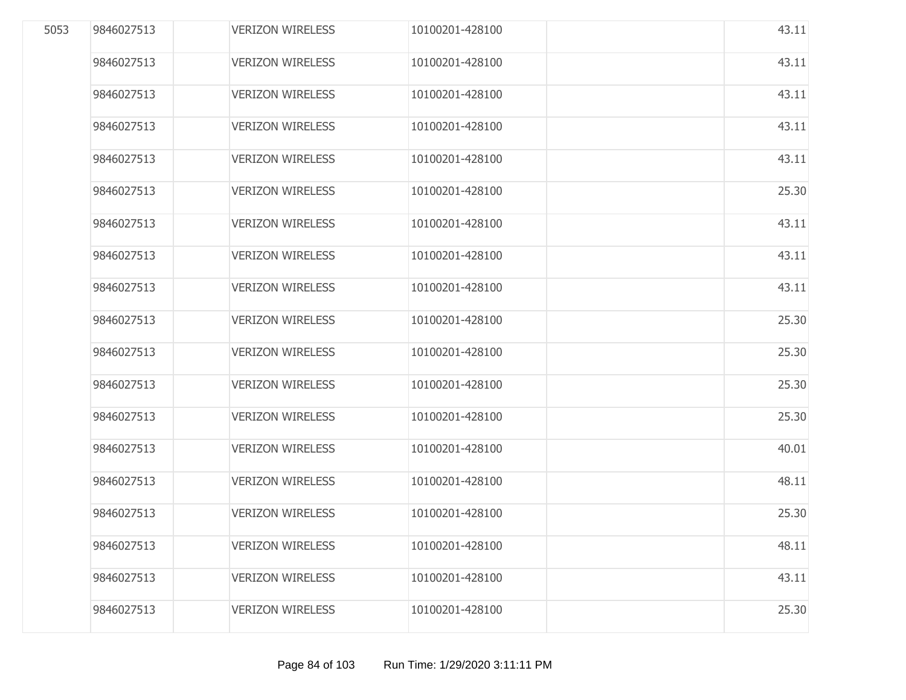| 5053 | 9846027513 | <b>VERIZON WIRELESS</b> | 10100201-428100 | 43.11 |
|------|------------|-------------------------|-----------------|-------|
|      | 9846027513 | <b>VERIZON WIRELESS</b> | 10100201-428100 | 43.11 |
|      | 9846027513 | <b>VERIZON WIRELESS</b> | 10100201-428100 | 43.11 |
|      | 9846027513 | <b>VERIZON WIRELESS</b> | 10100201-428100 | 43.11 |
|      | 9846027513 | <b>VERIZON WIRELESS</b> | 10100201-428100 | 43.11 |
|      | 9846027513 | <b>VERIZON WIRELESS</b> | 10100201-428100 | 25.30 |
|      | 9846027513 | <b>VERIZON WIRELESS</b> | 10100201-428100 | 43.11 |
|      | 9846027513 | <b>VERIZON WIRELESS</b> | 10100201-428100 | 43.11 |
|      | 9846027513 | <b>VERIZON WIRELESS</b> | 10100201-428100 | 43.11 |
|      | 9846027513 | <b>VERIZON WIRELESS</b> | 10100201-428100 | 25.30 |
|      | 9846027513 | <b>VERIZON WIRELESS</b> | 10100201-428100 | 25.30 |
|      | 9846027513 | <b>VERIZON WIRELESS</b> | 10100201-428100 | 25.30 |
|      | 9846027513 | <b>VERIZON WIRELESS</b> | 10100201-428100 | 25.30 |
|      | 9846027513 | <b>VERIZON WIRELESS</b> | 10100201-428100 | 40.01 |
|      | 9846027513 | <b>VERIZON WIRELESS</b> | 10100201-428100 | 48.11 |
|      | 9846027513 | <b>VERIZON WIRELESS</b> | 10100201-428100 | 25.30 |
|      | 9846027513 | <b>VERIZON WIRELESS</b> | 10100201-428100 | 48.11 |
|      | 9846027513 | <b>VERIZON WIRELESS</b> | 10100201-428100 | 43.11 |
|      | 9846027513 | <b>VERIZON WIRELESS</b> | 10100201-428100 | 25.30 |
|      |            |                         |                 |       |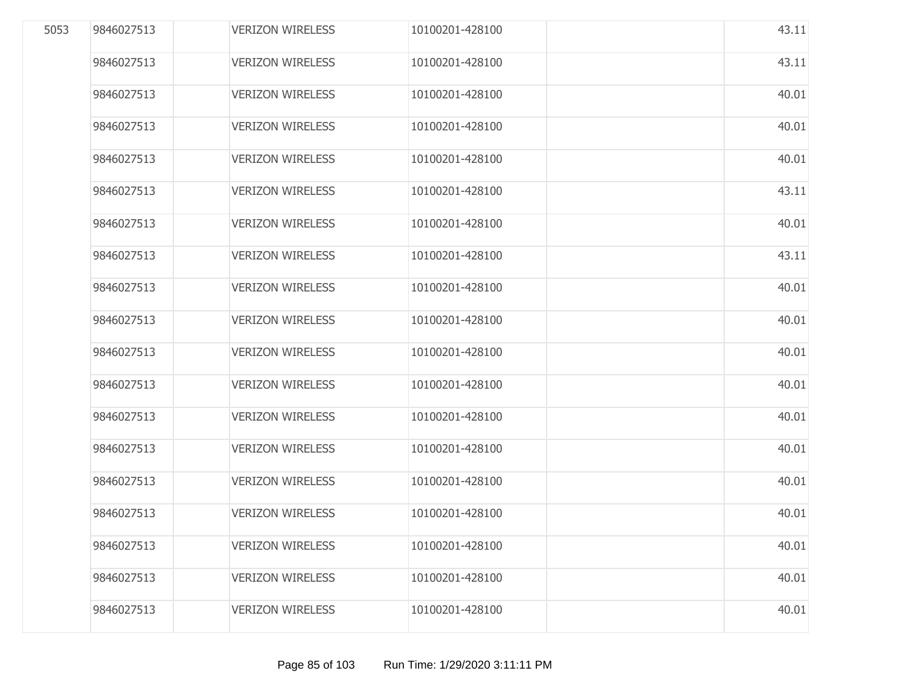| 5053 | 9846027513 | <b>VERIZON WIRELESS</b> | 10100201-428100 | 43.11 |
|------|------------|-------------------------|-----------------|-------|
|      | 9846027513 | <b>VERIZON WIRELESS</b> | 10100201-428100 | 43.11 |
|      | 9846027513 | <b>VERIZON WIRELESS</b> | 10100201-428100 | 40.01 |
|      | 9846027513 | <b>VERIZON WIRELESS</b> | 10100201-428100 | 40.01 |
|      | 9846027513 | <b>VERIZON WIRELESS</b> | 10100201-428100 | 40.01 |
|      | 9846027513 | <b>VERIZON WIRELESS</b> | 10100201-428100 | 43.11 |
|      | 9846027513 | <b>VERIZON WIRELESS</b> | 10100201-428100 | 40.01 |
|      | 9846027513 | <b>VERIZON WIRELESS</b> | 10100201-428100 | 43.11 |
|      | 9846027513 | <b>VERIZON WIRELESS</b> | 10100201-428100 | 40.01 |
|      | 9846027513 | <b>VERIZON WIRELESS</b> | 10100201-428100 | 40.01 |
|      | 9846027513 | <b>VERIZON WIRELESS</b> | 10100201-428100 | 40.01 |
|      | 9846027513 | <b>VERIZON WIRELESS</b> | 10100201-428100 | 40.01 |
|      | 9846027513 | <b>VERIZON WIRELESS</b> | 10100201-428100 | 40.01 |
|      | 9846027513 | <b>VERIZON WIRELESS</b> | 10100201-428100 | 40.01 |
|      | 9846027513 | <b>VERIZON WIRELESS</b> | 10100201-428100 | 40.01 |
|      | 9846027513 | <b>VERIZON WIRELESS</b> | 10100201-428100 | 40.01 |
|      | 9846027513 | <b>VERIZON WIRELESS</b> | 10100201-428100 | 40.01 |
|      | 9846027513 | <b>VERIZON WIRELESS</b> | 10100201-428100 | 40.01 |
|      | 9846027513 | <b>VERIZON WIRELESS</b> | 10100201-428100 | 40.01 |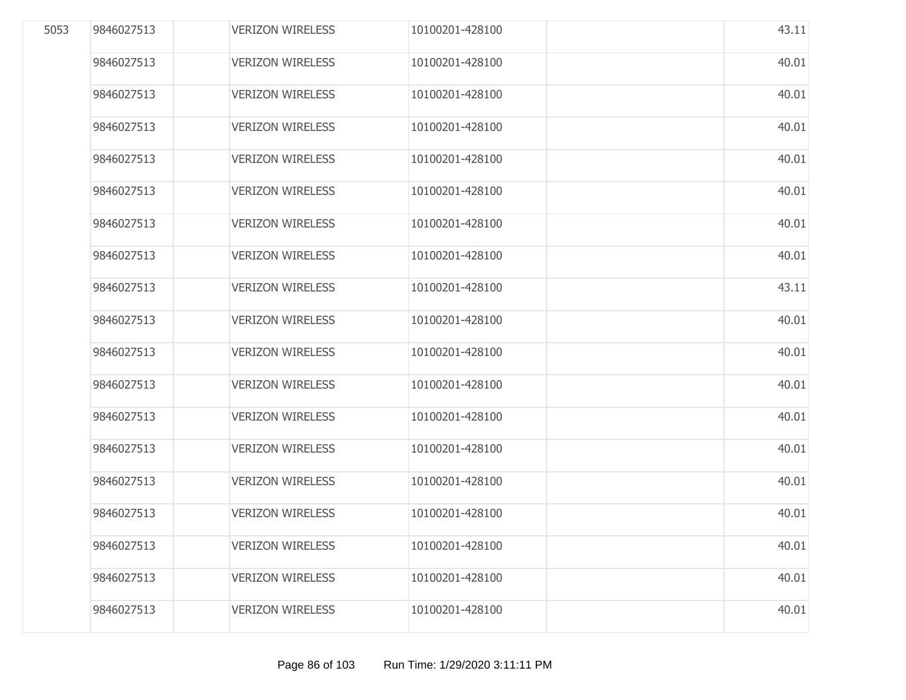| 5053 | 9846027513 | <b>VERIZON WIRELESS</b> | 10100201-428100 | 43.11 |
|------|------------|-------------------------|-----------------|-------|
|      | 9846027513 | <b>VERIZON WIRELESS</b> | 10100201-428100 | 40.01 |
|      | 9846027513 | <b>VERIZON WIRELESS</b> | 10100201-428100 | 40.01 |
|      | 9846027513 | <b>VERIZON WIRELESS</b> | 10100201-428100 | 40.01 |
|      | 9846027513 | <b>VERIZON WIRELESS</b> | 10100201-428100 | 40.01 |
|      | 9846027513 | <b>VERIZON WIRELESS</b> | 10100201-428100 | 40.01 |
|      | 9846027513 | <b>VERIZON WIRELESS</b> | 10100201-428100 | 40.01 |
|      | 9846027513 | <b>VERIZON WIRELESS</b> | 10100201-428100 | 40.01 |
|      | 9846027513 | <b>VERIZON WIRELESS</b> | 10100201-428100 | 43.11 |
|      | 9846027513 | <b>VERIZON WIRELESS</b> | 10100201-428100 | 40.01 |
|      | 9846027513 | <b>VERIZON WIRELESS</b> | 10100201-428100 | 40.01 |
|      | 9846027513 | <b>VERIZON WIRELESS</b> | 10100201-428100 | 40.01 |
|      | 9846027513 | <b>VERIZON WIRELESS</b> | 10100201-428100 | 40.01 |
|      | 9846027513 | <b>VERIZON WIRELESS</b> | 10100201-428100 | 40.01 |
|      | 9846027513 | <b>VERIZON WIRELESS</b> | 10100201-428100 | 40.01 |
|      | 9846027513 | <b>VERIZON WIRELESS</b> | 10100201-428100 | 40.01 |
|      | 9846027513 | <b>VERIZON WIRELESS</b> | 10100201-428100 | 40.01 |
|      | 9846027513 | <b>VERIZON WIRELESS</b> | 10100201-428100 | 40.01 |
|      | 9846027513 | <b>VERIZON WIRELESS</b> | 10100201-428100 | 40.01 |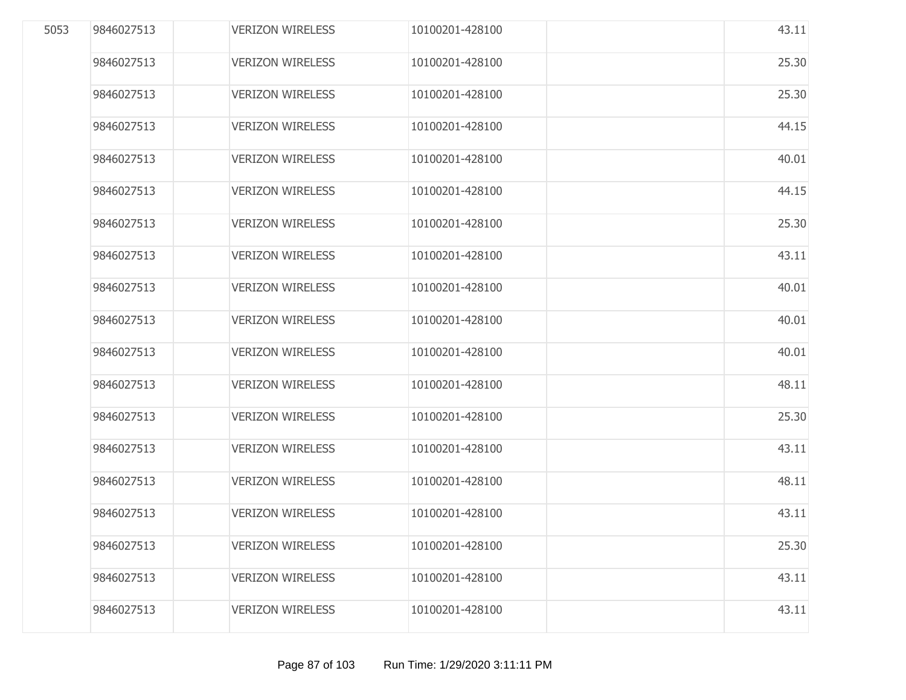| 5053 | 9846027513 | <b>VERIZON WIRELESS</b> | 10100201-428100 | 43.11 |
|------|------------|-------------------------|-----------------|-------|
|      | 9846027513 | <b>VERIZON WIRELESS</b> | 10100201-428100 | 25.30 |
|      | 9846027513 | <b>VERIZON WIRELESS</b> | 10100201-428100 | 25.30 |
|      | 9846027513 | <b>VERIZON WIRELESS</b> | 10100201-428100 | 44.15 |
|      | 9846027513 | <b>VERIZON WIRELESS</b> | 10100201-428100 | 40.01 |
|      | 9846027513 | <b>VERIZON WIRELESS</b> | 10100201-428100 | 44.15 |
|      | 9846027513 | <b>VERIZON WIRELESS</b> | 10100201-428100 | 25.30 |
|      | 9846027513 | <b>VERIZON WIRELESS</b> | 10100201-428100 | 43.11 |
|      | 9846027513 | <b>VERIZON WIRELESS</b> | 10100201-428100 | 40.01 |
|      | 9846027513 | <b>VERIZON WIRELESS</b> | 10100201-428100 | 40.01 |
|      | 9846027513 | <b>VERIZON WIRELESS</b> | 10100201-428100 | 40.01 |
|      | 9846027513 | <b>VERIZON WIRELESS</b> | 10100201-428100 | 48.11 |
|      | 9846027513 | <b>VERIZON WIRELESS</b> | 10100201-428100 | 25.30 |
|      | 9846027513 | <b>VERIZON WIRELESS</b> | 10100201-428100 | 43.11 |
|      | 9846027513 | <b>VERIZON WIRELESS</b> | 10100201-428100 | 48.11 |
|      | 9846027513 | <b>VERIZON WIRELESS</b> | 10100201-428100 | 43.11 |
|      | 9846027513 | <b>VERIZON WIRELESS</b> | 10100201-428100 | 25.30 |
|      | 9846027513 | <b>VERIZON WIRELESS</b> | 10100201-428100 | 43.11 |
|      | 9846027513 | <b>VERIZON WIRELESS</b> | 10100201-428100 | 43.11 |
|      |            |                         |                 |       |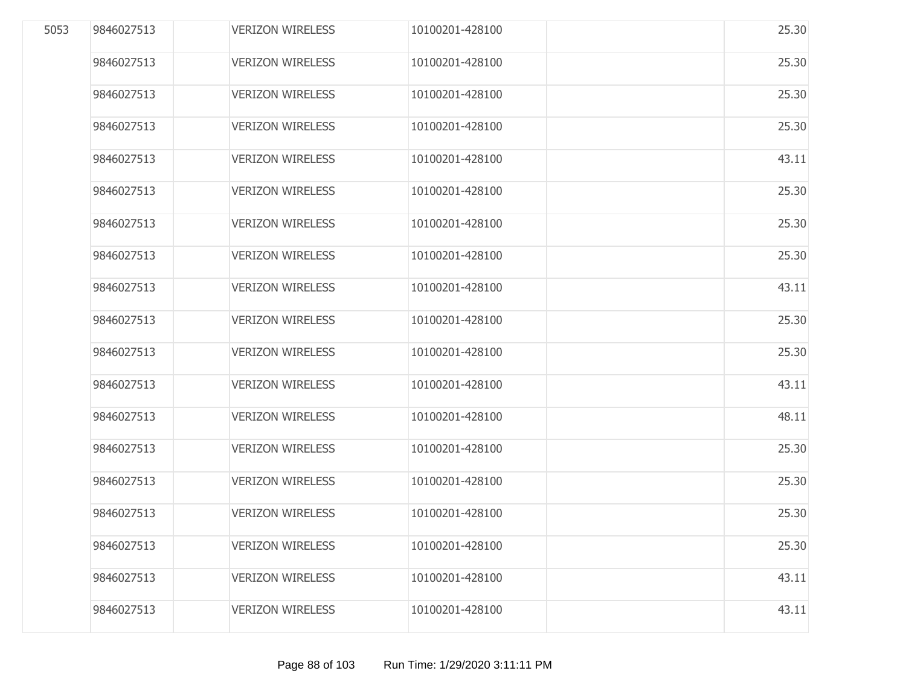| 5053 | 9846027513 | <b>VERIZON WIRELESS</b> | 10100201-428100 | 25.30 |
|------|------------|-------------------------|-----------------|-------|
|      | 9846027513 | <b>VERIZON WIRELESS</b> | 10100201-428100 | 25.30 |
|      | 9846027513 | <b>VERIZON WIRELESS</b> | 10100201-428100 | 25.30 |
|      | 9846027513 | <b>VERIZON WIRELESS</b> | 10100201-428100 | 25.30 |
|      | 9846027513 | <b>VERIZON WIRELESS</b> | 10100201-428100 | 43.11 |
|      | 9846027513 | <b>VERIZON WIRELESS</b> | 10100201-428100 | 25.30 |
|      | 9846027513 | <b>VERIZON WIRELESS</b> | 10100201-428100 | 25.30 |
|      | 9846027513 | <b>VERIZON WIRELESS</b> | 10100201-428100 | 25.30 |
|      | 9846027513 | <b>VERIZON WIRELESS</b> | 10100201-428100 | 43.11 |
|      | 9846027513 | <b>VERIZON WIRELESS</b> | 10100201-428100 | 25.30 |
|      | 9846027513 | <b>VERIZON WIRELESS</b> | 10100201-428100 | 25.30 |
|      | 9846027513 | <b>VERIZON WIRELESS</b> | 10100201-428100 | 43.11 |
|      | 9846027513 | <b>VERIZON WIRELESS</b> | 10100201-428100 | 48.11 |
|      | 9846027513 | <b>VERIZON WIRELESS</b> | 10100201-428100 | 25.30 |
|      | 9846027513 | <b>VERIZON WIRELESS</b> | 10100201-428100 | 25.30 |
|      | 9846027513 | <b>VERIZON WIRELESS</b> | 10100201-428100 | 25.30 |
|      | 9846027513 | <b>VERIZON WIRELESS</b> | 10100201-428100 | 25.30 |
|      | 9846027513 | <b>VERIZON WIRELESS</b> | 10100201-428100 | 43.11 |
|      | 9846027513 | <b>VERIZON WIRELESS</b> | 10100201-428100 | 43.11 |
|      |            |                         |                 |       |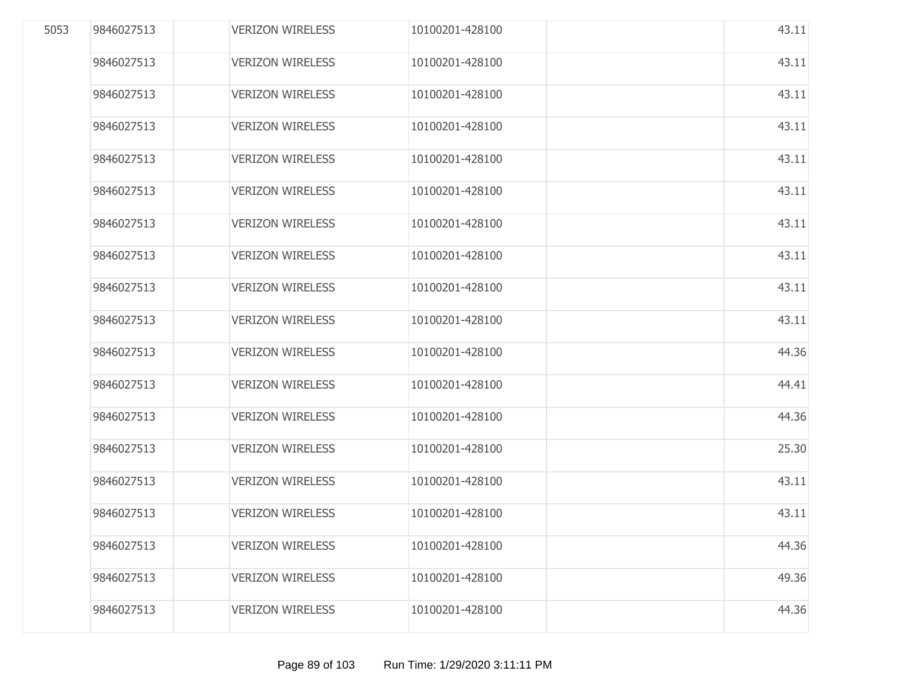| 5053 | 9846027513 | <b>VERIZON WIRELESS</b> | 10100201-428100 | 43.11 |
|------|------------|-------------------------|-----------------|-------|
|      | 9846027513 | <b>VERIZON WIRELESS</b> | 10100201-428100 | 43.11 |
|      | 9846027513 | <b>VERIZON WIRELESS</b> | 10100201-428100 | 43.11 |
|      | 9846027513 | <b>VERIZON WIRELESS</b> | 10100201-428100 | 43.11 |
|      | 9846027513 | <b>VERIZON WIRELESS</b> | 10100201-428100 | 43.11 |
|      | 9846027513 | <b>VERIZON WIRELESS</b> | 10100201-428100 | 43.11 |
|      | 9846027513 | <b>VERIZON WIRELESS</b> | 10100201-428100 | 43.11 |
|      | 9846027513 | <b>VERIZON WIRELESS</b> | 10100201-428100 | 43.11 |
|      | 9846027513 | <b>VERIZON WIRELESS</b> | 10100201-428100 | 43.11 |
|      | 9846027513 | <b>VERIZON WIRELESS</b> | 10100201-428100 | 43.11 |
|      | 9846027513 | <b>VERIZON WIRELESS</b> | 10100201-428100 | 44.36 |
|      | 9846027513 | <b>VERIZON WIRELESS</b> | 10100201-428100 | 44.41 |
|      | 9846027513 | <b>VERIZON WIRELESS</b> | 10100201-428100 | 44.36 |
|      | 9846027513 | <b>VERIZON WIRELESS</b> | 10100201-428100 | 25.30 |
|      | 9846027513 | <b>VERIZON WIRELESS</b> | 10100201-428100 | 43.11 |
|      | 9846027513 | <b>VERIZON WIRELESS</b> | 10100201-428100 | 43.11 |
|      | 9846027513 | <b>VERIZON WIRELESS</b> | 10100201-428100 | 44.36 |
|      | 9846027513 | <b>VERIZON WIRELESS</b> | 10100201-428100 | 49.36 |
|      | 9846027513 | <b>VERIZON WIRELESS</b> | 10100201-428100 | 44.36 |
|      |            |                         |                 |       |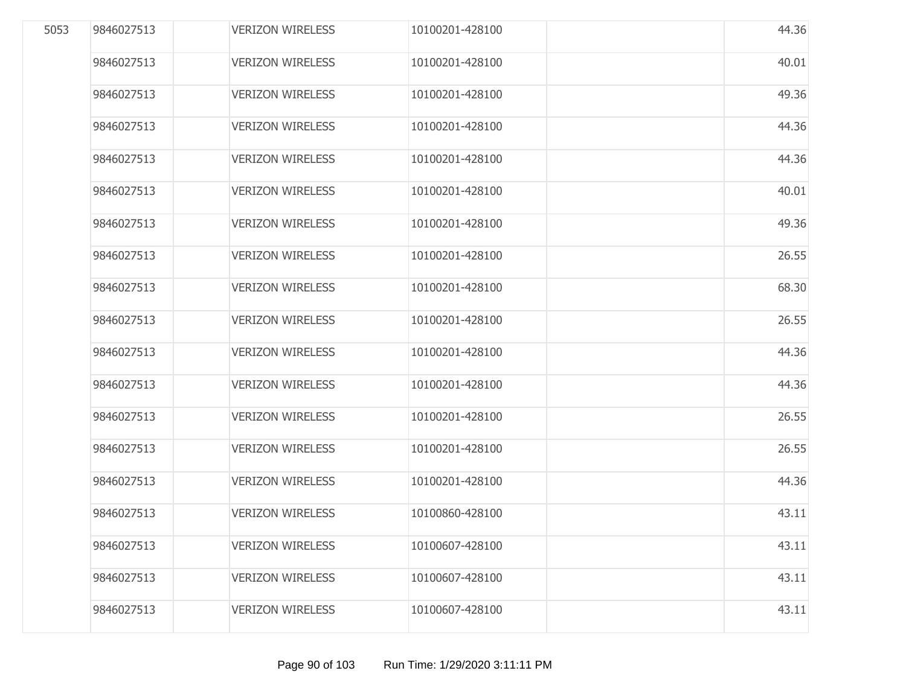| 5053 | 9846027513 | <b>VERIZON WIRELESS</b> | 10100201-428100 | 44.36 |
|------|------------|-------------------------|-----------------|-------|
|      | 9846027513 | <b>VERIZON WIRELESS</b> | 10100201-428100 | 40.01 |
|      | 9846027513 | <b>VERIZON WIRELESS</b> | 10100201-428100 | 49.36 |
|      | 9846027513 | <b>VERIZON WIRELESS</b> | 10100201-428100 | 44.36 |
|      | 9846027513 | <b>VERIZON WIRELESS</b> | 10100201-428100 | 44.36 |
|      | 9846027513 | <b>VERIZON WIRELESS</b> | 10100201-428100 | 40.01 |
|      | 9846027513 | <b>VERIZON WIRELESS</b> | 10100201-428100 | 49.36 |
|      | 9846027513 | <b>VERIZON WIRELESS</b> | 10100201-428100 | 26.55 |
|      | 9846027513 | <b>VERIZON WIRELESS</b> | 10100201-428100 | 68.30 |
|      | 9846027513 | <b>VERIZON WIRELESS</b> | 10100201-428100 | 26.55 |
|      | 9846027513 | <b>VERIZON WIRELESS</b> | 10100201-428100 | 44.36 |
|      | 9846027513 | <b>VERIZON WIRELESS</b> | 10100201-428100 | 44.36 |
|      | 9846027513 | <b>VERIZON WIRELESS</b> | 10100201-428100 | 26.55 |
|      | 9846027513 | <b>VERIZON WIRELESS</b> | 10100201-428100 | 26.55 |
|      | 9846027513 | <b>VERIZON WIRELESS</b> | 10100201-428100 | 44.36 |
|      | 9846027513 | <b>VERIZON WIRELESS</b> | 10100860-428100 | 43.11 |
|      | 9846027513 | <b>VERIZON WIRELESS</b> | 10100607-428100 | 43.11 |
|      | 9846027513 | <b>VERIZON WIRELESS</b> | 10100607-428100 | 43.11 |
|      | 9846027513 | <b>VERIZON WIRELESS</b> | 10100607-428100 | 43.11 |
|      |            |                         |                 |       |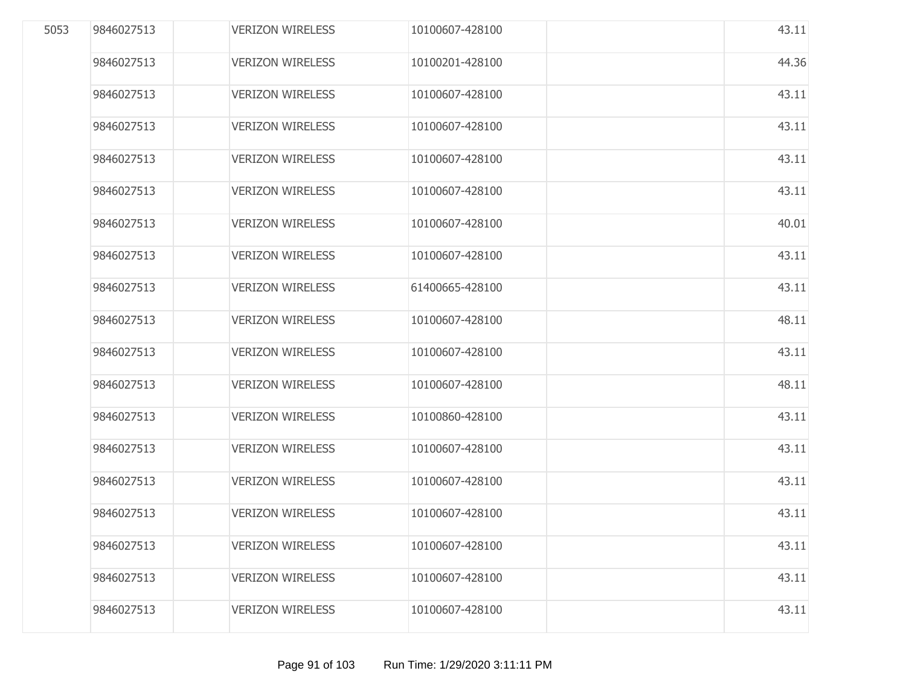| 5053 | 9846027513 | <b>VERIZON WIRELESS</b> | 10100607-428100 | 43.11 |
|------|------------|-------------------------|-----------------|-------|
|      | 9846027513 | <b>VERIZON WIRELESS</b> | 10100201-428100 | 44.36 |
|      | 9846027513 | <b>VERIZON WIRELESS</b> | 10100607-428100 | 43.11 |
|      | 9846027513 | <b>VERIZON WIRELESS</b> | 10100607-428100 | 43.11 |
|      | 9846027513 | <b>VERIZON WIRELESS</b> | 10100607-428100 | 43.11 |
|      | 9846027513 | <b>VERIZON WIRELESS</b> | 10100607-428100 | 43.11 |
|      | 9846027513 | <b>VERIZON WIRELESS</b> | 10100607-428100 | 40.01 |
|      | 9846027513 | <b>VERIZON WIRELESS</b> | 10100607-428100 | 43.11 |
|      | 9846027513 | <b>VERIZON WIRELESS</b> | 61400665-428100 | 43.11 |
|      | 9846027513 | <b>VERIZON WIRELESS</b> | 10100607-428100 | 48.11 |
|      | 9846027513 | <b>VERIZON WIRELESS</b> | 10100607-428100 | 43.11 |
|      | 9846027513 | <b>VERIZON WIRELESS</b> | 10100607-428100 | 48.11 |
|      | 9846027513 | <b>VERIZON WIRELESS</b> | 10100860-428100 | 43.11 |
|      | 9846027513 | <b>VERIZON WIRELESS</b> | 10100607-428100 | 43.11 |
|      | 9846027513 | <b>VERIZON WIRELESS</b> | 10100607-428100 | 43.11 |
|      | 9846027513 | <b>VERIZON WIRELESS</b> | 10100607-428100 | 43.11 |
|      | 9846027513 | <b>VERIZON WIRELESS</b> | 10100607-428100 | 43.11 |
|      | 9846027513 | <b>VERIZON WIRELESS</b> | 10100607-428100 | 43.11 |
|      | 9846027513 | <b>VERIZON WIRELESS</b> | 10100607-428100 | 43.11 |
|      |            |                         |                 |       |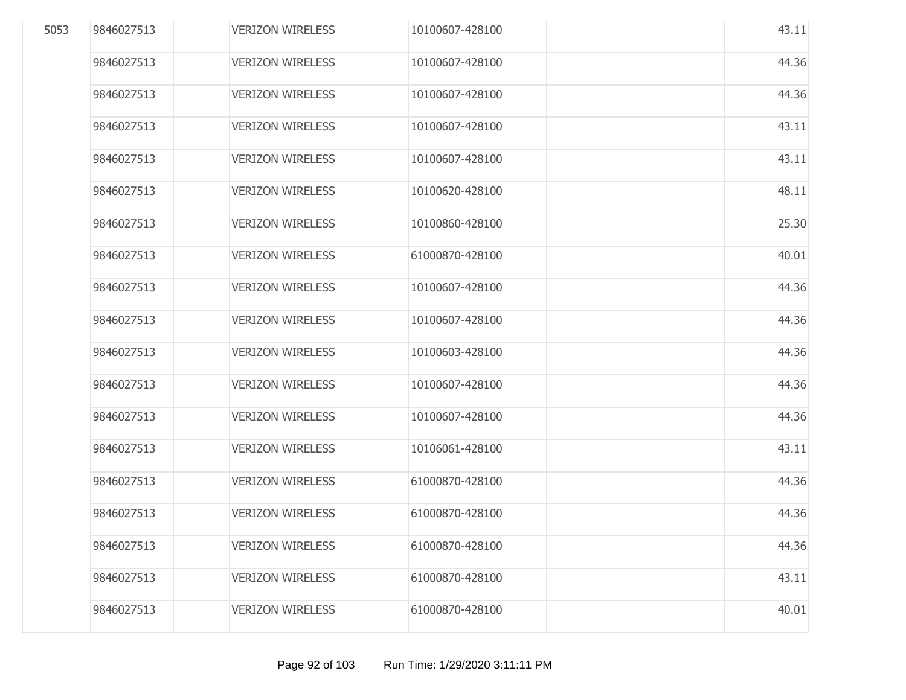| 5053 | 9846027513 | <b>VERIZON WIRELESS</b> | 10100607-428100 | 43.11 |
|------|------------|-------------------------|-----------------|-------|
|      | 9846027513 | <b>VERIZON WIRELESS</b> | 10100607-428100 | 44.36 |
|      | 9846027513 | <b>VERIZON WIRELESS</b> | 10100607-428100 | 44.36 |
|      | 9846027513 | <b>VERIZON WIRELESS</b> | 10100607-428100 | 43.11 |
|      | 9846027513 | <b>VERIZON WIRELESS</b> | 10100607-428100 | 43.11 |
|      | 9846027513 | <b>VERIZON WIRELESS</b> | 10100620-428100 | 48.11 |
|      | 9846027513 | <b>VERIZON WIRELESS</b> | 10100860-428100 | 25.30 |
|      | 9846027513 | <b>VERIZON WIRELESS</b> | 61000870-428100 | 40.01 |
|      | 9846027513 | <b>VERIZON WIRELESS</b> | 10100607-428100 | 44.36 |
|      | 9846027513 | <b>VERIZON WIRELESS</b> | 10100607-428100 | 44.36 |
|      | 9846027513 | <b>VERIZON WIRELESS</b> | 10100603-428100 | 44.36 |
|      | 9846027513 | <b>VERIZON WIRELESS</b> | 10100607-428100 | 44.36 |
|      | 9846027513 | <b>VERIZON WIRELESS</b> | 10100607-428100 | 44.36 |
|      | 9846027513 | <b>VERIZON WIRELESS</b> | 10106061-428100 | 43.11 |
|      | 9846027513 | <b>VERIZON WIRELESS</b> | 61000870-428100 | 44.36 |
|      | 9846027513 | <b>VERIZON WIRELESS</b> | 61000870-428100 | 44.36 |
|      | 9846027513 | <b>VERIZON WIRELESS</b> | 61000870-428100 | 44.36 |
|      | 9846027513 | <b>VERIZON WIRELESS</b> | 61000870-428100 | 43.11 |
|      | 9846027513 | <b>VERIZON WIRELESS</b> | 61000870-428100 | 40.01 |
|      |            |                         |                 |       |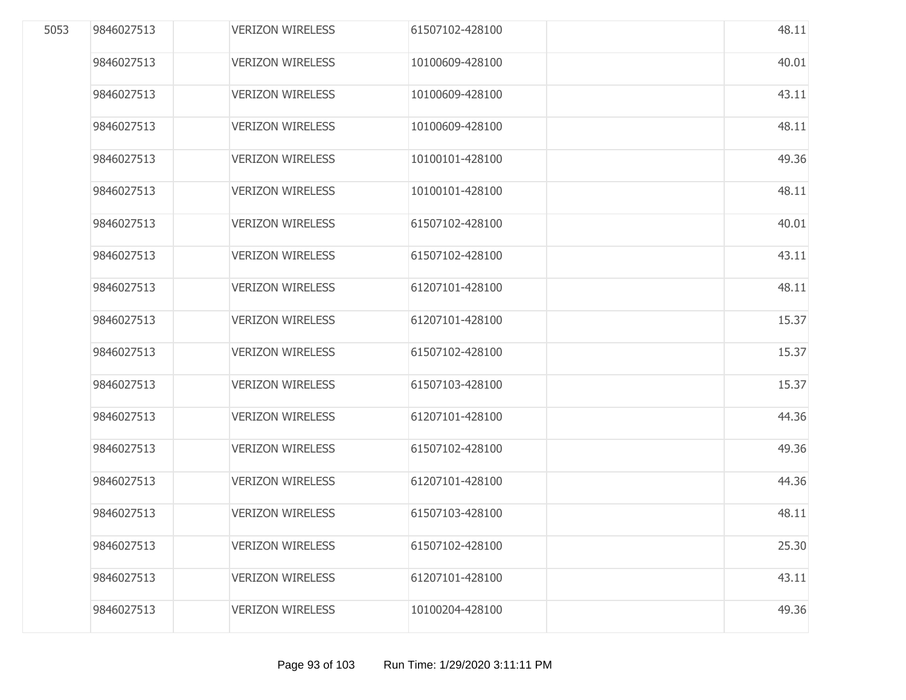| 5053 | 9846027513 | <b>VERIZON WIRELESS</b> | 61507102-428100 | 48.11 |
|------|------------|-------------------------|-----------------|-------|
|      | 9846027513 | <b>VERIZON WIRELESS</b> | 10100609-428100 | 40.01 |
|      | 9846027513 | <b>VERIZON WIRELESS</b> | 10100609-428100 | 43.11 |
|      | 9846027513 | <b>VERIZON WIRELESS</b> | 10100609-428100 | 48.11 |
|      | 9846027513 | <b>VERIZON WIRELESS</b> | 10100101-428100 | 49.36 |
|      | 9846027513 | <b>VERIZON WIRELESS</b> | 10100101-428100 | 48.11 |
|      | 9846027513 | <b>VERIZON WIRELESS</b> | 61507102-428100 | 40.01 |
|      | 9846027513 | <b>VERIZON WIRELESS</b> | 61507102-428100 | 43.11 |
|      | 9846027513 | <b>VERIZON WIRELESS</b> | 61207101-428100 | 48.11 |
|      | 9846027513 | <b>VERIZON WIRELESS</b> | 61207101-428100 | 15.37 |
|      | 9846027513 | <b>VERIZON WIRELESS</b> | 61507102-428100 | 15.37 |
|      | 9846027513 | <b>VERIZON WIRELESS</b> | 61507103-428100 | 15.37 |
|      | 9846027513 | <b>VERIZON WIRELESS</b> | 61207101-428100 | 44.36 |
|      | 9846027513 | <b>VERIZON WIRELESS</b> | 61507102-428100 | 49.36 |
|      | 9846027513 | <b>VERIZON WIRELESS</b> | 61207101-428100 | 44.36 |
|      | 9846027513 | <b>VERIZON WIRELESS</b> | 61507103-428100 | 48.11 |
|      | 9846027513 | <b>VERIZON WIRELESS</b> | 61507102-428100 | 25.30 |
|      | 9846027513 | <b>VERIZON WIRELESS</b> | 61207101-428100 | 43.11 |
|      | 9846027513 | <b>VERIZON WIRELESS</b> | 10100204-428100 | 49.36 |
|      |            |                         |                 |       |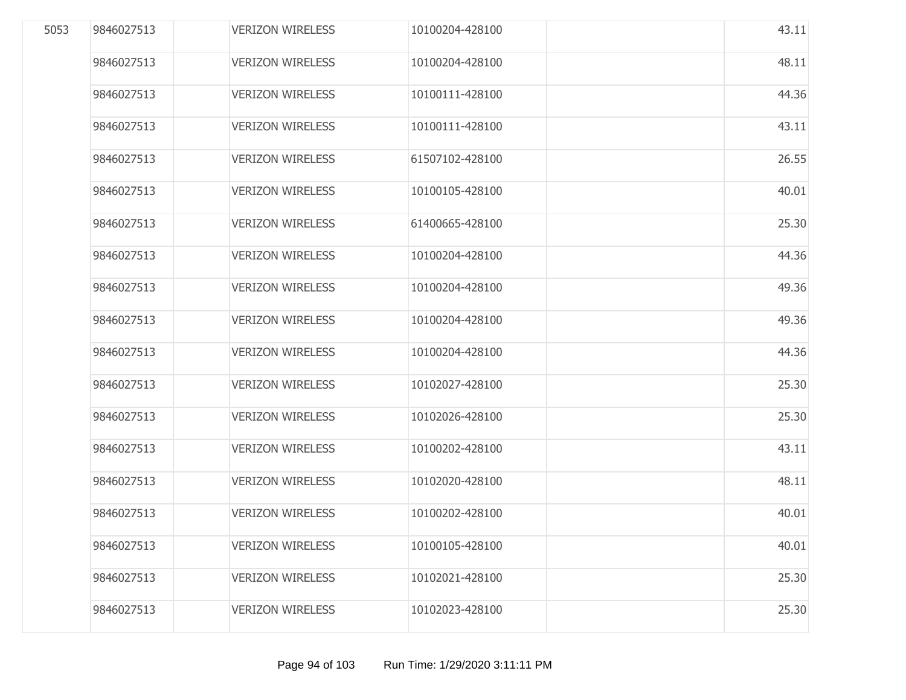| 5053 | 9846027513 | <b>VERIZON WIRELESS</b> | 10100204-428100 | 43.11 |
|------|------------|-------------------------|-----------------|-------|
|      | 9846027513 | <b>VERIZON WIRELESS</b> | 10100204-428100 | 48.11 |
|      | 9846027513 | <b>VERIZON WIRELESS</b> | 10100111-428100 | 44.36 |
|      | 9846027513 | <b>VERIZON WIRELESS</b> | 10100111-428100 | 43.11 |
|      | 9846027513 | <b>VERIZON WIRELESS</b> | 61507102-428100 | 26.55 |
|      | 9846027513 | <b>VERIZON WIRELESS</b> | 10100105-428100 | 40.01 |
|      | 9846027513 | <b>VERIZON WIRELESS</b> | 61400665-428100 | 25.30 |
|      | 9846027513 | <b>VERIZON WIRELESS</b> | 10100204-428100 | 44.36 |
|      | 9846027513 | <b>VERIZON WIRELESS</b> | 10100204-428100 | 49.36 |
|      | 9846027513 | <b>VERIZON WIRELESS</b> | 10100204-428100 | 49.36 |
|      | 9846027513 | <b>VERIZON WIRELESS</b> | 10100204-428100 | 44.36 |
|      | 9846027513 | <b>VERIZON WIRELESS</b> | 10102027-428100 | 25.30 |
|      | 9846027513 | <b>VERIZON WIRELESS</b> | 10102026-428100 | 25.30 |
|      | 9846027513 | <b>VERIZON WIRELESS</b> | 10100202-428100 | 43.11 |
|      | 9846027513 | <b>VERIZON WIRELESS</b> | 10102020-428100 | 48.11 |
|      | 9846027513 | <b>VERIZON WIRELESS</b> | 10100202-428100 | 40.01 |
|      | 9846027513 | <b>VERIZON WIRELESS</b> | 10100105-428100 | 40.01 |
|      | 9846027513 | <b>VERIZON WIRELESS</b> | 10102021-428100 | 25.30 |
|      | 9846027513 | <b>VERIZON WIRELESS</b> | 10102023-428100 | 25.30 |
|      |            |                         |                 |       |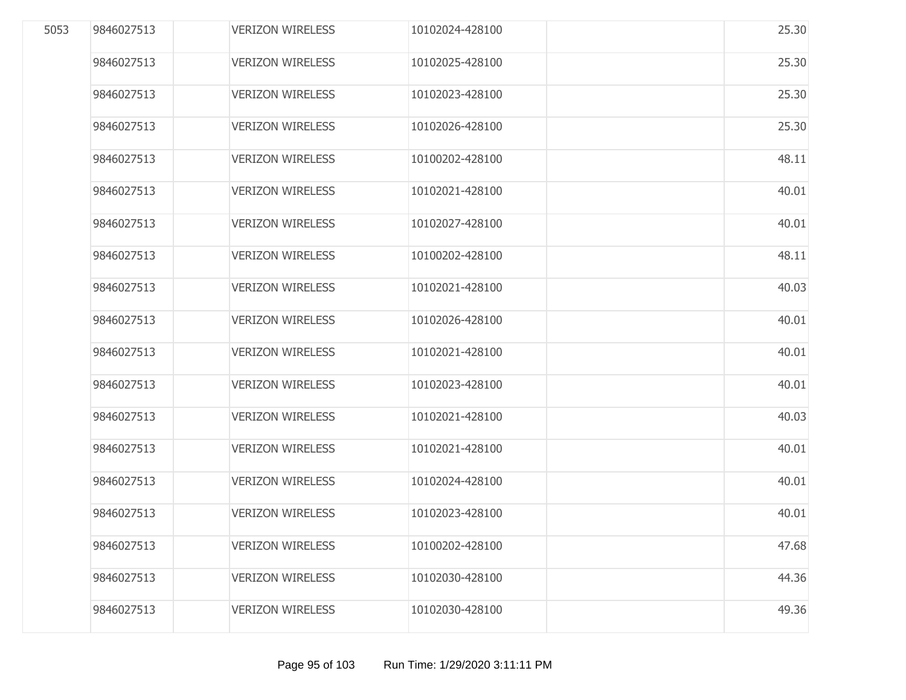| 5053 | 9846027513 | <b>VERIZON WIRELESS</b> | 10102024-428100 | 25.30 |
|------|------------|-------------------------|-----------------|-------|
|      | 9846027513 | <b>VERIZON WIRELESS</b> | 10102025-428100 | 25.30 |
|      | 9846027513 | <b>VERIZON WIRELESS</b> | 10102023-428100 | 25.30 |
|      | 9846027513 | <b>VERIZON WIRELESS</b> | 10102026-428100 | 25.30 |
|      | 9846027513 | <b>VERIZON WIRELESS</b> | 10100202-428100 | 48.11 |
|      | 9846027513 | <b>VERIZON WIRELESS</b> | 10102021-428100 | 40.01 |
|      | 9846027513 | <b>VERIZON WIRELESS</b> | 10102027-428100 | 40.01 |
|      | 9846027513 | <b>VERIZON WIRELESS</b> | 10100202-428100 | 48.11 |
|      | 9846027513 | <b>VERIZON WIRELESS</b> | 10102021-428100 | 40.03 |
|      | 9846027513 | <b>VERIZON WIRELESS</b> | 10102026-428100 | 40.01 |
|      | 9846027513 | <b>VERIZON WIRELESS</b> | 10102021-428100 | 40.01 |
|      | 9846027513 | <b>VERIZON WIRELESS</b> | 10102023-428100 | 40.01 |
|      | 9846027513 | <b>VERIZON WIRELESS</b> | 10102021-428100 | 40.03 |
|      | 9846027513 | <b>VERIZON WIRELESS</b> | 10102021-428100 | 40.01 |
|      | 9846027513 | <b>VERIZON WIRELESS</b> | 10102024-428100 | 40.01 |
|      | 9846027513 | <b>VERIZON WIRELESS</b> | 10102023-428100 | 40.01 |
|      | 9846027513 | <b>VERIZON WIRELESS</b> | 10100202-428100 | 47.68 |
|      | 9846027513 | <b>VERIZON WIRELESS</b> | 10102030-428100 | 44.36 |
|      | 9846027513 | <b>VERIZON WIRELESS</b> | 10102030-428100 | 49.36 |
|      |            |                         |                 |       |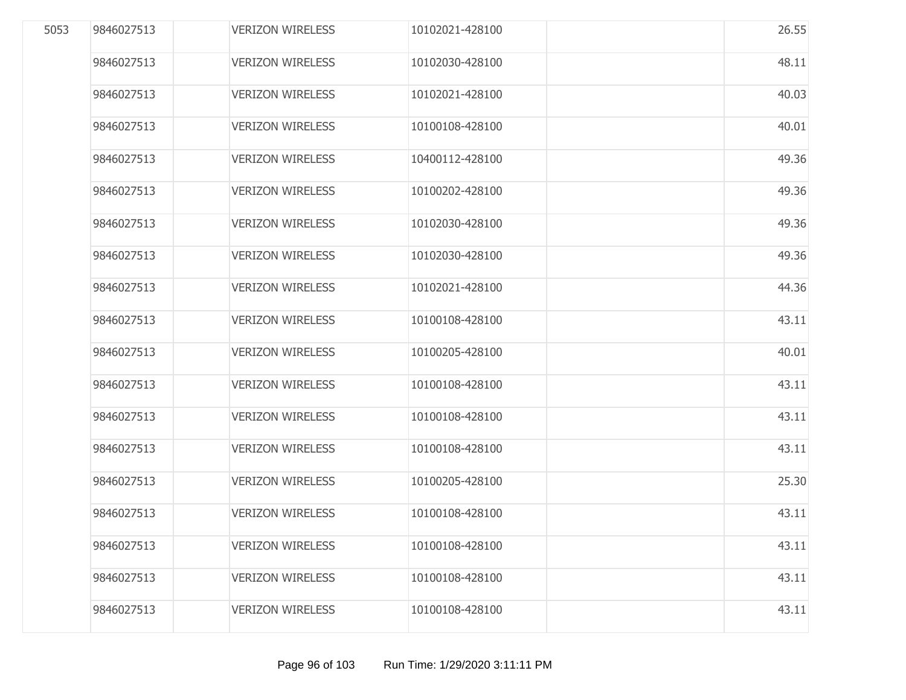| 5053 | 9846027513 | <b>VERIZON WIRELESS</b> | 10102021-428100 | 26.55 |
|------|------------|-------------------------|-----------------|-------|
|      | 9846027513 | <b>VERIZON WIRELESS</b> | 10102030-428100 | 48.11 |
|      | 9846027513 | <b>VERIZON WIRELESS</b> | 10102021-428100 | 40.03 |
|      | 9846027513 | <b>VERIZON WIRELESS</b> | 10100108-428100 | 40.01 |
|      | 9846027513 | <b>VERIZON WIRELESS</b> | 10400112-428100 | 49.36 |
|      | 9846027513 | <b>VERIZON WIRELESS</b> | 10100202-428100 | 49.36 |
|      | 9846027513 | <b>VERIZON WIRELESS</b> | 10102030-428100 | 49.36 |
|      | 9846027513 | <b>VERIZON WIRELESS</b> | 10102030-428100 | 49.36 |
|      | 9846027513 | <b>VERIZON WIRELESS</b> | 10102021-428100 | 44.36 |
|      | 9846027513 | <b>VERIZON WIRELESS</b> | 10100108-428100 | 43.11 |
|      | 9846027513 | <b>VERIZON WIRELESS</b> | 10100205-428100 | 40.01 |
|      | 9846027513 | <b>VERIZON WIRELESS</b> | 10100108-428100 | 43.11 |
|      | 9846027513 | <b>VERIZON WIRELESS</b> | 10100108-428100 | 43.11 |
|      | 9846027513 | <b>VERIZON WIRELESS</b> | 10100108-428100 | 43.11 |
|      | 9846027513 | <b>VERIZON WIRELESS</b> | 10100205-428100 | 25.30 |
|      | 9846027513 | <b>VERIZON WIRELESS</b> | 10100108-428100 | 43.11 |
|      | 9846027513 | <b>VERIZON WIRELESS</b> | 10100108-428100 | 43.11 |
|      | 9846027513 | <b>VERIZON WIRELESS</b> | 10100108-428100 | 43.11 |
|      | 9846027513 | <b>VERIZON WIRELESS</b> | 10100108-428100 | 43.11 |
|      |            |                         |                 |       |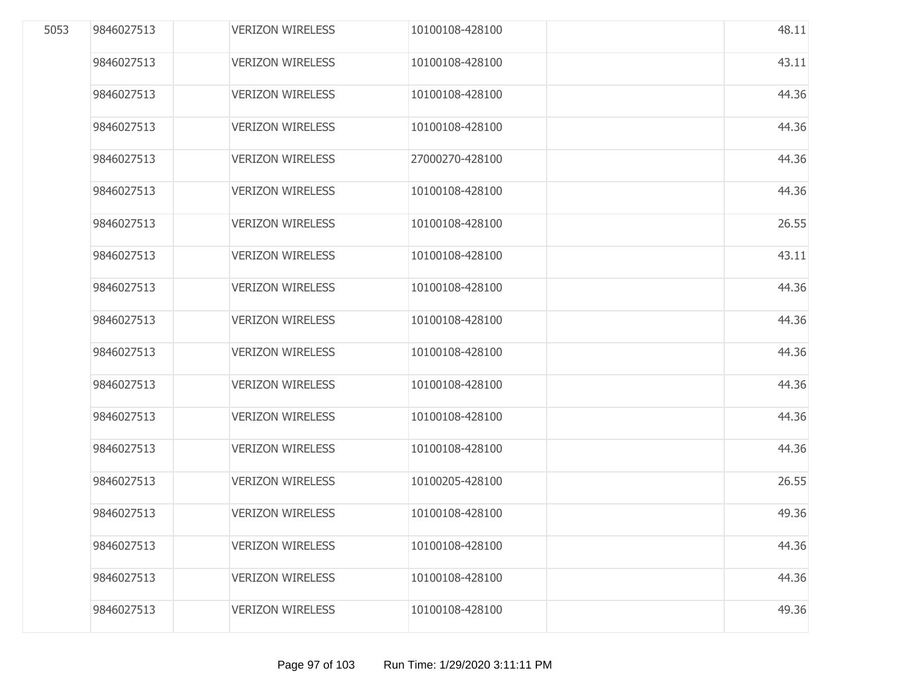|            | <b>VERIZON WIRELESS</b> | 10100108-428100 | 48.11 |
|------------|-------------------------|-----------------|-------|
| 9846027513 | <b>VERIZON WIRELESS</b> | 10100108-428100 | 43.11 |
| 9846027513 | <b>VERIZON WIRELESS</b> | 10100108-428100 | 44.36 |
| 9846027513 | <b>VERIZON WIRELESS</b> | 10100108-428100 | 44.36 |
| 9846027513 | <b>VERIZON WIRELESS</b> | 27000270-428100 | 44.36 |
| 9846027513 | <b>VERIZON WIRELESS</b> | 10100108-428100 | 44.36 |
| 9846027513 | <b>VERIZON WIRELESS</b> | 10100108-428100 | 26.55 |
| 9846027513 | <b>VERIZON WIRELESS</b> | 10100108-428100 | 43.11 |
| 9846027513 | <b>VERIZON WIRELESS</b> | 10100108-428100 | 44.36 |
| 9846027513 | <b>VERIZON WIRELESS</b> | 10100108-428100 | 44.36 |
| 9846027513 | <b>VERIZON WIRELESS</b> | 10100108-428100 | 44.36 |
| 9846027513 | <b>VERIZON WIRELESS</b> | 10100108-428100 | 44.36 |
| 9846027513 | <b>VERIZON WIRELESS</b> | 10100108-428100 | 44.36 |
| 9846027513 | <b>VERIZON WIRELESS</b> | 10100108-428100 | 44.36 |
| 9846027513 | <b>VERIZON WIRELESS</b> | 10100205-428100 | 26.55 |
| 9846027513 | <b>VERIZON WIRELESS</b> | 10100108-428100 | 49.36 |
| 9846027513 | <b>VERIZON WIRELESS</b> | 10100108-428100 | 44.36 |
| 9846027513 | <b>VERIZON WIRELESS</b> | 10100108-428100 | 44.36 |
| 9846027513 | <b>VERIZON WIRELESS</b> | 10100108-428100 | 49.36 |
|            |                         |                 |       |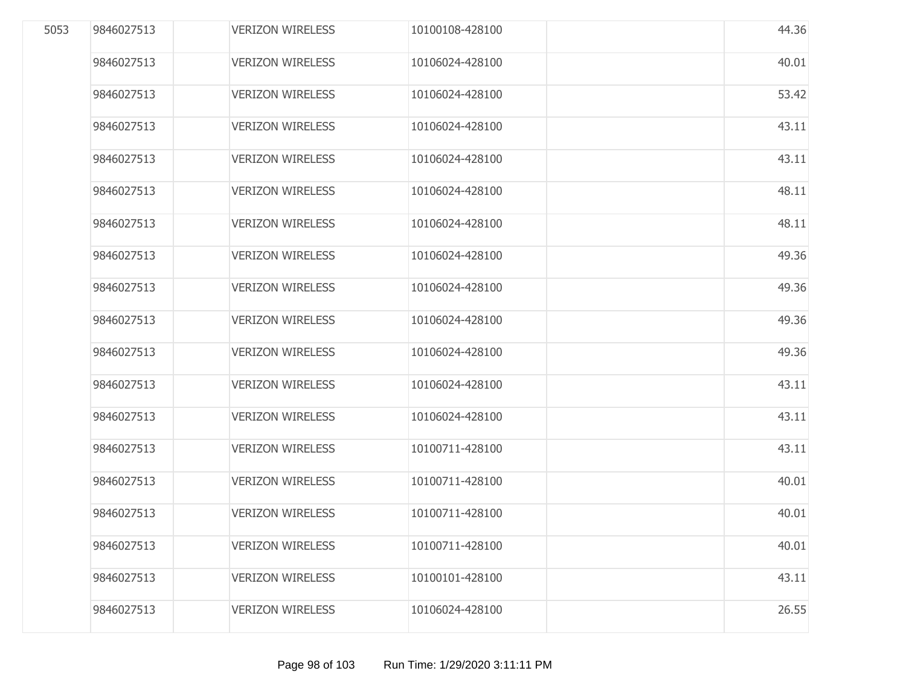| 5053 | 9846027513 | <b>VERIZON WIRELESS</b> | 10100108-428100 | 44.36 |
|------|------------|-------------------------|-----------------|-------|
|      | 9846027513 | <b>VERIZON WIRELESS</b> | 10106024-428100 | 40.01 |
|      | 9846027513 | <b>VERIZON WIRELESS</b> | 10106024-428100 | 53.42 |
|      | 9846027513 | <b>VERIZON WIRELESS</b> | 10106024-428100 | 43.11 |
|      | 9846027513 | <b>VERIZON WIRELESS</b> | 10106024-428100 | 43.11 |
|      | 9846027513 | <b>VERIZON WIRELESS</b> | 10106024-428100 | 48.11 |
|      | 9846027513 | <b>VERIZON WIRELESS</b> | 10106024-428100 | 48.11 |
|      | 9846027513 | <b>VERIZON WIRELESS</b> | 10106024-428100 | 49.36 |
|      | 9846027513 | <b>VERIZON WIRELESS</b> | 10106024-428100 | 49.36 |
|      | 9846027513 | <b>VERIZON WIRELESS</b> | 10106024-428100 | 49.36 |
|      | 9846027513 | <b>VERIZON WIRELESS</b> | 10106024-428100 | 49.36 |
|      | 9846027513 | <b>VERIZON WIRELESS</b> | 10106024-428100 | 43.11 |
|      | 9846027513 | <b>VERIZON WIRELESS</b> | 10106024-428100 | 43.11 |
|      | 9846027513 | <b>VERIZON WIRELESS</b> | 10100711-428100 | 43.11 |
|      | 9846027513 | <b>VERIZON WIRELESS</b> | 10100711-428100 | 40.01 |
|      | 9846027513 | <b>VERIZON WIRELESS</b> | 10100711-428100 | 40.01 |
|      | 9846027513 | <b>VERIZON WIRELESS</b> | 10100711-428100 | 40.01 |
|      | 9846027513 | <b>VERIZON WIRELESS</b> | 10100101-428100 | 43.11 |
|      | 9846027513 | <b>VERIZON WIRELESS</b> | 10106024-428100 | 26.55 |
|      |            |                         |                 |       |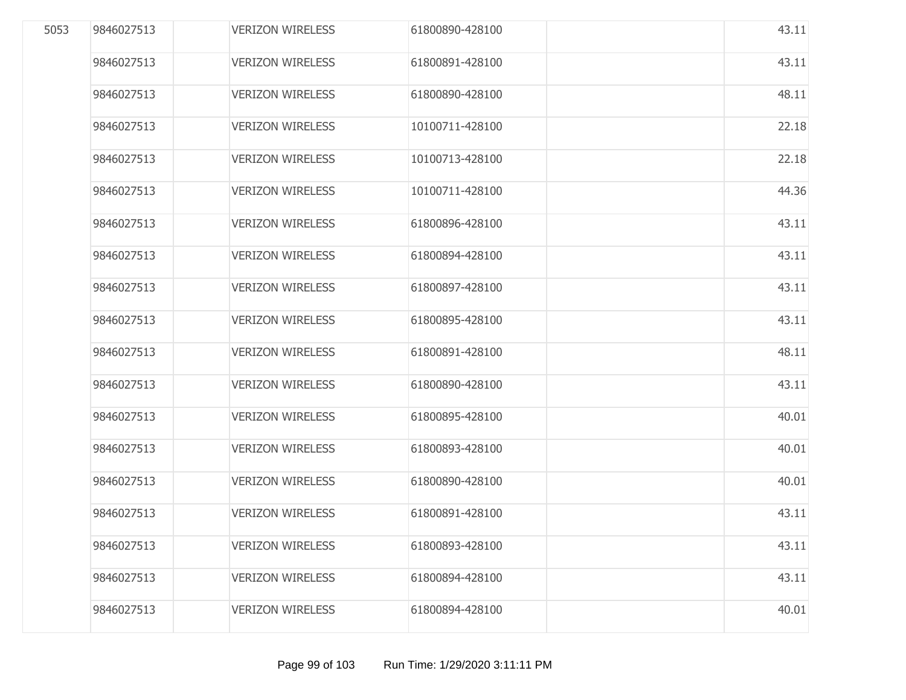| 9846027513 | <b>VERIZON WIRELESS</b> | 61800890-428100 | 43.11 |
|------------|-------------------------|-----------------|-------|
| 9846027513 | <b>VERIZON WIRELESS</b> | 61800891-428100 | 43.11 |
| 9846027513 | <b>VERIZON WIRELESS</b> | 61800890-428100 | 48.11 |
| 9846027513 | <b>VERIZON WIRELESS</b> | 10100711-428100 | 22.18 |
| 9846027513 | <b>VERIZON WIRELESS</b> | 10100713-428100 | 22.18 |
| 9846027513 | <b>VERIZON WIRELESS</b> | 10100711-428100 | 44.36 |
| 9846027513 | <b>VERIZON WIRELESS</b> | 61800896-428100 | 43.11 |
| 9846027513 | <b>VERIZON WIRELESS</b> | 61800894-428100 | 43.11 |
| 9846027513 | <b>VERIZON WIRELESS</b> | 61800897-428100 | 43.11 |
| 9846027513 | <b>VERIZON WIRELESS</b> | 61800895-428100 | 43.11 |
| 9846027513 | <b>VERIZON WIRELESS</b> | 61800891-428100 | 48.11 |
| 9846027513 | <b>VERIZON WIRELESS</b> | 61800890-428100 | 43.11 |
| 9846027513 | <b>VERIZON WIRELESS</b> | 61800895-428100 | 40.01 |
| 9846027513 | <b>VERIZON WIRELESS</b> | 61800893-428100 | 40.01 |
| 9846027513 | <b>VERIZON WIRELESS</b> | 61800890-428100 | 40.01 |
| 9846027513 | <b>VERIZON WIRELESS</b> | 61800891-428100 | 43.11 |
| 9846027513 | <b>VERIZON WIRELESS</b> | 61800893-428100 | 43.11 |
| 9846027513 | <b>VERIZON WIRELESS</b> | 61800894-428100 | 43.11 |
| 9846027513 | <b>VERIZON WIRELESS</b> | 61800894-428100 | 40.01 |
|            |                         |                 |       |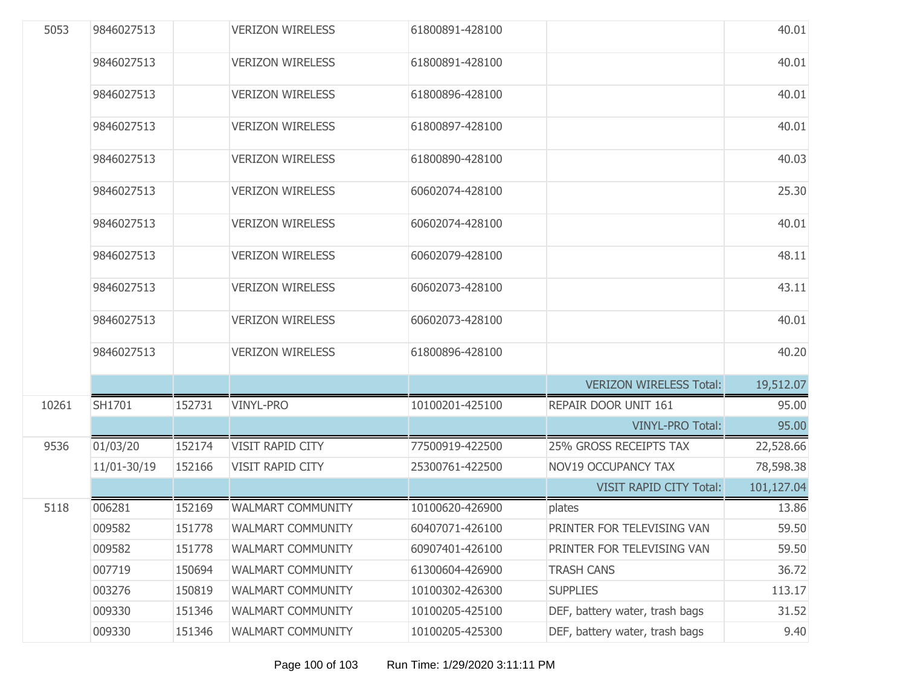| 5053  | 9846027513  |        | <b>VERIZON WIRELESS</b>  | 61800891-428100 |                                | 40.01      |
|-------|-------------|--------|--------------------------|-----------------|--------------------------------|------------|
|       | 9846027513  |        | <b>VERIZON WIRELESS</b>  | 61800891-428100 |                                | 40.01      |
|       | 9846027513  |        | <b>VERIZON WIRELESS</b>  | 61800896-428100 |                                | 40.01      |
|       | 9846027513  |        | <b>VERIZON WIRELESS</b>  | 61800897-428100 |                                | 40.01      |
|       | 9846027513  |        | <b>VERIZON WIRELESS</b>  | 61800890-428100 |                                | 40.03      |
|       | 9846027513  |        | <b>VERIZON WIRELESS</b>  | 60602074-428100 |                                | 25.30      |
|       | 9846027513  |        | <b>VERIZON WIRELESS</b>  | 60602074-428100 |                                | 40.01      |
|       | 9846027513  |        | <b>VERIZON WIRELESS</b>  | 60602079-428100 |                                | 48.11      |
|       | 9846027513  |        | <b>VERIZON WIRELESS</b>  | 60602073-428100 |                                | 43.11      |
|       | 9846027513  |        | <b>VERIZON WIRELESS</b>  | 60602073-428100 |                                | 40.01      |
|       | 9846027513  |        | <b>VERIZON WIRELESS</b>  | 61800896-428100 |                                | 40.20      |
|       |             |        |                          |                 | <b>VERIZON WIRELESS Total:</b> | 19,512.07  |
| 10261 | SH1701      | 152731 | <b>VINYL-PRO</b>         | 10100201-425100 | REPAIR DOOR UNIT 161           | 95.00      |
|       |             |        |                          |                 | <b>VINYL-PRO Total:</b>        | 95.00      |
| 9536  | 01/03/20    | 152174 | <b>VISIT RAPID CITY</b>  | 77500919-422500 | <b>25% GROSS RECEIPTS TAX</b>  | 22,528.66  |
|       | 11/01-30/19 | 152166 | <b>VISIT RAPID CITY</b>  | 25300761-422500 | <b>NOV19 OCCUPANCY TAX</b>     | 78,598.38  |
|       |             |        |                          |                 | <b>VISIT RAPID CITY Total:</b> | 101,127.04 |
| 5118  | 006281      | 152169 | <b>WALMART COMMUNITY</b> | 10100620-426900 | plates                         | 13.86      |
|       | 009582      | 151778 | <b>WALMART COMMUNITY</b> | 60407071-426100 | PRINTER FOR TELEVISING VAN     | 59.50      |
|       | 009582      | 151778 | <b>WALMART COMMUNITY</b> | 60907401-426100 | PRINTER FOR TELEVISING VAN     | 59.50      |
|       | 007719      | 150694 | WALMART COMMUNITY        | 61300604-426900 | <b>TRASH CANS</b>              | 36.72      |
|       | 003276      | 150819 | <b>WALMART COMMUNITY</b> | 10100302-426300 | <b>SUPPLIES</b>                | 113.17     |
|       | 009330      | 151346 | <b>WALMART COMMUNITY</b> | 10100205-425100 | DEF, battery water, trash bags | 31.52      |
|       | 009330      | 151346 | <b>WALMART COMMUNITY</b> | 10100205-425300 | DEF, battery water, trash bags | 9.40       |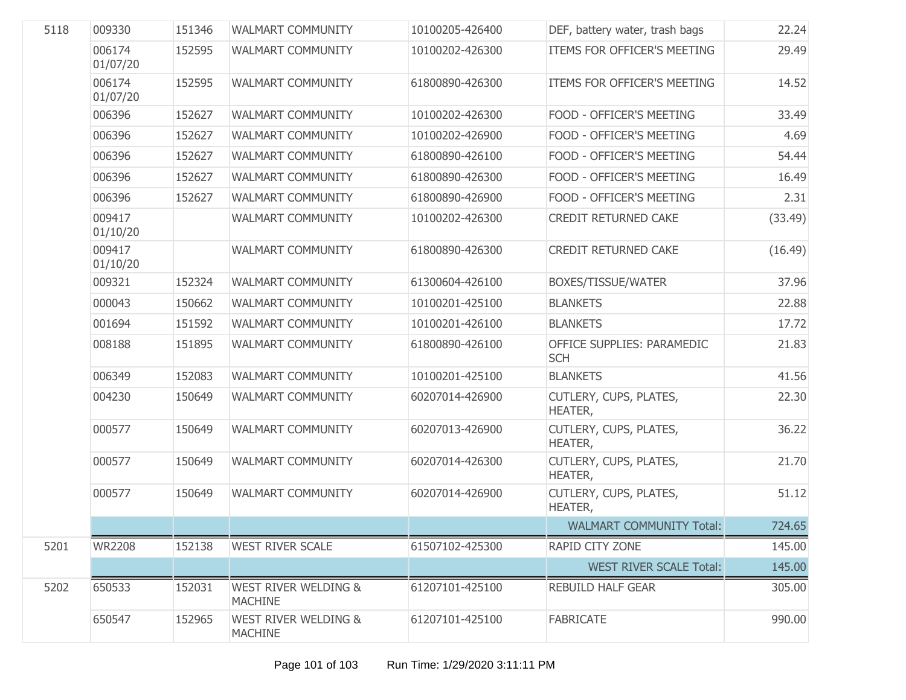| 5118 | 009330             | 151346 | <b>WALMART COMMUNITY</b>                          | 10100205-426400 | DEF, battery water, trash bags           | 22.24   |
|------|--------------------|--------|---------------------------------------------------|-----------------|------------------------------------------|---------|
|      | 006174<br>01/07/20 | 152595 | <b>WALMART COMMUNITY</b>                          | 10100202-426300 | ITEMS FOR OFFICER'S MEETING              | 29.49   |
|      | 006174<br>01/07/20 | 152595 | WALMART COMMUNITY                                 | 61800890-426300 | ITEMS FOR OFFICER'S MEETING              | 14.52   |
|      | 006396             | 152627 | <b>WALMART COMMUNITY</b>                          | 10100202-426300 | FOOD - OFFICER'S MEETING                 | 33.49   |
|      | 006396             | 152627 | WALMART COMMUNITY                                 | 10100202-426900 | FOOD - OFFICER'S MEETING                 | 4.69    |
|      | 006396             | 152627 | WALMART COMMUNITY                                 | 61800890-426100 | FOOD - OFFICER'S MEETING                 | 54.44   |
|      | 006396             | 152627 | WALMART COMMUNITY                                 | 61800890-426300 | FOOD - OFFICER'S MEETING                 | 16.49   |
|      | 006396             | 152627 | WALMART COMMUNITY                                 | 61800890-426900 | FOOD - OFFICER'S MEETING                 | 2.31    |
|      | 009417<br>01/10/20 |        | WALMART COMMUNITY                                 | 10100202-426300 | <b>CREDIT RETURNED CAKE</b>              | (33.49) |
|      | 009417<br>01/10/20 |        | <b>WALMART COMMUNITY</b>                          | 61800890-426300 | <b>CREDIT RETURNED CAKE</b>              | (16.49) |
|      | 009321             | 152324 | <b>WALMART COMMUNITY</b>                          | 61300604-426100 | BOXES/TISSUE/WATER                       | 37.96   |
|      | 000043             | 150662 | WALMART COMMUNITY                                 | 10100201-425100 | <b>BLANKETS</b>                          | 22.88   |
|      | 001694             | 151592 | <b>WALMART COMMUNITY</b>                          | 10100201-426100 | <b>BLANKETS</b>                          | 17.72   |
|      | 008188             | 151895 | <b>WALMART COMMUNITY</b>                          | 61800890-426100 | OFFICE SUPPLIES: PARAMEDIC<br><b>SCH</b> | 21.83   |
|      | 006349             | 152083 | <b>WALMART COMMUNITY</b>                          | 10100201-425100 | <b>BLANKETS</b>                          | 41.56   |
|      | 004230             | 150649 | <b>WALMART COMMUNITY</b>                          | 60207014-426900 | CUTLERY, CUPS, PLATES,<br>HEATER,        | 22.30   |
|      | 000577             | 150649 | <b>WALMART COMMUNITY</b>                          | 60207013-426900 | CUTLERY, CUPS, PLATES,<br>HEATER,        | 36.22   |
|      | 000577             | 150649 | WALMART COMMUNITY                                 | 60207014-426300 | CUTLERY, CUPS, PLATES,<br>HEATER,        | 21.70   |
|      | 000577             | 150649 | WALMART COMMUNITY                                 | 60207014-426900 | CUTLERY, CUPS, PLATES,<br>HEATER,        | 51.12   |
|      |                    |        |                                                   |                 | <b>WALMART COMMUNITY Total:</b>          | 724.65  |
| 5201 | <b>WR2208</b>      | 152138 | <b>WEST RIVER SCALE</b>                           | 61507102-425300 | RAPID CITY ZONE                          | 145.00  |
|      |                    |        |                                                   |                 | <b>WEST RIVER SCALE Total:</b>           | 145.00  |
| 5202 | 650533             | 152031 | <b>WEST RIVER WELDING &amp;</b><br><b>MACHINE</b> | 61207101-425100 | REBUILD HALF GEAR                        | 305.00  |
|      | 650547             | 152965 | <b>WEST RIVER WELDING &amp;</b><br><b>MACHINE</b> | 61207101-425100 | <b>FABRICATE</b>                         | 990.00  |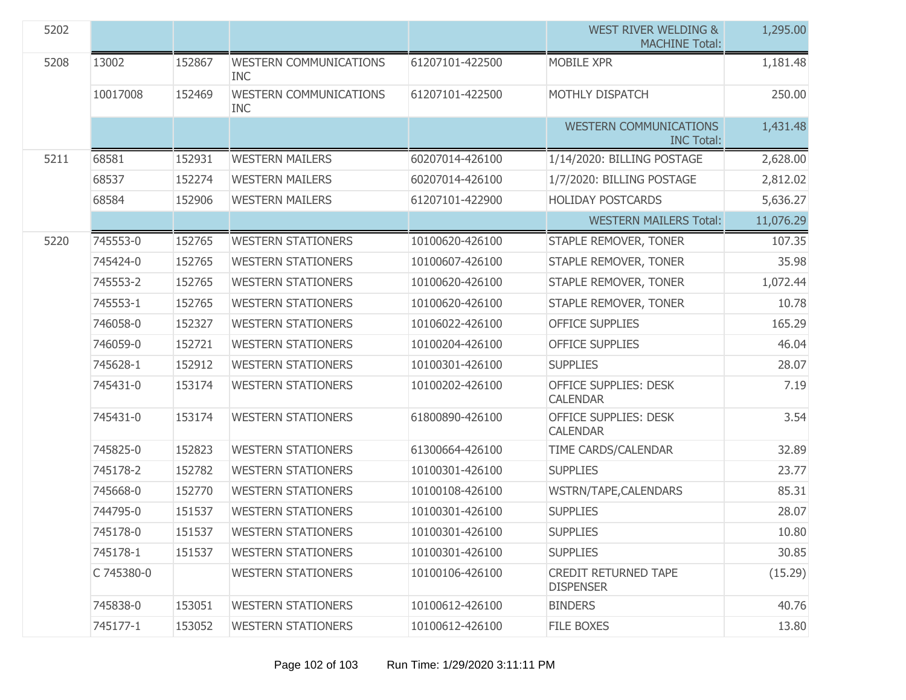| 5202 |            |        |                                             |                 | <b>WEST RIVER WELDING &amp;</b><br><b>MACHINE Total:</b> | 1,295.00  |
|------|------------|--------|---------------------------------------------|-----------------|----------------------------------------------------------|-----------|
| 5208 | 13002      | 152867 | <b>WESTERN COMMUNICATIONS</b><br><b>INC</b> | 61207101-422500 | <b>MOBILE XPR</b>                                        | 1,181.48  |
|      | 10017008   | 152469 | <b>WESTERN COMMUNICATIONS</b><br><b>INC</b> | 61207101-422500 | MOTHLY DISPATCH                                          | 250.00    |
|      |            |        |                                             |                 | <b>WESTERN COMMUNICATIONS</b><br><b>INC Total:</b>       | 1,431.48  |
| 5211 | 68581      | 152931 | <b>WESTERN MAILERS</b>                      | 60207014-426100 | 1/14/2020: BILLING POSTAGE                               | 2,628.00  |
|      | 68537      | 152274 | <b>WESTERN MAILERS</b>                      | 60207014-426100 | 1/7/2020: BILLING POSTAGE                                | 2,812.02  |
|      | 68584      | 152906 | <b>WESTERN MAILERS</b>                      | 61207101-422900 | <b>HOLIDAY POSTCARDS</b>                                 | 5,636.27  |
|      |            |        |                                             |                 | <b>WESTERN MAILERS Total:</b>                            | 11,076.29 |
| 5220 | 745553-0   | 152765 | <b>WESTERN STATIONERS</b>                   | 10100620-426100 | STAPLE REMOVER, TONER                                    | 107.35    |
|      | 745424-0   | 152765 | <b>WESTERN STATIONERS</b>                   | 10100607-426100 | STAPLE REMOVER, TONER                                    | 35.98     |
|      | 745553-2   | 152765 | <b>WESTERN STATIONERS</b>                   | 10100620-426100 | STAPLE REMOVER, TONER                                    | 1,072.44  |
|      | 745553-1   | 152765 | <b>WESTERN STATIONERS</b>                   | 10100620-426100 | STAPLE REMOVER, TONER                                    | 10.78     |
|      | 746058-0   | 152327 | <b>WESTERN STATIONERS</b>                   | 10106022-426100 | <b>OFFICE SUPPLIES</b>                                   | 165.29    |
|      | 746059-0   | 152721 | <b>WESTERN STATIONERS</b>                   | 10100204-426100 | <b>OFFICE SUPPLIES</b>                                   | 46.04     |
|      | 745628-1   | 152912 | <b>WESTERN STATIONERS</b>                   | 10100301-426100 | <b>SUPPLIES</b>                                          | 28.07     |
|      | 745431-0   | 153174 | <b>WESTERN STATIONERS</b>                   | 10100202-426100 | <b>OFFICE SUPPLIES: DESK</b><br><b>CALENDAR</b>          | 7.19      |
|      | 745431-0   | 153174 | <b>WESTERN STATIONERS</b>                   | 61800890-426100 | OFFICE SUPPLIES: DESK<br><b>CALENDAR</b>                 | 3.54      |
|      | 745825-0   | 152823 | <b>WESTERN STATIONERS</b>                   | 61300664-426100 | TIME CARDS/CALENDAR                                      | 32.89     |
|      | 745178-2   | 152782 | <b>WESTERN STATIONERS</b>                   | 10100301-426100 | <b>SUPPLIES</b>                                          | 23.77     |
|      | 745668-0   | 152770 | <b>WESTERN STATIONERS</b>                   | 10100108-426100 | WSTRN/TAPE, CALENDARS                                    | 85.31     |
|      | 744795-0   | 151537 | <b>WESTERN STATIONERS</b>                   | 10100301-426100 | <b>SUPPLIES</b>                                          | 28.07     |
|      | 745178-0   | 151537 | <b>WESTERN STATIONERS</b>                   | 10100301-426100 | <b>SUPPLIES</b>                                          | 10.80     |
|      | 745178-1   | 151537 | <b>WESTERN STATIONERS</b>                   | 10100301-426100 | <b>SUPPLIES</b>                                          | 30.85     |
|      | C 745380-0 |        | <b>WESTERN STATIONERS</b>                   | 10100106-426100 | <b>CREDIT RETURNED TAPE</b><br><b>DISPENSER</b>          | (15.29)   |
|      | 745838-0   | 153051 | <b>WESTERN STATIONERS</b>                   | 10100612-426100 | <b>BINDERS</b>                                           | 40.76     |
|      | 745177-1   | 153052 | <b>WESTERN STATIONERS</b>                   | 10100612-426100 | FILE BOXES                                               | 13.80     |